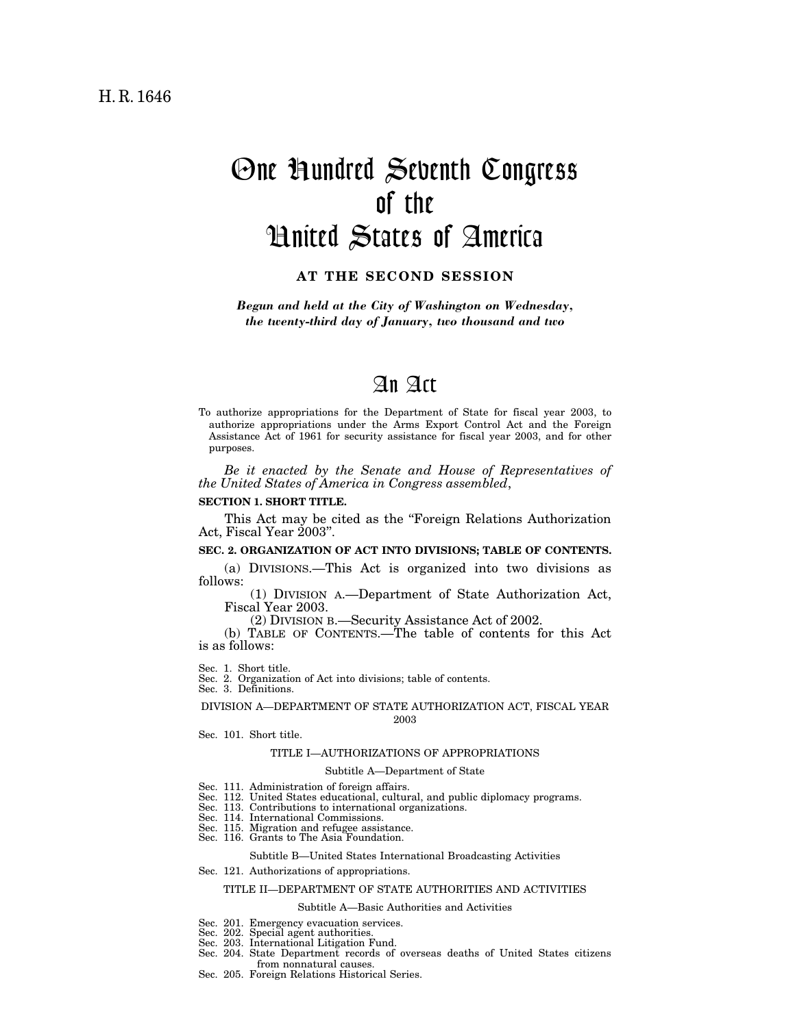# One Hundred Seventh Congress of the United States of America

## **AT THE SECOND SESSION**

*Begun and held at the City of Washington on Wednesday, the twenty-third day of January, two thousand and two*

## An Act

To authorize appropriations for the Department of State for fiscal year 2003, to authorize appropriations under the Arms Export Control Act and the Foreign Assistance Act of 1961 for security assistance for fiscal year 2003, and for other purposes.

*Be it enacted by the Senate and House of Representatives of the United States of America in Congress assembled*,

#### **SECTION 1. SHORT TITLE.**

This Act may be cited as the ''Foreign Relations Authorization Act, Fiscal Year 2003''.

### **SEC. 2. ORGANIZATION OF ACT INTO DIVISIONS; TABLE OF CONTENTS.**

(a) DIVISIONS.—This Act is organized into two divisions as follows:

(1) DIVISION A.—Department of State Authorization Act, Fiscal Year 2003.

(2) DIVISION B.—Security Assistance Act of 2002.

(b) TABLE OF CONTENTS.—The table of contents for this Act is as follows:

Sec. 1. Short title.

Sec. 2. Organization of Act into divisions; table of contents. Sec. 3. Definitions.

DIVISION A—DEPARTMENT OF STATE AUTHORIZATION ACT, FISCAL YEAR 2003

Sec. 101. Short title.

### TITLE I—AUTHORIZATIONS OF APPROPRIATIONS

## Subtitle A—Department of State

- 
- Sec. 111. Administration of foreign affairs. Sec. 112. United States educational, cultural, and public diplomacy programs.
- Sec. 113. Contributions to international organizations.
- Sec. 114. International Commissions.
- Sec. 115. Migration and refugee assistance. Sec. 116. Grants to The Asia Foundation.
- 

## Subtitle B—United States International Broadcasting Activities

Sec. 121. Authorizations of appropriations.

#### TITLE II—DEPARTMENT OF STATE AUTHORITIES AND ACTIVITIES

#### Subtitle A—Basic Authorities and Activities

- Sec. 201. Emergency evacuation services.
- Sec. 202. Special agent authorities.
- Sec. 203. International Litigation Fund.
- Sec. 204. State Department records of overseas deaths of United States citizens
- from nonnatural causes. Sec. 205. Foreign Relations Historical Series.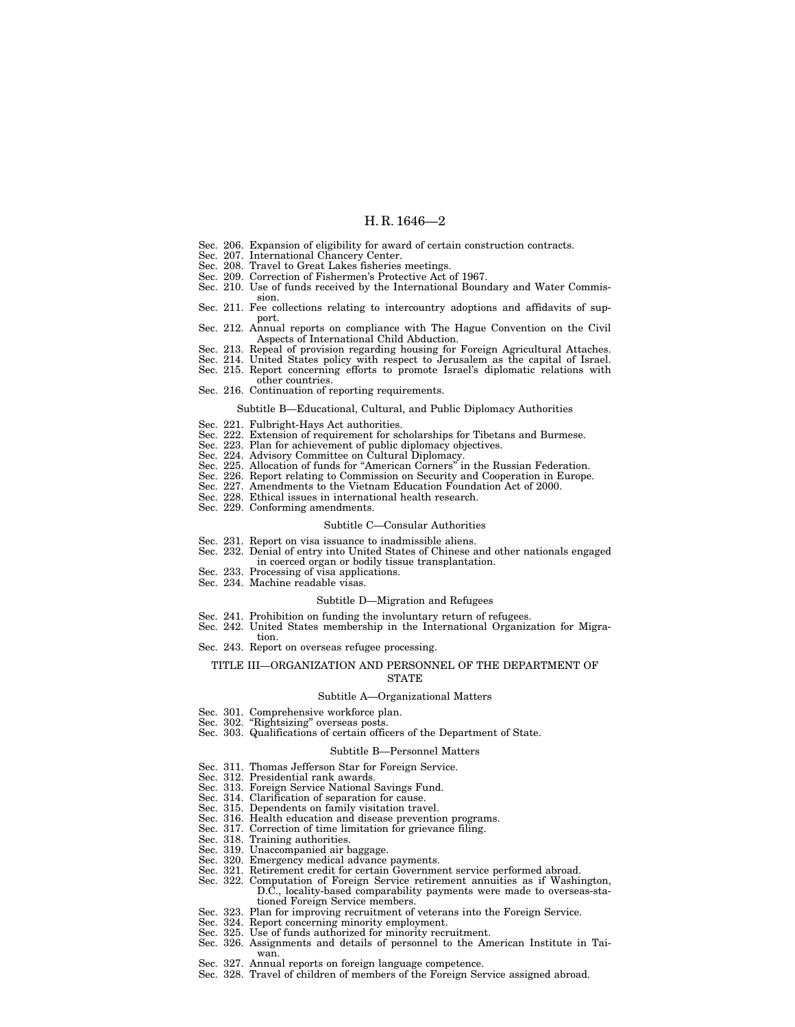- Sec. 206. Expansion of eligibility for award of certain construction contracts.
- Sec. 207. International Chancery Center.
- Sec. 208. Travel to Great Lakes fisheries meetings.
- Sec. 209. Correction of Fishermen's Protective Act of 1967.
- Sec. 210. Use of funds received by the International Boundary and Water Commission.
- Sec. 211. Fee collections relating to intercountry adoptions and affidavits of support.
- Sec. 212. Annual reports on compliance with The Hague Convention on the Civil Aspects of International Child Abduction.
- Sec. 213. Repeal of provision regarding housing for Foreign Agricultural Attaches.
- Sec. 214. United States policy with respect to Jerusalem as the capital of Israel. Sec. 215. Report concerning efforts to promote Israel's diplomatic relations with
	- other countries.
- Sec. 216. Continuation of reporting requirements.

## Subtitle B—Educational, Cultural, and Public Diplomacy Authorities

- Sec. 221. Fulbright-Hays Act authorities.
- Sec. 222. Extension of requirement for scholarships for Tibetans and Burmese.
- Sec. 223. Plan for achievement of public diplomacy objectives.
- Sec. 224. Advisory Committee on Cultural Diplomacy.
- Sec. 225. Allocation of funds for ''American Corners'' in the Russian Federation.
- Sec. 226. Report relating to Commission on Security and Cooperation in Europe.
- Sec. 227. Amendments to the Vietnam Education Foundation Act of 2000.
- Sec. 228. Ethical issues in international health research.
- Sec. 229. Conforming amendments.

#### Subtitle C—Consular Authorities

- Sec. 231. Report on visa issuance to inadmissible aliens.
- Sec. 232. Denial of entry into United States of Chinese and other nationals engaged in coerced organ or bodily tissue transplantation.
- Sec. 233. Processing of visa applications.
- Sec. 234. Machine readable visas.

#### Subtitle D—Migration and Refugees

- Sec. 241. Prohibition on funding the involuntary return of refugees.
- Sec. 242. United States membership in the International Organization for Migration.
- Sec. 243. Report on overseas refugee processing.

#### TITLE III—ORGANIZATION AND PERSONNEL OF THE DEPARTMENT OF STATE

#### Subtitle A—Organizational Matters

- Sec. 301. Comprehensive workforce plan.
- Sec. 302. "Rightsizing" overseas posts.
- Sec. 303. Qualifications of certain officers of the Department of State.

#### Subtitle B—Personnel Matters

- Sec. 311. Thomas Jefferson Star for Foreign Service.
- Sec. 312. Presidential rank awards.
- Sec. 313. Foreign Service National Savings Fund.
- Sec. 314. Clarification of separation for cause.
- Sec. 315. Dependents on family visitation travel.
- 
- Sec. 316. Health education and disease prevention programs. Sec. 317. Correction of time limitation for grievance filing.
- Sec. 318. Training authorities.
- 
- Sec. 319. Unaccompanied air baggage. Sec. 320. Emergency medical advance payments.
- Sec. 321. Retirement credit for certain Government service performed abroad.
- Sec. 322. Computation of Foreign Service retirement annuities as if Washington,
	- D.C., locality-based comparability payments were made to overseas-stationed Foreign Service members.
- Sec. 323. Plan for improving recruitment of veterans into the Foreign Service.
- Sec. 324. Report concerning minority employment.
- Sec. 325. Use of funds authorized for minority recruitment.
- Sec. 326. Assignments and details of personnel to the American Institute in Taiwan.
	- Sec. 327. Annual reports on foreign language competence.
	- Sec. 328. Travel of children of members of the Foreign Service assigned abroad.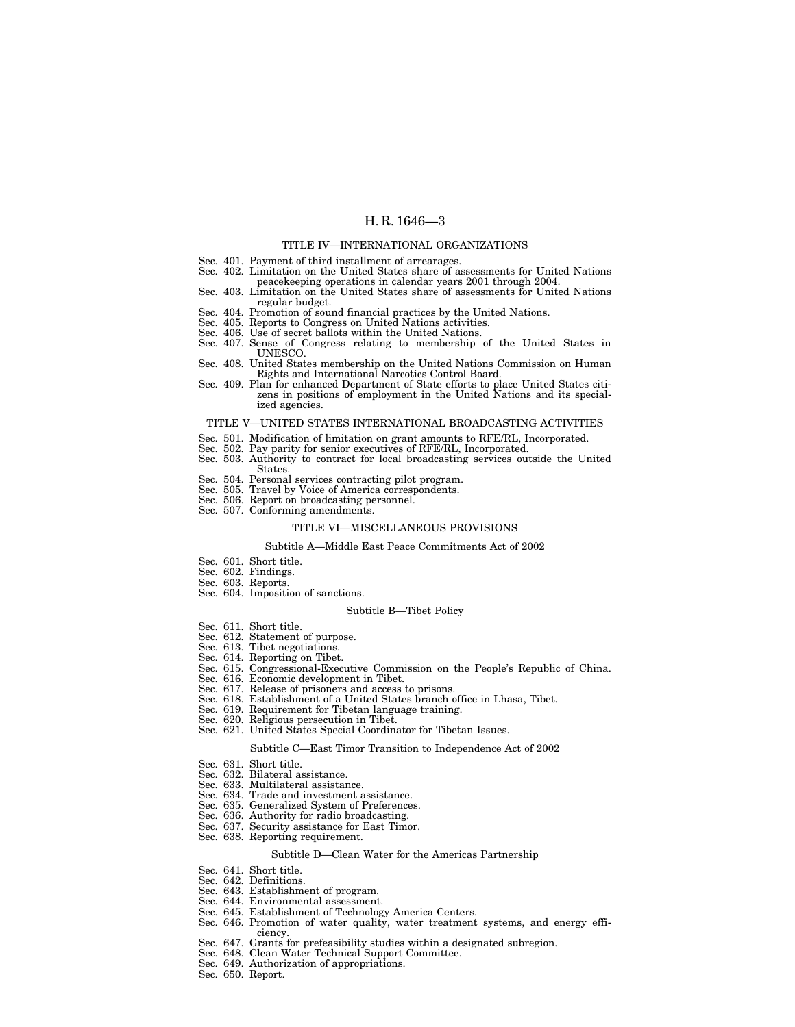#### TITLE IV—INTERNATIONAL ORGANIZATIONS

- 
- Sec. 401. Payment of third installment of arrearages. Sec. 402. Limitation on the United States share of assessments for United Nations peacekeeping operations in calendar years 2001 through 2004.
- Sec. 403. Limitation on the United States share of assessments for United Nations regular budget.
- Sec. 404. Promotion of sound financial practices by the United Nations. Sec. 405. Reports to Congress on United Nations activities.
- 
- Sec. 406. Use of secret ballots within the United Nations.
- Sec. 407. Sense of Congress relating to membership of the United States in UNESCO.
- Sec. 408. United States membership on the United Nations Commission on Human Rights and International Narcotics Control Board.
- Sec. 409. Plan for enhanced Department of State efforts to place United States citizens in positions of employment in the United Nations and its specialized agencies.

#### TITLE V—UNITED STATES INTERNATIONAL BROADCASTING ACTIVITIES

- Sec. 501. Modification of limitation on grant amounts to RFE/RL, Incorporated. Sec. 502. Pay parity for senior executives of RFE/RL, Incorporated.
- 
- Sec. 503. Authority to contract for local broadcasting services outside the United States.
- Sec. 504. Personal services contracting pilot program.
- Sec. 505. Travel by Voice of America correspondents. Sec. 506. Report on broadcasting personnel. Sec. 507. Conforming amendments.
- 
- 

#### TITLE VI—MISCELLANEOUS PROVISIONS

#### Subtitle A—Middle East Peace Commitments Act of 2002

- Sec. 601. Short title.
- Sec. 602. Findings.
- Sec. 603. Reports.
- Sec. 604. Imposition of sanctions.

#### Subtitle B—Tibet Policy

- Sec. 611. Short title.
- Sec. 612. Statement of purpose.
- Sec. 613. Tibet negotiations.
- Sec. 614. Reporting on Tibet.
- Sec. 615. Congressional-Executive Commission on the People's Republic of China.
- Sec. 616. Economic development in Tibet.
- Sec. 617. Release of prisoners and access to prisons.
- Sec. 618. Establishment of a United States branch office in Lhasa, Tibet.
- Sec. 619. Requirement for Tibetan language training.
- Sec. 620. Religious persecution in Tibet.
- Sec. 621. United States Special Coordinator for Tibetan Issues.

#### Subtitle C—East Timor Transition to Independence Act of 2002

- Sec. 631. Short title.
- Sec. 632. Bilateral assistance.
- Sec. 633. Multilateral assistance.
- Sec. 634. Trade and investment assistance.
- Sec. 635. Generalized System of Preferences.
- Sec. 636. Authority for radio broadcasting.
- Sec. 637. Security assistance for East Timor.
- Sec. 638. Reporting requirement.

#### Subtitle D—Clean Water for the Americas Partnership

- Sec. 641. Short title.
- Sec. 642. Definitions.
- Sec. 643. Establishment of program.
- Sec. 644. Environmental assessment.
- Sec. 645. Establishment of Technology America Centers.
- Sec. 646. Promotion of water quality, water treatment systems, and energy efficiency.
- Sec. 647. Grants for prefeasibility studies within a designated subregion.
- Sec. 648. Clean Water Technical Support Committee.
- Sec. 649. Authorization of appropriations.
- Sec. 650. Report.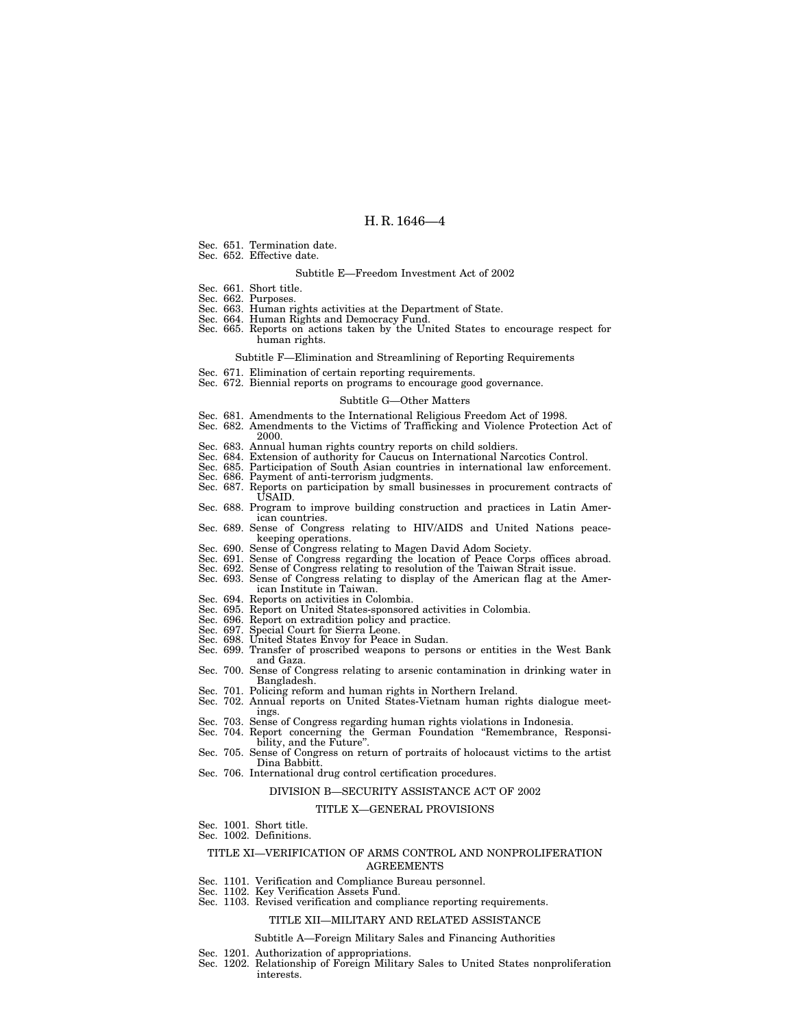- Sec. 651. Termination date.
- Sec. 652. Effective date.

## Subtitle E—Freedom Investment Act of 2002

- Sec. 661. Short title.
- Sec. 662. Purposes.
- Sec. 663. Human rights activities at the Department of State.
- Sec. 664. Human Rights and Democracy Fund. Sec. 665. Reports on actions taken by the United States to encourage respect for
- human rights.

#### Subtitle F—Elimination and Streamlining of Reporting Requirements

- Sec. 671. Elimination of certain reporting requirements.
- Sec. 672. Biennial reports on programs to encourage good governance.

#### Subtitle G—Other Matters

- Sec. 681. Amendments to the International Religious Freedom Act of 1998.
- Sec. 682. Amendments to the Victims of Trafficking and Violence Protection Act of 2000.
- Sec. 683. Annual human rights country reports on child soldiers.
- Sec. 684. Extension of authority for Caucus on International Narcotics Control.
- Sec. 685. Participation of South Asian countries in international law enforcement. Sec. 686. Payment of anti-terrorism judgments.
- 
- Sec. 687. Reports on participation by small businesses in procurement contracts of USAID.
- Sec. 688. Program to improve building construction and practices in Latin American countries.
- Sec. 689. Sense of Congress relating to HIV/AIDS and United Nations peacekeeping operations.
- 
- Sec. 690. Sense of Congress relating to Magen David Adom Society. Sec. 691. Sense of Congress regarding the location of Peace Corps offices abroad.
- Sec. 692. Sense of Congress relating to resolution of the Taiwan Strait issue.
- Sec. 693. Sense of Congress relating to display of the American flag at the American Institute in Taiwan.
- Sec. 694. Reports on activities in Colombia.
- Sec. 695. Report on United States-sponsored activities in Colombia.
- Sec. 696. Report on extradition policy and practice.
- Sec. 697. Special Court for Sierra Leone.
- 
- Sec. 698. United States Envoy for Peace in Sudan. Sec. 699. Transfer of proscribed weapons to persons or entities in the West Bank and Gaza.
- Sec. 700. Sense of Congress relating to arsenic contamination in drinking water in Bangladesh.
- Sec. 701. Policing reform and human rights in Northern Ireland.
- Sec. 702. Annual reports on United States-Vietnam human rights dialogue meetings.
- Sec. 703. Sense of Congress regarding human rights violations in Indonesia.
- Sec. 704. Report concerning the German Foundation ''Remembrance, Responsi-
- Sec. 705. Sense of Congress on return of portraits of holocaust victims to the artist Dina Babbitt.
- Sec. 706. International drug control certification procedures.

#### DIVISION B—SECURITY ASSISTANCE ACT OF 2002

#### TITLE X—GENERAL PROVISIONS

Sec. 1001. Short title. Sec. 1002. Definitions.

#### TITLE XI—VERIFICATION OF ARMS CONTROL AND NONPROLIFERATION AGREEMENTS

- Sec. 1101. Verification and Compliance Bureau personnel.
- Sec. 1102. Key Verification Assets Fund.
- Sec. 1103. Revised verification and compliance reporting requirements.

#### TITLE XII—MILITARY AND RELATED ASSISTANCE

#### Subtitle A—Foreign Military Sales and Financing Authorities

- Sec. 1201. Authorization of appropriations.
- Sec. 1202. Relationship of Foreign Military Sales to United States nonproliferation interests.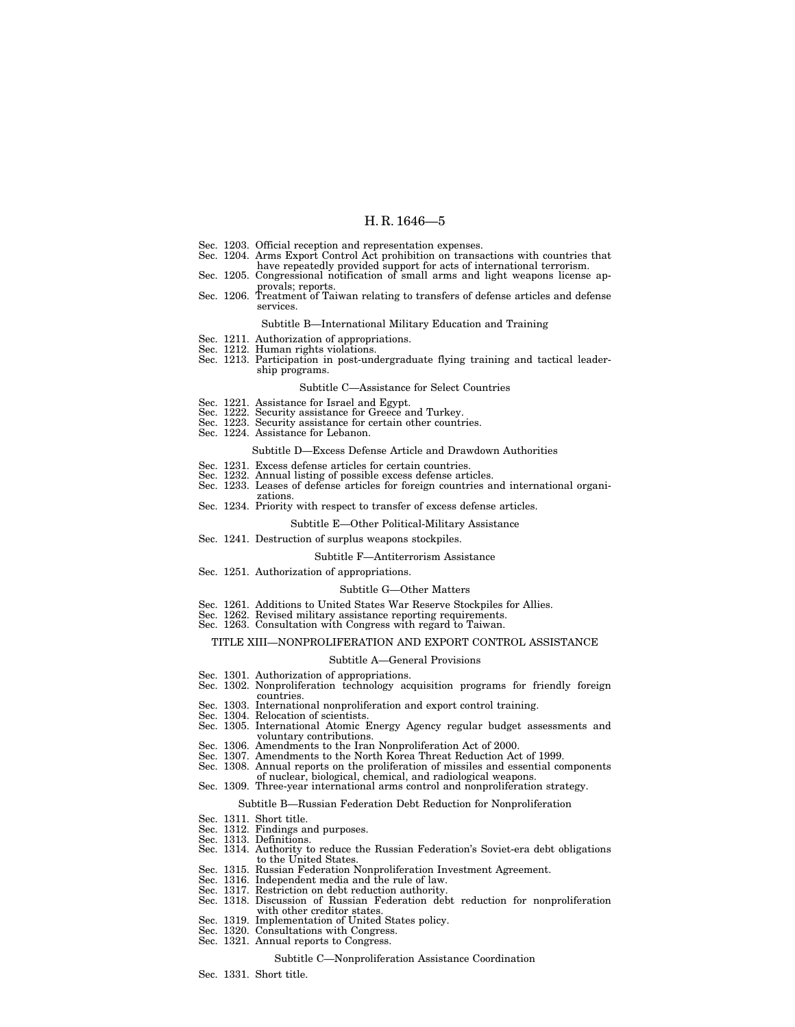- Sec. 1203. Official reception and representation expenses.
- Sec. 1204. Arms Export Control Act prohibition on transactions with countries that have repeatedly provided support for acts of international terrorism.
- Sec. 1205. Congressional notification of small arms and light weapons license approvals; reports.
- Sec. 1206. Treatment of Taiwan relating to transfers of defense articles and defense services.

#### Subtitle B—International Military Education and Training

- 
- Sec. 1211. Authorization of appropriations. Sec. 1212. Human rights violations.
- Sec. 1213. Participation in post-undergraduate flying training and tactical leadership programs.

#### Subtitle C—Assistance for Select Countries

- Sec. 1221. Assistance for Israel and Egypt.
- 
- Sec. 1222. Security assistance for Greece and Turkey. Sec. 1223. Security assistance for certain other countries.
- Sec. 1224. Assistance for Lebanon.

#### Subtitle D—Excess Defense Article and Drawdown Authorities

- Sec. 1231. Excess defense articles for certain countries.
- Sec. 1232. Annual listing of possible excess defense articles.
- Sec. 1233. Leases of defense articles for foreign countries and international organizations.
- Sec. 1234. Priority with respect to transfer of excess defense articles.

#### Subtitle E—Other Political-Military Assistance

Sec. 1241. Destruction of surplus weapons stockpiles.

#### Subtitle F—Antiterrorism Assistance

Sec. 1251. Authorization of appropriations.

#### Subtitle G—Other Matters

- Sec. 1261. Additions to United States War Reserve Stockpiles for Allies.
- Sec. 1262. Revised military assistance reporting requirements.
- Sec. 1263. Consultation with Congress with regard to Taiwan.

#### TITLE XIII—NONPROLIFERATION AND EXPORT CONTROL ASSISTANCE

## Subtitle A—General Provisions

- Sec. 1301. Authorization of appropriations. Sec. 1302. Nonproliferation technology acquisition programs for friendly foreign countries.
- Sec. 1303. International nonproliferation and export control training.
- 
- Sec. 1304. Relocation of scientists. Sec. 1305. International Atomic Energy Agency regular budget assessments and voluntary contributions.
- Sec. 1306. Amendments to the Iran Nonproliferation Act of 2000. Sec. 1307. Amendments to the North Korea Threat Reduction Act of 1999.
- 
- Sec. 1308. Annual reports on the proliferation of missiles and essential components of nuclear, biological, chemical, and radiological weapons.
- Sec. 1309. Three-year international arms control and nonproliferation strategy.

### Subtitle B—Russian Federation Debt Reduction for Nonproliferation

- Sec. 1311. Short title.
- Sec. 1312. Findings and purposes.
- Sec. 1313. Definitions.
- Sec. 1314. Authority to reduce the Russian Federation's Soviet-era debt obligations to the United States.
- Sec. 1315. Russian Federation Nonproliferation Investment Agreement.
- 
- 
- Sec. 1316. Independent media and the rule of law. Sec. 1317. Restriction on debt reduction authority. Sec. 1318. Discussion of Russian Federation debt reduction for nonproliferation with other creditor states.
- Sec. 1319. Implementation of United States policy.
- Sec. 1320. Consultations with Congress.
- Sec. 1321. Annual reports to Congress.

#### Subtitle C—Nonproliferation Assistance Coordination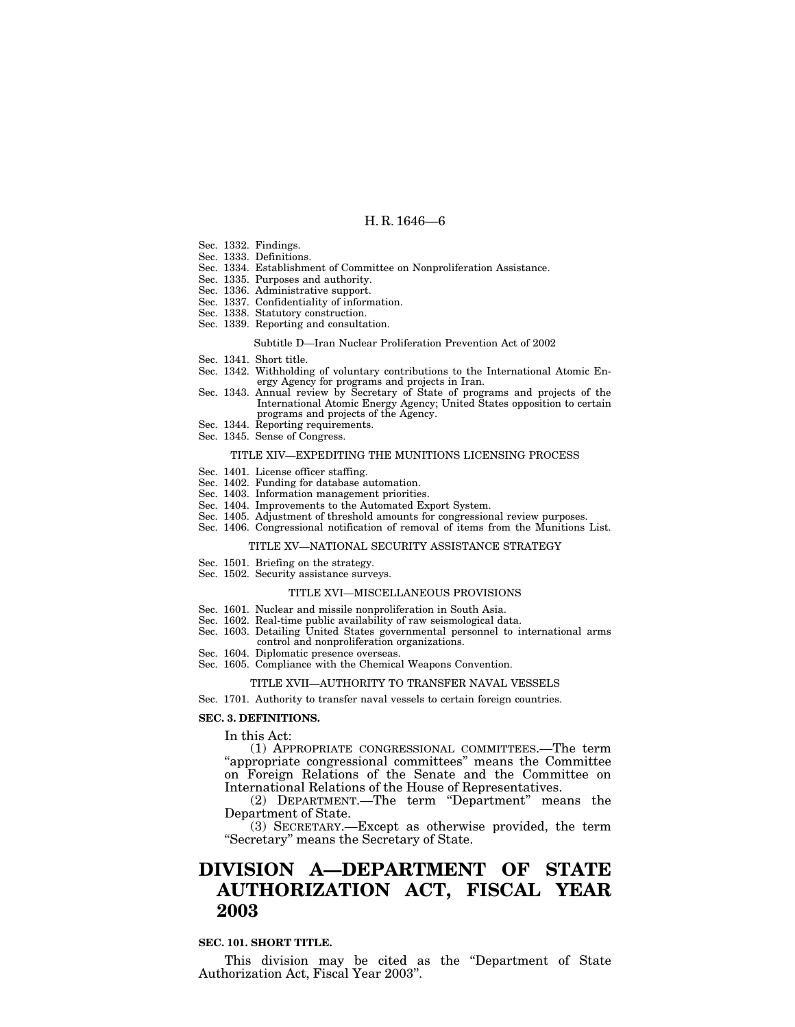- Sec. 1332. Findings.
- Sec. 1333. Definitions.
- Sec. 1334. Establishment of Committee on Nonproliferation Assistance.
- Sec. 1335. Purposes and authority.
- Sec. 1336. Administrative support.
- Sec. 1337. Confidentiality of information.
- Sec. 1338. Statutory construction.
- Sec. 1339. Reporting and consultation.

#### Subtitle D—Iran Nuclear Proliferation Prevention Act of 2002

- Sec. 1341. Short title.
- Sec. 1342. Withholding of voluntary contributions to the International Atomic Energy Agency for programs and projects in Iran.
- Sec. 1343. Annual review by Secretary of State of programs and projects of the International Atomic Energy Agency; United States opposition to certain programs and projects of the Agency.
- Sec. 1344. Reporting requirements.
- Sec. 1345. Sense of Congress.

## TITLE XIV—EXPEDITING THE MUNITIONS LICENSING PROCESS

- Sec. 1401. License officer staffing.
- Sec. 1402. Funding for database automation.
- Sec. 1403. Information management priorities.
- Sec. 1404. Improvements to the Automated Export System.
- Sec. 1405. Adjustment of threshold amounts for congressional review purposes.
- Sec. 1406. Congressional notification of removal of items from the Munitions List.

#### TITLE XV—NATIONAL SECURITY ASSISTANCE STRATEGY

- Sec. 1501. Briefing on the strategy.
- Sec. 1502. Security assistance surveys.

#### TITLE XVI—MISCELLANEOUS PROVISIONS

- Sec. 1601. Nuclear and missile nonproliferation in South Asia.
- Sec. 1602. Real-time public availability of raw seismological data.
- Sec. 1603. Detailing United States governmental personnel to international arms control and nonproliferation organizations.
- Sec. 1604. Diplomatic presence overseas.
- Sec. 1605. Compliance with the Chemical Weapons Convention.

#### TITLE XVII—AUTHORITY TO TRANSFER NAVAL VESSELS

Sec. 1701. Authority to transfer naval vessels to certain foreign countries.

#### **SEC. 3. DEFINITIONS.**

In this Act:

(1) APPROPRIATE CONGRESSIONAL COMMITTEES.—The term ''appropriate congressional committees'' means the Committee on Foreign Relations of the Senate and the Committee on International Relations of the House of Representatives.

(2) DEPARTMENT.—The term "Department" means the Department of State.

 $(3)$  SECRETARY.—Except as otherwise provided, the term "Secretary" means the Secretary of State.

## **DIVISION A—DEPARTMENT OF STATE AUTHORIZATION ACT, FISCAL YEAR 2003**

#### **SEC. 101. SHORT TITLE.**

This division may be cited as the "Department of State Authorization Act, Fiscal Year 2003''.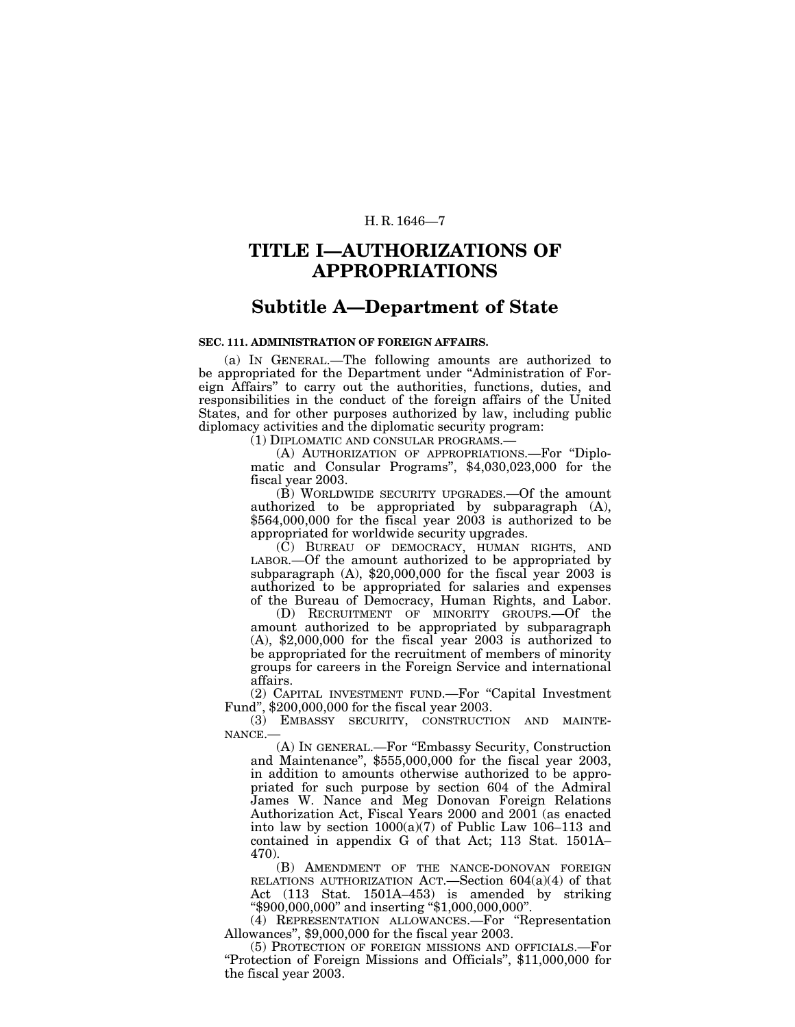## **TITLE I—AUTHORIZATIONS OF APPROPRIATIONS**

## **Subtitle A—Department of State**

## **SEC. 111. ADMINISTRATION OF FOREIGN AFFAIRS.**

(a) IN GENERAL.—The following amounts are authorized to be appropriated for the Department under ''Administration of Foreign Affairs'' to carry out the authorities, functions, duties, and responsibilities in the conduct of the foreign affairs of the United States, and for other purposes authorized by law, including public diplomacy activities and the diplomatic security program:

(1) DIPLOMATIC AND CONSULAR PROGRAMS.—

(A) AUTHORIZATION OF APPROPRIATIONS.—For ''Diplomatic and Consular Programs'', \$4,030,023,000 for the fiscal year 2003.

(B) WORLDWIDE SECURITY UPGRADES.—Of the amount authorized to be appropriated by subparagraph (A), \$564,000,000 for the fiscal year 2003 is authorized to be appropriated for worldwide security upgrades.

(C) BUREAU OF DEMOCRACY, HUMAN RIGHTS, AND LABOR.—Of the amount authorized to be appropriated by subparagraph  $(A)$ , \$20,000,000 for the fiscal year 2003 is authorized to be appropriated for salaries and expenses of the Bureau of Democracy, Human Rights, and Labor.

(D) RECRUITMENT OF MINORITY GROUPS.—Of the amount authorized to be appropriated by subparagraph  $(A)$ , \$2,000,000 for the fiscal year 2003 is authorized to be appropriated for the recruitment of members of minority groups for careers in the Foreign Service and international affairs.

(2) CAPITAL INVESTMENT FUND.—For ''Capital Investment Fund'', \$200,000,000 for the fiscal year 2003.

(3) EMBASSY SECURITY, CONSTRUCTION AND MAINTE-NANCE.—

(A) IN GENERAL.—For ''Embassy Security, Construction and Maintenance'', \$555,000,000 for the fiscal year 2003, in addition to amounts otherwise authorized to be appropriated for such purpose by section 604 of the Admiral James W. Nance and Meg Donovan Foreign Relations Authorization Act, Fiscal Years 2000 and 2001 (as enacted into law by section  $1000(a)(7)$  of Public Law 106–113 and contained in appendix G of that Act; 113 Stat. 1501A– 470).

(B) AMENDMENT OF THE NANCE-DONOVAN FOREIGN RELATIONS AUTHORIZATION ACT.—Section 604(a)(4) of that Act (113 Stat. 1501A–453) is amended by striking ''\$900,000,000'' and inserting ''\$1,000,000,000''.

(4) REPRESENTATION ALLOWANCES.—For ''Representation Allowances'', \$9,000,000 for the fiscal year 2003.

(5) PROTECTION OF FOREIGN MISSIONS AND OFFICIALS.—For ''Protection of Foreign Missions and Officials'', \$11,000,000 for the fiscal year 2003.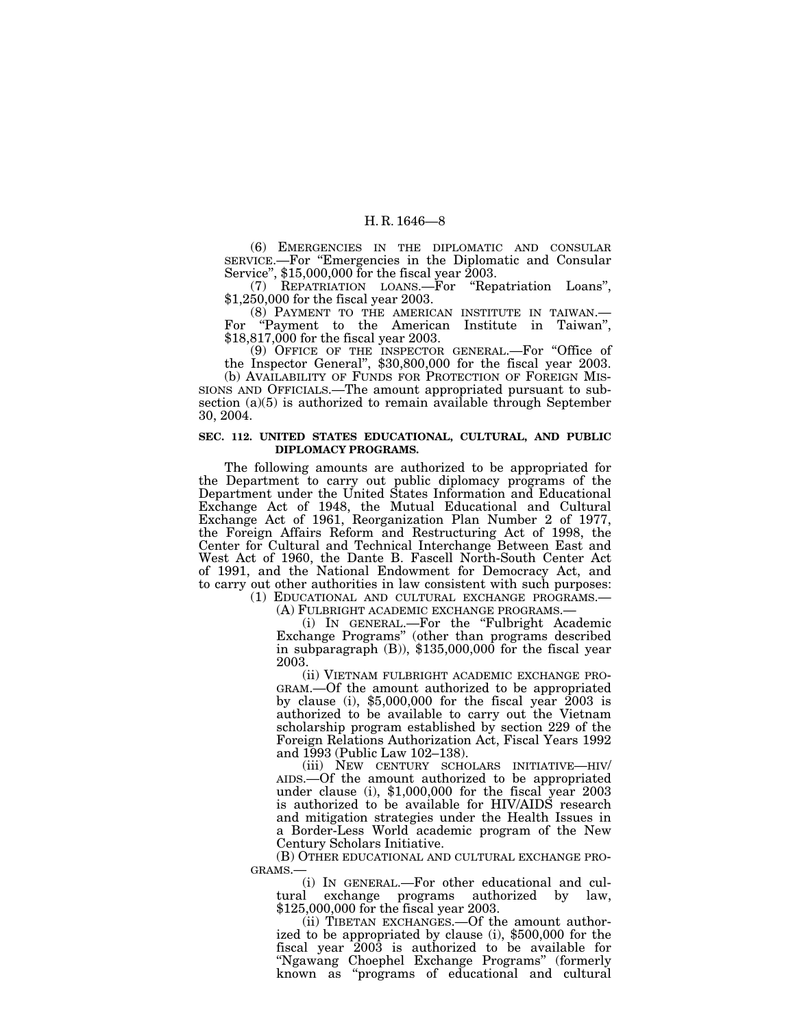(6) EMERGENCIES IN THE DIPLOMATIC AND CONSULAR SERVICE.—For ''Emergencies in the Diplomatic and Consular Service'', \$15,000,000 for the fiscal year 2003.

(7) REPATRIATION LOANS.—For ''Repatriation Loans'', \$1,250,000 for the fiscal year 2003.

(8) PAYMENT TO THE AMERICAN INSTITUTE IN TAIWAN.— For ''Payment to the American Institute in Taiwan'', \$18,817,000 for the fiscal year 2003.

(9) OFFICE OF THE INSPECTOR GENERAL.—For ''Office of the Inspector General'', \$30,800,000 for the fiscal year 2003. (b) AVAILABILITY OF FUNDS FOR PROTECTION OF FOREIGN MIS-

SIONS AND OFFICIALS.—The amount appropriated pursuant to subsection (a)(5) is authorized to remain available through September 30, 2004.

## **SEC. 112. UNITED STATES EDUCATIONAL, CULTURAL, AND PUBLIC DIPLOMACY PROGRAMS.**

The following amounts are authorized to be appropriated for the Department to carry out public diplomacy programs of the Department under the United States Information and Educational Exchange Act of 1948, the Mutual Educational and Cultural Exchange Act of 1961, Reorganization Plan Number 2 of 1977, the Foreign Affairs Reform and Restructuring Act of 1998, the Center for Cultural and Technical Interchange Between East and West Act of 1960, the Dante B. Fascell North-South Center Act of 1991, and the National Endowment for Democracy Act, and to carry out other authorities in law consistent with such purposes:

(1) EDUCATIONAL AND CULTURAL EXCHANGE PROGRAMS.—

(A) FULBRIGHT ACADEMIC EXCHANGE PROGRAMS.—

(i) IN GENERAL.—For the ''Fulbright Academic Exchange Programs'' (other than programs described in subparagraph (B)), \$135,000,000 for the fiscal year 2003.

(ii) VIETNAM FULBRIGHT ACADEMIC EXCHANGE PRO-GRAM.—Of the amount authorized to be appropriated by clause (i), \$5,000,000 for the fiscal year 2003 is authorized to be available to carry out the Vietnam scholarship program established by section 229 of the Foreign Relations Authorization Act, Fiscal Years 1992 and 1993 (Public Law 102–138).

(iii) NEW CENTURY SCHOLARS INITIATIVE—HIV/ AIDS.—Of the amount authorized to be appropriated under clause (i),  $$1,000,000$  for the fiscal year 2003 is authorized to be available for HIV/AIDS research and mitigation strategies under the Health Issues in a Border-Less World academic program of the New Century Scholars Initiative.

(B) OTHER EDUCATIONAL AND CULTURAL EXCHANGE PRO-GRAMS.—

(i) IN GENERAL.—For other educational and cultural exchange programs authorized by law, \$125,000,000 for the fiscal year 2003.

(ii) TIBETAN EXCHANGES.—Of the amount authorized to be appropriated by clause (i), \$500,000 for the fiscal year 2003 is authorized to be available for ''Ngawang Choephel Exchange Programs'' (formerly known as ''programs of educational and cultural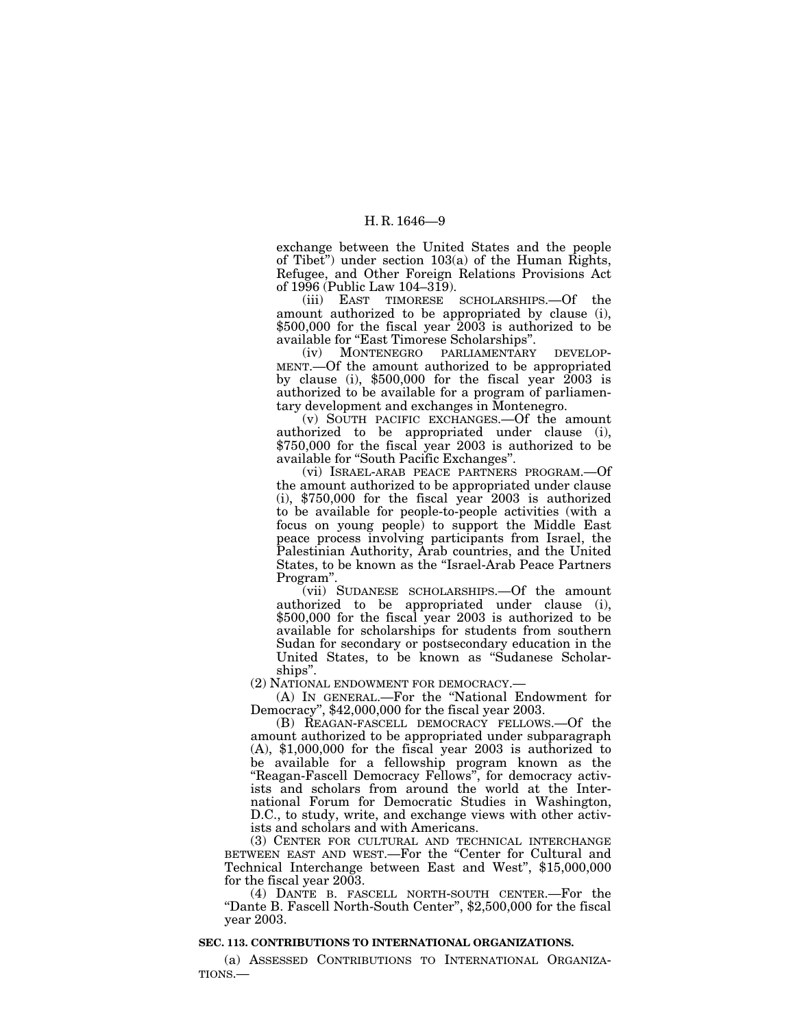exchange between the United States and the people of Tibet'') under section 103(a) of the Human Rights, Refugee, and Other Foreign Relations Provisions Act of 1996 (Public Law 104–319).

(iii) EAST TIMORESE SCHOLARSHIPS.—Of the amount authorized to be appropriated by clause (i), \$500,000 for the fiscal year 2003 is authorized to be available for ''East Timorese Scholarships''.

(iv) MONTENEGRO PARLIAMENTARY DEVELOP-MENT.—Of the amount authorized to be appropriated by clause (i), \$500,000 for the fiscal year 2003 is authorized to be available for a program of parliamentary development and exchanges in Montenegro.

(v) SOUTH PACIFIC EXCHANGES.—Of the amount authorized to be appropriated under clause (i), \$750,000 for the fiscal year 2003 is authorized to be available for ''South Pacific Exchanges''.

(vi) ISRAEL-ARAB PEACE PARTNERS PROGRAM.—Of the amount authorized to be appropriated under clause (i), \$750,000 for the fiscal year 2003 is authorized to be available for people-to-people activities (with a focus on young people) to support the Middle East peace process involving participants from Israel, the Palestinian Authority, Arab countries, and the United States, to be known as the ''Israel-Arab Peace Partners Program''.

(vii) SUDANESE SCHOLARSHIPS.—Of the amount authorized to be appropriated under clause (i), \$500,000 for the fiscal year 2003 is authorized to be available for scholarships for students from southern Sudan for secondary or postsecondary education in the United States, to be known as ''Sudanese Scholarships''.

(2) NATIONAL ENDOWMENT FOR DEMOCRACY.—

(A) IN GENERAL.—For the ''National Endowment for Democracy'', \$42,000,000 for the fiscal year 2003.

(B) REAGAN-FASCELL DEMOCRACY FELLOWS.—Of the amount authorized to be appropriated under subparagraph (A), \$1,000,000 for the fiscal year 2003 is authorized to be available for a fellowship program known as the ''Reagan-Fascell Democracy Fellows'', for democracy activists and scholars from around the world at the International Forum for Democratic Studies in Washington, D.C., to study, write, and exchange views with other activists and scholars and with Americans.

(3) CENTER FOR CULTURAL AND TECHNICAL INTERCHANGE BETWEEN EAST AND WEST.—For the ''Center for Cultural and Technical Interchange between East and West'', \$15,000,000 for the fiscal year 2003.

(4) DANTE B. FASCELL NORTH-SOUTH CENTER.—For the "Dante B. Fascell North-South Center", \$2,500,000 for the fiscal year 2003.

## **SEC. 113. CONTRIBUTIONS TO INTERNATIONAL ORGANIZATIONS.**

(a) ASSESSED CONTRIBUTIONS TO INTERNATIONAL ORGANIZA-TIONS.—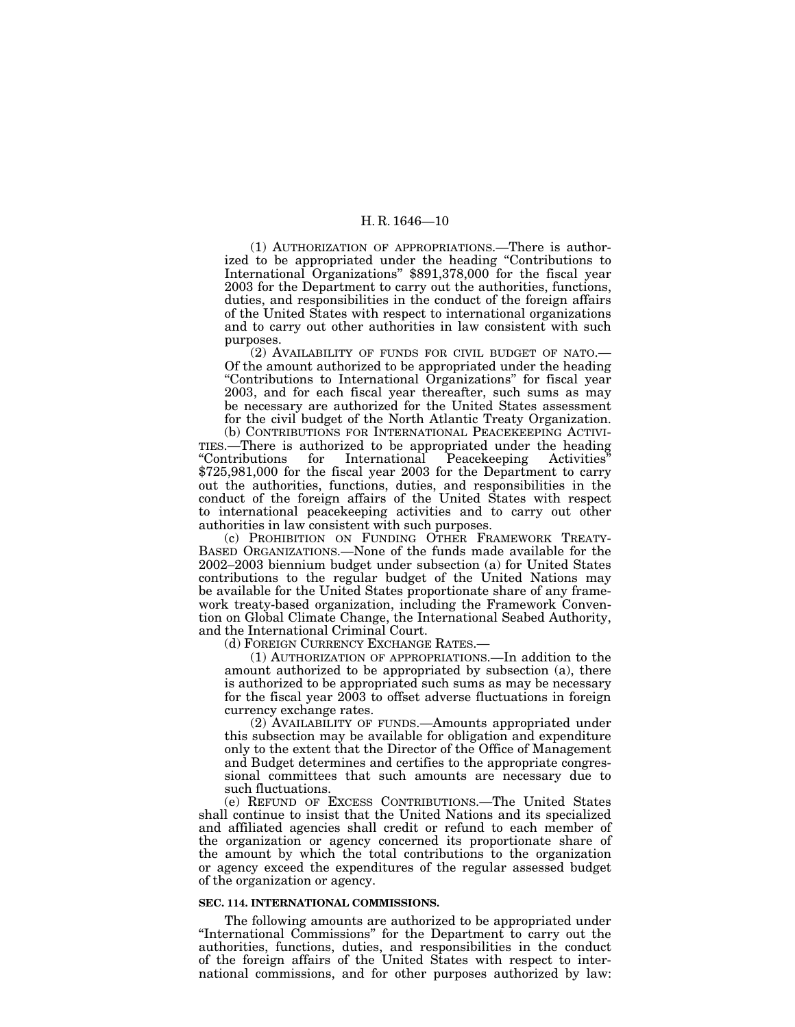(1) AUTHORIZATION OF APPROPRIATIONS.—There is authorized to be appropriated under the heading ''Contributions to International Organizations'' \$891,378,000 for the fiscal year 2003 for the Department to carry out the authorities, functions, duties, and responsibilities in the conduct of the foreign affairs of the United States with respect to international organizations and to carry out other authorities in law consistent with such purposes.

(2) AVAILABILITY OF FUNDS FOR CIVIL BUDGET OF NATO.— Of the amount authorized to be appropriated under the heading ''Contributions to International Organizations'' for fiscal year 2003, and for each fiscal year thereafter, such sums as may be necessary are authorized for the United States assessment for the civil budget of the North Atlantic Treaty Organization.

(b) CONTRIBUTIONS FOR INTERNATIONAL PEACEKEEPING ACTIVI-TIES.—There is authorized to be appropriated under the heading ''Contributions for International Peacekeeping Activities'' \$725,981,000 for the fiscal year 2003 for the Department to carry out the authorities, functions, duties, and responsibilities in the conduct of the foreign affairs of the United States with respect to international peacekeeping activities and to carry out other authorities in law consistent with such purposes.

(c) PROHIBITION ON FUNDING OTHER FRAMEWORK TREATY-BASED ORGANIZATIONS.—None of the funds made available for the 2002–2003 biennium budget under subsection (a) for United States contributions to the regular budget of the United Nations may be available for the United States proportionate share of any framework treaty-based organization, including the Framework Convention on Global Climate Change, the International Seabed Authority, and the International Criminal Court.

(d) FOREIGN CURRENCY EXCHANGE RATES.—

(1) AUTHORIZATION OF APPROPRIATIONS.—In addition to the amount authorized to be appropriated by subsection (a), there is authorized to be appropriated such sums as may be necessary for the fiscal year 2003 to offset adverse fluctuations in foreign currency exchange rates.

(2) AVAILABILITY OF FUNDS.—Amounts appropriated under this subsection may be available for obligation and expenditure only to the extent that the Director of the Office of Management and Budget determines and certifies to the appropriate congressional committees that such amounts are necessary due to such fluctuations.

(e) REFUND OF EXCESS CONTRIBUTIONS.—The United States shall continue to insist that the United Nations and its specialized and affiliated agencies shall credit or refund to each member of the organization or agency concerned its proportionate share of the amount by which the total contributions to the organization or agency exceed the expenditures of the regular assessed budget of the organization or agency.

#### **SEC. 114. INTERNATIONAL COMMISSIONS.**

The following amounts are authorized to be appropriated under ''International Commissions'' for the Department to carry out the authorities, functions, duties, and responsibilities in the conduct of the foreign affairs of the United States with respect to international commissions, and for other purposes authorized by law: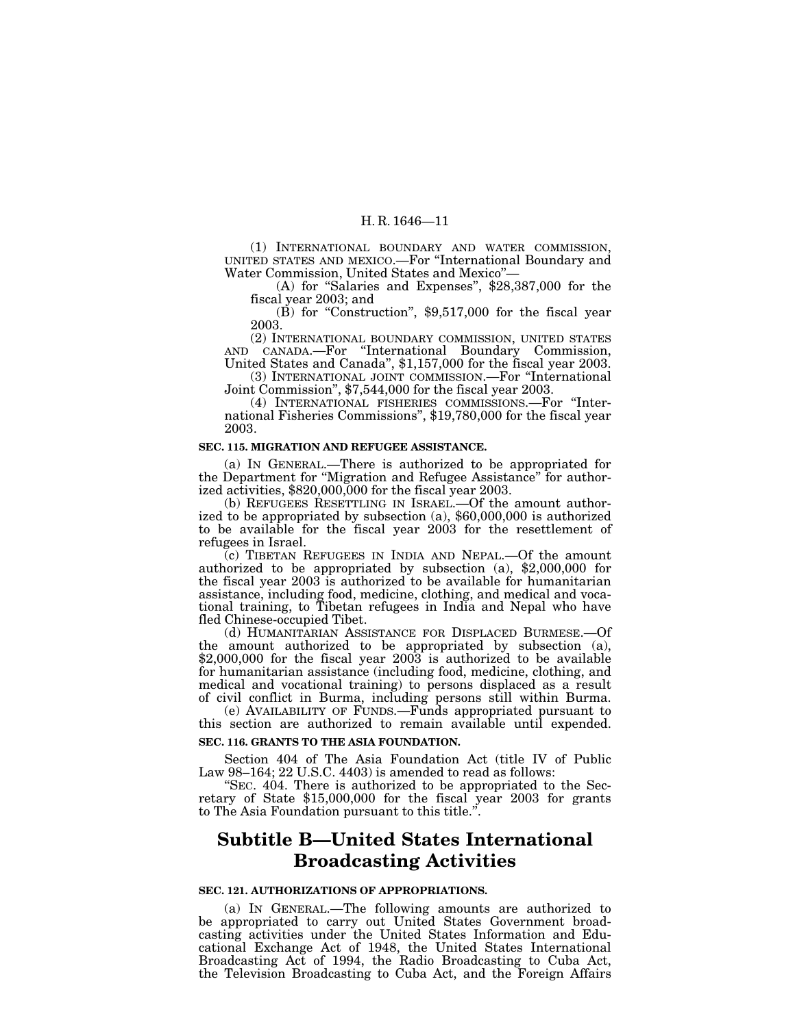(1) INTERNATIONAL BOUNDARY AND WATER COMMISSION, UNITED STATES AND MEXICO.—For ''International Boundary and Water Commission, United States and Mexico''—

(A) for ''Salaries and Expenses'', \$28,387,000 for the fiscal year 2003; and

(B) for ''Construction'', \$9,517,000 for the fiscal year 2003.

(2) INTERNATIONAL BOUNDARY COMMISSION, UNITED STATES AND CANADA.—For ''International Boundary Commission, United States and Canada'', \$1,157,000 for the fiscal year 2003.

(3) INTERNATIONAL JOINT COMMISSION.—For ''International Joint Commission'', \$7,544,000 for the fiscal year 2003.

(4) INTERNATIONAL FISHERIES COMMISSIONS.—For ''International Fisheries Commissions'', \$19,780,000 for the fiscal year 2003.

#### **SEC. 115. MIGRATION AND REFUGEE ASSISTANCE.**

(a) IN GENERAL.—There is authorized to be appropriated for the Department for ''Migration and Refugee Assistance'' for authorized activities, \$820,000,000 for the fiscal year 2003.

(b) REFUGEES RESETTLING IN ISRAEL.—Of the amount authorized to be appropriated by subsection (a), \$60,000,000 is authorized to be available for the fiscal year 2003 for the resettlement of refugees in Israel.

(c) TIBETAN REFUGEES IN INDIA AND NEPAL.—Of the amount authorized to be appropriated by subsection (a), \$2,000,000 for the fiscal year 2003 is authorized to be available for humanitarian assistance, including food, medicine, clothing, and medical and vocational training, to Tibetan refugees in India and Nepal who have fled Chinese-occupied Tibet.

(d) HUMANITARIAN ASSISTANCE FOR DISPLACED BURMESE.—Of the amount authorized to be appropriated by subsection (a),  $$2,000,000$  for the fiscal year  $2003$  is authorized to be available for humanitarian assistance (including food, medicine, clothing, and medical and vocational training) to persons displaced as a result of civil conflict in Burma, including persons still within Burma.

(e) AVAILABILITY OF FUNDS.—Funds appropriated pursuant to this section are authorized to remain available until expended.

#### **SEC. 116. GRANTS TO THE ASIA FOUNDATION.**

Section 404 of The Asia Foundation Act (title IV of Public Law 98–164; 22 U.S.C. 4403) is amended to read as follows:

''SEC. 404. There is authorized to be appropriated to the Secretary of State  $$15,000,000$  for the fiscal year 2003 for grants to The Asia Foundation pursuant to this title.''.

## **Subtitle B—United States International Broadcasting Activities**

## **SEC. 121. AUTHORIZATIONS OF APPROPRIATIONS.**

(a) IN GENERAL.—The following amounts are authorized to be appropriated to carry out United States Government broadcasting activities under the United States Information and Educational Exchange Act of 1948, the United States International Broadcasting Act of 1994, the Radio Broadcasting to Cuba Act, the Television Broadcasting to Cuba Act, and the Foreign Affairs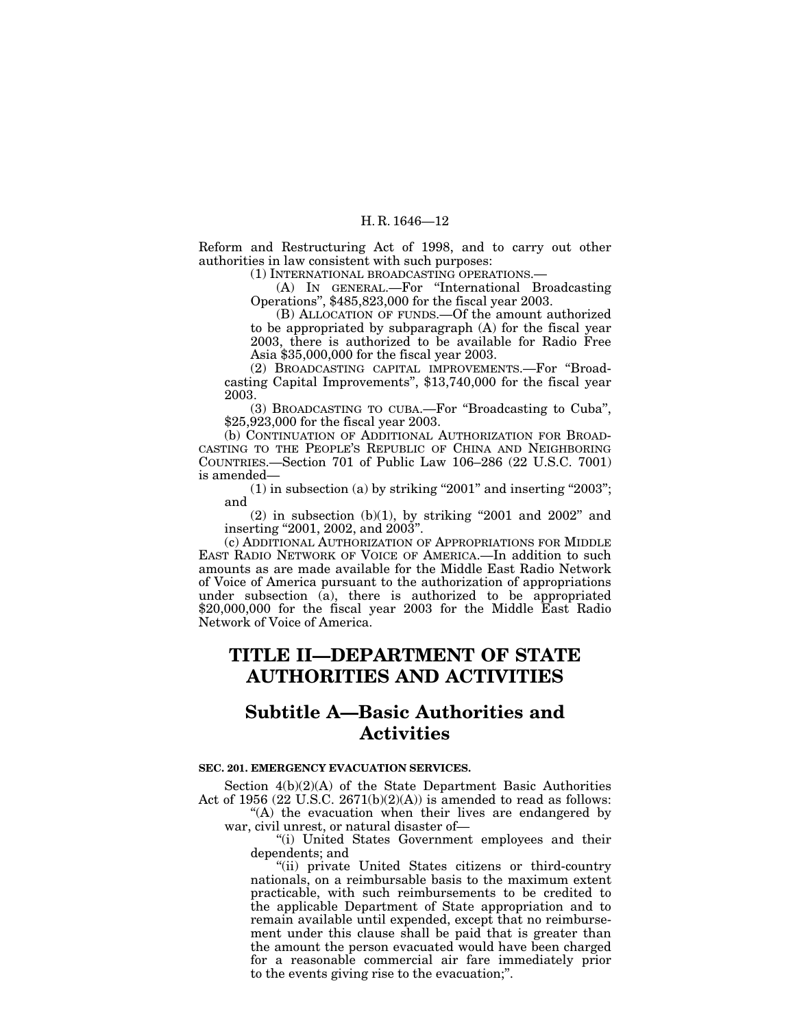Reform and Restructuring Act of 1998, and to carry out other authorities in law consistent with such purposes:

(1) INTERNATIONAL BROADCASTING OPERATIONS.—

(A) IN GENERAL.—For ''International Broadcasting Operations'', \$485,823,000 for the fiscal year 2003.

(B) ALLOCATION OF FUNDS.—Of the amount authorized to be appropriated by subparagraph (A) for the fiscal year 2003, there is authorized to be available for Radio Free Asia \$35,000,000 for the fiscal year 2003.

(2) BROADCASTING CAPITAL IMPROVEMENTS.—For ''Broadcasting Capital Improvements'', \$13,740,000 for the fiscal year 2003.

(3) BROADCASTING TO CUBA.—For ''Broadcasting to Cuba'', \$25,923,000 for the fiscal year 2003.

(b) CONTINUATION OF ADDITIONAL AUTHORIZATION FOR BROAD-CASTING TO THE PEOPLE'S REPUBLIC OF CHINA AND NEIGHBORING COUNTRIES.—Section 701 of Public Law 106–286 (22 U.S.C. 7001) is amended—

 $(1)$  in subsection (a) by striking "2001" and inserting "2003"; and

 $(2)$  in subsection  $(b)(1)$ , by striking "2001 and 2002" and inserting "2001, 2002, and 2003".

(c) ADDITIONAL AUTHORIZATION OF APPROPRIATIONS FOR MIDDLE EAST RADIO NETWORK OF VOICE OF AMERICA.—In addition to such amounts as are made available for the Middle East Radio Network of Voice of America pursuant to the authorization of appropriations under subsection (a), there is authorized to be appropriated \$20,000,000 for the fiscal year 2003 for the Middle East Radio Network of Voice of America.

## **TITLE II—DEPARTMENT OF STATE AUTHORITIES AND ACTIVITIES**

## **Subtitle A—Basic Authorities and Activities**

## **SEC. 201. EMERGENCY EVACUATION SERVICES.**

Section 4(b)(2)(A) of the State Department Basic Authorities Act of 1956 (22 U.S.C. 2671(b)(2)(A)) is amended to read as follows: "(A) the evacuation when their lives are endangered by

war, civil unrest, or natural disaster of—

''(i) United States Government employees and their dependents; and

''(ii) private United States citizens or third-country nationals, on a reimbursable basis to the maximum extent practicable, with such reimbursements to be credited to the applicable Department of State appropriation and to remain available until expended, except that no reimbursement under this clause shall be paid that is greater than the amount the person evacuated would have been charged for a reasonable commercial air fare immediately prior to the events giving rise to the evacuation;''.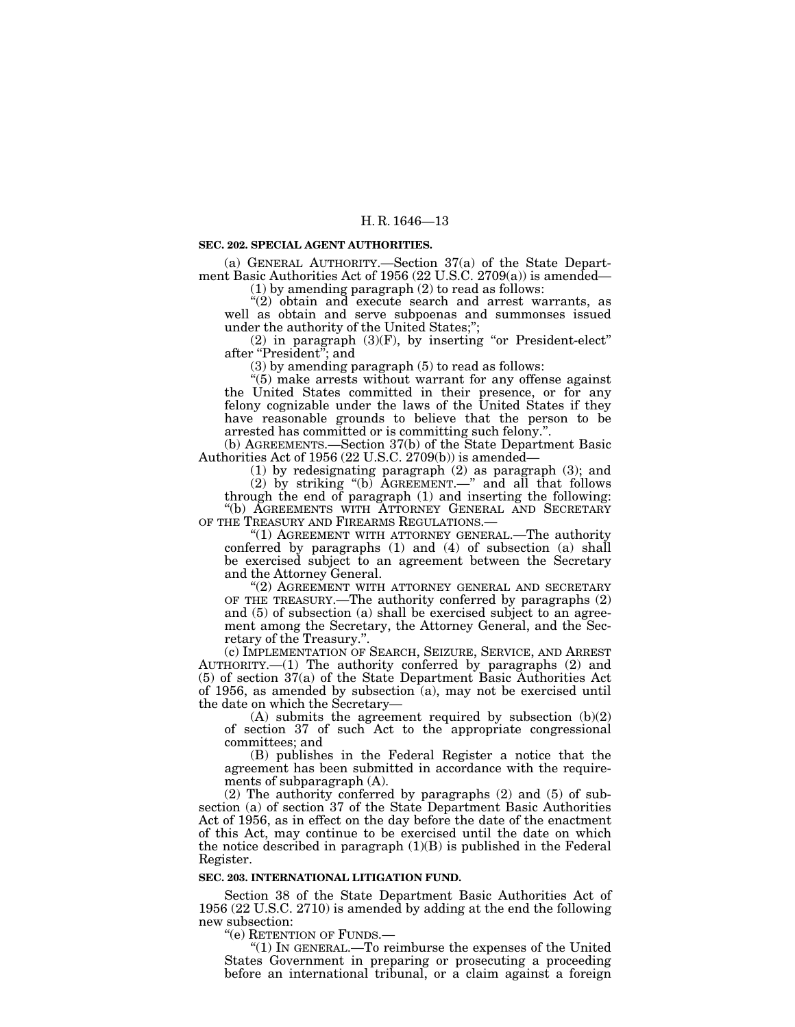#### **SEC. 202. SPECIAL AGENT AUTHORITIES.**

(a) GENERAL AUTHORITY.—Section 37(a) of the State Department Basic Authorities Act of 1956 (22 U.S.C. 2709(a)) is amended— (1) by amending paragraph (2) to read as follows:

"(2) obtain and execute search and arrest warrants, as well as obtain and serve subpoenas and summonses issued under the authority of the United States;'';

 $(2)$  in paragraph  $(3)(F)$ , by inserting "or President-elect" after "President"; and

(3) by amending paragraph (5) to read as follows:

''(5) make arrests without warrant for any offense against the United States committed in their presence, or for any felony cognizable under the laws of the United States if they have reasonable grounds to believe that the person to be arrested has committed or is committing such felony.".

 $(a)$  AGREEMENTS.—Section 37 $(b)$  of the State Department Basic Authorities Act of 1956 (22 U.S.C. 2709(b)) is amended—

(1) by redesignating paragraph (2) as paragraph (3); and

(2) by striking ''(b) AGREEMENT.—'' and all that follows through the end of paragraph (1) and inserting the following: ''(b) AGREEMENTS WITH ATTORNEY GENERAL AND SECRETARY OF THE TREASURY AND FIREARMS REGULATIONS.

"(1) AGREEMENT WITH ATTORNEY GENERAL.—The authority conferred by paragraphs (1) and (4) of subsection (a) shall be exercised subject to an agreement between the Secretary and the Attorney General.

''(2) AGREEMENT WITH ATTORNEY GENERAL AND SECRETARY OF THE TREASURY.—The authority conferred by paragraphs (2) and (5) of subsection (a) shall be exercised subject to an agreement among the Secretary, the Attorney General, and the Secretary of the Treasury.''.

(c) IMPLEMENTATION OF SEARCH, SEIZURE, SERVICE, AND ARREST AUTHORITY.—(1) The authority conferred by paragraphs (2) and (5) of section 37(a) of the State Department Basic Authorities Act of 1956, as amended by subsection  $(a)$ , may not be exercised until the date on which the Secretary—

(A) submits the agreement required by subsection (b)(2) of section 37 of such Act to the appropriate congressional committees; and

(B) publishes in the Federal Register a notice that the agreement has been submitted in accordance with the requirements of subparagraph (A).

(2) The authority conferred by paragraphs (2) and (5) of subsection (a) of section 37 of the State Department Basic Authorities Act of 1956, as in effect on the day before the date of the enactment of this Act, may continue to be exercised until the date on which the notice described in paragraph  $(1)(B)$  is published in the Federal Register.

#### **SEC. 203. INTERNATIONAL LITIGATION FUND.**

Section 38 of the State Department Basic Authorities Act of 1956 (22 U.S.C. 2710) is amended by adding at the end the following new subsection:<br>
"(e) RETENTION OF FUNDS.—<br>
"(1) IN GENERAL.—To reimburse the expenses of the United

States Government in preparing or prosecuting a proceeding before an international tribunal, or a claim against a foreign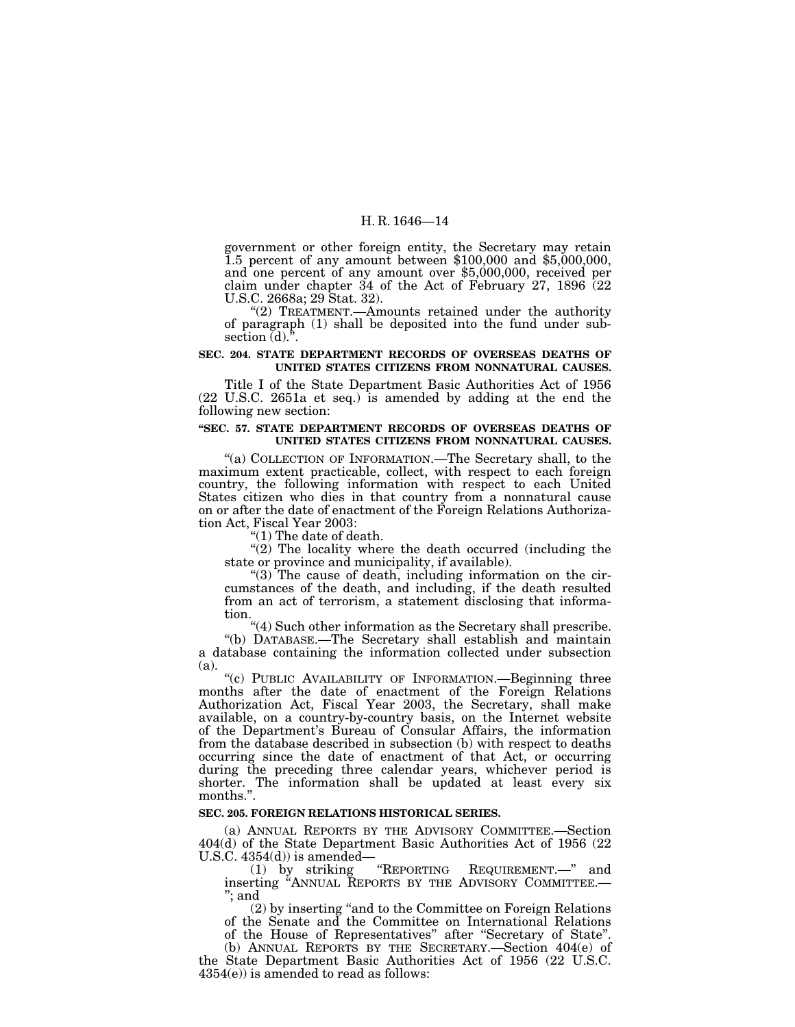government or other foreign entity, the Secretary may retain 1.5 percent of any amount between \$100,000 and \$5,000,000, and one percent of any amount over \$5,000,000, received per claim under chapter 34 of the Act of February 27, 1896 (22 U.S.C. 2668a; 29 Stat. 32).<br>"(2) TREATMENT.—Amounts retained under the authority

of paragraph (1) shall be deposited into the fund under subsection  $(d)$ .".

## **SEC. 204. STATE DEPARTMENT RECORDS OF OVERSEAS DEATHS OF UNITED STATES CITIZENS FROM NONNATURAL CAUSES.**

Title I of the State Department Basic Authorities Act of 1956 (22 U.S.C. 2651a et seq.) is amended by adding at the end the following new section:

### **''SEC. 57. STATE DEPARTMENT RECORDS OF OVERSEAS DEATHS OF UNITED STATES CITIZENS FROM NONNATURAL CAUSES.**

"(a) COLLECTION OF INFORMATION.—The Secretary shall, to the maximum extent practicable, collect, with respect to each foreign country, the following information with respect to each United States citizen who dies in that country from a nonnatural cause on or after the date of enactment of the Foreign Relations Authorization Act, Fiscal Year 2003:<br>"(1) The date of death.

"(2) The locality where the death occurred (including the state or province and municipality, if available).

" $(3)$  The cause of death, including information on the circumstances of the death, and including, if the death resulted from an act of terrorism, a statement disclosing that informa-

tion.<br>
"(4) Such other information as the Secretary shall prescribe.<br>
"(b) DATABASE.—The Secretary shall establish and maintain a database containing the information collected under subsection

(a). "(c) PUBLIC AVAILABILITY OF INFORMATION.—Beginning three months after the date of enactment of the Foreign Relations Authorization Act, Fiscal Year 2003, the Secretary, shall make available, on a country-by-country basis, on the Internet website of the Department's Bureau of Consular Affairs, the information from the database described in subsection (b) with respect to deaths occurring since the date of enactment of that Act, or occurring during the preceding three calendar years, whichever period is shorter. The information shall be updated at least every six months.''.

## **SEC. 205. FOREIGN RELATIONS HISTORICAL SERIES.**

(a) ANNUAL REPORTS BY THE ADVISORY COMMITTEE.—Section 404(d) of the State Department Basic Authorities Act of 1956 (22 U.S.C. 4354(d)) is amended—

(1) by striking ''REPORTING REQUIREMENT.—'' and inserting ''ANNUAL REPORTS BY THE ADVISORY COMMITTEE.— ''; and

(2) by inserting ''and to the Committee on Foreign Relations of the Senate and the Committee on International Relations of the House of Representatives'' after ''Secretary of State''.

(b) ANNUAL REPORTS BY THE SECRETARY.—Section 404(e) of the State Department Basic Authorities Act of 1956 (22 U.S.C.  $4354(e)$ ) is amended to read as follows: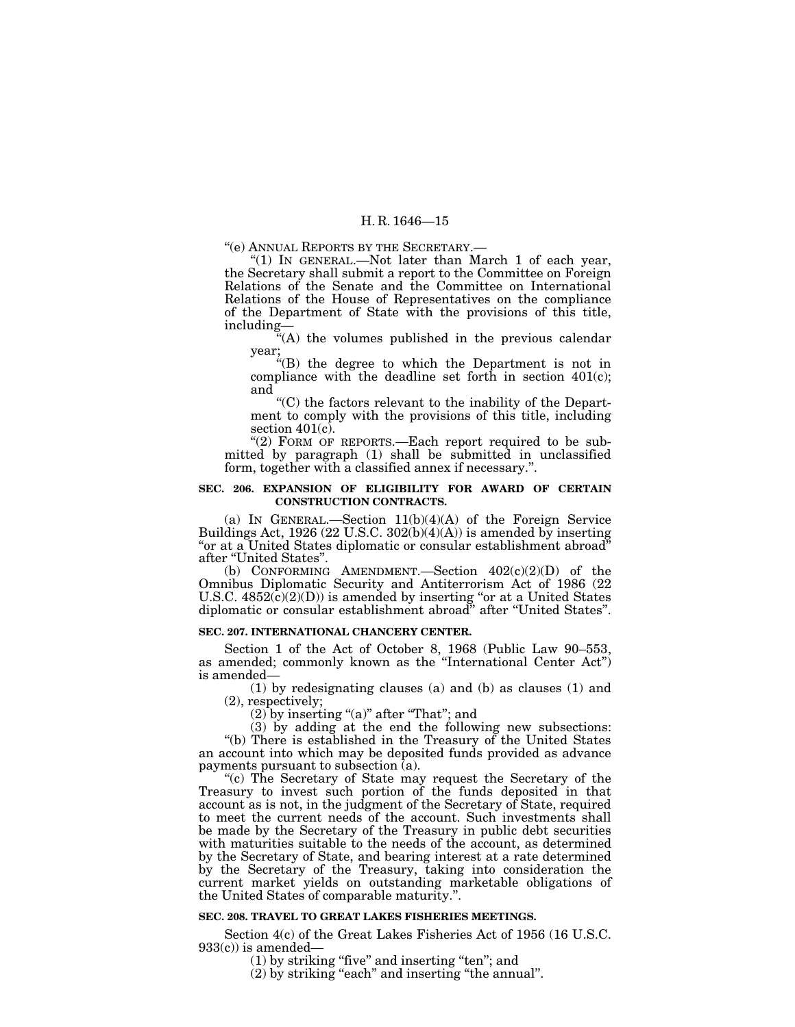''(e) ANNUAL REPORTS BY THE SECRETARY.—

"(1) IN GENERAL.—Not later than March 1 of each year, the Secretary shall submit a report to the Committee on Foreign Relations of the Senate and the Committee on International Relations of the House of Representatives on the compliance of the Department of State with the provisions of this title, including—

''(A) the volumes published in the previous calendar year;

''(B) the degree to which the Department is not in compliance with the deadline set forth in section  $401(c)$ ; and

''(C) the factors relevant to the inability of the Department to comply with the provisions of this title, including section  $401(c)$ .

" $(2)$  FORM OF REPORTS.—Each report required to be submitted by paragraph (1) shall be submitted in unclassified form, together with a classified annex if necessary.''.

## **SEC. 206. EXPANSION OF ELIGIBILITY FOR AWARD OF CERTAIN CONSTRUCTION CONTRACTS.**

(a) IN GENERAL.—Section 11(b)(4)(A) of the Foreign Service Buildings Act, 1926 (22 U.S.C. 302(b)(4)(A)) is amended by inserting "or at a United States diplomatic or consular establishment abroad" after ''United States''.

(b) CONFORMING AMENDMENT. Section  $402(c)(2)(D)$  of the Omnibus Diplomatic Security and Antiterrorism Act of 1986 (22 U.S.C.  $4852(c)(2)(D)$  is amended by inserting "or at a United States diplomatic or consular establishment abroad'' after ''United States''.

#### **SEC. 207. INTERNATIONAL CHANCERY CENTER.**

Section 1 of the Act of October 8, 1968 (Public Law 90–553, as amended; commonly known as the ''International Center Act'') is amended—

(1) by redesignating clauses (a) and (b) as clauses (1) and (2), respectively;

 $(2)$  by inserting " $(a)$ " after "That"; and

(3) by adding at the end the following new subsections: ''(b) There is established in the Treasury of the United States an account into which may be deposited funds provided as advance payments pursuant to subsection  $\overline{a}$ ).

"(c) The Secretary of State may request the Secretary of the Treasury to invest such portion of the funds deposited in that account as is not, in the judgment of the Secretary of State, required to meet the current needs of the account. Such investments shall be made by the Secretary of the Treasury in public debt securities with maturities suitable to the needs of the account, as determined by the Secretary of State, and bearing interest at a rate determined by the Secretary of the Treasury, taking into consideration the current market yields on outstanding marketable obligations of the United States of comparable maturity.''.

#### **SEC. 208. TRAVEL TO GREAT LAKES FISHERIES MEETINGS.**

Section 4(c) of the Great Lakes Fisheries Act of 1956 (16 U.S.C. 933(c)) is amended— 933(c)) is amended— (1) by striking ''five'' and inserting ''ten''; and

(2) by striking "each" and inserting "the annual".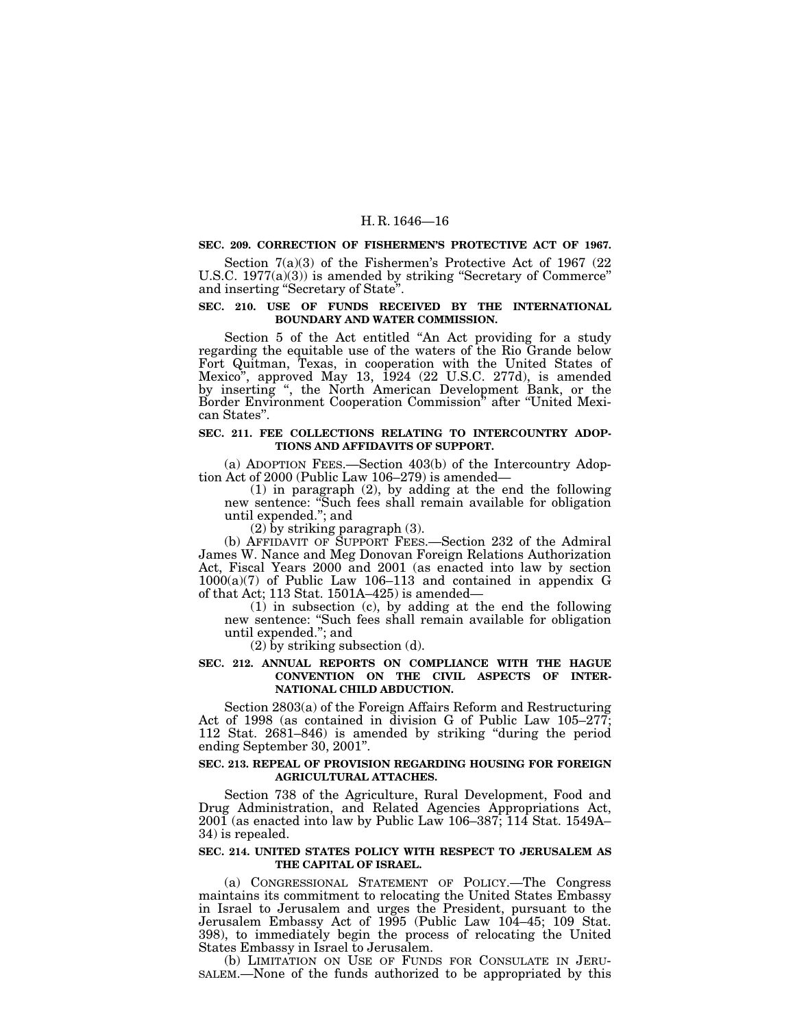## **SEC. 209. CORRECTION OF FISHERMEN'S PROTECTIVE ACT OF 1967.**

Section 7(a)(3) of the Fishermen's Protective Act of 1967 (22 U.S.C. 1977(a)(3)) is amended by striking ''Secretary of Commerce'' and inserting ''Secretary of State''.

## **SEC. 210. USE OF FUNDS RECEIVED BY THE INTERNATIONAL BOUNDARY AND WATER COMMISSION.**

Section 5 of the Act entitled ''An Act providing for a study regarding the equitable use of the waters of the Rio Grande below Fort Quitman, Texas, in cooperation with the United States of Mexico'', approved May 13, 1924 (22 U.S.C. 277d), is amended by inserting '', the North American Development Bank, or the Border Environment Cooperation Commission'' after ''United Mexican States''.

## **SEC. 211. FEE COLLECTIONS RELATING TO INTERCOUNTRY ADOP-TIONS AND AFFIDAVITS OF SUPPORT.**

(a) ADOPTION FEES.—Section 403(b) of the Intercountry Adoption Act of 2000 (Public Law 106–279) is amended—

(1) in paragraph (2), by adding at the end the following new sentence: ''Such fees shall remain available for obligation until expended.''; and

 $(2)$  by striking paragraph  $(3)$ .

(b) AFFIDAVIT OF SUPPORT FEES.—Section 232 of the Admiral James W. Nance and Meg Donovan Foreign Relations Authorization Act, Fiscal Years 2000 and 2001 (as enacted into law by section  $1000(a)(7)$  of Public Law 106–113 and contained in appendix G of that Act; 113 Stat. 1501A–425) is amended—

 $(1)$  in subsection (c), by adding at the end the following new sentence: ''Such fees shall remain available for obligation until expended.''; and

(2) by striking subsection (d).

## **SEC. 212. ANNUAL REPORTS ON COMPLIANCE WITH THE HAGUE CONVENTION ON THE CIVIL ASPECTS OF INTER-NATIONAL CHILD ABDUCTION.**

Section 2803(a) of the Foreign Affairs Reform and Restructuring Act of 1998 (as contained in division G of Public Law 105–277; 112 Stat. 2681–846) is amended by striking ''during the period ending September 30, 2001''.

## **SEC. 213. REPEAL OF PROVISION REGARDING HOUSING FOR FOREIGN AGRICULTURAL ATTACHES.**

Section 738 of the Agriculture, Rural Development, Food and Drug Administration, and Related Agencies Appropriations Act, 2001 (as enacted into law by Public Law 106–387; 114 Stat. 1549A– 34) is repealed.

#### **SEC. 214. UNITED STATES POLICY WITH RESPECT TO JERUSALEM AS THE CAPITAL OF ISRAEL.**

(a) CONGRESSIONAL STATEMENT OF POLICY.—The Congress maintains its commitment to relocating the United States Embassy in Israel to Jerusalem and urges the President, pursuant to the Jerusalem Embassy Act of 1995 (Public Law 104–45; 109 Stat. 398), to immediately begin the process of relocating the United

States Embassy in Israel to Jerusalem.<br>(b) LIMITATION ON USE OF FUNDS FOR CONSULATE IN JERU-SALEM.—None of the funds authorized to be appropriated by this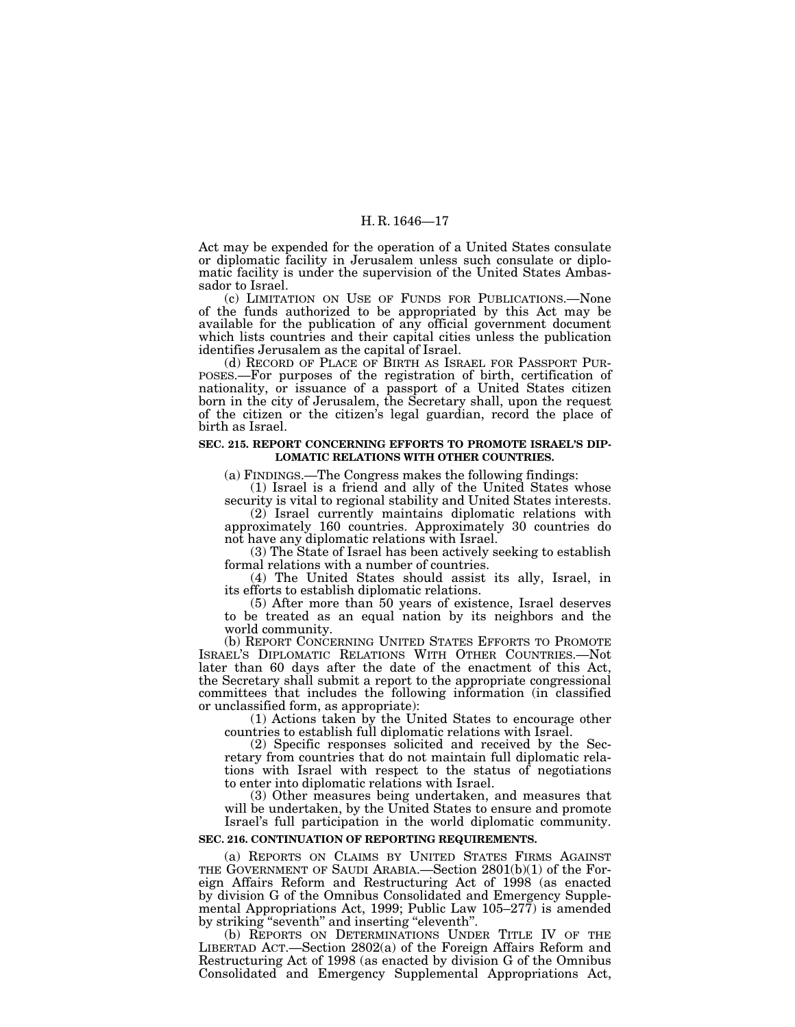Act may be expended for the operation of a United States consulate or diplomatic facility in Jerusalem unless such consulate or diplomatic facility is under the supervision of the United States Ambassador to Israel.

(c) LIMITATION ON USE OF FUNDS FOR PUBLICATIONS.—None of the funds authorized to be appropriated by this Act may be available for the publication of any official government document which lists countries and their capital cities unless the publication identifies Jerusalem as the capital of Israel.<br>(d) RECORD OF PLACE OF BIRTH AS ISRAEL FOR PASSPORT PUR-

(d) RECORD OF PLACE OF BIRTH AS ISRAEL FOR PASSPORT PUR- POSES.—For purposes of the registration of birth, certification of nationality, or issuance of a passport of a United States citizen born in the city of Jerusalem, the Secretary shall, upon the request of the citizen or the citizen's legal guardian, record the place of birth as Israel.

#### **SEC. 215. REPORT CONCERNING EFFORTS TO PROMOTE ISRAEL'S DIP-LOMATIC RELATIONS WITH OTHER COUNTRIES.**

(a) FINDINGS.—The Congress makes the following findings:

(1) Israel is a friend and ally of the United States whose security is vital to regional stability and United States interests.

(2) Israel currently maintains diplomatic relations with approximately 160 countries. Approximately 30 countries do not have any diplomatic relations with Israel.

(3) The State of Israel has been actively seeking to establish formal relations with a number of countries.

(4) The United States should assist its ally, Israel, in its efforts to establish diplomatic relations.

(5) After more than 50 years of existence, Israel deserves to be treated as an equal nation by its neighbors and the world community.

(b) REPORT CONCERNING UNITED STATES EFFORTS TO PROMOTE ISRAEL'S DIPLOMATIC RELATIONS WITH OTHER COUNTRIES.—Not later than 60 days after the date of the enactment of this Act, the Secretary shall submit a report to the appropriate congressional committees that includes the following information (in classified or unclassified form, as appropriate):

(1) Actions taken by the United States to encourage other countries to establish full diplomatic relations with Israel.

(2) Specific responses solicited and received by the Secretary from countries that do not maintain full diplomatic relations with Israel with respect to the status of negotiations to enter into diplomatic relations with Israel.

(3) Other measures being undertaken, and measures that will be undertaken, by the United States to ensure and promote Israel's full participation in the world diplomatic community.

#### **SEC. 216. CONTINUATION OF REPORTING REQUIREMENTS.**

(a) REPORTS ON CLAIMS BY UNITED STATES FIRMS AGAINST THE GOVERNMENT OF SAUDI ARABIA.—Section 2801(b)(1) of the Foreign Affairs Reform and Restructuring Act of 1998 (as enacted by division G of the Omnibus Consolidated and Emergency Supplemental Appropriations Act, 1999; Public Law 105–277) is amended by striking "seventh" and inserting "eleventh".

(b) REPORTS ON DETERMINATIONS UNDER TITLE IV OF THE LIBERTAD ACT.—Section 2802(a) of the Foreign Affairs Reform and Restructuring Act of 1998 (as enacted by division G of the Omnibus Consolidated and Emergency Supplemental Appropriations Act,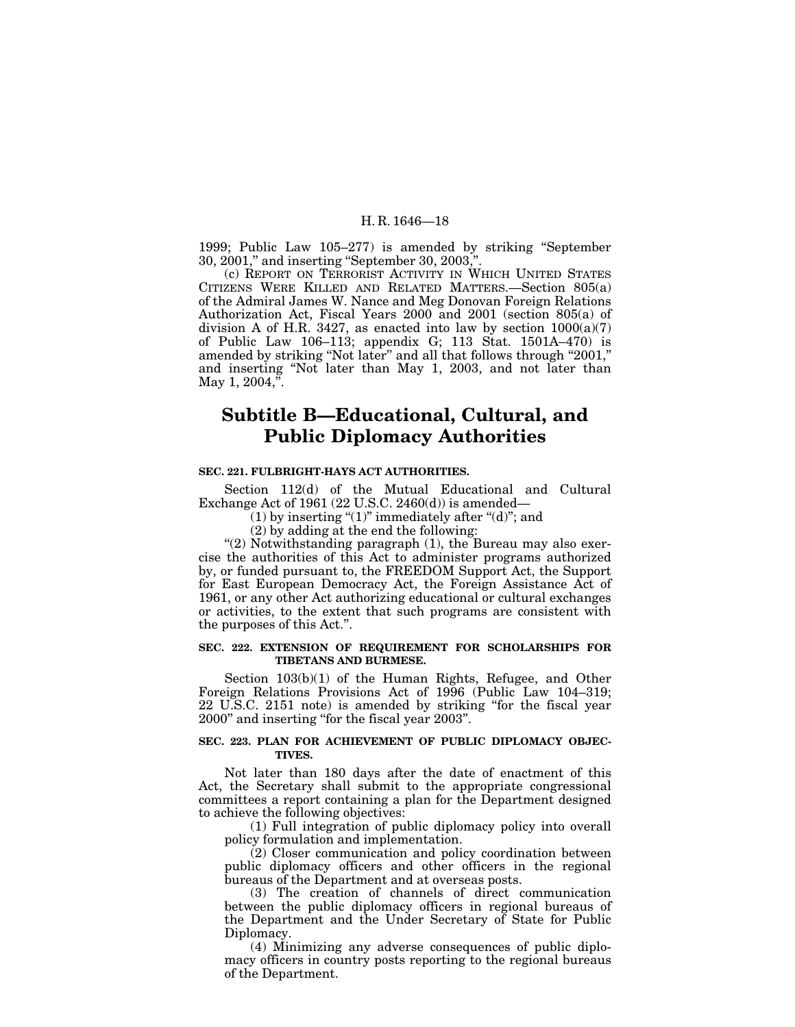1999; Public Law 105–277) is amended by striking ''September 30, 2001," and inserting "September 30, 2003,

(c) REPORT ON TERRORIST ACTIVITY IN WHICH UNITED STATES CITIZENS WERE KILLED AND RELATED MATTERS.—Section 805(a) of the Admiral James W. Nance and Meg Donovan Foreign Relations Authorization Act, Fiscal Years 2000 and 2001 (section 805(a) of division A of H.R. 3427, as enacted into law by section 1000(a)(7) of Public Law 106–113; appendix G; 113 Stat. 1501A–470) is amended by striking ''Not later'' and all that follows through ''2001,'' and inserting ''Not later than May 1, 2003, and not later than May 1,  $2004$ ,".

## **Subtitle B—Educational, Cultural, and Public Diplomacy Authorities**

### **SEC. 221. FULBRIGHT-HAYS ACT AUTHORITIES.**

Section 112(d) of the Mutual Educational and Cultural Exchange Act of 1961 (22 U.S.C. 2460(d)) is amended—

(1) by inserting " $(1)$ " immediately after " $(d)$ "; and

(2) by adding at the end the following:

"(2) Notwithstanding paragraph (1), the Bureau may also exercise the authorities of this Act to administer programs authorized by, or funded pursuant to, the FREEDOM Support Act, the Support for East European Democracy Act, the Foreign Assistance Act of 1961, or any other Act authorizing educational or cultural exchanges or activities, to the extent that such programs are consistent with the purposes of this Act.''.

## **SEC. 222. EXTENSION OF REQUIREMENT FOR SCHOLARSHIPS FOR TIBETANS AND BURMESE.**

Section 103(b)(1) of the Human Rights, Refugee, and Other Foreign Relations Provisions Act of 1996 (Public Law 104–319; 22 U.S.C. 2151 note) is amended by striking ''for the fiscal year 2000'' and inserting ''for the fiscal year 2003''.

## **SEC. 223. PLAN FOR ACHIEVEMENT OF PUBLIC DIPLOMACY OBJEC-TIVES.**

Not later than 180 days after the date of enactment of this Act, the Secretary shall submit to the appropriate congressional committees a report containing a plan for the Department designed to achieve the following objectives:

(1) Full integration of public diplomacy policy into overall policy formulation and implementation.

(2) Closer communication and policy coordination between public diplomacy officers and other officers in the regional bureaus of the Department and at overseas posts.

(3) The creation of channels of direct communication between the public diplomacy officers in regional bureaus of the Department and the Under Secretary of State for Public Diplomacy.

(4) Minimizing any adverse consequences of public diplomacy officers in country posts reporting to the regional bureaus of the Department.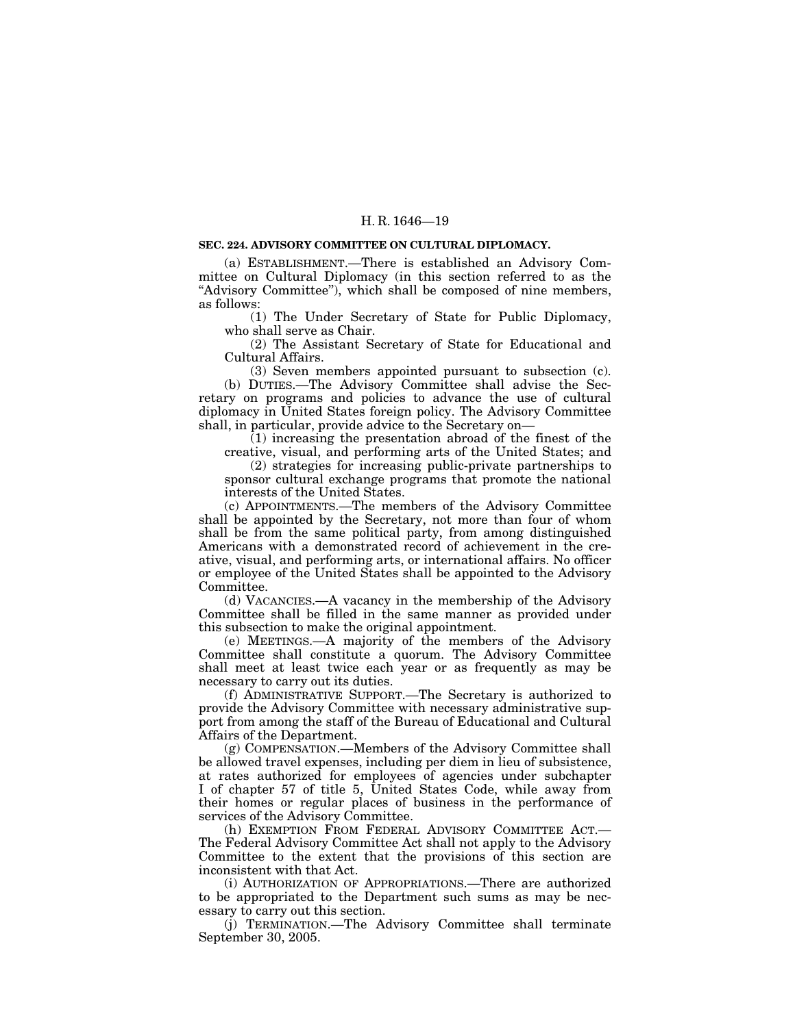#### **SEC. 224. ADVISORY COMMITTEE ON CULTURAL DIPLOMACY.**

(a) ESTABLISHMENT.—There is established an Advisory Committee on Cultural Diplomacy (in this section referred to as the "Advisory Committee"), which shall be composed of nine members, as follows:

(1) The Under Secretary of State for Public Diplomacy, who shall serve as Chair.

(2) The Assistant Secretary of State for Educational and Cultural Affairs.

(3) Seven members appointed pursuant to subsection (c). (b) DUTIES.—The Advisory Committee shall advise the Secretary on programs and policies to advance the use of cultural diplomacy in United States foreign policy. The Advisory Committee shall, in particular, provide advice to the Secretary on—

 $(1)$  increasing the presentation abroad of the finest of the

creative, visual, and performing arts of the United States; and (2) strategies for increasing public-private partnerships to sponsor cultural exchange programs that promote the national interests of the United States.

(c) APPOINTMENTS.—The members of the Advisory Committee shall be appointed by the Secretary, not more than four of whom shall be from the same political party, from among distinguished Americans with a demonstrated record of achievement in the creative, visual, and performing arts, or international affairs. No officer or employee of the United States shall be appointed to the Advisory Committee.

(d) VACANCIES.—A vacancy in the membership of the Advisory Committee shall be filled in the same manner as provided under this subsection to make the original appointment.

(e) MEETINGS.—A majority of the members of the Advisory Committee shall constitute a quorum. The Advisory Committee shall meet at least twice each year or as frequently as may be necessary to carry out its duties.

(f) ADMINISTRATIVE SUPPORT.—The Secretary is authorized to provide the Advisory Committee with necessary administrative support from among the staff of the Bureau of Educational and Cultural Affairs of the Department.

(g) COMPENSATION.—Members of the Advisory Committee shall be allowed travel expenses, including per diem in lieu of subsistence, at rates authorized for employees of agencies under subchapter I of chapter 57 of title 5, United States Code, while away from their homes or regular places of business in the performance of services of the Advisory Committee.

(h) EXEMPTION FROM FEDERAL ADVISORY COMMITTEE ACT.— The Federal Advisory Committee Act shall not apply to the Advisory Committee to the extent that the provisions of this section are inconsistent with that Act.

(i) AUTHORIZATION OF APPROPRIATIONS.—There are authorized to be appropriated to the Department such sums as may be necessary to carry out this section.

(j) TERMINATION.—The Advisory Committee shall terminate September 30, 2005.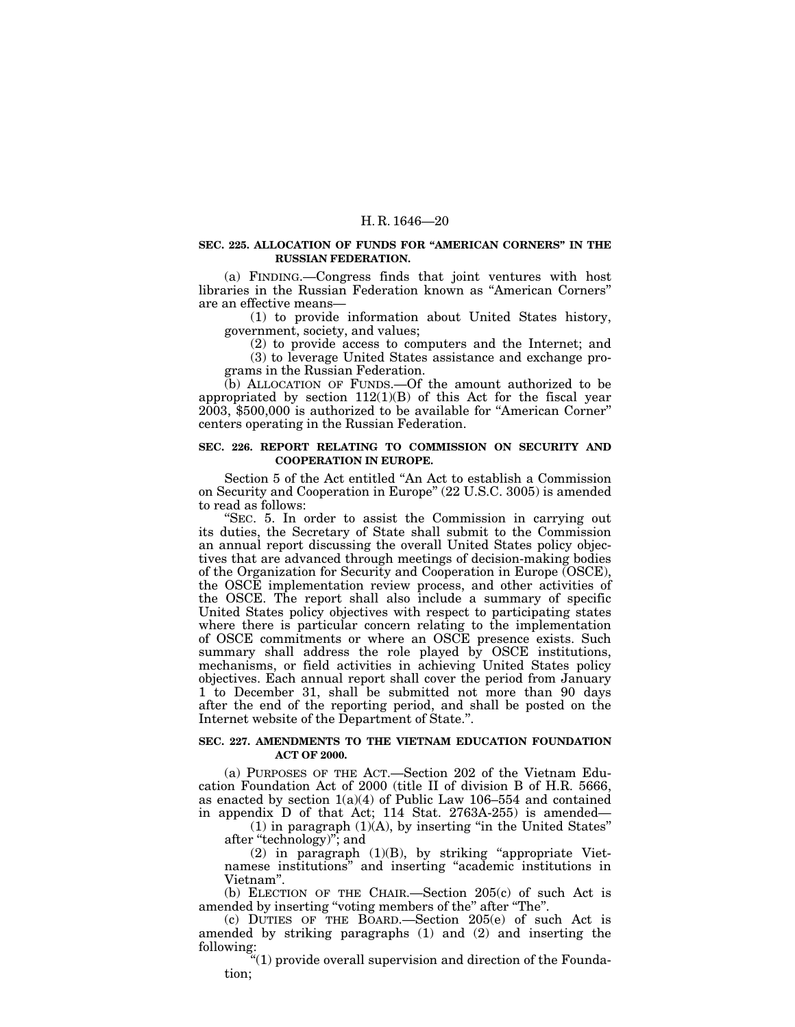### **SEC. 225. ALLOCATION OF FUNDS FOR ''AMERICAN CORNERS'' IN THE RUSSIAN FEDERATION.**

(a) FINDING.—Congress finds that joint ventures with host libraries in the Russian Federation known as ''American Corners'' are an effective means—

(1) to provide information about United States history, government, society, and values;

(2) to provide access to computers and the Internet; and (3) to leverage United States assistance and exchange programs in the Russian Federation.

(b) ALLOCATION OF FUNDS.—Of the amount authorized to be appropriated by section  $112(1)(B)$  of this Act for the fiscal year 2003, \$500,000 is authorized to be available for ''American Corner'' centers operating in the Russian Federation.

## **SEC. 226. REPORT RELATING TO COMMISSION ON SECURITY AND COOPERATION IN EUROPE.**

Section 5 of the Act entitled ''An Act to establish a Commission on Security and Cooperation in Europe'' (22 U.S.C. 3005) is amended to read as follows:

''SEC. 5. In order to assist the Commission in carrying out its duties, the Secretary of State shall submit to the Commission an annual report discussing the overall United States policy objectives that are advanced through meetings of decision-making bodies of the Organization for Security and Cooperation in Europe (OSCE), the OSCE implementation review process, and other activities of the OSCE. The report shall also include a summary of specific United States policy objectives with respect to participating states where there is particular concern relating to the implementation of OSCE commitments or where an OSCE presence exists. Such summary shall address the role played by OSCE institutions, mechanisms, or field activities in achieving United States policy objectives. Each annual report shall cover the period from January 1 to December 31, shall be submitted not more than 90 days after the end of the reporting period, and shall be posted on the Internet website of the Department of State.''.

## **SEC. 227. AMENDMENTS TO THE VIETNAM EDUCATION FOUNDATION ACT OF 2000.**

(a) PURPOSES OF THE ACT.—Section 202 of the Vietnam Education Foundation Act of 2000 (title II of division B of H.R. 5666, as enacted by section  $1(a)(4)$  of Public Law 106–554 and contained in appendix D of that Act; 114 Stat. 2763A-255) is amended—

 $(1)$  in paragraph  $(1)(A)$ , by inserting "in the United States" after ''technology)''; and

 $(2)$  in paragraph  $(1)(B)$ , by striking "appropriate Vietnamese institutions'' and inserting ''academic institutions in Vietnam''.

(b) ELECTION OF THE CHAIR.—Section 205(c) of such Act is amended by inserting "voting members of the" after "The".

(c) DUTIES OF THE BOARD.—Section 205(e) of such Act is amended by striking paragraphs (1) and (2) and inserting the following:

''(1) provide overall supervision and direction of the Foundation;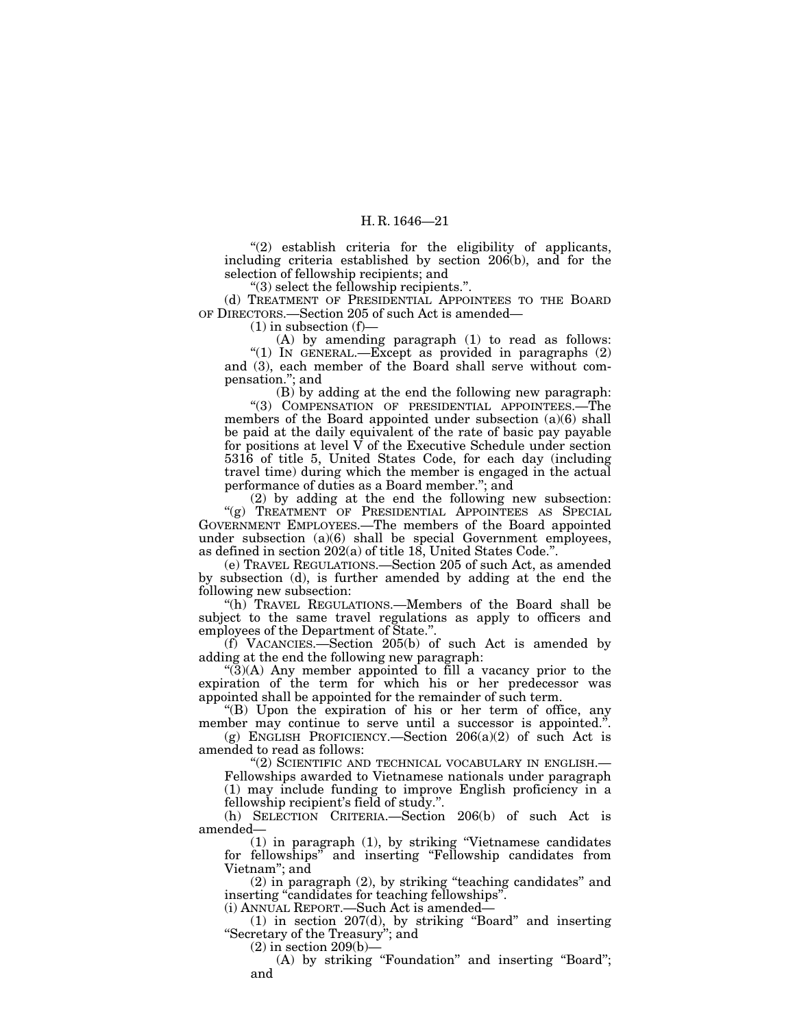"(2) establish criteria for the eligibility of applicants, including criteria established by section 206(b), and for the selection of fellowship recipients; and

''(3) select the fellowship recipients.''.

(d) TREATMENT OF PRESIDENTIAL APPOINTEES TO THE BOARD OF DIRECTORS.—Section 205 of such Act is amended—

 $(1)$  in subsection  $(f)$ -

(A) by amending paragraph (1) to read as follows: "(1) IN GENERAL.—Except as provided in paragraphs (2) and (3), each member of the Board shall serve without compensation.''; and

(B) by adding at the end the following new paragraph: ''(3) COMPENSATION OF PRESIDENTIAL APPOINTEES.—The members of the Board appointed under subsection (a)(6) shall be paid at the daily equivalent of the rate of basic pay payable for positions at level  $\bar{V}$  of the Executive Schedule under section 5316 of title 5, United States Code, for each day (including travel time) during which the member is engaged in the actual performance of duties as a Board member.''; and

(2) by adding at the end the following new subsection: "(g) TREATMENT OF PRESIDENTIAL APPOINTEES AS SPECIAL GOVERNMENT EMPLOYEES.—The members of the Board appointed under subsection  $(a)(6)$  shall be special Government employees, as defined in section 202(a) of title 18, United States Code.''.

(e) TRAVEL REGULATIONS.—Section 205 of such Act, as amended by subsection (d), is further amended by adding at the end the following new subsection:

''(h) TRAVEL REGULATIONS.—Members of the Board shall be subject to the same travel regulations as apply to officers and employees of the Department of State.''.

(f) VACANCIES.—Section 205(b) of such Act is amended by adding at the end the following new paragraph:

" $(3)(A)$  Any member appointed to fill a vacancy prior to the expiration of the term for which his or her predecessor was appointed shall be appointed for the remainder of such term.

''(B) Upon the expiration of his or her term of office, any member may continue to serve until a successor is appointed.".

(g) ENGLISH PROFICIENCY.—Section  $206(a)(2)$  of such Act is amended to read as follows:

''(2) SCIENTIFIC AND TECHNICAL VOCABULARY IN ENGLISH.—

Fellowships awarded to Vietnamese nationals under paragraph (1) may include funding to improve English proficiency in a fellowship recipient's field of study.''.

(h) SELECTION CRITERIA.—Section 206(b) of such Act is amended—

(1) in paragraph (1), by striking ''Vietnamese candidates for fellowships'' and inserting ''Fellowship candidates from Vietnam''; and

(2) in paragraph (2), by striking ''teaching candidates'' and inserting "candidates for teaching fellowships".

(i) ANNUAL REPORT.—Such Act is amended—

(1) in section 207(d), by striking ''Board'' and inserting ''Secretary of the Treasury''; and

 $(2)$  in section 209 $(b)$ –

(A) by striking "Foundation" and inserting "Board"; and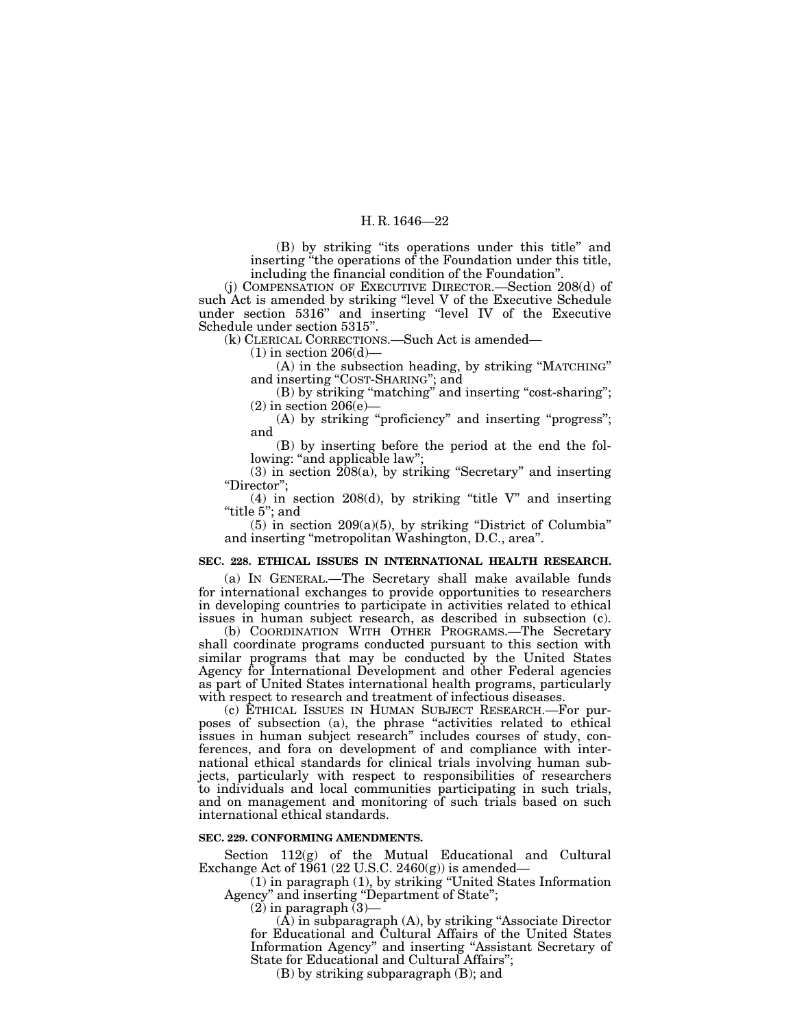(B) by striking ''its operations under this title'' and inserting "the operations of the Foundation under this title, including the financial condition of the Foundation''.

(j) COMPENSATION OF EXECUTIVE DIRECTOR.—Section 208(d) of such Act is amended by striking ''level V of the Executive Schedule under section 5316'' and inserting ''level IV of the Executive Schedule under section 5315''.

(k) CLERICAL CORRECTIONS.—Such Act is amended—

 $(1)$  in section 206 $(d)$ –

(A) in the subsection heading, by striking ''MATCHING'' and inserting "COST-SHARING"; and

(B) by striking "matching" and inserting "cost-sharing";  $(2)$  in section  $206(e)$ —

(A) by striking "proficiency" and inserting "progress"; and

(B) by inserting before the period at the end the following: "and applicable law";

 $(3)$  in section  $\overline{208(a)}$ , by striking "Secretary" and inserting ''Director'';

 $(4)$  in section 208 $(d)$ , by striking "title V" and inserting ''title 5''; and

 $(5)$  in section 209 $(a)(5)$ , by striking "District of Columbia" and inserting ''metropolitan Washington, D.C., area''.

### **SEC. 228. ETHICAL ISSUES IN INTERNATIONAL HEALTH RESEARCH.**

(a) IN GENERAL.—The Secretary shall make available funds for international exchanges to provide opportunities to researchers in developing countries to participate in activities related to ethical issues in human subject research, as described in subsection (c).

(b) COORDINATION WITH OTHER PROGRAMS.—The Secretary shall coordinate programs conducted pursuant to this section with similar programs that may be conducted by the United States Agency for International Development and other Federal agencies as part of United States international health programs, particularly with respect to research and treatment of infectious diseases.

(c) ETHICAL ISSUES IN HUMAN SUBJECT RESEARCH.—For purposes of subsection (a), the phrase ''activities related to ethical issues in human subject research'' includes courses of study, conferences, and fora on development of and compliance with international ethical standards for clinical trials involving human subjects, particularly with respect to responsibilities of researchers to individuals and local communities participating in such trials, and on management and monitoring of such trials based on such international ethical standards.

#### **SEC. 229. CONFORMING AMENDMENTS.**

Section 112(g) of the Mutual Educational and Cultural Exchange Act of 1961 (22 U.S.C. 2460(g)) is amended—

(1) in paragraph (1), by striking ''United States Information Agency'' and inserting ''Department of State'';

 $(2)$  in paragraph  $(3)$ —

(A) in subparagraph (A), by striking ''Associate Director for Educational and Cultural Affairs of the United States Information Agency'' and inserting ''Assistant Secretary of State for Educational and Cultural Affairs'';

(B) by striking subparagraph (B); and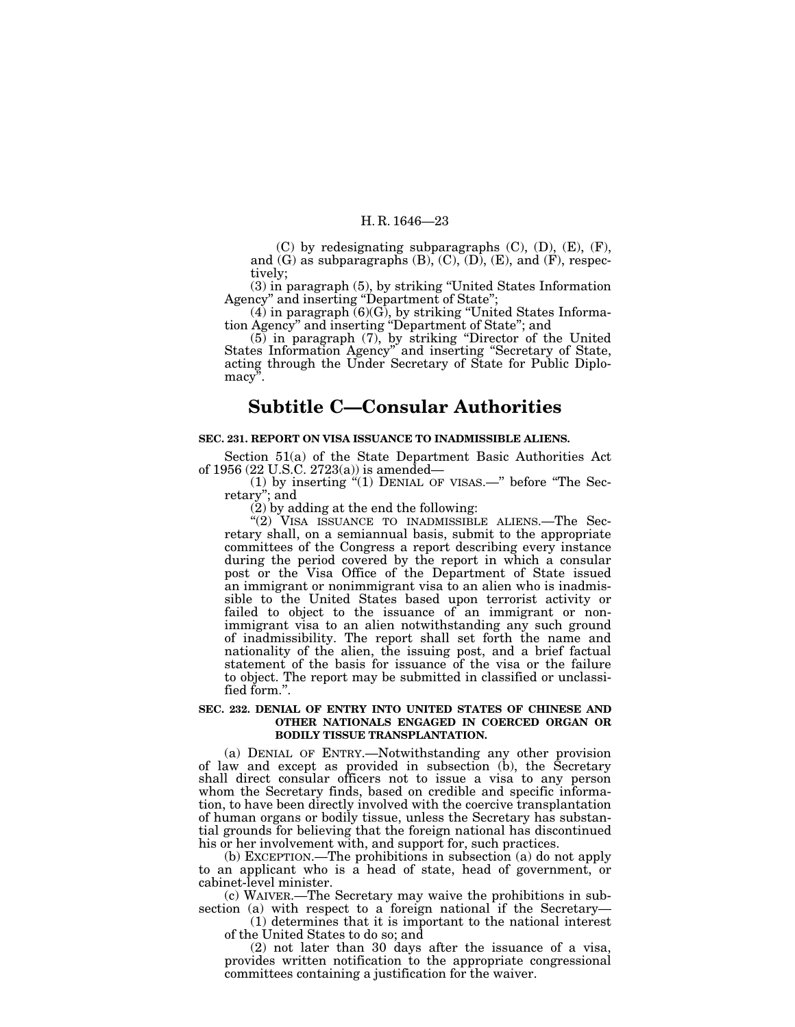(C) by redesignating subparagraphs (C), (D), (E), (F), and  $(G)$  as subparagraphs  $(B)$ ,  $(C)$ ,  $(D)$ ,  $(E)$ , and  $(F)$ , respectively;

(3) in paragraph (5), by striking ''United States Information Agency'' and inserting ''Department of State'';

 $(4)$  in paragraph  $(6)(G)$ , by striking "United States Information Agency'' and inserting ''Department of State''; and

(5) in paragraph (7), by striking ''Director of the United States Information Agency'' and inserting ''Secretary of State, acting through the Under Secretary of State for Public Diplomacy".

## **Subtitle C—Consular Authorities**

## **SEC. 231. REPORT ON VISA ISSUANCE TO INADMISSIBLE ALIENS.**

Section 51(a) of the State Department Basic Authorities Act of 1956 (22 U.S.C. 2723(a)) is amended—

 $(1)$  by inserting " $(1)$  DENIAL OF VISAS.—" before "The Secretary''; and

 $(2)$  by adding at the end the following:

''(2) VISA ISSUANCE TO INADMISSIBLE ALIENS.—The Secretary shall, on a semiannual basis, submit to the appropriate committees of the Congress a report describing every instance during the period covered by the report in which a consular post or the Visa Office of the Department of State issued an immigrant or nonimmigrant visa to an alien who is inadmissible to the United States based upon terrorist activity or failed to object to the issuance of an immigrant or nonimmigrant visa to an alien notwithstanding any such ground of inadmissibility. The report shall set forth the name and nationality of the alien, the issuing post, and a brief factual statement of the basis for issuance of the visa or the failure to object. The report may be submitted in classified or unclassified form.''.

## **SEC. 232. DENIAL OF ENTRY INTO UNITED STATES OF CHINESE AND OTHER NATIONALS ENGAGED IN COERCED ORGAN OR BODILY TISSUE TRANSPLANTATION.**

(a) DENIAL OF ENTRY.—Notwithstanding any other provision of law and except as provided in subsection (b), the Secretary shall direct consular officers not to issue a visa to any person whom the Secretary finds, based on credible and specific information, to have been directly involved with the coercive transplantation of human organs or bodily tissue, unless the Secretary has substantial grounds for believing that the foreign national has discontinued his or her involvement with, and support for, such practices.

(b) EXCEPTION.—The prohibitions in subsection (a) do not apply to an applicant who is a head of state, head of government, or cabinet-level minister.

(c) WAIVER.—The Secretary may waive the prohibitions in subsection (a) with respect to a foreign national if the Secretary—<br>(1) determines that it is important to the national interest

of the United States to do so; and

(2) not later than 30 days after the issuance of a visa, provides written notification to the appropriate congressional committees containing a justification for the waiver.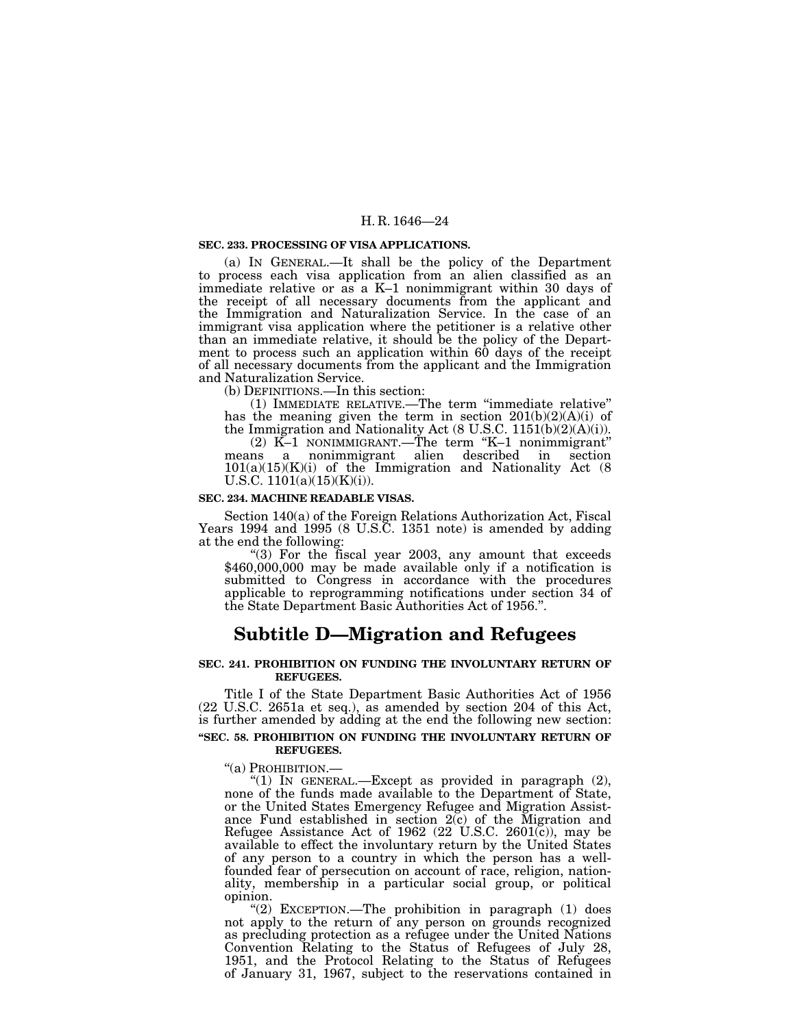#### **SEC. 233. PROCESSING OF VISA APPLICATIONS.**

(a) IN GENERAL.—It shall be the policy of the Department to process each visa application from an alien classified as an immediate relative or as a K–1 nonimmigrant within 30 days of the receipt of all necessary documents from the applicant and the Immigration and Naturalization Service. In the case of an immigrant visa application where the petitioner is a relative other than an immediate relative, it should be the policy of the Department to process such an application within 60 days of the receipt of all necessary documents from the applicant and the Immigration and Naturalization Service.

(b) DEFINITIONS.—In this section:<br>(1) IMMEDIATE RELATIVE.—The term "immediate relative" (1) IMMEDIATE RELATIVE.—The term "immediate relative" has the meaning given the term in section  $201(b)(2)(A)(i)$  of the Immigration and Nationality Act (8 U.S.C. 1151(b)(2)(A)(i)).

(2) K–1 NONIMMIGRANT.—The term ''K–1 nonimmigrant'' means a nonimmigrant alien described in section  $101(a)(15)(K)(i)$  of the Immigration and Nationality Act  $(8)$ U.S.C.  $1101(a)(15)(K)(i)$ .

#### **SEC. 234. MACHINE READABLE VISAS.**

Section 140(a) of the Foreign Relations Authorization Act, Fiscal Years 1994 and 1995 (8 U.S.C. 1351 note) is amended by adding

at the end the following:<br>
"(3) For the fiscal year 2003, any amount that exceeds \$460,000,000 may be made available only if a notification is submitted to Congress in accordance with the procedures applicable to reprogramming notifications under section 34 of the State Department Basic Authorities Act of 1956.''.

## **Subtitle D—Migration and Refugees**

### **SEC. 241. PROHIBITION ON FUNDING THE INVOLUNTARY RETURN OF REFUGEES.**

Title I of the State Department Basic Authorities Act of 1956 (22 U.S.C. 2651a et seq.), as amended by section 204 of this Act, is further amended by adding at the end the following new section: **''SEC. 58. PROHIBITION ON FUNDING THE INVOLUNTARY RETURN OF**

#### **REFUGEES.**

"(a) PROHIBITION.—<br>"(1) IN GENERAL.—Except as provided in paragraph (2), none of the funds made available to the Department of State, or the United States Emergency Refugee and Migration Assistance Fund established in section 2(c) of the Migration and Refugee Assistance Act of 1962 (22 U.S.C. 2601(c)), may be available to effect the involuntary return by the United States of any person to a country in which the person has a wellfounded fear of persecution on account of race, religion, nationality, membership in a particular social group, or political

opinion.<br>
"(2) EXCEPTION.—The prohibition in paragraph (1) does not apply to the return of any person on grounds recognized as precluding protection as a refugee under the United Nations Convention Relating to the Status of Refugees of July 28, 1951, and the Protocol Relating to the Status of Refugees of January 31, 1967, subject to the reservations contained in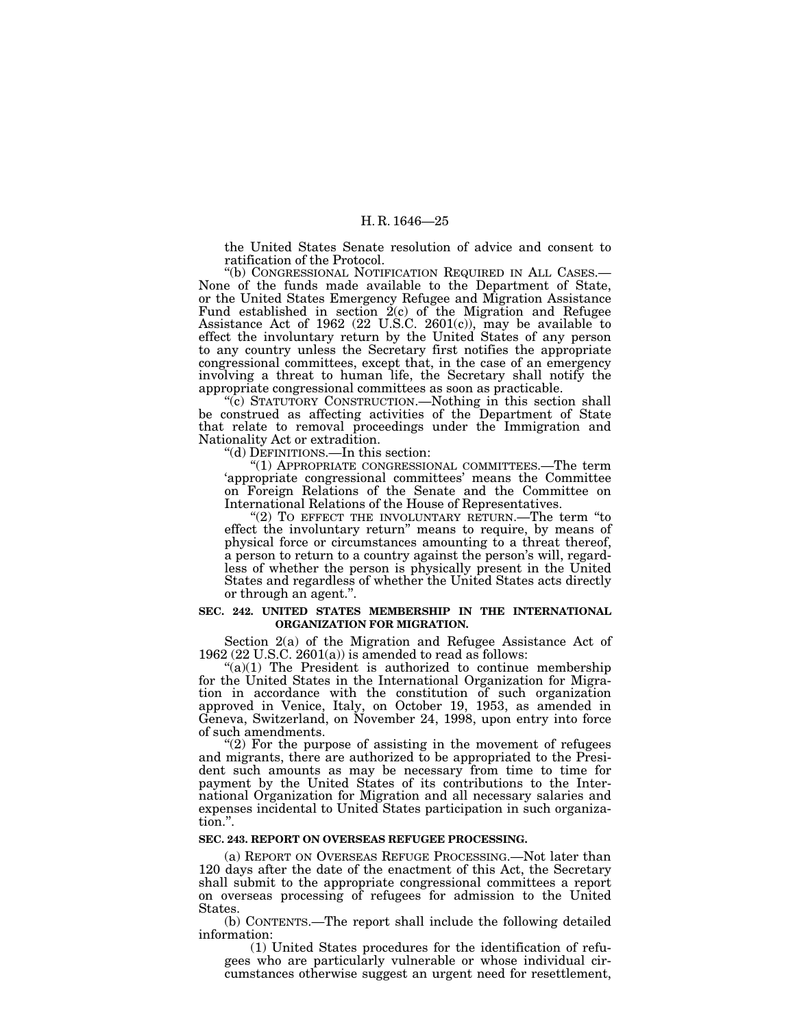the United States Senate resolution of advice and consent to

ratification of the Protocol.<br>"(b) CONGRESSIONAL NOTIFICATION REQUIRED IN ALL CASES.-None of the funds made available to the Department of State, or the United States Emergency Refugee and Migration Assistance Fund established in section  $2(c)$  of the Migration and Refugee Assistance Act of 1962 (22 U.S.C. 2601(c)), may be available to effect the involuntary return by the United States of any person to any country unless the Secretary first notifies the appropriate congressional committees, except that, in the case of an emergency involving a threat to human life, the Secretary shall notify the appropriate congressional committees as soon as practicable. ''(c) STATUTORY CONSTRUCTION.—Nothing in this section shall

be construed as affecting activities of the Department of State that relate to removal proceedings under the Immigration and Nationality Act or extradition.

"(d) DEFINITIONS.—In this section:<br>"(1) APPROPRIATE CONGRESSIONAL COMMITTEES.—The term<br>'appropriate congressional committees' means the Committee on Foreign Relations of the Senate and the Committee on International Relations of the House of Representatives. ''(2) TO EFFECT THE INVOLUNTARY RETURN.—The term ''to

effect the involuntary return'' means to require, by means of physical force or circumstances amounting to a threat thereof, a person to return to a country against the person's will, regardless of whether the person is physically present in the United States and regardless of whether the United States acts directly or through an agent.''.

## **SEC. 242. UNITED STATES MEMBERSHIP IN THE INTERNATIONAL ORGANIZATION FOR MIGRATION.**

Section 2(a) of the Migration and Refugee Assistance Act of 1962 (22 U.S.C. 2601(a)) is amended to read as follows:

 $\mathcal{L}(a)(1)$  The President is authorized to continue membership for the United States in the International Organization for Migration in accordance with the constitution of such organization approved in Venice, Italy, on October 19, 1953, as amended in Geneva, Switzerland, on November 24, 1998, upon entry into force of such amendments. ''(2) For the purpose of assisting in the movement of refugees

and migrants, there are authorized to be appropriated to the President such amounts as may be necessary from time to time for payment by the United States of its contributions to the International Organization for Migration and all necessary salaries and expenses incidental to United States participation in such organization.''.

## **SEC. 243. REPORT ON OVERSEAS REFUGEE PROCESSING.**

(a) REPORT ON OVERSEAS REFUGE PROCESSING.—Not later than 120 days after the date of the enactment of this Act, the Secretary shall submit to the appropriate congressional committees a report on overseas processing of refugees for admission to the United States.

(b) CONTENTS.—The report shall include the following detailed information:

(1) United States procedures for the identification of refugees who are particularly vulnerable or whose individual circumstances otherwise suggest an urgent need for resettlement,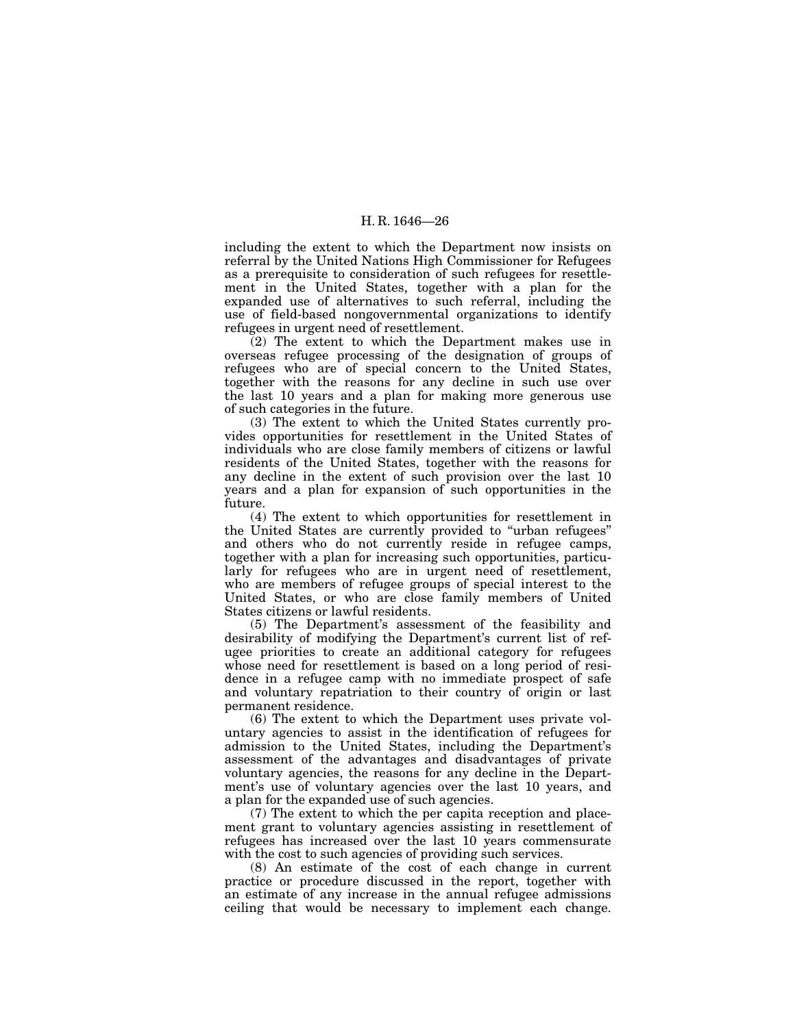including the extent to which the Department now insists on referral by the United Nations High Commissioner for Refugees as a prerequisite to consideration of such refugees for resettlement in the United States, together with a plan for the expanded use of alternatives to such referral, including the use of field-based nongovernmental organizations to identify refugees in urgent need of resettlement.

(2) The extent to which the Department makes use in overseas refugee processing of the designation of groups of refugees who are of special concern to the United States, together with the reasons for any decline in such use over the last 10 years and a plan for making more generous use of such categories in the future.

(3) The extent to which the United States currently provides opportunities for resettlement in the United States of individuals who are close family members of citizens or lawful residents of the United States, together with the reasons for any decline in the extent of such provision over the last 10 years and a plan for expansion of such opportunities in the future.

(4) The extent to which opportunities for resettlement in the United States are currently provided to ''urban refugees'' and others who do not currently reside in refugee camps, together with a plan for increasing such opportunities, particularly for refugees who are in urgent need of resettlement, who are members of refugee groups of special interest to the United States, or who are close family members of United States citizens or lawful residents.

(5) The Department's assessment of the feasibility and desirability of modifying the Department's current list of refugee priorities to create an additional category for refugees whose need for resettlement is based on a long period of residence in a refugee camp with no immediate prospect of safe and voluntary repatriation to their country of origin or last permanent residence.

(6) The extent to which the Department uses private voluntary agencies to assist in the identification of refugees for admission to the United States, including the Department's assessment of the advantages and disadvantages of private voluntary agencies, the reasons for any decline in the Department's use of voluntary agencies over the last 10 years, and a plan for the expanded use of such agencies.

(7) The extent to which the per capita reception and placement grant to voluntary agencies assisting in resettlement of refugees has increased over the last 10 years commensurate with the cost to such agencies of providing such services.

(8) An estimate of the cost of each change in current practice or procedure discussed in the report, together with an estimate of any increase in the annual refugee admissions ceiling that would be necessary to implement each change.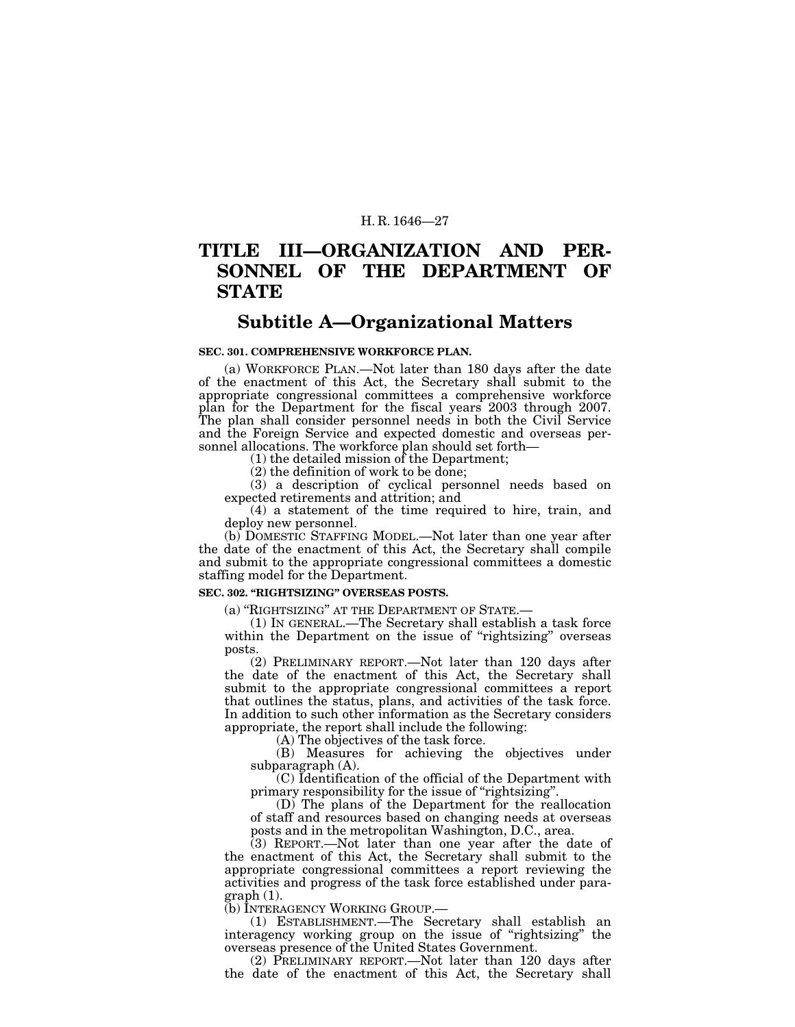## **TITLE III—ORGANIZATION AND PER-SONNEL OF THE DEPARTMENT OF STATE**

## **Subtitle A—Organizational Matters**

## **SEC. 301. COMPREHENSIVE WORKFORCE PLAN.**

(a) WORKFORCE PLAN.—Not later than 180 days after the date of the enactment of this Act, the Secretary shall submit to the appropriate congressional committees a comprehensive workforce plan for the Department for the fiscal years 2003 through 2007. The plan shall consider personnel needs in both the Civil Service and the Foreign Service and expected domestic and overseas personnel allocations. The workforce plan should set forth— (1) the detailed mission of the Department;

(2) the definition of work to be done;

(3) a description of cyclical personnel needs based on expected retirements and attrition; and

(4) a statement of the time required to hire, train, and deploy new personnel.

(b) DOMESTIC STAFFING MODEL.—Not later than one year after the date of the enactment of this Act, the Secretary shall compile and submit to the appropriate congressional committees a domestic staffing model for the Department.

## **SEC. 302. ''RIGHTSIZING'' OVERSEAS POSTS.**

(a) ''RIGHTSIZING'' AT THE DEPARTMENT OF STATE.— (1) IN GENERAL.—The Secretary shall establish a task force within the Department on the issue of "rightsizing" overseas posts.

(2) PRELIMINARY REPORT.—Not later than 120 days after the date of the enactment of this Act, the Secretary shall submit to the appropriate congressional committees a report that outlines the status, plans, and activities of the task force. In addition to such other information as the Secretary considers appropriate, the report shall include the following:

(A) The objectives of the task force.

(B) Measures for achieving the objectives under subparagraph (A).

(C) Identification of the official of the Department with primary responsibility for the issue of "rightsizing".

(D) The plans of the Department for the reallocation of staff and resources based on changing needs at overseas posts and in the metropolitan Washington, D.C., area.

(3) REPORT.—Not later than one year after the date of the enactment of this Act, the Secretary shall submit to the appropriate congressional committees a report reviewing the activities and progress of the task force established under paragraph (1).

(b) INTERAGENCY WORKING GROUP.—

(1) ESTABLISHMENT.—The Secretary shall establish an interagency working group on the issue of "rightsizing" the overseas presence of the United States Government.

(2) PRELIMINARY REPORT.—Not later than 120 days after the date of the enactment of this Act, the Secretary shall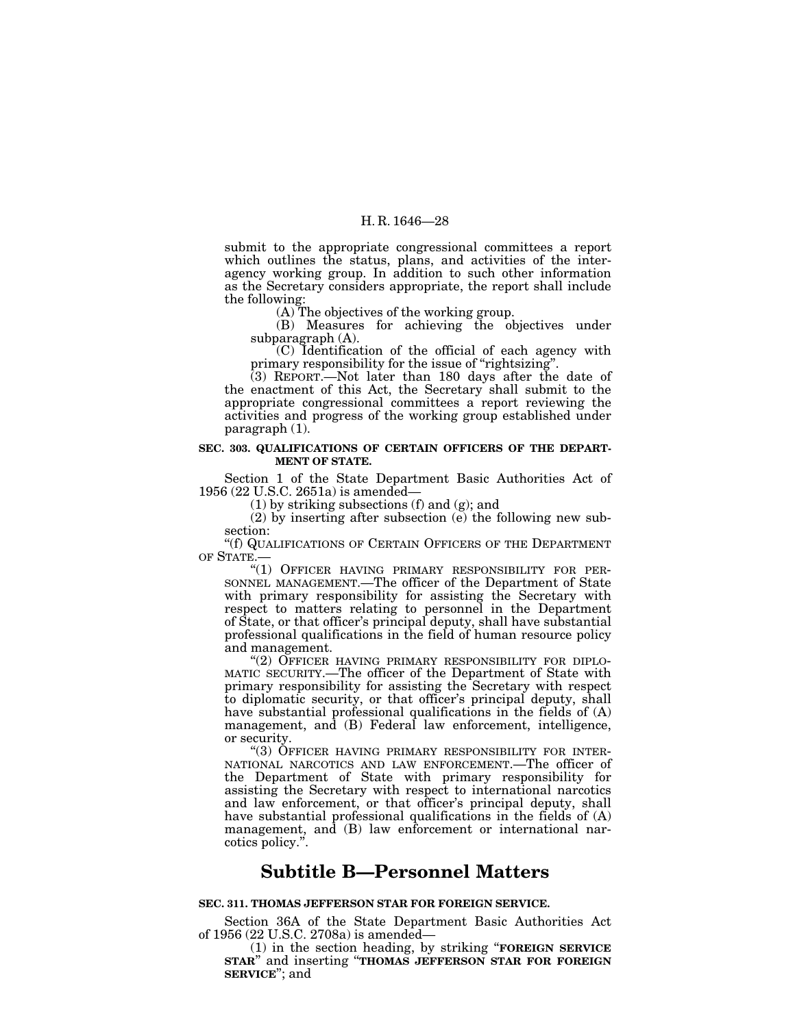submit to the appropriate congressional committees a report which outlines the status, plans, and activities of the interagency working group. In addition to such other information as the Secretary considers appropriate, the report shall include the following:

(A) The objectives of the working group.

(B) Measures for achieving the objectives under subparagraph (A).

(C) Identification of the official of each agency with primary responsibility for the issue of "rightsizing".

(3) REPORT.—Not later than 180 days after the date of the enactment of this Act, the Secretary shall submit to the appropriate congressional committees a report reviewing the activities and progress of the working group established under paragraph (1).

## **SEC. 303. QUALIFICATIONS OF CERTAIN OFFICERS OF THE DEPART-MENT OF STATE.**

Section 1 of the State Department Basic Authorities Act of 1956 (22 U.S.C. 2651a) is amended—

(1) by striking subsections (f) and (g); and

(2) by inserting after subsection (e) the following new subsection:

''(f) QUALIFICATIONS OF CERTAIN OFFICERS OF THE DEPARTMENT OF STATE.—

"(1) OFFICER HAVING PRIMARY RESPONSIBILITY FOR PER-SONNEL MANAGEMENT.—The officer of the Department of State with primary responsibility for assisting the Secretary with respect to matters relating to personnel in the Department of State, or that officer's principal deputy, shall have substantial professional qualifications in the field of human resource policy and management.

"(2) OFFICER HAVING PRIMARY RESPONSIBILITY FOR DIPLO-MATIC SECURITY.—The officer of the Department of State with primary responsibility for assisting the Secretary with respect to diplomatic security, or that officer's principal deputy, shall have substantial professional qualifications in the fields of (A) management, and (B) Federal law enforcement, intelligence,

or security.<br>
"(3) OFFICER HAVING PRIMARY RESPONSIBILITY FOR INTER-NATIONAL NARCOTICS AND LAW ENFORCEMENT.—The officer of the Department of State with primary responsibility for assisting the Secretary with respect to international narcotics and law enforcement, or that officer's principal deputy, shall have substantial professional qualifications in the fields of (A) management, and (B) law enforcement or international narcotics policy.''.

## **Subtitle B—Personnel Matters**

## **SEC. 311. THOMAS JEFFERSON STAR FOR FOREIGN SERVICE.**

Section 36A of the State Department Basic Authorities Act of 1956 (22 U.S.C. 2708a) is amended—

of 1956 (22 U.S.C. 2708a) is amended— (1) in the section heading, by striking ''**FOREIGN SERVICE STAR**'' and inserting ''**THOMAS JEFFERSON STAR FOR FOREIGN SERVICE**''; and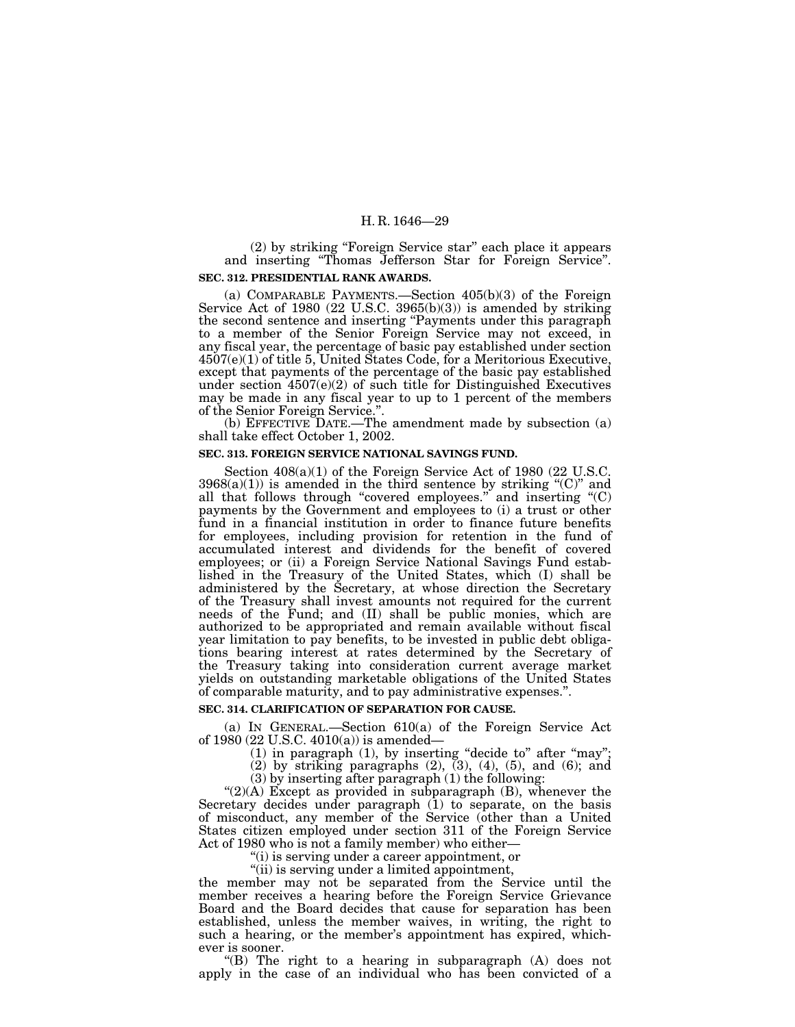(2) by striking ''Foreign Service star'' each place it appears and inserting ''Thomas Jefferson Star for Foreign Service''. **SEC. 312. PRESIDENTIAL RANK AWARDS.**

(a) COMPARABLE PAYMENTS.—Section 405(b)(3) of the Foreign Service Act of 1980 (22 U.S.C. 3965(b)(3)) is amended by striking the second sentence and inserting ''Payments under this paragraph to a member of the Senior Foreign Service may not exceed, in any fiscal year, the percentage of basic pay established under section 4507(e)(1) of title 5, United States Code, for a Meritorious Executive, except that payments of the percentage of the basic pay established under section 4507(e)(2) of such title for Distinguished Executives may be made in any fiscal year to up to 1 percent of the members of the Senior Foreign Service." of the Senior Foreign Service.''. (b) EFFECTIVE DATE.—The amendment made by subsection (a)

shall take effect October 1, 2002.

#### **SEC. 313. FOREIGN SERVICE NATIONAL SAVINGS FUND.**

Section  $408(a)(1)$  of the Foreign Service Act of 1980 (22 U.S.C.  $3968(a)(1)$ ) is amended in the third sentence by striking "(C)" and all that follows through "covered employees." and inserting  $(C)$ payments by the Government and employees to (i) a trust or other fund in a financial institution in order to finance future benefits for employees, including provision for retention in the fund of accumulated interest and dividends for the benefit of covered employees; or (ii) a Foreign Service National Savings Fund established in the Treasury of the United States, which (I) shall be administered by the Secretary, at whose direction the Secretary of the Treasury shall invest amounts not required for the current needs of the Fund; and (II) shall be public monies, which are authorized to be appropriated and remain available without fiscal year limitation to pay benefits, to be invested in public debt obligations bearing interest at rates determined by the Secretary of the Treasury taking into consideration current average market yields on outstanding marketable obligations of the United States of comparable maturity, and to pay administrative expenses.''.

## **SEC. 314. CLARIFICATION OF SEPARATION FOR CAUSE.**

(a) IN GENERAL.—Section 610(a) of the Foreign Service Act of 1980 (22 U.S.C. 4010(a)) is amended—

(1) in paragraph (1), by inserting ''decide to'' after ''may'';

(2) by striking paragraphs (2), (3), (4), (5), and (6); and

 $(3)$  by inserting after paragraph  $(1)$  the following:

" $(2)(A)$  Except as provided in subparagraph  $(B)$ , whenever the Secretary decides under paragraph (1) to separate, on the basis of misconduct, any member of the Service (other than a United States citizen employed under section 311 of the Foreign Service Act of 1980 who is not a family member) who either—

''(i) is serving under a career appointment, or

''(ii) is serving under a limited appointment,

the member may not be separated from the Service until the member receives a hearing before the Foreign Service Grievance Board and the Board decides that cause for separation has been established, unless the member waives, in writing, the right to such a hearing, or the member's appointment has expired, whichever is sooner.

"(B) The right to a hearing in subparagraph  $(A)$  does not apply in the case of an individual who has been convicted of a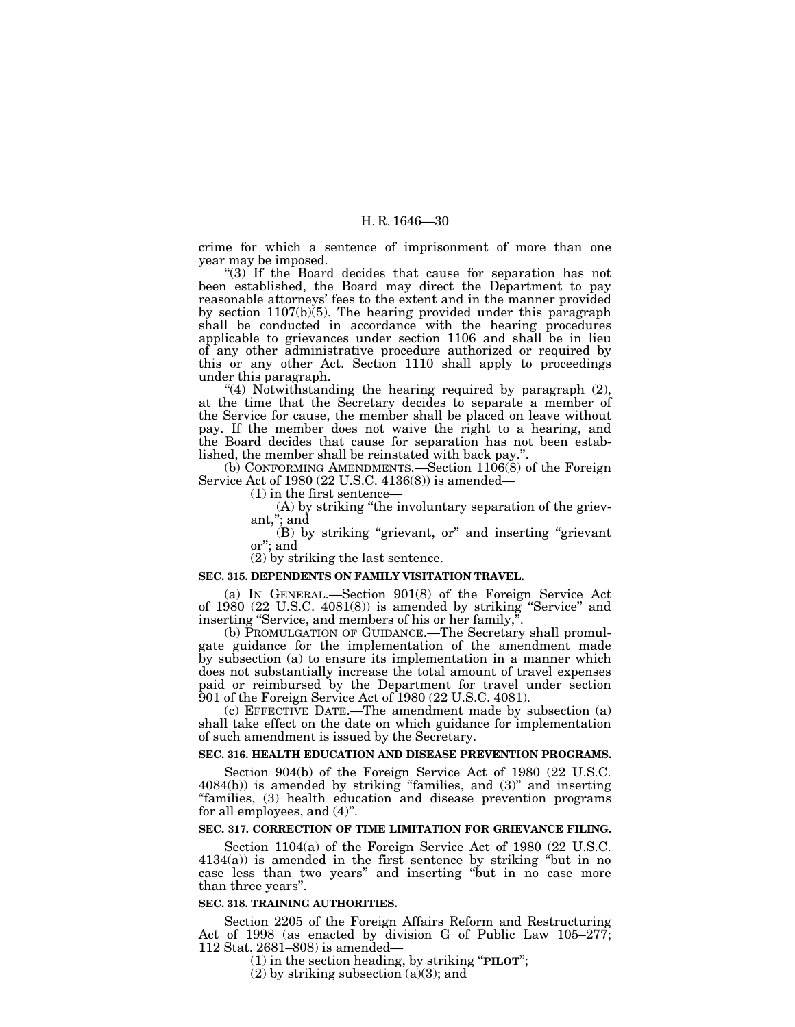crime for which a sentence of imprisonment of more than one year may be imposed.

''(3) If the Board decides that cause for separation has not been established, the Board may direct the Department to pay reasonable attorneys' fees to the extent and in the manner provided by section 1107(b)(5). The hearing provided under this paragraph shall be conducted in accordance with the hearing procedures applicable to grievances under section 1106 and shall be in lieu of any other administrative procedure authorized or required by this or any other Act. Section 1110 shall apply to proceedings under this paragraph.

"(4) Notwithstanding the hearing required by paragraph  $(2)$ , at the time that the Secretary decides to separate a member of the Service for cause, the member shall be placed on leave without pay. If the member does not waive the right to a hearing, and the Board decides that cause for separation has not been established, the member shall be reinstated with back pay.'

(b) CONFORMING AMENDMENTS.—Section 1106(8) of the Foreign Service Act of 1980 (22 U.S.C. 4136(8)) is amended—

(1) in the first sentence—

(A) by striking ''the involuntary separation of the grievant,''; and

(B) by striking ''grievant, or'' and inserting ''grievant or''; and

(2) by striking the last sentence.

## **SEC. 315. DEPENDENTS ON FAMILY VISITATION TRAVEL.**

(a) IN GENERAL.—Section 901(8) of the Foreign Service Act of 1980 (22 U.S.C. 4081(8)) is amended by striking ''Service'' and inserting ''Service, and members of his or her family,''.

(b) PROMULGATION OF GUIDANCE.—The Secretary shall promulgate guidance for the implementation of the amendment made by subsection (a) to ensure its implementation in a manner which does not substantially increase the total amount of travel expenses paid or reimbursed by the Department for travel under section 901 of the Foreign Service Act of 1980 (22 U.S.C. 4081).

(c) EFFECTIVE DATE.—The amendment made by subsection (a) shall take effect on the date on which guidance for implementation of such amendment is issued by the Secretary.

## **SEC. 316. HEALTH EDUCATION AND DISEASE PREVENTION PROGRAMS.**

Section 904(b) of the Foreign Service Act of 1980 (22 U.S.C.  $4084(b)$ ) is amended by striking "families, and  $(3)$ " and inserting "families, (3) health education and disease prevention programs for all employees, and (4)''.

## **SEC. 317. CORRECTION OF TIME LIMITATION FOR GRIEVANCE FILING.**

Section 1104(a) of the Foreign Service Act of 1980 (22 U.S.C.  $4134(a)$ ) is amended in the first sentence by striking "but in no case less than two years'' and inserting ''but in no case more than three years''.

#### **SEC. 318. TRAINING AUTHORITIES.**

Section 2205 of the Foreign Affairs Reform and Restructuring Act of 1998 (as enacted by division G of Public Law 105–277; 112 Stat. 2681–808) is amended—

(1) in the section heading, by striking ''**PILOT**'';

 $(2)$  by striking subsection  $(a)(3)$ ; and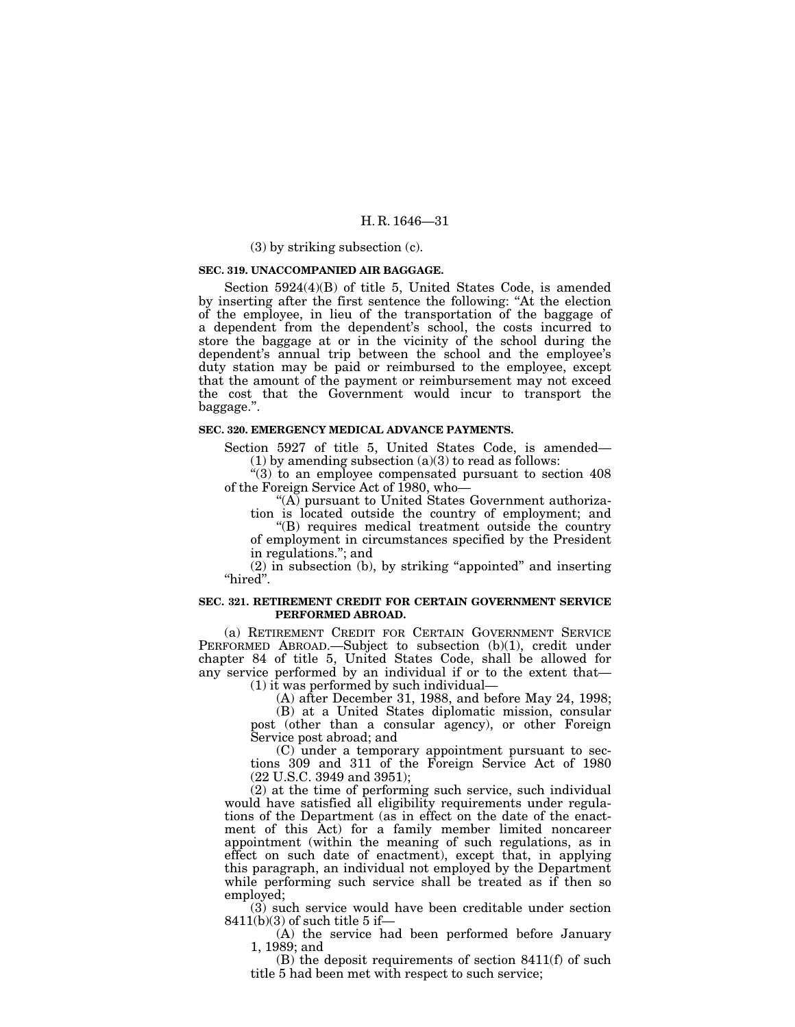## (3) by striking subsection (c).

### **SEC. 319. UNACCOMPANIED AIR BAGGAGE.**

Section 5924(4)(B) of title 5, United States Code, is amended by inserting after the first sentence the following: ''At the election of the employee, in lieu of the transportation of the baggage of a dependent from the dependent's school, the costs incurred to store the baggage at or in the vicinity of the school during the dependent's annual trip between the school and the employee's duty station may be paid or reimbursed to the employee, except that the amount of the payment or reimbursement may not exceed the cost that the Government would incur to transport the baggage.''.

#### **SEC. 320. EMERGENCY MEDICAL ADVANCE PAYMENTS.**

Section 5927 of title 5, United States Code, is amended—  $(1)$  by amending subsection  $(a)(3)$  to read as follows:

''(3) to an employee compensated pursuant to section 408 of the Foreign Service Act of 1980, who—

"(A) pursuant to United States Government authorization is located outside the country of employment; and ''(B) requires medical treatment outside the country

of employment in circumstances specified by the President in regulations.''; and

(2) in subsection (b), by striking ''appointed'' and inserting "hired".

### **SEC. 321. RETIREMENT CREDIT FOR CERTAIN GOVERNMENT SERVICE PERFORMED ABROAD.**

(a) RETIREMENT CREDIT FOR CERTAIN GOVERNMENT SERVICE PERFORMED ABROAD.—Subject to subsection (b)(1), credit under chapter 84 of title 5, United States Code, shall be allowed for any service performed by an individual if or to the extent that—  $(1)$  it was performed by such individual-

(A) after December 31, 1988, and before May 24, 1998;

(B) at a United States diplomatic mission, consular post (other than a consular agency), or other Foreign Service post abroad; and

(C) under a temporary appointment pursuant to sections 309 and 311 of the Foreign Service Act of 1980 (22 U.S.C. 3949 and 3951);

(2) at the time of performing such service, such individual would have satisfied all eligibility requirements under regulations of the Department (as in effect on the date of the enactment of this Act) for a family member limited noncareer appointment (within the meaning of such regulations, as in effect on such date of enactment), except that, in applying this paragraph, an individual not employed by the Department while performing such service shall be treated as if then so employed;

(3) such service would have been creditable under section  $8411(b)(3)$  of such title 5 if-

(A) the service had been performed before January 1, 1989; and

(B) the deposit requirements of section 8411(f) of such title 5 had been met with respect to such service;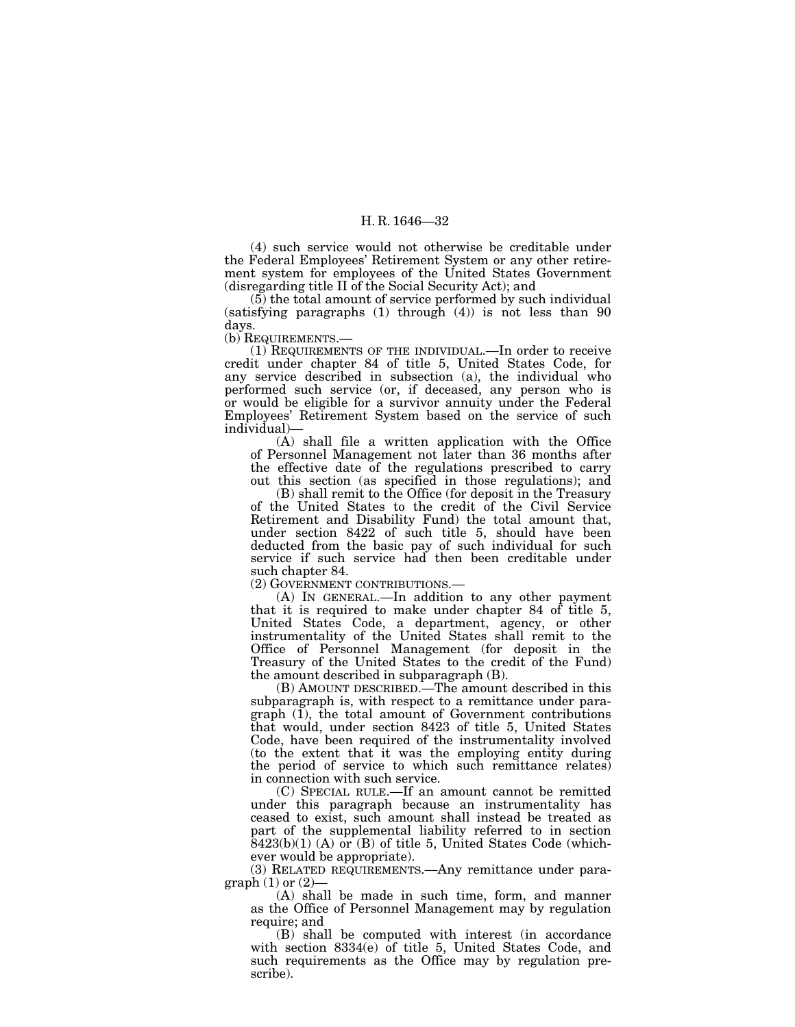(4) such service would not otherwise be creditable under the Federal Employees' Retirement System or any other retirement system for employees of the United States Government (disregarding title II of the Social Security Act); and

(5) the total amount of service performed by such individual (satisfying paragraphs (1) through (4)) is not less than 90 days.

(b) REQUIREMENTS.—

(1) REQUIREMENTS OF THE INDIVIDUAL.—In order to receive credit under chapter 84 of title 5, United States Code, for any service described in subsection (a), the individual who performed such service (or, if deceased, any person who is or would be eligible for a survivor annuity under the Federal Employees' Retirement System based on the service of such individual)—

 $(A)$  shall file a written application with the Office of Personnel Management not later than 36 months after the effective date of the regulations prescribed to carry out this section (as specified in those regulations); and

(B) shall remit to the Office (for deposit in the Treasury of the United States to the credit of the Civil Service Retirement and Disability Fund) the total amount that, under section 8422 of such title 5, should have been deducted from the basic pay of such individual for such service if such service had then been creditable under such chapter 84.

(2) GOVERNMENT CONTRIBUTIONS.—

(A) IN GENERAL.—In addition to any other payment that it is required to make under chapter 84 of title 5, United States Code, a department, agency, or other instrumentality of the United States shall remit to the Office of Personnel Management (for deposit in the Treasury of the United States to the credit of the Fund) the amount described in subparagraph (B).

(B) AMOUNT DESCRIBED.—The amount described in this subparagraph is, with respect to a remittance under para $graph$  (1), the total amount of Government contributions that would, under section 8423 of title 5, United States Code, have been required of the instrumentality involved (to the extent that it was the employing entity during the period of service to which such remittance relates) in connection with such service.

(C) SPECIAL RULE.—If an amount cannot be remitted under this paragraph because an instrumentality has ceased to exist, such amount shall instead be treated as part of the supplemental liability referred to in section  $8423(b)(1)$  (A) or (B) of title 5, United States Code (whichever would be appropriate).

(3) RELATED REQUIREMENTS.—Any remittance under paragraph  $(1)$  or  $(2)$ -

(A) shall be made in such time, form, and manner as the Office of Personnel Management may by regulation require; and

(B) shall be computed with interest (in accordance with section 8334(e) of title 5, United States Code, and such requirements as the Office may by regulation prescribe).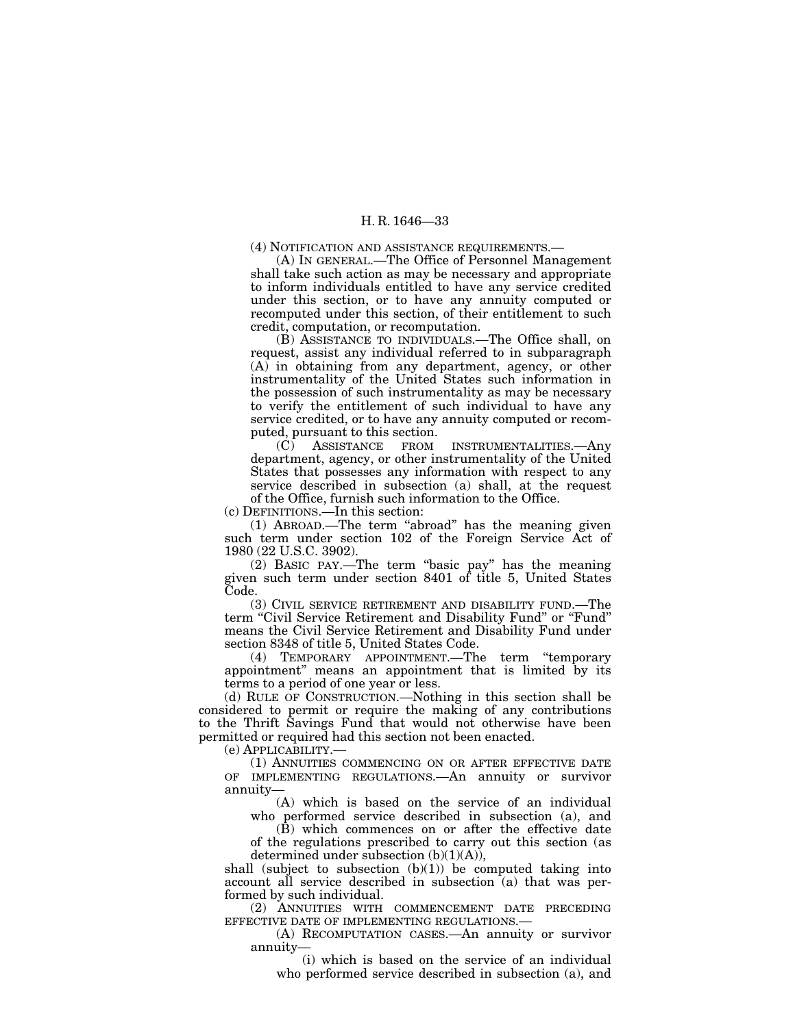(4) NOTIFICATION AND ASSISTANCE REQUIREMENTS.—

(A) IN GENERAL.—The Office of Personnel Management shall take such action as may be necessary and appropriate to inform individuals entitled to have any service credited under this section, or to have any annuity computed or recomputed under this section, of their entitlement to such credit, computation, or recomputation.

(B) ASSISTANCE TO INDIVIDUALS.—The Office shall, on request, assist any individual referred to in subparagraph (A) in obtaining from any department, agency, or other instrumentality of the United States such information in the possession of such instrumentality as may be necessary to verify the entitlement of such individual to have any service credited, or to have any annuity computed or recomputed, pursuant to this section.

(C) ASSISTANCE FROM INSTRUMENTALITIES.—Any department, agency, or other instrumentality of the United States that possesses any information with respect to any service described in subsection (a) shall, at the request of the Office, furnish such information to the Office.

(c) DEFINITIONS.—In this section:

(1) ABROAD.—The term ''abroad'' has the meaning given such term under section 102 of the Foreign Service Act of 1980 (22 U.S.C. 3902).

(2) BASIC PAY.—The term ''basic pay'' has the meaning given such term under section 8401 of title 5, United States Code.

(3) CIVIL SERVICE RETIREMENT AND DISABILITY FUND.—The term "Civil Service Retirement and Disability Fund" or "Fund" means the Civil Service Retirement and Disability Fund under section 8348 of title 5, United States Code.

(4) TEMPORARY APPOINTMENT.—The term ''temporary appointment'' means an appointment that is limited by its terms to a period of one year or less.

(d) RULE OF CONSTRUCTION.—Nothing in this section shall be considered to permit or require the making of any contributions to the Thrift Savings Fund that would not otherwise have been permitted or required had this section not been enacted.

(e) APPLICABILITY.—

(1) ANNUITIES COMMENCING ON OR AFTER EFFECTIVE DATE OF IMPLEMENTING REGULATIONS.—An annuity or survivor annuity—

(A) which is based on the service of an individual who performed service described in subsection (a), and

(B) which commences on or after the effective date of the regulations prescribed to carry out this section (as determined under subsection  $(b)(1)(A)$ ,

shall (subject to subsection  $(b)(1)$ ) be computed taking into account all service described in subsection (a) that was performed by such individual.

(2) ANNUITIES WITH COMMENCEMENT DATE PRECEDING EFFECTIVE DATE OF IMPLEMENTING REGULATIONS.—

(A) RECOMPUTATION CASES.—An annuity or survivor annuity—

(i) which is based on the service of an individual who performed service described in subsection (a), and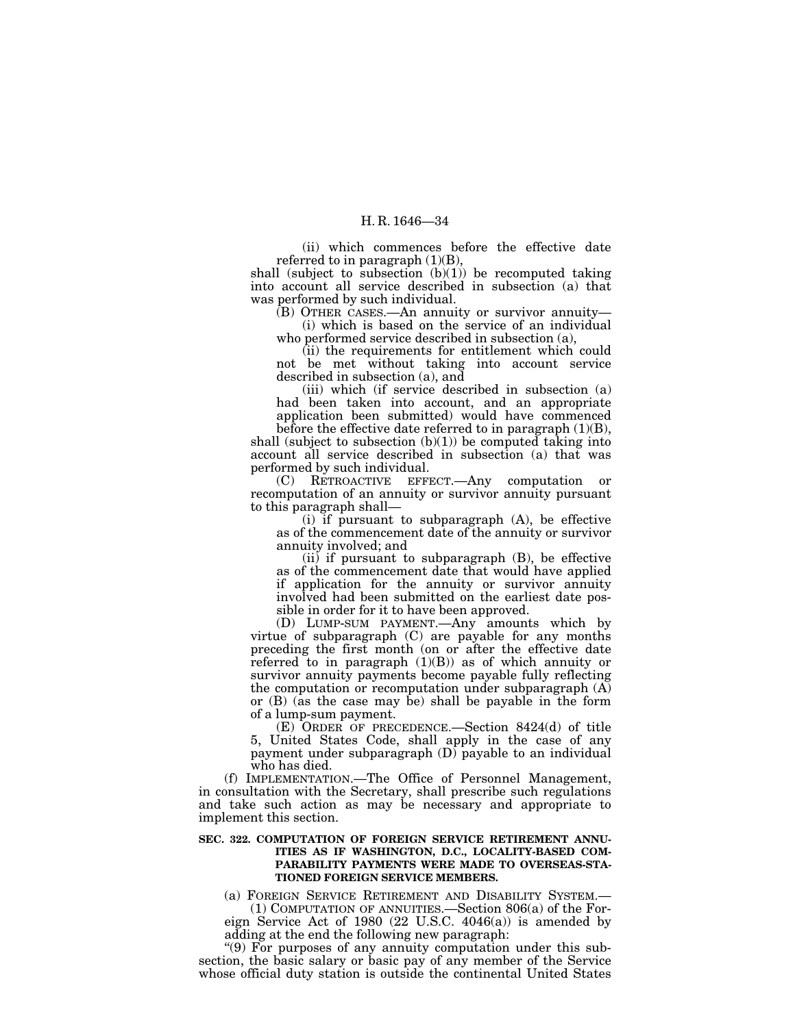(ii) which commences before the effective date referred to in paragraph  $(1)(B)$ ,

shall (subject to subsection  $(b)(1)$ ) be recomputed taking into account all service described in subsection (a) that was performed by such individual.

(B) OTHER CASES.—An annuity or survivor annuity— (i) which is based on the service of an individual

who performed service described in subsection (a),

(ii) the requirements for entitlement which could not be met without taking into account service described in subsection (a), and

(iii) which (if service described in subsection (a) had been taken into account, and an appropriate application been submitted) would have commenced

before the effective date referred to in paragraph  $(1)(B)$ , shall (subject to subsection  $(b)(1)$ ) be computed taking into account all service described in subsection (a) that was performed by such individual.

(C) RETROACTIVE EFFECT.—Any computation or recomputation of an annuity or survivor annuity pursuant to this paragraph shall—

(i) if pursuant to subparagraph (A), be effective as of the commencement date of the annuity or survivor annuity involved; and

(ii) if pursuant to subparagraph (B), be effective as of the commencement date that would have applied if application for the annuity or survivor annuity involved had been submitted on the earliest date possible in order for it to have been approved.

(D) LUMP-SUM PAYMENT.—Any amounts which by virtue of subparagraph (C) are payable for any months preceding the first month (on or after the effective date referred to in paragraph (1)(B)) as of which annuity or survivor annuity payments become payable fully reflecting the computation or recomputation under subparagraph  $(A)$ or (B) (as the case may be) shall be payable in the form of a lump-sum payment.

(E) ORDER OF PRECEDENCE.—Section 8424(d) of title 5, United States Code, shall apply in the case of any payment under subparagraph (D) payable to an individual who has died.

(f) IMPLEMENTATION.—The Office of Personnel Management, in consultation with the Secretary, shall prescribe such regulations and take such action as may be necessary and appropriate to implement this section.

## **SEC. 322. COMPUTATION OF FOREIGN SERVICE RETIREMENT ANNU-ITIES AS IF WASHINGTON, D.C., LOCALITY-BASED COM-PARABILITY PAYMENTS WERE MADE TO OVERSEAS-STA-TIONED FOREIGN SERVICE MEMBERS.**

(a) FOREIGN SERVICE RETIREMENT AND DISABILITY SYSTEM.— (1) COMPUTATION OF ANNUITIES.—Section 806(a) of the Foreign Service Act of 1980 (22 U.S.C. 4046(a)) is amended by

adding at the end the following new paragraph: ''(9) For purposes of any annuity computation under this subsection, the basic salary or basic pay of any member of the Service whose official duty station is outside the continental United States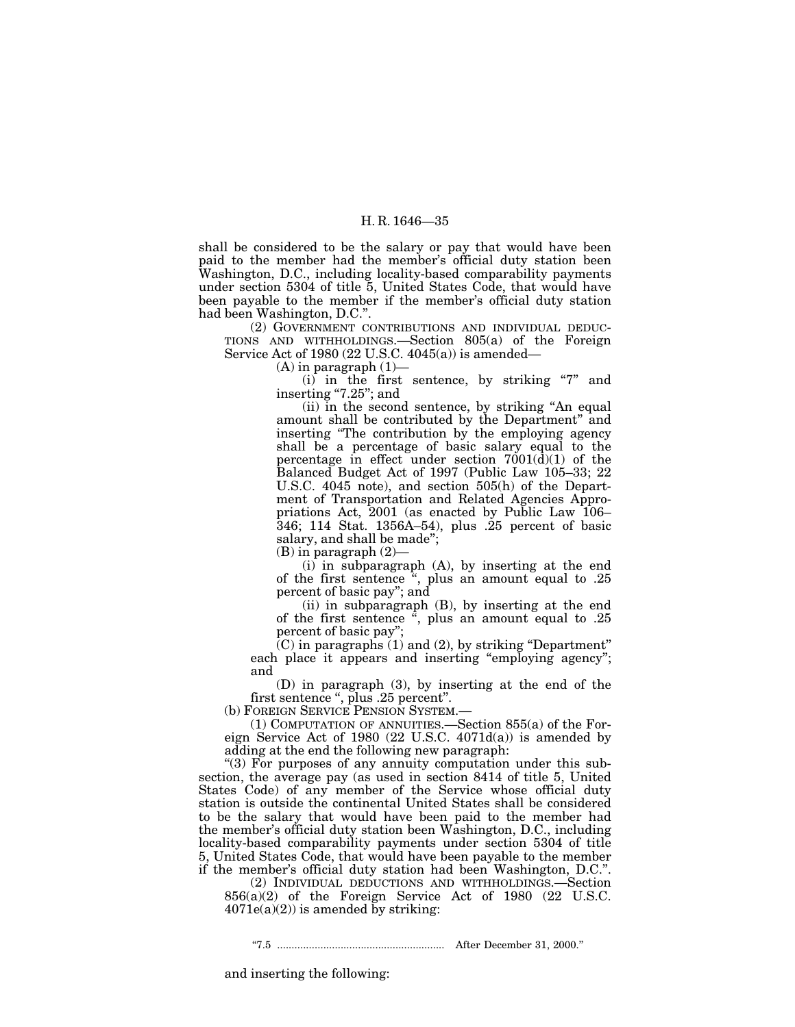shall be considered to be the salary or pay that would have been paid to the member had the member's official duty station been Washington, D.C., including locality-based comparability payments under section 5304 of title 5, United States Code, that would have been payable to the member if the member's official duty station had been Washington, D.C.''.

(2) GOVERNMENT CONTRIBUTIONS AND INDIVIDUAL DEDUC-TIONS AND WITHHOLDINGS.—Section 805(a) of the Foreign Service Act of 1980 (22 U.S.C. 4045(a)) is amended—

 $(A)$  in paragraph  $(1)$ —

 $(i)$  in the first sentence, by striking "7" and inserting "7.25"; and

(ii) in the second sentence, by striking ''An equal amount shall be contributed by the Department'' and inserting "The contribution by the employing agency shall be a percentage of basic salary equal to the percentage in effect under section  $7001(\text{d})(1)$  of the Balanced Budget Act of 1997 (Public Law 105–33; 22 U.S.C. 4045 note), and section 505(h) of the Department of Transportation and Related Agencies Appropriations Act, 2001 (as enacted by Public Law 106– 346; 114 Stat. 1356A–54), plus .25 percent of basic salary, and shall be made'';

(B) in paragraph (2)—

(i) in subparagraph (A), by inserting at the end of the first sentence '', plus an amount equal to .25 percent of basic pay''; and

(ii) in subparagraph (B), by inserting at the end of the first sentence  $\frac{\pi}{\cdot}$ , plus an amount equal to .25 percent of basic pay'';

 $(C)$  in paragraphs  $(1)$  and  $(2)$ , by striking "Department" each place it appears and inserting "employing agency"; and

(D) in paragraph (3), by inserting at the end of the first sentence '', plus .25 percent''.

(b) FOREIGN SERVICE PENSION SYSTEM.—

(1) COMPUTATION OF ANNUITIES.—Section 855(a) of the Foreign Service Act of 1980  $(22 \text{ U.S.C. } 4071d(a))$  is amended by adding at the end the following new paragraph:

"(3) For purposes of any annuity computation under this subsection, the average pay (as used in section 8414 of title 5, United States Code) of any member of the Service whose official duty station is outside the continental United States shall be considered to be the salary that would have been paid to the member had the member's official duty station been Washington, D.C., including locality-based comparability payments under section 5304 of title 5, United States Code, that would have been payable to the member if the member's official duty station had been Washington, D.C.''.

(2) INDIVIDUAL DEDUCTIONS AND WITHHOLDINGS.—Section 856(a)(2) of the Foreign Service Act of 1980 (22 U.S.C.  $4071e(a)(2)$ ) is amended by striking:

''7.5 .......................................................... After December 31, 2000.''

and inserting the following: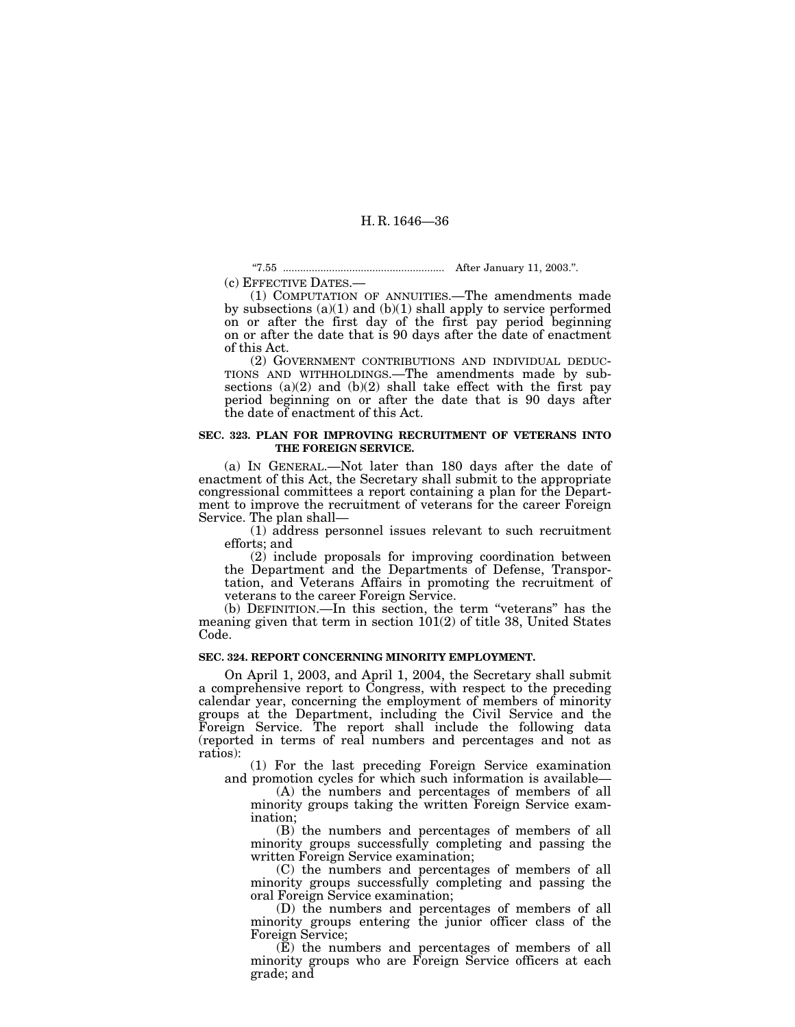''7.55 ........................................................ After January 11, 2003.''.

(c) EFFECTIVE DATES.— (1) COMPUTATION OF ANNUITIES.—The amendments made by subsections (a)(1) and (b)(1) shall apply to service performed on or after the first day of the first pay period beginning on or after the date that is 90 days after the date of enactment of this Act.

(2) GOVERNMENT CONTRIBUTIONS AND INDIVIDUAL DEDUC-TIONS AND WITHHOLDINGS.—The amendments made by subsections  $(a)(2)$  and  $(b)(2)$  shall take effect with the first pay period beginning on or after the date that is 90 days after the date of enactment of this Act.

## **SEC. 323. PLAN FOR IMPROVING RECRUITMENT OF VETERANS INTO THE FOREIGN SERVICE.**

(a) IN GENERAL.—Not later than 180 days after the date of enactment of this Act, the Secretary shall submit to the appropriate congressional committees a report containing a plan for the Department to improve the recruitment of veterans for the career Foreign Service. The plan shall—

 $(1)$  address personnel issues relevant to such recruitment efforts; and

(2) include proposals for improving coordination between the Department and the Departments of Defense, Transportation, and Veterans Affairs in promoting the recruitment of veterans to the career Foreign Service.

(b) DEFINITION.—In this section, the term ''veterans'' has the meaning given that term in section 101(2) of title 38, United States Code.

## **SEC. 324. REPORT CONCERNING MINORITY EMPLOYMENT.**

On April 1, 2003, and April 1, 2004, the Secretary shall submit a comprehensive report to Congress, with respect to the preceding calendar year, concerning the employment of members of minority groups at the Department, including the Civil Service and the Foreign Service. The report shall include the following data (reported in terms of real numbers and percentages and not as ratios):

(1) For the last preceding Foreign Service examination and promotion cycles for which such information is available—

(A) the numbers and percentages of members of all minority groups taking the written Foreign Service examination;

(B) the numbers and percentages of members of all minority groups successfully completing and passing the written Foreign Service examination;

(C) the numbers and percentages of members of all minority groups successfully completing and passing the oral Foreign Service examination;

(D) the numbers and percentages of members of all minority groups entering the junior officer class of the Foreign Service;

(E) the numbers and percentages of members of all minority groups who are Foreign Service officers at each grade; and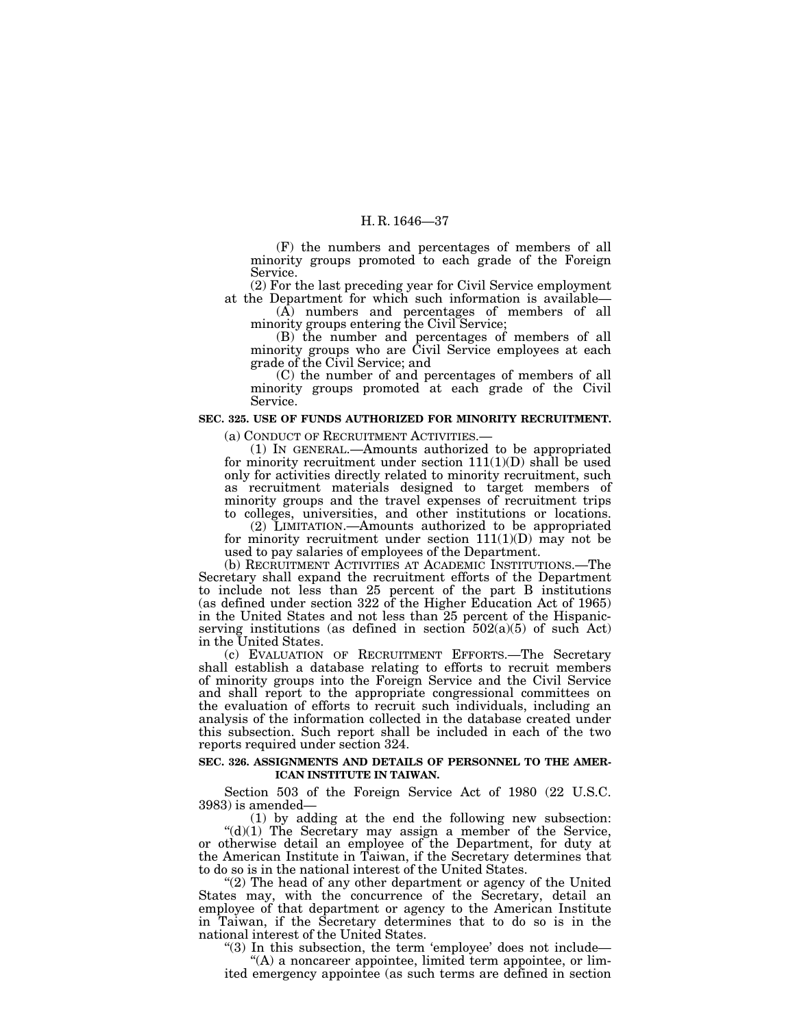(F) the numbers and percentages of members of all minority groups promoted to each grade of the Foreign Service.

(2) For the last preceding year for Civil Service employment at the Department for which such information is available— (A) numbers and percentages of members of all

minority groups entering the Civil Service;

(B) the number and percentages of members of all minority groups who are Civil Service employees at each grade of the Civil Service; and

(C) the number of and percentages of members of all minority groups promoted at each grade of the Civil Service.

## **SEC. 325. USE OF FUNDS AUTHORIZED FOR MINORITY RECRUITMENT.**

(a) CONDUCT OF RECRUITMENT ACTIVITIES.— (1) IN GENERAL.—Amounts authorized to be appropriated for minority recruitment under section  $111(1)(D)$  shall be used only for activities directly related to minority recruitment, such as recruitment materials designed to target members of minority groups and the travel expenses of recruitment trips to colleges, universities, and other institutions or locations.

(2) LIMITATION.—Amounts authorized to be appropriated for minority recruitment under section  $111(1)(D)$  may not be used to pay salaries of employees of the Department.

(b) RECRUITMENT ACTIVITIES AT ACADEMIC INSTITUTIONS.—The Secretary shall expand the recruitment efforts of the Department to include not less than 25 percent of the part B institutions (as defined under section 322 of the Higher Education Act of 1965) in the United States and not less than 25 percent of the Hispanicserving institutions (as defined in section  $502(a)(5)$  of such Act) in the United States.

(c) EVALUATION OF RECRUITMENT EFFORTS.—The Secretary shall establish a database relating to efforts to recruit members of minority groups into the Foreign Service and the Civil Service and shall report to the appropriate congressional committees on the evaluation of efforts to recruit such individuals, including an analysis of the information collected in the database created under this subsection. Such report shall be included in each of the two reports required under section 324.

## **SEC. 326. ASSIGNMENTS AND DETAILS OF PERSONNEL TO THE AMER-ICAN INSTITUTE IN TAIWAN.**

Section 503 of the Foreign Service Act of 1980 (22 U.S.C. 3983) is amended—

(1) by adding at the end the following new subsection: " $(d)(1)$  The Secretary may assign a member of the Service, or otherwise detail an employee of the Department, for duty at the American Institute in Taiwan, if the Secretary determines that to do so is in the national interest of the United States.

"(2) The head of any other department or agency of the United States may, with the concurrence of the Secretary, detail an employee of that department or agency to the American Institute in Taiwan, if the Secretary determines that to do so is in the national interest of the United States.

"(3) In this subsection, the term 'employee' does not include—

''(A) a noncareer appointee, limited term appointee, or limited emergency appointee (as such terms are defined in section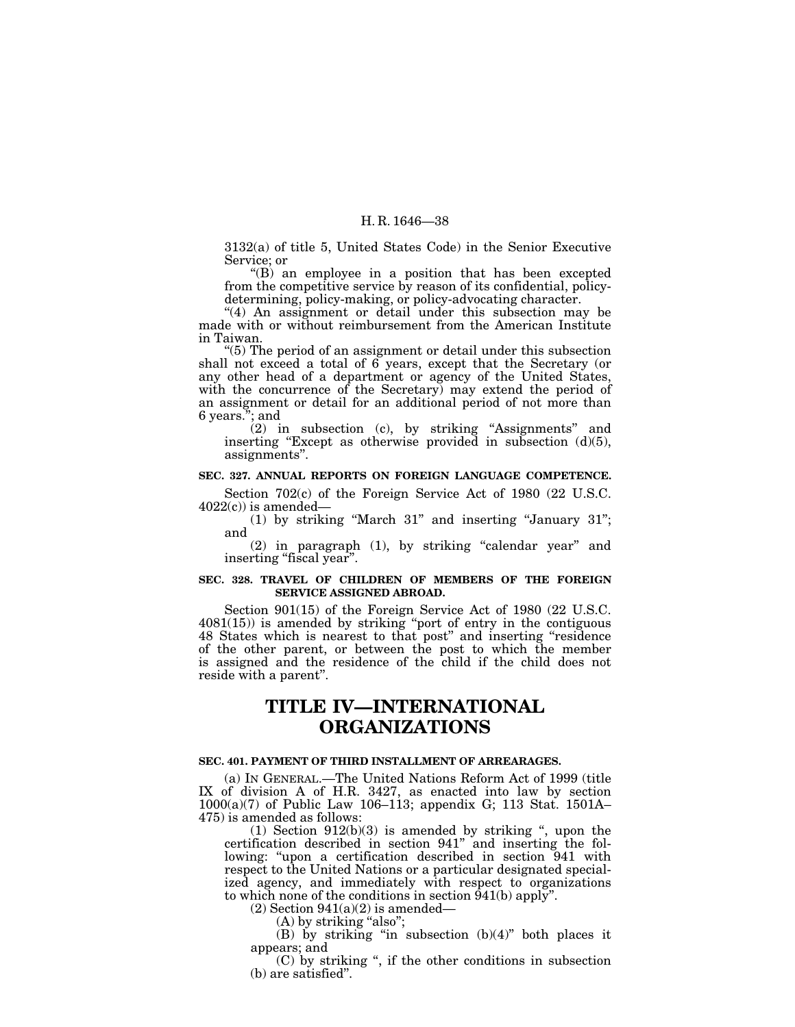3132(a) of title 5, United States Code) in the Senior Executive Service; or

 $'(B)$  an employee in a position that has been excepted from the competitive service by reason of its confidential, policydetermining, policy-making, or policy-advocating character.

''(4) An assignment or detail under this subsection may be made with or without reimbursement from the American Institute in Taiwan.

''(5) The period of an assignment or detail under this subsection shall not exceed a total of 6 years, except that the Secretary (or any other head of a department or agency of the United States, with the concurrence of the Secretary) may extend the period of an assignment or detail for an additional period of not more than 6 years.''; and

(2) in subsection (c), by striking ''Assignments'' and inserting "Except as otherwise provided in subsection (d)(5), assignments''.

### **SEC. 327. ANNUAL REPORTS ON FOREIGN LANGUAGE COMPETENCE.**

Section 702(c) of the Foreign Service Act of 1980 (22 U.S.C.  $4022(c)$ ) is amended—

(1) by striking ''March 31'' and inserting ''January 31''; and

 $(2)$  in paragraph  $(1)$ , by striking "calendar year" and inserting "fiscal year".

## **SEC. 328. TRAVEL OF CHILDREN OF MEMBERS OF THE FOREIGN SERVICE ASSIGNED ABROAD.**

Section 901(15) of the Foreign Service Act of 1980 (22 U.S.C. 4081(15)) is amended by striking ''port of entry in the contiguous 48 States which is nearest to that post'' and inserting ''residence of the other parent, or between the post to which the member is assigned and the residence of the child if the child does not reside with a parent''.

# **TITLE IV—INTERNATIONAL ORGANIZATIONS**

# **SEC. 401. PAYMENT OF THIRD INSTALLMENT OF ARREARAGES.**

(a) IN GENERAL.—The United Nations Reform Act of 1999 (title IX of division A of H.R. 3427, as enacted into law by section 1000(a)(7) of Public Law 106–113; appendix G; 113 Stat. 1501A– 475) is amended as follows:

 $(1)$  Section  $912(b)(3)$  is amended by striking ", upon the certification described in section 941'' and inserting the following: "upon a certification described in section 941 with respect to the United Nations or a particular designated specialized agency, and immediately with respect to organizations to which none of the conditions in section 941(b) apply''.

 $(2)$  Section  $941(a)(2)$  is amended—

(A) by striking "also";

(B) by striking "in subsection  $(b)(4)$ " both places it appears; and

(C) by striking '', if the other conditions in subsection (b) are satisfied''.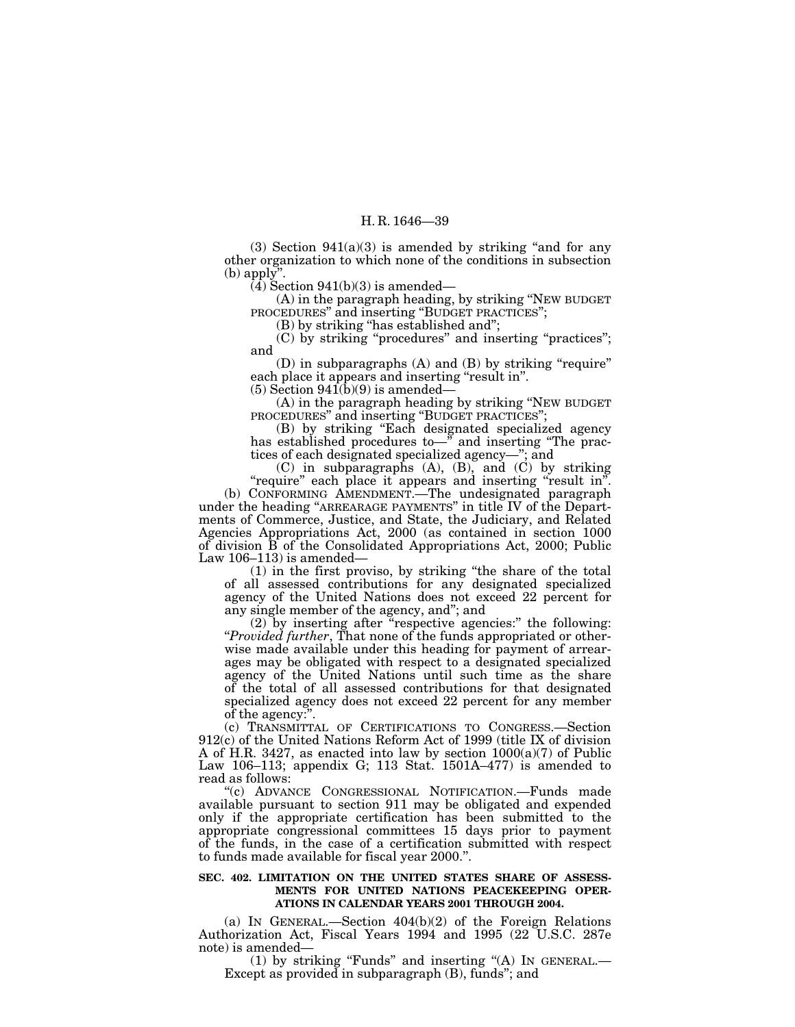$(3)$  Section  $941(a)(3)$  is amended by striking "and for any other organization to which none of the conditions in subsection  $(b)$  apply".

 $(4)$  Section 941(b)(3) is amended—

(A) in the paragraph heading, by striking ''NEW BUDGET PROCEDURES" and inserting "BUDGET PRACTICES";

(B) by striking ''has established and'';

(C) by striking ''procedures'' and inserting ''practices''; and

 $(D)$  in subparagraphs  $(A)$  and  $(B)$  by striking "require" each place it appears and inserting "result in".

 $(5)$  Section  $941(b)(9)$  is amended—

(A) in the paragraph heading by striking ''NEW BUDGET PROCEDURES'' and inserting ''BUDGET PRACTICES'';

(B) by striking ''Each designated specialized agency has established procedures to—" and inserting "The practices of each designated specialized agency—''; and

 $(C)$  in subparagraphs  $(A)$ ,  $(B)$ , and  $(C)$  by striking "require" each place it appears and inserting "result in".

(b) CONFORMING AMENDMENT.—The undesignated paragraph under the heading ''ARREARAGE PAYMENTS'' in title IV of the Departments of Commerce, Justice, and State, the Judiciary, and Related Agencies Appropriations Act, 2000 (as contained in section 1000 of division B of the Consolidated Appropriations Act, 2000; Public Law 106–113) is amended—

(1) in the first proviso, by striking ''the share of the total of all assessed contributions for any designated specialized agency of the United Nations does not exceed 22 percent for any single member of the agency, and''; and

(2) by inserting after ''respective agencies:'' the following: ''*Provided further*, That none of the funds appropriated or otherwise made available under this heading for payment of arrearages may be obligated with respect to a designated specialized agency of the United Nations until such time as the share of the total of all assessed contributions for that designated specialized agency does not exceed 22 percent for any member of the agency:''.

(c) TRANSMITTAL OF CERTIFICATIONS TO CONGRESS.—Section 912(c) of the United Nations Reform Act of 1999 (title IX of division A of H.R. 3427, as enacted into law by section 1000(a)(7) of Public Law 106–113; appendix G; 113 Stat. 1501A–477) is amended to read as follows:

''(c) ADVANCE CONGRESSIONAL NOTIFICATION.—Funds made available pursuant to section 911 may be obligated and expended only if the appropriate certification has been submitted to the appropriate congressional committees 15 days prior to payment of the funds, in the case of a certification submitted with respect to funds made available for fiscal year 2000.''.

### **SEC. 402. LIMITATION ON THE UNITED STATES SHARE OF ASSESS-MENTS FOR UNITED NATIONS PEACEKEEPING OPER-ATIONS IN CALENDAR YEARS 2001 THROUGH 2004.**

(a) IN GENERAL.—Section 404(b)(2) of the Foreign Relations Authorization Act, Fiscal Years 1994 and 1995 (22 U.S.C. 287e

(1) by striking "Funds" and inserting "(A) IN GENERAL.— Except as provided in subparagraph  $(B)$ , funds"; and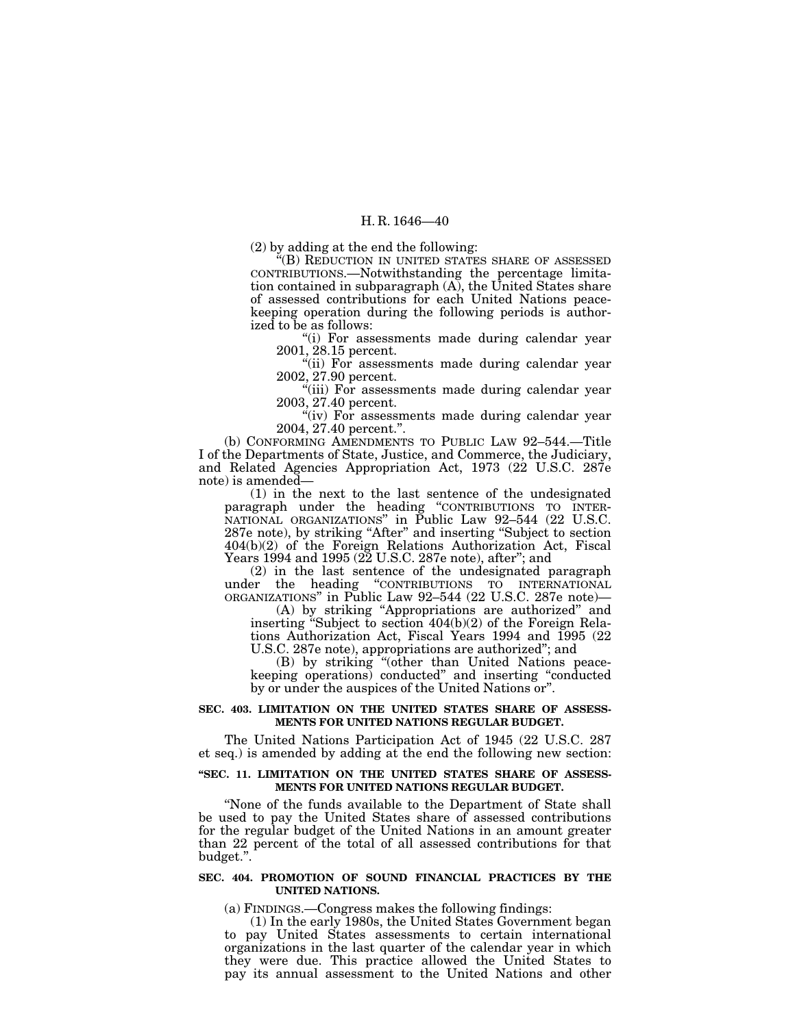(2) by adding at the end the following:

''(B) REDUCTION IN UNITED STATES SHARE OF ASSESSED CONTRIBUTIONS.—Notwithstanding the percentage limitation contained in subparagraph (A), the United States share of assessed contributions for each United Nations peacekeeping operation during the following periods is authorized to be as follows:

''(i) For assessments made during calendar year 2001, 28.15 percent.

"(ii) For assessments made during calendar year 2002, 27.90 percent.

"(iii) For assessments made during calendar year 2003, 27.40 percent.

"(iv) For assessments made during calendar year 2004, 27.40 percent.''.

(b) CONFORMING AMENDMENTS TO PUBLIC LAW 92–544.—Title I of the Departments of State, Justice, and Commerce, the Judiciary, and Related Agencies Appropriation Act, 1973 (22 U.S.C. 287e note) is amended—

(1) in the next to the last sentence of the undesignated paragraph under the heading "CONTRIBUTIONS TO INTER-NATIONAL ORGANIZATIONS'' in Public Law 92–544 (22 U.S.C. 287e note), by striking "After" and inserting "Subject to section 404(b)(2) of the Foreign Relations Authorization Act, Fiscal Years 1994 and 1995 (22 U.S.C. 287e note), after"; and

(2) in the last sentence of the undesignated paragraph under the heading ''CONTRIBUTIONS TO INTERNATIONAL ORGANIZATIONS'' in Public Law 92–544 (22 U.S.C. 287e note)—

(A) by striking ''Appropriations are authorized'' and inserting ''Subject to section 404(b)(2) of the Foreign Relations Authorization Act, Fiscal Years 1994 and 1995 (22 U.S.C. 287e note), appropriations are authorized''; and

(B) by striking ''(other than United Nations peacekeeping operations) conducted'' and inserting ''conducted by or under the auspices of the United Nations or''.

## **SEC. 403. LIMITATION ON THE UNITED STATES SHARE OF ASSESS-MENTS FOR UNITED NATIONS REGULAR BUDGET.**

The United Nations Participation Act of 1945 (22 U.S.C. 287 et seq.) is amended by adding at the end the following new section:

#### **''SEC. 11. LIMITATION ON THE UNITED STATES SHARE OF ASSESS-MENTS FOR UNITED NATIONS REGULAR BUDGET.**

''None of the funds available to the Department of State shall be used to pay the United States share of assessed contributions for the regular budget of the United Nations in an amount greater than 22 percent of the total of all assessed contributions for that budget.''.

## **SEC. 404. PROMOTION OF SOUND FINANCIAL PRACTICES BY THE UNITED NATIONS.**

(a) FINDINGS.—Congress makes the following findings:

(1) In the early 1980s, the United States Government began to pay United States assessments to certain international organizations in the last quarter of the calendar year in which they were due. This practice allowed the United States to pay its annual assessment to the United Nations and other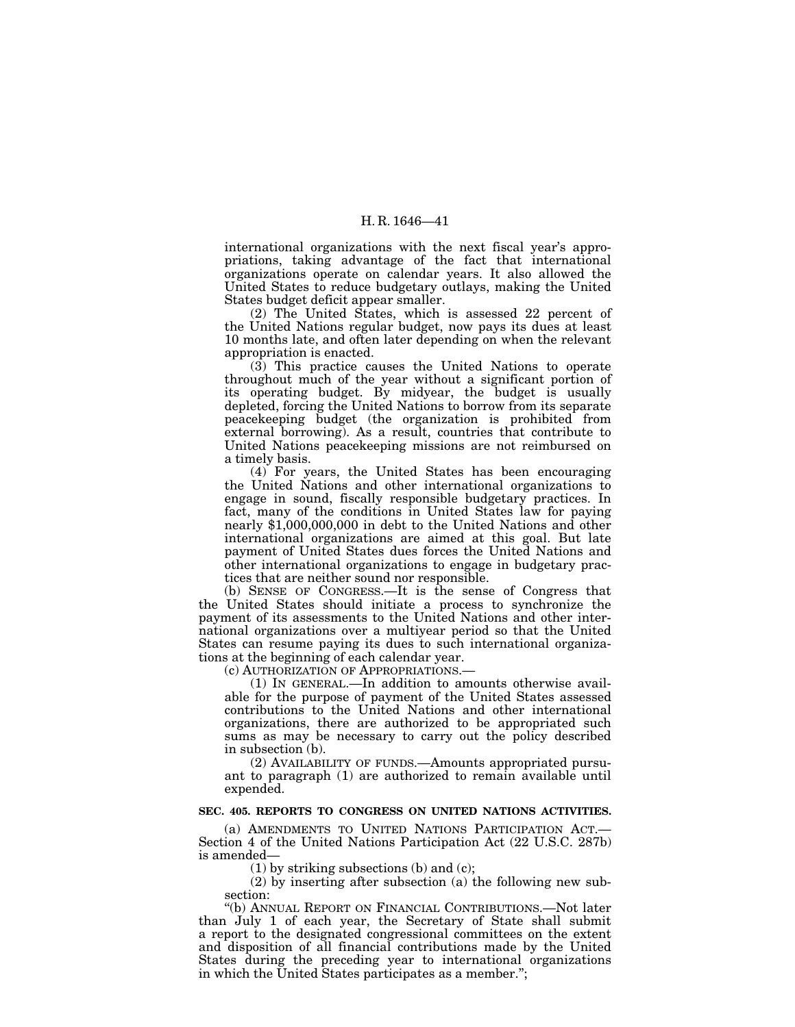international organizations with the next fiscal year's appropriations, taking advantage of the fact that international organizations operate on calendar years. It also allowed the United States to reduce budgetary outlays, making the United States budget deficit appear smaller.

(2) The United States, which is assessed 22 percent of the United Nations regular budget, now pays its dues at least 10 months late, and often later depending on when the relevant appropriation is enacted.

(3) This practice causes the United Nations to operate throughout much of the year without a significant portion of its operating budget. By midyear, the budget is usually depleted, forcing the United Nations to borrow from its separate peacekeeping budget (the organization is prohibited from external borrowing). As a result, countries that contribute to United Nations peacekeeping missions are not reimbursed on a timely basis.

(4) For years, the United States has been encouraging the United Nations and other international organizations to engage in sound, fiscally responsible budgetary practices. In fact, many of the conditions in United States law for paying nearly \$1,000,000,000 in debt to the United Nations and other international organizations are aimed at this goal. But late payment of United States dues forces the United Nations and other international organizations to engage in budgetary practices that are neither sound nor responsible.

(b) SENSE OF CONGRESS.—It is the sense of Congress that the United States should initiate a process to synchronize the payment of its assessments to the United Nations and other international organizations over a multiyear period so that the United States can resume paying its dues to such international organizations at the beginning of each calendar year.

(c) AUTHORIZATION OF APPROPRIATIONS.—

(1) IN GENERAL.—In addition to amounts otherwise available for the purpose of payment of the United States assessed contributions to the United Nations and other international organizations, there are authorized to be appropriated such sums as may be necessary to carry out the policy described in subsection (b).

(2) AVAILABILITY OF FUNDS.—Amounts appropriated pursuant to paragraph (1) are authorized to remain available until expended.

# **SEC. 405. REPORTS TO CONGRESS ON UNITED NATIONS ACTIVITIES.**

(a) AMENDMENTS TO UNITED NATIONS PARTICIPATION ACT.— Section 4 of the United Nations Participation Act (22 U.S.C. 287b) is amended—

(1) by striking subsections (b) and (c);

(2) by inserting after subsection (a) the following new subsection:

''(b) ANNUAL REPORT ON FINANCIAL CONTRIBUTIONS.—Not later than July 1 of each year, the Secretary of State shall submit a report to the designated congressional committees on the extent and disposition of all financial contributions made by the United States during the preceding year to international organizations in which the United States participates as a member.'';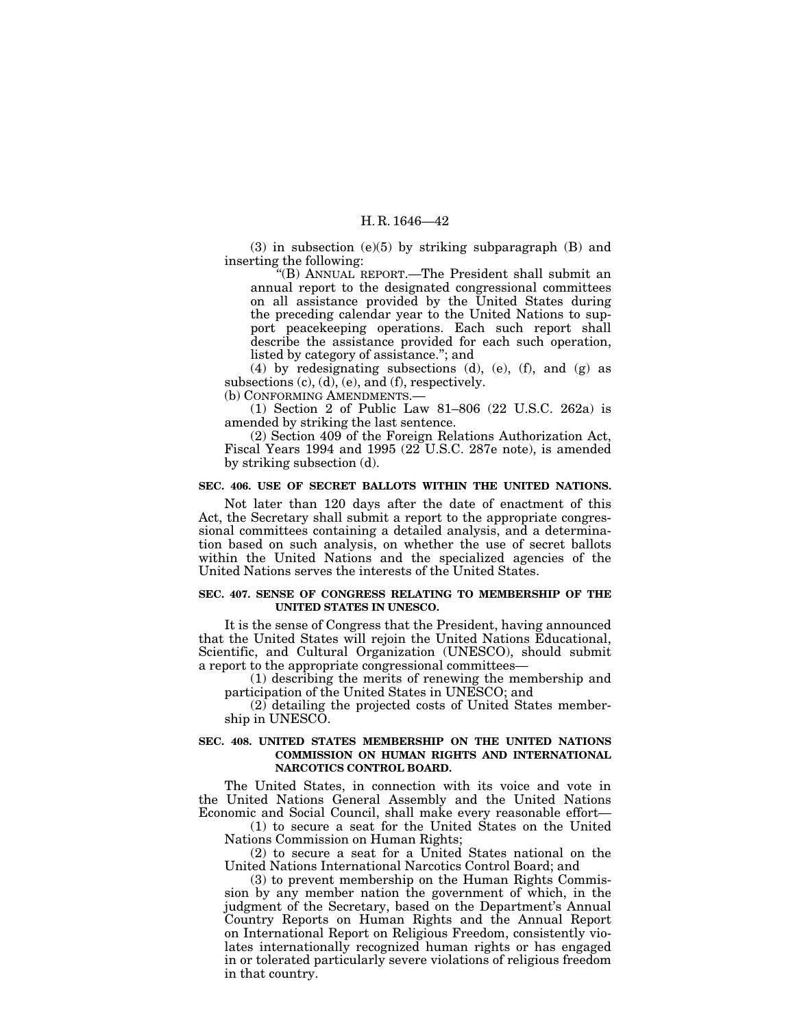(3) in subsection (e)(5) by striking subparagraph (B) and inserting the following:

''(B) ANNUAL REPORT.—The President shall submit an annual report to the designated congressional committees on all assistance provided by the United States during the preceding calendar year to the United Nations to support peacekeeping operations. Each such report shall describe the assistance provided for each such operation, listed by category of assistance.''; and

(4) by redesignating subsections (d), (e), (f), and (g) as subsections  $(c)$ ,  $(d)$ ,  $(e)$ , and  $(f)$ , respectively.

(b) CONFORMING AMENDMENTS.—

(1) Section 2 of Public Law 81–806 (22 U.S.C. 262a) is amended by striking the last sentence.

(2) Section 409 of the Foreign Relations Authorization Act, Fiscal Years 1994 and 1995 (22 U.S.C. 287e note), is amended by striking subsection (d).

# **SEC. 406. USE OF SECRET BALLOTS WITHIN THE UNITED NATIONS.**

Not later than 120 days after the date of enactment of this Act, the Secretary shall submit a report to the appropriate congressional committees containing a detailed analysis, and a determination based on such analysis, on whether the use of secret ballots within the United Nations and the specialized agencies of the United Nations serves the interests of the United States.

# **SEC. 407. SENSE OF CONGRESS RELATING TO MEMBERSHIP OF THE UNITED STATES IN UNESCO.**

It is the sense of Congress that the President, having announced that the United States will rejoin the United Nations Educational, Scientific, and Cultural Organization (UNESCO), should submit a report to the appropriate congressional committees—

(1) describing the merits of renewing the membership and participation of the United States in UNESCO; and

 $(2)$  detailing the projected costs of United States membership in UNESCO.

# **SEC. 408. UNITED STATES MEMBERSHIP ON THE UNITED NATIONS COMMISSION ON HUMAN RIGHTS AND INTERNATIONAL NARCOTICS CONTROL BOARD.**

The United States, in connection with its voice and vote in the United Nations General Assembly and the United Nations Economic and Social Council, shall make every reasonable effort—

(1) to secure a seat for the United States on the United Nations Commission on Human Rights;

(2) to secure a seat for a United States national on the United Nations International Narcotics Control Board; and

(3) to prevent membership on the Human Rights Commission by any member nation the government of which, in the judgment of the Secretary, based on the Department's Annual Country Reports on Human Rights and the Annual Report on International Report on Religious Freedom, consistently violates internationally recognized human rights or has engaged in or tolerated particularly severe violations of religious freedom in that country.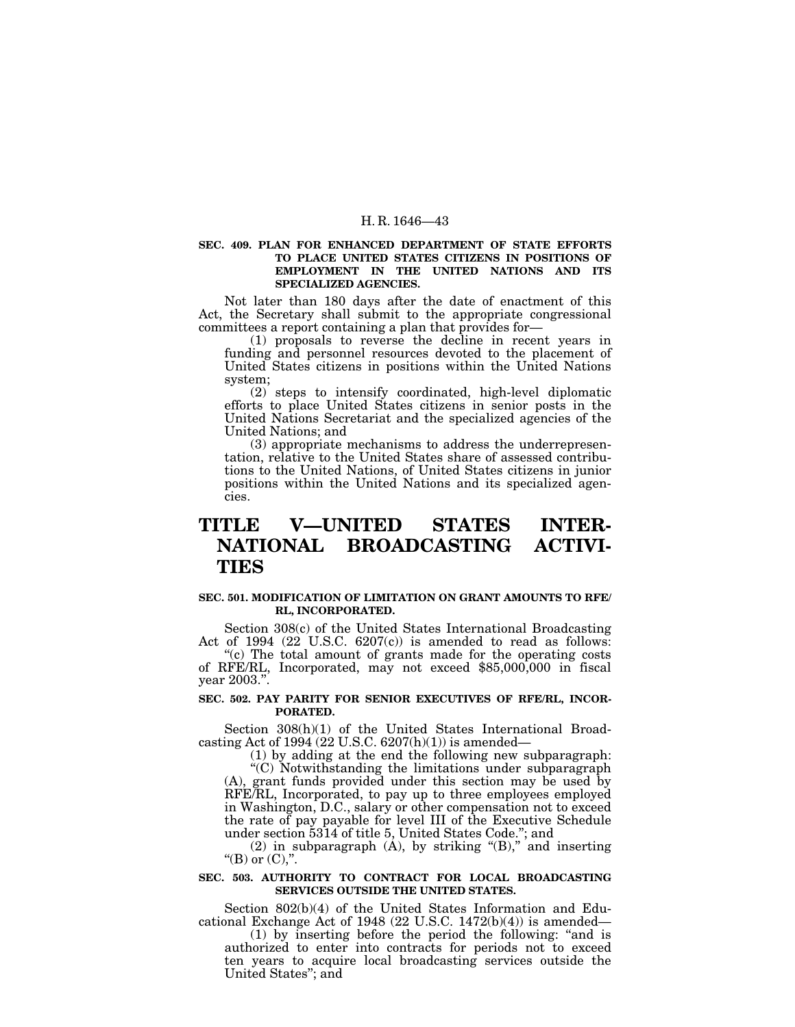# **SEC. 409. PLAN FOR ENHANCED DEPARTMENT OF STATE EFFORTS TO PLACE UNITED STATES CITIZENS IN POSITIONS OF EMPLOYMENT IN THE UNITED NATIONS AND ITS SPECIALIZED AGENCIES.**

Not later than 180 days after the date of enactment of this Act, the Secretary shall submit to the appropriate congressional committees a report containing a plan that provides for— (1) proposals to reverse the decline in recent years in

funding and personnel resources devoted to the placement of United States citizens in positions within the United Nations system;

(2) steps to intensify coordinated, high-level diplomatic efforts to place United States citizens in senior posts in the United Nations Secretariat and the specialized agencies of the United Nations; and

(3) appropriate mechanisms to address the underrepresentation, relative to the United States share of assessed contributions to the United Nations, of United States citizens in junior positions within the United Nations and its specialized agencies.

# **TITLE V—UNITED STATES INTER-NATIONAL BROADCASTING ACTIVI-TIES**

# **SEC. 501. MODIFICATION OF LIMITATION ON GRANT AMOUNTS TO RFE/ RL, INCORPORATED.**

Section 308(c) of the United States International Broadcasting Act of 1994 (22 U.S.C. 6207(c)) is amended to read as follows:

"(c) The total amount of grants made for the operating costs of RFE/RL, Incorporated, may not exceed \$85,000,000 in fiscal year 2003.''.

# **SEC. 502. PAY PARITY FOR SENIOR EXECUTIVES OF RFE/RL, INCOR-PORATED.**

Section 308(h)(1) of the United States International Broadcasting Act of 1994 (22 U.S.C.  $6207(h)(1)$ ) is amended—

(1) by adding at the end the following new subparagraph: ''(C) Notwithstanding the limitations under subparagraph (A), grant funds provided under this section may be used by RFE/RL, Incorporated, to pay up to three employees employed in Washington, D.C., salary or other compensation not to exceed

the rate of pay payable for level III of the Executive Schedule under section 5314 of title 5, United States Code.''; and

(2) in subparagraph (A), by striking "(B)," and inserting "(B) or  $(C)$ ,".

# **SEC. 503. AUTHORITY TO CONTRACT FOR LOCAL BROADCASTING SERVICES OUTSIDE THE UNITED STATES.**

Section 802(b)(4) of the United States Information and Educational Exchange Act of 1948 (22 U.S.C. 1472(b)(4)) is amended—

(1) by inserting before the period the following: ''and is authorized to enter into contracts for periods not to exceed ten years to acquire local broadcasting services outside the United States''; and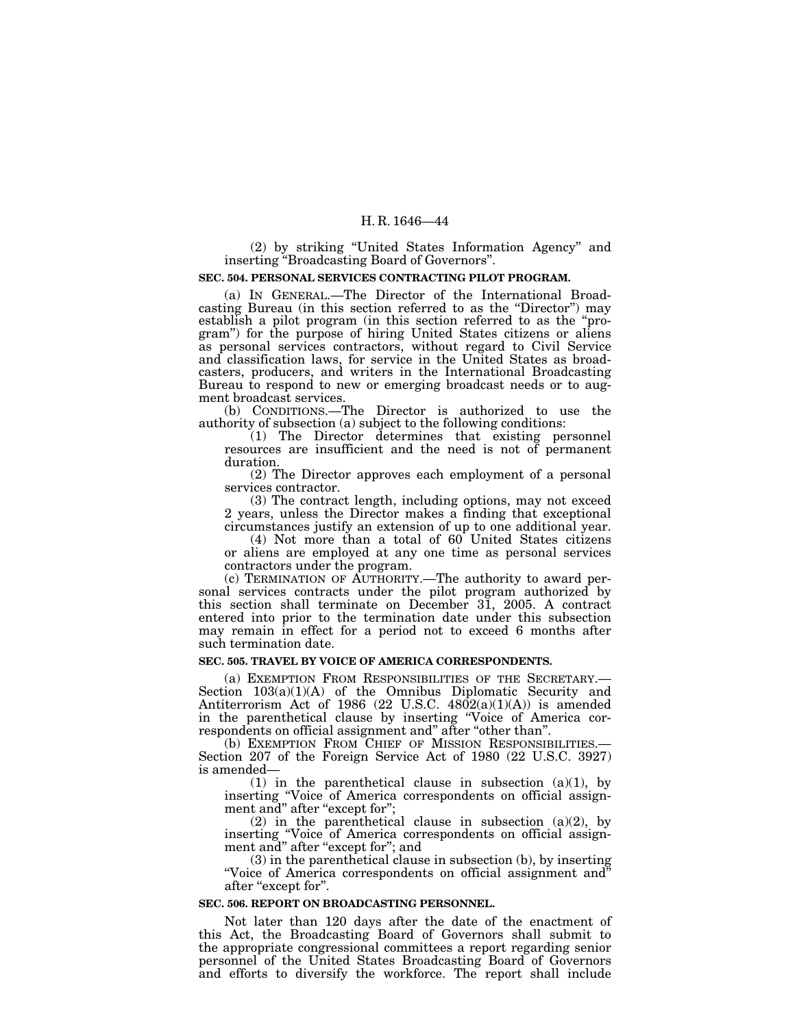(2) by striking ''United States Information Agency'' and inserting ''Broadcasting Board of Governors''.

## **SEC. 504. PERSONAL SERVICES CONTRACTING PILOT PROGRAM.**

(a) IN GENERAL.—The Director of the International Broadcasting Bureau (in this section referred to as the ''Director'') may establish a pilot program (in this section referred to as the ''program'') for the purpose of hiring United States citizens or aliens as personal services contractors, without regard to Civil Service and classification laws, for service in the United States as broadcasters, producers, and writers in the International Broadcasting Bureau to respond to new or emerging broadcast needs or to augment broadcast services.

(b) CONDITIONS.—The Director is authorized to use the authority of subsection (a) subject to the following conditions:

(1) The Director determines that existing personnel resources are insufficient and the need is not of permanent duration.

(2) The Director approves each employment of a personal services contractor.

(3) The contract length, including options, may not exceed 2 years, unless the Director makes a finding that exceptional circumstances justify an extension of up to one additional year.

(4) Not more than a total of 60 United States citizens or aliens are employed at any one time as personal services contractors under the program.

(c) TERMINATION OF AUTHORITY.—The authority to award personal services contracts under the pilot program authorized by this section shall terminate on December 31, 2005. A contract entered into prior to the termination date under this subsection may remain in effect for a period not to exceed 6 months after such termination date.

# **SEC. 505. TRAVEL BY VOICE OF AMERICA CORRESPONDENTS.**

(a) EXEMPTION FROM RESPONSIBILITIES OF THE SECRETARY.— Section 103(a)(1)(A) of the Omnibus Diplomatic Security and Antiterrorism Act of 1986 (22 U.S.C. 4802(a)(1)(A)) is amended in the parenthetical clause by inserting ''Voice of America correspondents on official assignment and'' after ''other than''.

(b) EXEMPTION FROM CHIEF OF MISSION RESPONSIBILITIES. Section 207 of the Foreign Service Act of 1980 (22 U.S.C. 3927) is amended—

(1) in the parenthetical clause in subsection  $(a)(1)$ , by inserting "Voice of America correspondents on official assignment and" after "except for";

(2) in the parenthetical clause in subsection  $(a)(2)$ , by inserting ''Voice of America correspondents on official assignment and" after "except for"; and

(3) in the parenthetical clause in subsection (b), by inserting ''Voice of America correspondents on official assignment and'' after ''except for''.

#### **SEC. 506. REPORT ON BROADCASTING PERSONNEL.**

Not later than 120 days after the date of the enactment of this Act, the Broadcasting Board of Governors shall submit to the appropriate congressional committees a report regarding senior personnel of the United States Broadcasting Board of Governors and efforts to diversify the workforce. The report shall include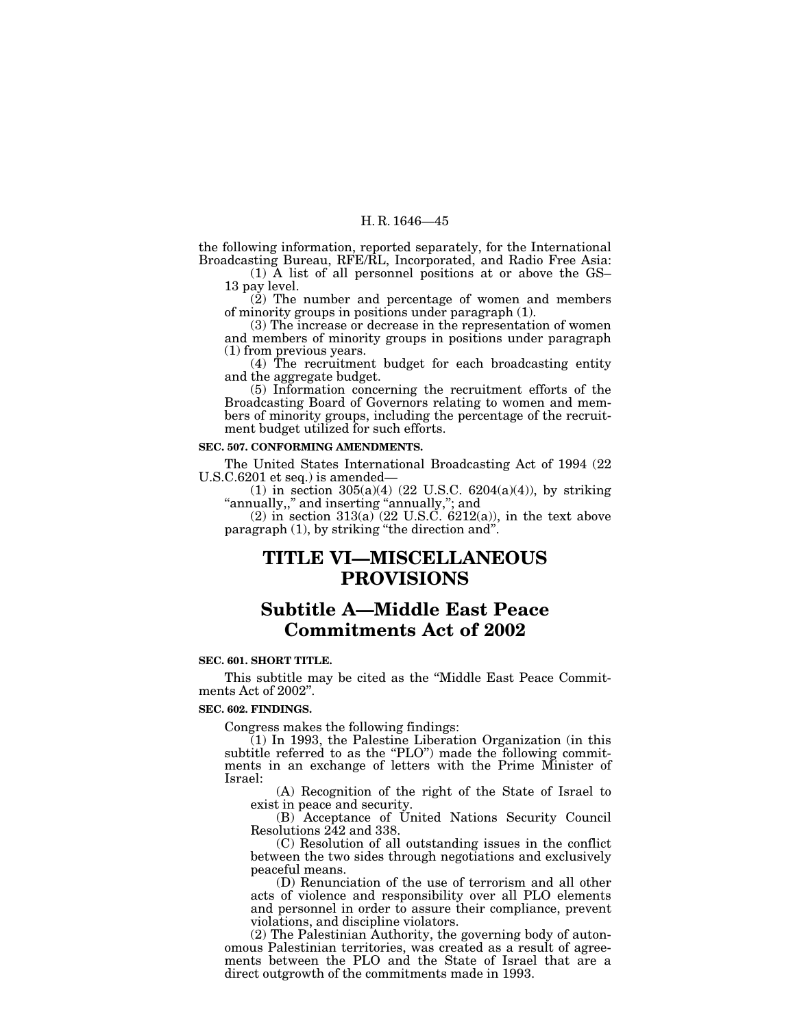the following information, reported separately, for the International Broadcasting Bureau, RFE/RL, Incorporated, and Radio Free Asia:

(1) A list of all personnel positions at or above the GS– 13 pay level.

 $(2)$  The number and percentage of women and members of minority groups in positions under paragraph (1).

(3) The increase or decrease in the representation of women and members of minority groups in positions under paragraph (1) from previous years.

(4) The recruitment budget for each broadcasting entity and the aggregate budget.

(5) Information concerning the recruitment efforts of the Broadcasting Board of Governors relating to women and members of minority groups, including the percentage of the recruitment budget utilized for such efforts.

# **SEC. 507. CONFORMING AMENDMENTS.**

The United States International Broadcasting Act of 1994 (22 U.S.C.6201 et seq.) is amended—

(1) in section  $305(a)(4)$  (22 U.S.C.  $6204(a)(4)$ ), by striking ''annually,,'' and inserting ''annually,''; and

 $(2)$  in section 313(a) (22 U.S.C. 6212(a)), in the text above paragraph (1), by striking ''the direction and''.

# **TITLE VI—MISCELLANEOUS PROVISIONS**

# **Subtitle A—Middle East Peace Commitments Act of 2002**

#### **SEC. 601. SHORT TITLE.**

This subtitle may be cited as the ''Middle East Peace Commitments Act of 2002''.

#### **SEC. 602. FINDINGS.**

Congress makes the following findings:

(1) In 1993, the Palestine Liberation Organization (in this subtitle referred to as the "PLO") made the following commitments in an exchange of letters with the Prime Minister of Israel:

(A) Recognition of the right of the State of Israel to exist in peace and security.

(B) Acceptance of United Nations Security Council Resolutions 242 and 338.

(C) Resolution of all outstanding issues in the conflict between the two sides through negotiations and exclusively peaceful means.

(D) Renunciation of the use of terrorism and all other acts of violence and responsibility over all PLO elements and personnel in order to assure their compliance, prevent violations, and discipline violators.

(2) The Palestinian Authority, the governing body of autonomous Palestinian territories, was created as a result of agreements between the PLO and the State of Israel that are a direct outgrowth of the commitments made in 1993.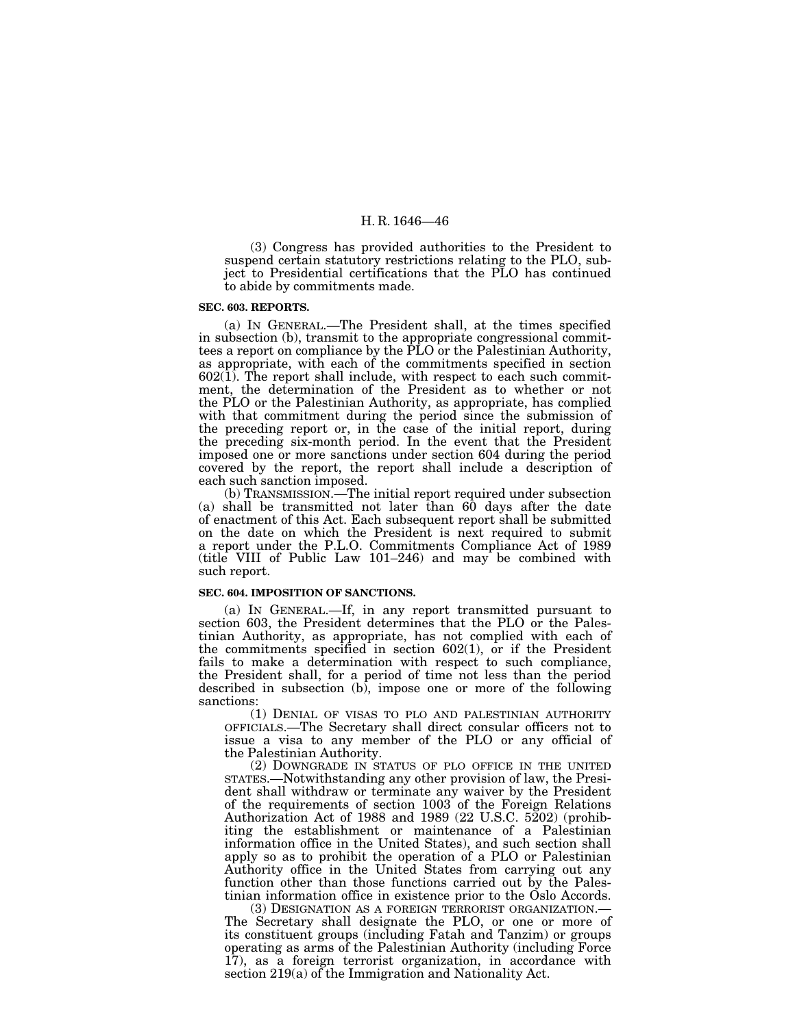(3) Congress has provided authorities to the President to suspend certain statutory restrictions relating to the PLO, subject to Presidential certifications that the PLO has continued to abide by commitments made.

# **SEC. 603. REPORTS.**

(a) IN GENERAL.—The President shall, at the times specified in subsection (b), transmit to the appropriate congressional committees a report on compliance by the PLO or the Palestinian Authority, as appropriate, with each of the commitments specified in section  $602(1)$ . The report shall include, with respect to each such commitment, the determination of the President as to whether or not the PLO or the Palestinian Authority, as appropriate, has complied with that commitment during the period since the submission of the preceding report or, in the case of the initial report, during the preceding six-month period. In the event that the President imposed one or more sanctions under section 604 during the period covered by the report, the report shall include a description of each such sanction imposed.

(b) TRANSMISSION.—The initial report required under subsection (a) shall be transmitted not later than 60 days after the date of enactment of this Act. Each subsequent report shall be submitted on the date on which the President is next required to submit a report under the P.L.O. Commitments Compliance Act of 1989 (title VIII of Public Law 101–246) and may be combined with such report.

## **SEC. 604. IMPOSITION OF SANCTIONS.**

(a) IN GENERAL.—If, in any report transmitted pursuant to section 603, the President determines that the PLO or the Palestinian Authority, as appropriate, has not complied with each of the commitments specified in section 602(1), or if the President fails to make a determination with respect to such compliance, the President shall, for a period of time not less than the period described in subsection (b), impose one or more of the following sanctions:

(1) DENIAL OF VISAS TO PLO AND PALESTINIAN AUTHORITY OFFICIALS.—The Secretary shall direct consular officers not to issue a visa to any member of the PLO or any official of the Palestinian Authority.

(2) DOWNGRADE IN STATUS OF PLO OFFICE IN THE UNITED STATES.—Notwithstanding any other provision of law, the President shall withdraw or terminate any waiver by the President of the requirements of section 1003 of the Foreign Relations Authorization Act of 1988 and 1989 (22 U.S.C. 5202) (prohibiting the establishment or maintenance of a Palestinian information office in the United States), and such section shall apply so as to prohibit the operation of a PLO or Palestinian Authority office in the United States from carrying out any function other than those functions carried out by the Palestinian information office in existence prior to the Oslo Accords.<br>(3) DESIGNATION AS A FOREIGN TERRORIST ORGANIZATION.—

The Secretary shall designate the PLO, or one or more of its constituent groups (including Fatah and Tanzim) or groups operating as arms of the Palestinian Authority (including Force 17), as a foreign terrorist organization, in accordance with section 219(a) of the Immigration and Nationality Act.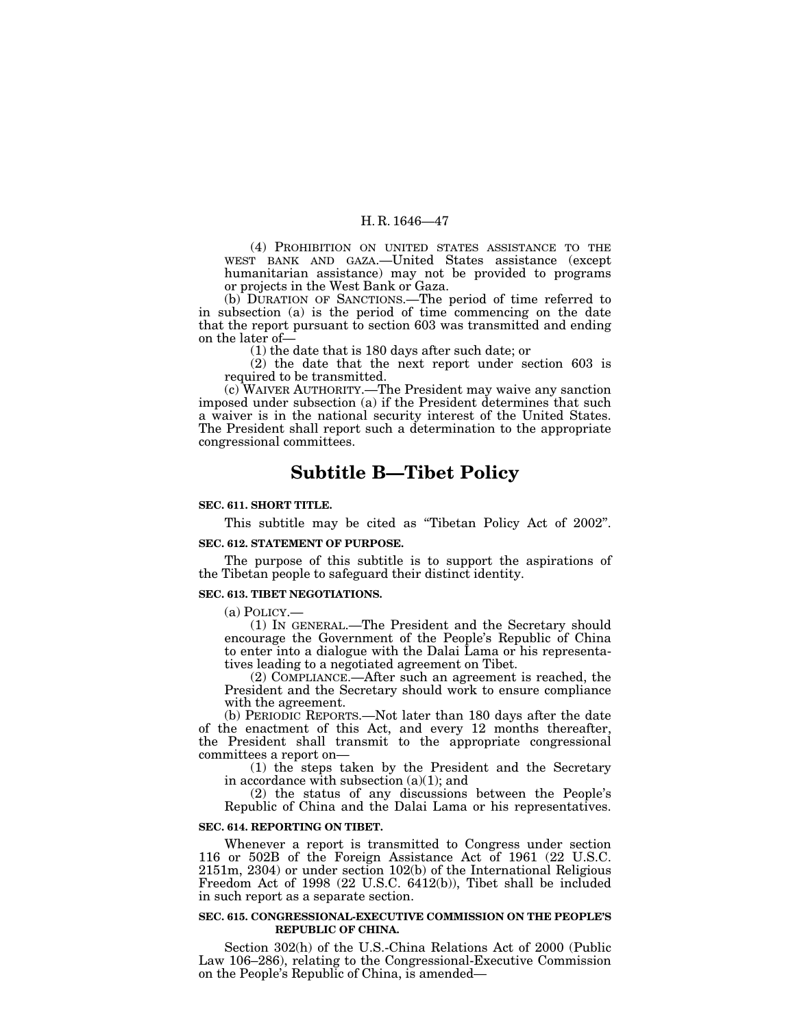(4) PROHIBITION ON UNITED STATES ASSISTANCE TO THE WEST BANK AND GAZA.—United States assistance (except humanitarian assistance) may not be provided to programs or projects in the West Bank or Gaza.

(b) DURATION OF SANCTIONS.—The period of time referred to in subsection (a) is the period of time commencing on the date that the report pursuant to section 603 was transmitted and ending on the later of—

(1) the date that is 180 days after such date; or

(2) the date that the next report under section 603 is required to be transmitted.

(c) WAIVER AUTHORITY.—The President may waive any sanction imposed under subsection (a) if the President determines that such a waiver is in the national security interest of the United States. The President shall report such a determination to the appropriate congressional committees.

# **Subtitle B—Tibet Policy**

# **SEC. 611. SHORT TITLE.**

This subtitle may be cited as "Tibetan Policy Act of 2002".

## **SEC. 612. STATEMENT OF PURPOSE.**

The purpose of this subtitle is to support the aspirations of the Tibetan people to safeguard their distinct identity.

### **SEC. 613. TIBET NEGOTIATIONS.**

(a) POLICY.—

(1) IN GENERAL.—The President and the Secretary should encourage the Government of the People's Republic of China to enter into a dialogue with the Dalai Lama or his representatives leading to a negotiated agreement on Tibet.

(2) COMPLIANCE.—After such an agreement is reached, the President and the Secretary should work to ensure compliance with the agreement.

(b) PERIODIC REPORTS.—Not later than 180 days after the date of the enactment of this Act, and every 12 months thereafter, the President shall transmit to the appropriate congressional committees a report on—

(1) the steps taken by the President and the Secretary in accordance with subsection (a)(1); and

(2) the status of any discussions between the People's Republic of China and the Dalai Lama or his representatives.

# **SEC. 614. REPORTING ON TIBET.**

Whenever a report is transmitted to Congress under section 116 or 502B of the Foreign Assistance Act of 1961 (22 U.S.C. 2151m, 2304) or under section 102(b) of the International Religious Freedom Act of 1998 (22 U.S.C. 6412(b)), Tibet shall be included in such report as a separate section.

#### **SEC. 615. CONGRESSIONAL-EXECUTIVE COMMISSION ON THE PEOPLE'S REPUBLIC OF CHINA.**

Section 302(h) of the U.S.-China Relations Act of 2000 (Public Law 106–286), relating to the Congressional-Executive Commission on the People's Republic of China, is amended—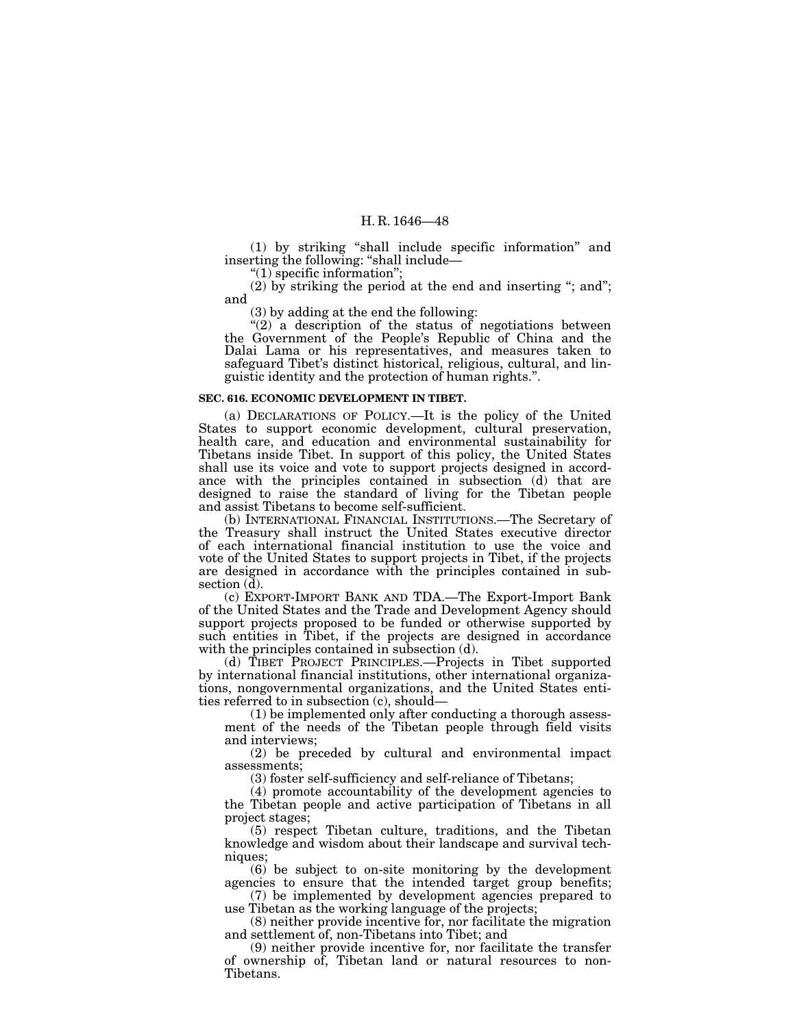(1) by striking ''shall include specific information'' and inserting the following: ''shall include—

"(1) specific information";

 $(2)$  by striking the period at the end and inserting "; and"; and

(3) by adding at the end the following:

" $(2)$  a description of the status of negotiations between the Government of the People's Republic of China and the Dalai Lama or his representatives, and measures taken to safeguard Tibet's distinct historical, religious, cultural, and linguistic identity and the protection of human rights.''.

# **SEC. 616. ECONOMIC DEVELOPMENT IN TIBET.**

(a) DECLARATIONS OF POLICY.—It is the policy of the United States to support economic development, cultural preservation, health care, and education and environmental sustainability for Tibetans inside Tibet. In support of this policy, the United States shall use its voice and vote to support projects designed in accordance with the principles contained in subsection (d) that are designed to raise the standard of living for the Tibetan people and assist Tibetans to become self-sufficient.

(b) INTERNATIONAL FINANCIAL INSTITUTIONS.—The Secretary of the Treasury shall instruct the United States executive director of each international financial institution to use the voice and vote of the United States to support projects in Tibet, if the projects are designed in accordance with the principles contained in subsection  $(\mathbf{d})$ .

(c) EXPORT-IMPORT BANK AND TDA.—The Export-Import Bank of the United States and the Trade and Development Agency should support projects proposed to be funded or otherwise supported by such entities in Tibet, if the projects are designed in accordance with the principles contained in subsection (d).

(d) TIBET PROJECT PRINCIPLES.—Projects in Tibet supported by international financial institutions, other international organizations, nongovernmental organizations, and the United States entities referred to in subsection (c), should—

(1) be implemented only after conducting a thorough assessment of the needs of the Tibetan people through field visits and interviews;

(2) be preceded by cultural and environmental impact assessments;

(3) foster self-sufficiency and self-reliance of Tibetans;

(4) promote accountability of the development agencies to the Tibetan people and active participation of Tibetans in all project stages;

(5) respect Tibetan culture, traditions, and the Tibetan knowledge and wisdom about their landscape and survival techniques;

(6) be subject to on-site monitoring by the development agencies to ensure that the intended target group benefits;

(7) be implemented by development agencies prepared to use Tibetan as the working language of the projects;

(8) neither provide incentive for, nor facilitate the migration and settlement of, non-Tibetans into Tibet; and

(9) neither provide incentive for, nor facilitate the transfer of ownership of, Tibetan land or natural resources to non-Tibetans.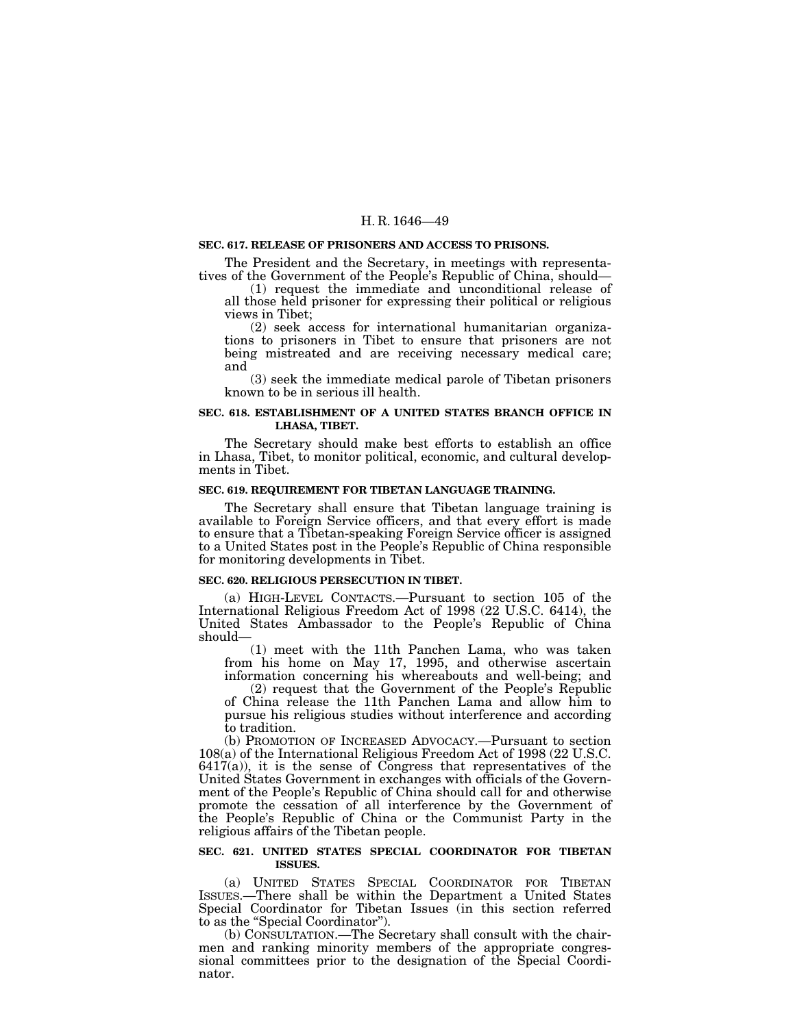## **SEC. 617. RELEASE OF PRISONERS AND ACCESS TO PRISONS.**

The President and the Secretary, in meetings with representatives of the Government of the People's Republic of China, should— (1) request the immediate and unconditional release of

all those held prisoner for expressing their political or religious views in Tibet;

(2) seek access for international humanitarian organizations to prisoners in Tibet to ensure that prisoners are not being mistreated and are receiving necessary medical care; and

(3) seek the immediate medical parole of Tibetan prisoners known to be in serious ill health.

## **SEC. 618. ESTABLISHMENT OF A UNITED STATES BRANCH OFFICE IN LHASA, TIBET.**

The Secretary should make best efforts to establish an office in Lhasa, Tibet, to monitor political, economic, and cultural developments in Tibet.

## **SEC. 619. REQUIREMENT FOR TIBETAN LANGUAGE TRAINING.**

The Secretary shall ensure that Tibetan language training is available to Foreign Service officers, and that every effort is made to ensure that a Tibetan-speaking Foreign Service officer is assigned to a United States post in the People's Republic of China responsible for monitoring developments in Tibet.

#### **SEC. 620. RELIGIOUS PERSECUTION IN TIBET.**

(a) HIGH-LEVEL CONTACTS.—Pursuant to section 105 of the International Religious Freedom Act of 1998 (22 U.S.C. 6414), the United States Ambassador to the People's Republic of China should—

(1) meet with the 11th Panchen Lama, who was taken from his home on May 17, 1995, and otherwise ascertain information concerning his whereabouts and well-being; and

(2) request that the Government of the People's Republic of China release the 11th Panchen Lama and allow him to pursue his religious studies without interference and according to tradition.

(b) PROMOTION OF INCREASED ADVOCACY.—Pursuant to section 108(a) of the International Religious Freedom Act of 1998 (22 U.S.C.  $6417(a)$ , it is the sense of Congress that representatives of the United States Government in exchanges with officials of the Government of the People's Republic of China should call for and otherwise promote the cessation of all interference by the Government of the People's Republic of China or the Communist Party in the religious affairs of the Tibetan people.

## **SEC. 621. UNITED STATES SPECIAL COORDINATOR FOR TIBETAN ISSUES.**

(a) UNITED STATES SPECIAL COORDINATOR FOR TIBETAN ISSUES.—There shall be within the Department a United States Special Coordinator for Tibetan Issues (in this section referred to as the ''Special Coordinator'').

(b) CONSULTATION.—The Secretary shall consult with the chairmen and ranking minority members of the appropriate congressional committees prior to the designation of the Special Coordinator.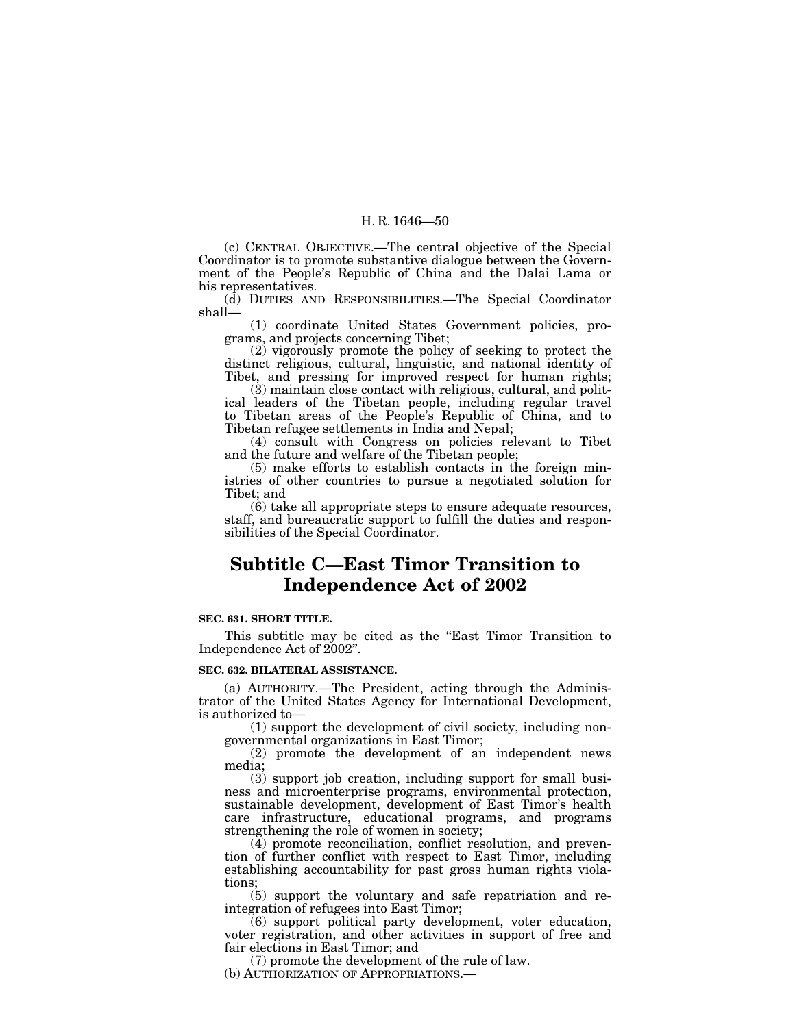(c) CENTRAL OBJECTIVE.—The central objective of the Special Coordinator is to promote substantive dialogue between the Government of the People's Republic of China and the Dalai Lama or his representatives.

(d) DUTIES AND RESPONSIBILITIES.—The Special Coordinator shall—

(1) coordinate United States Government policies, programs, and projects concerning Tibet;

(2) vigorously promote the policy of seeking to protect the distinct religious, cultural, linguistic, and national identity of Tibet, and pressing for improved respect for human rights;

(3) maintain close contact with religious, cultural, and political leaders of the Tibetan people, including regular travel to Tibetan areas of the People's Republic of China, and to Tibetan refugee settlements in India and Nepal;

(4) consult with Congress on policies relevant to Tibet and the future and welfare of the Tibetan people;

(5) make efforts to establish contacts in the foreign ministries of other countries to pursue a negotiated solution for Tibet; and

(6) take all appropriate steps to ensure adequate resources, staff, and bureaucratic support to fulfill the duties and responsibilities of the Special Coordinator.

# **Subtitle C—East Timor Transition to Independence Act of 2002**

# **SEC. 631. SHORT TITLE.**

This subtitle may be cited as the "East Timor Transition to Independence Act of 2002''.

#### **SEC. 632. BILATERAL ASSISTANCE.**

(a) AUTHORITY.—The President, acting through the Administrator of the United States Agency for International Development, is authorized to—

(1) support the development of civil society, including nongovernmental organizations in East Timor;

(2) promote the development of an independent news media;

(3) support job creation, including support for small business and microenterprise programs, environmental protection, sustainable development, development of East Timor's health care infrastructure, educational programs, and programs strengthening the role of women in society;

(4) promote reconciliation, conflict resolution, and prevention of further conflict with respect to East Timor, including establishing accountability for past gross human rights violations;

(5) support the voluntary and safe repatriation and reintegration of refugees into East Timor;

(6) support political party development, voter education, voter registration, and other activities in support of free and fair elections in East Timor; and

(7) promote the development of the rule of law.

(b) AUTHORIZATION OF APPROPRIATIONS.—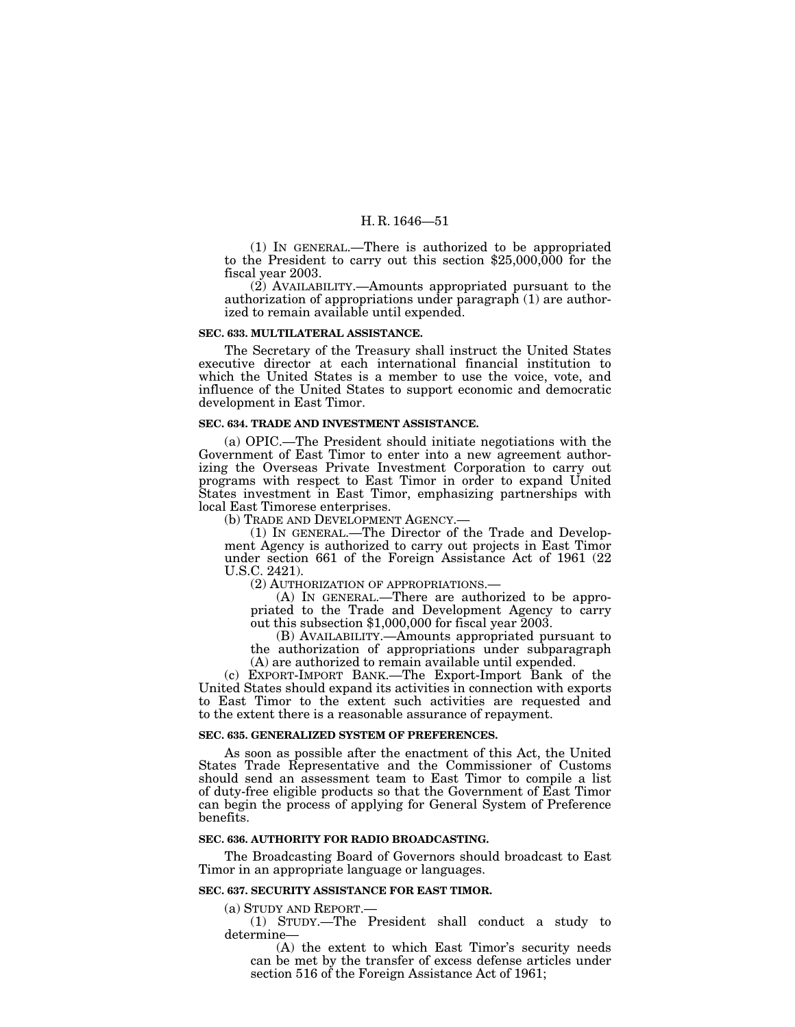(1) IN GENERAL.—There is authorized to be appropriated to the President to carry out this section \$25,000,000 for the fiscal year 2003.

(2) AVAILABILITY.—Amounts appropriated pursuant to the authorization of appropriations under paragraph (1) are authorized to remain available until expended.

## **SEC. 633. MULTILATERAL ASSISTANCE.**

The Secretary of the Treasury shall instruct the United States executive director at each international financial institution to which the United States is a member to use the voice, vote, and influence of the United States to support economic and democratic development in East Timor.

#### **SEC. 634. TRADE AND INVESTMENT ASSISTANCE.**

(a) OPIC.—The President should initiate negotiations with the Government of East Timor to enter into a new agreement authorizing the Overseas Private Investment Corporation to carry out programs with respect to East Timor in order to expand United States investment in East Timor, emphasizing partnerships with local East Timorese enterprises.

(b) TRADE AND DEVELOPMENT AGENCY.

(1) IN GENERAL.—The Director of the Trade and Development Agency is authorized to carry out projects in East Timor under section 661 of the Foreign Assistance Act of 1961 (22 U.S.C. 2421).

(2) AUTHORIZATION OF APPROPRIATIONS.—

(A) IN GENERAL.—There are authorized to be appropriated to the Trade and Development Agency to carry out this subsection \$1,000,000 for fiscal year 2003.

(B) AVAILABILITY.—Amounts appropriated pursuant to the authorization of appropriations under subparagraph (A) are authorized to remain available until expended.

(c) EXPORT-IMPORT BANK.—The Export-Import Bank of the United States should expand its activities in connection with exports to East Timor to the extent such activities are requested and to the extent there is a reasonable assurance of repayment.

# **SEC. 635. GENERALIZED SYSTEM OF PREFERENCES.**

As soon as possible after the enactment of this Act, the United States Trade Representative and the Commissioner of Customs should send an assessment team to East Timor to compile a list of duty-free eligible products so that the Government of East Timor can begin the process of applying for General System of Preference benefits.

#### **SEC. 636. AUTHORITY FOR RADIO BROADCASTING.**

The Broadcasting Board of Governors should broadcast to East Timor in an appropriate language or languages.

## **SEC. 637. SECURITY ASSISTANCE FOR EAST TIMOR.**

(a) STUDY AND REPORT.—

(1) STUDY.—The President shall conduct a study to determine—

(A) the extent to which East Timor's security needs can be met by the transfer of excess defense articles under section 516 of the Foreign Assistance Act of 1961;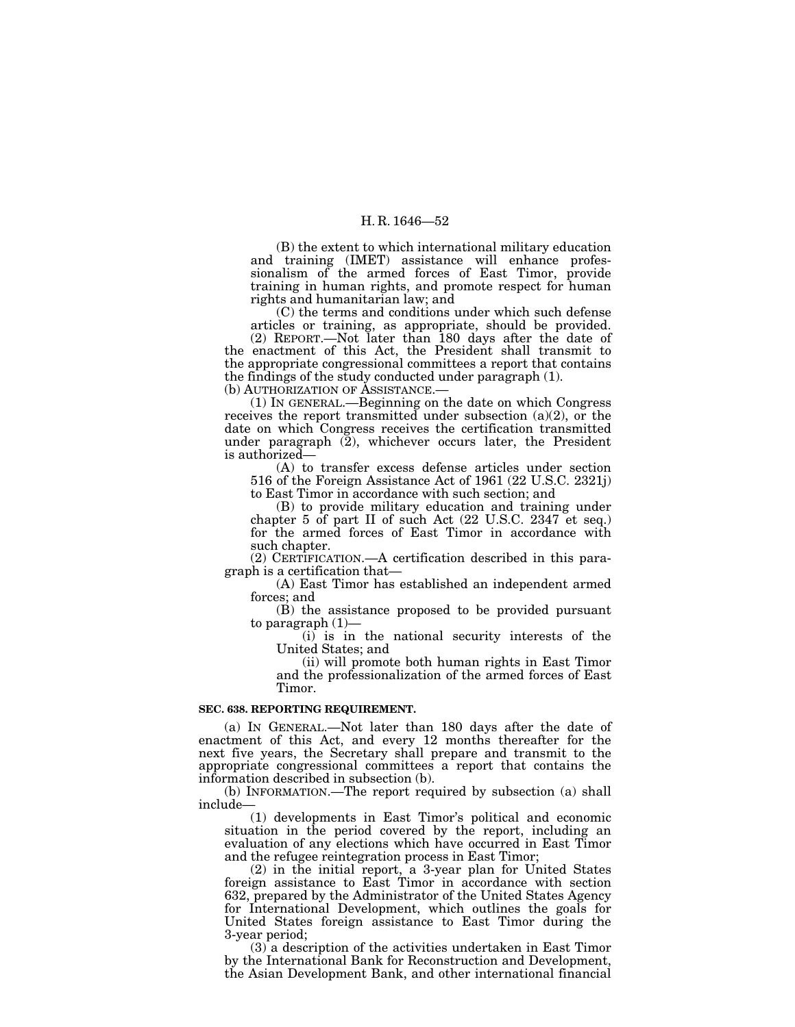(B) the extent to which international military education and training (IMET) assistance will enhance professionalism of the armed forces of East Timor, provide training in human rights, and promote respect for human rights and humanitarian law; and

(C) the terms and conditions under which such defense articles or training, as appropriate, should be provided. (2) REPORT.—Not later than 180 days after the date of the enactment of this Act, the President shall transmit to the appropriate congressional committees a report that contains the findings of the study conducted under paragraph (1).

(b) AUTHORIZATION OF ASSISTANCE.—

(1) IN GENERAL.—Beginning on the date on which Congress receives the report transmitted under subsection (a)(2), or the date on which Congress receives the certification transmitted under paragraph  $(2)$ , whichever occurs later, the President is authorized—

(A) to transfer excess defense articles under section 516 of the Foreign Assistance Act of 1961 (22 U.S.C. 2321j) to East Timor in accordance with such section; and

(B) to provide military education and training under chapter 5 of part II of such Act (22 U.S.C. 2347 et seq.) for the armed forces of East Timor in accordance with such chapter.

(2) CERTIFICATION.—A certification described in this paragraph is a certification that—

(A) East Timor has established an independent armed forces; and

(B) the assistance proposed to be provided pursuant to paragraph (1)—

(i) is in the national security interests of the United States; and

(ii) will promote both human rights in East Timor and the professionalization of the armed forces of East Timor.

# **SEC. 638. REPORTING REQUIREMENT.**

(a) IN GENERAL.—Not later than 180 days after the date of enactment of this Act, and every 12 months thereafter for the next five years, the Secretary shall prepare and transmit to the appropriate congressional committees a report that contains the information described in subsection (b).

(b) INFORMATION.—The report required by subsection (a) shall include—

(1) developments in East Timor's political and economic situation in the period covered by the report, including an evaluation of any elections which have occurred in East Timor and the refugee reintegration process in East Timor;

(2) in the initial report, a 3-year plan for United States foreign assistance to East Timor in accordance with section 632, prepared by the Administrator of the United States Agency for International Development, which outlines the goals for United States foreign assistance to East Timor during the 3-year period;

(3) a description of the activities undertaken in East Timor by the International Bank for Reconstruction and Development, the Asian Development Bank, and other international financial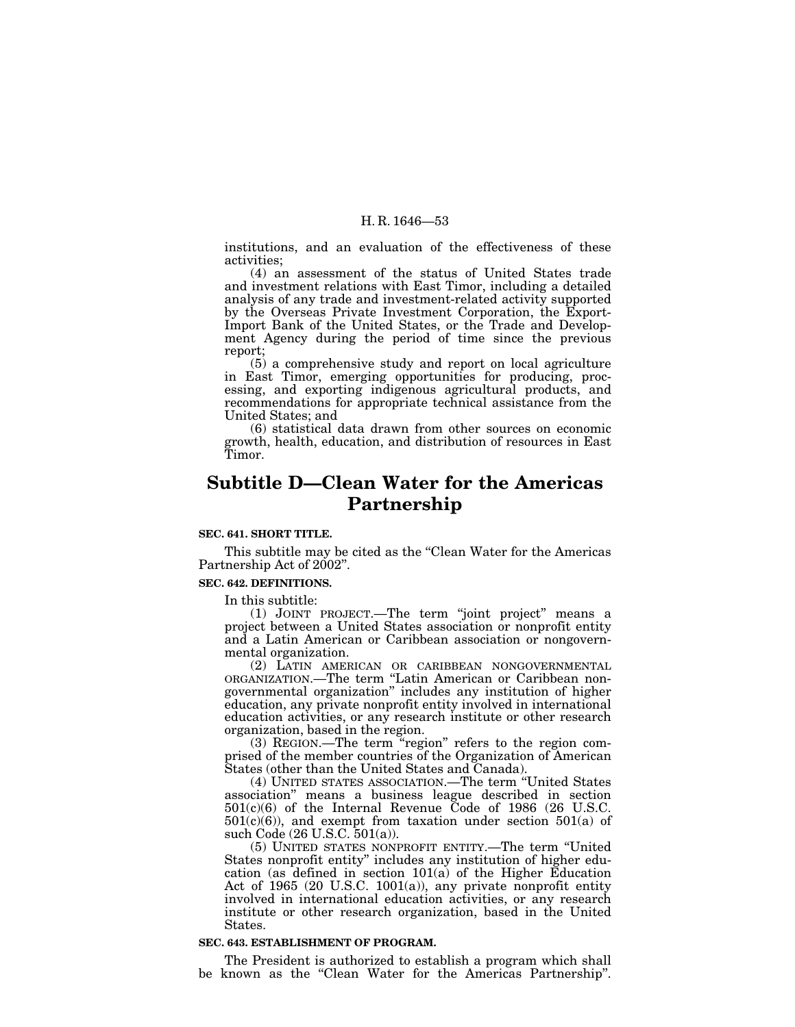institutions, and an evaluation of the effectiveness of these activities;

(4) an assessment of the status of United States trade and investment relations with East Timor, including a detailed analysis of any trade and investment-related activity supported by the Overseas Private Investment Corporation, the Export-Import Bank of the United States, or the Trade and Development Agency during the period of time since the previous report;

(5) a comprehensive study and report on local agriculture in East Timor, emerging opportunities for producing, processing, and exporting indigenous agricultural products, and recommendations for appropriate technical assistance from the United States; and

(6) statistical data drawn from other sources on economic growth, health, education, and distribution of resources in East Timor.

# **Subtitle D—Clean Water for the Americas Partnership**

# **SEC. 641. SHORT TITLE.**

This subtitle may be cited as the "Clean Water for the Americas Partnership Act of 2002".

#### **SEC. 642. DEFINITIONS.**

In this subtitle:

(1) JOINT PROJECT.—The term ''joint project'' means a project between a United States association or nonprofit entity and a Latin American or Caribbean association or nongovernmental organization.

(2) LATIN AMERICAN OR CARIBBEAN NONGOVERNMENTAL ORGANIZATION.—The term ''Latin American or Caribbean nongovernmental organization'' includes any institution of higher education, any private nonprofit entity involved in international education activities, or any research institute or other research organization, based in the region.

(3) REGION.—The term ''region'' refers to the region comprised of the member countries of the Organization of American States (other than the United States and Canada).

(4) UNITED STATES ASSOCIATION.—The term ''United States association'' means a business league described in section 501(c)(6) of the Internal Revenue Code of 1986 (26 U.S.C.  $501(c)(6)$ , and exempt from taxation under section  $501(a)$  of such Code (26 U.S.C. 501(a)).

(5) UNITED STATES NONPROFIT ENTITY.—The term ''United States nonprofit entity'' includes any institution of higher education (as defined in section 101(a) of the Higher Education Act of 1965 (20 U.S.C. 1001(a)), any private nonprofit entity involved in international education activities, or any research institute or other research organization, based in the United States.

## **SEC. 643. ESTABLISHMENT OF PROGRAM.**

The President is authorized to establish a program which shall be known as the ''Clean Water for the Americas Partnership''.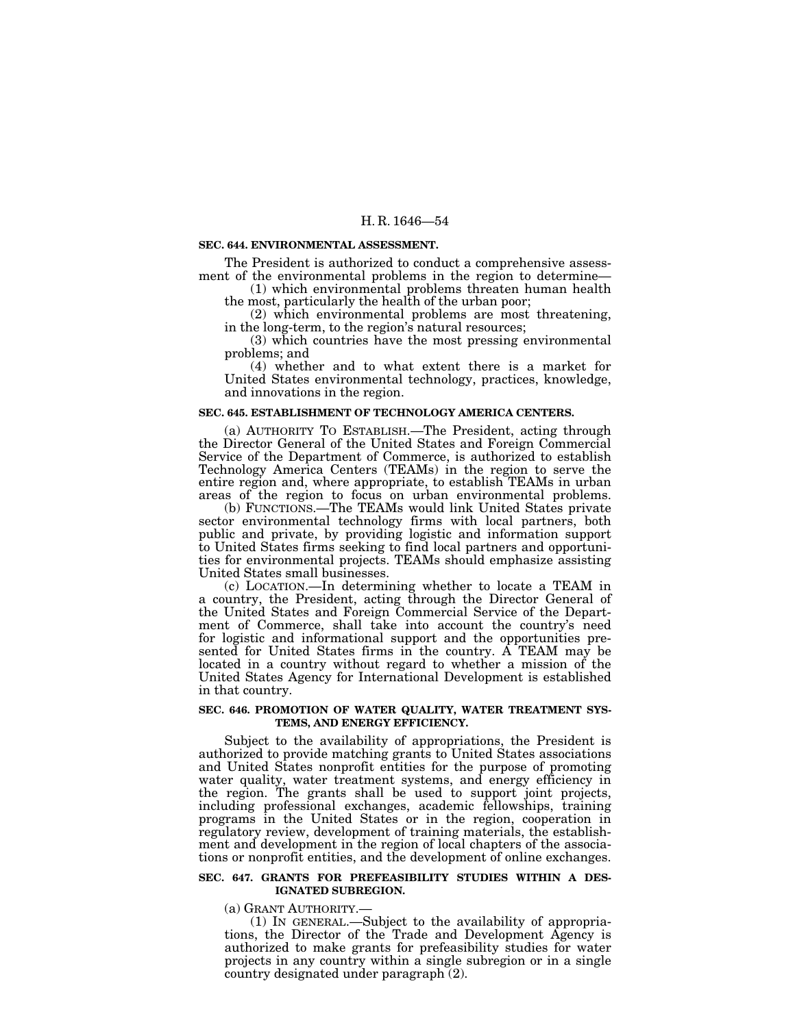#### **SEC. 644. ENVIRONMENTAL ASSESSMENT.**

The President is authorized to conduct a comprehensive assessment of the environmental problems in the region to determine—<br>(1) which environmental problems threaten human health

the most, particularly the health of the urban poor;

(2) which environmental problems are most threatening, in the long-term, to the region's natural resources;

(3) which countries have the most pressing environmental problems; and

(4) whether and to what extent there is a market for United States environmental technology, practices, knowledge, and innovations in the region.

## **SEC. 645. ESTABLISHMENT OF TECHNOLOGY AMERICA CENTERS.**

(a) AUTHORITY TO ESTABLISH.—The President, acting through the Director General of the United States and Foreign Commercial Service of the Department of Commerce, is authorized to establish Technology America Centers (TEAMs) in the region to serve the entire region and, where appropriate, to establish TEAMs in urban areas of the region to focus on urban environmental problems.

(b) FUNCTIONS.—The TEAMs would link United States private sector environmental technology firms with local partners, both public and private, by providing logistic and information support to United States firms seeking to find local partners and opportunities for environmental projects. TEAMs should emphasize assisting United States small businesses.

(c) LOCATION.—In determining whether to locate a TEAM in a country, the President, acting through the Director General of the United States and Foreign Commercial Service of the Department of Commerce, shall take into account the country's need for logistic and informational support and the opportunities presented for United States firms in the country. A TEAM may be located in a country without regard to whether a mission of the United States Agency for International Development is established in that country.

## **SEC. 646. PROMOTION OF WATER QUALITY, WATER TREATMENT SYS-TEMS, AND ENERGY EFFICIENCY.**

Subject to the availability of appropriations, the President is authorized to provide matching grants to United States associations and United States nonprofit entities for the purpose of promoting water quality, water treatment systems, and energy efficiency in the region. The grants shall be used to support joint projects, including professional exchanges, academic fellowships, training programs in the United States or in the region, cooperation in regulatory review, development of training materials, the establishment and development in the region of local chapters of the associations or nonprofit entities, and the development of online exchanges.

## **SEC. 647. GRANTS FOR PREFEASIBILITY STUDIES WITHIN A DES-IGNATED SUBREGION.**

(a) GRANT AUTHORITY.—

(1) IN GENERAL.—Subject to the availability of appropriations, the Director of the Trade and Development Agency is authorized to make grants for prefeasibility studies for water projects in any country within a single subregion or in a single country designated under paragraph (2).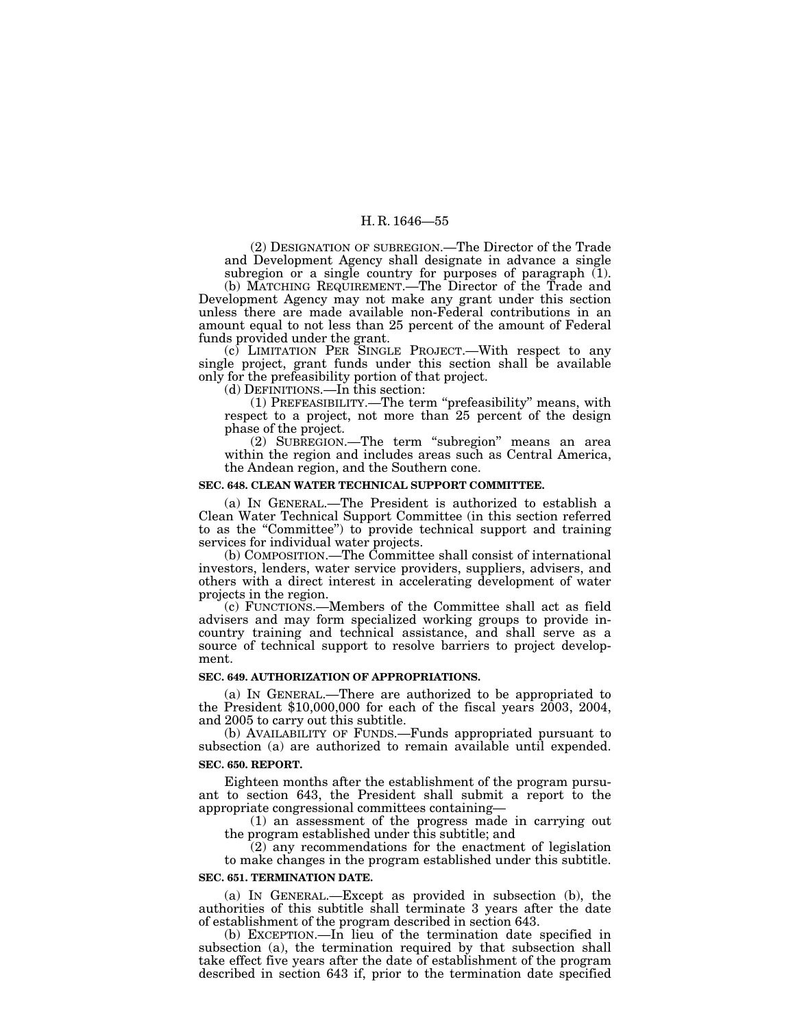(2) DESIGNATION OF SUBREGION.—The Director of the Trade and Development Agency shall designate in advance a single subregion or a single country for purposes of paragraph (1).

(b) MATCHING REQUIREMENT.—The Director of the Trade and Development Agency may not make any grant under this section unless there are made available non-Federal contributions in an amount equal to not less than 25 percent of the amount of Federal funds provided under the grant.

(c) LIMITATION PER SINGLE PROJECT.—With respect to any single project, grant funds under this section shall be available only for the prefeasibility portion of that project.

(d) DEFINITIONS.—In this section:

(1) PREFEASIBILITY.—The term ''prefeasibility'' means, with respect to a project, not more than 25 percent of the design phase of the project.

(2) SUBREGION.—The term ''subregion'' means an area within the region and includes areas such as Central America, the Andean region, and the Southern cone.

# **SEC. 648. CLEAN WATER TECHNICAL SUPPORT COMMITTEE.**

(a) IN GENERAL.—The President is authorized to establish a Clean Water Technical Support Committee (in this section referred to as the ''Committee'') to provide technical support and training services for individual water projects.

(b) COMPOSITION.—The Committee shall consist of international investors, lenders, water service providers, suppliers, advisers, and others with a direct interest in accelerating development of water projects in the region.

(c) FUNCTIONS.—Members of the Committee shall act as field advisers and may form specialized working groups to provide incountry training and technical assistance, and shall serve as a source of technical support to resolve barriers to project development.

# **SEC. 649. AUTHORIZATION OF APPROPRIATIONS.**

(a) IN GENERAL.—There are authorized to be appropriated to the President  $$10,000,000$  for each of the fiscal years  $2003$ ,  $2004$ , and 2005 to carry out this subtitle.

(b) AVAILABILITY OF FUNDS.—Funds appropriated pursuant to subsection (a) are authorized to remain available until expended. **SEC. 650. REPORT.**

Eighteen months after the establishment of the program pursuant to section 643, the President shall submit a report to the appropriate congressional committees containing—

(1) an assessment of the progress made in carrying out the program established under this subtitle; and

(2) any recommendations for the enactment of legislation to make changes in the program established under this subtitle.

#### **SEC. 651. TERMINATION DATE.**

(a) IN GENERAL.—Except as provided in subsection (b), the authorities of this subtitle shall terminate 3 years after the date of establishment of the program described in section 643.

(b) EXCEPTION.—In lieu of the termination date specified in subsection (a), the termination required by that subsection shall take effect five years after the date of establishment of the program described in section 643 if, prior to the termination date specified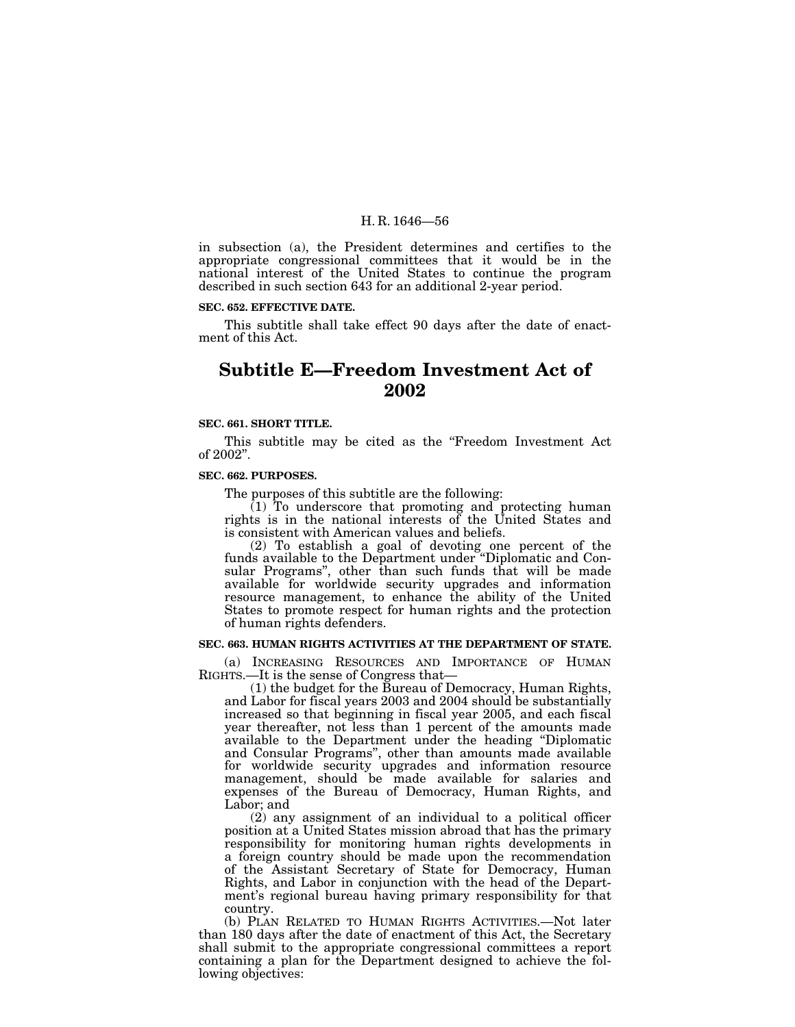in subsection (a), the President determines and certifies to the appropriate congressional committees that it would be in the national interest of the United States to continue the program described in such section 643 for an additional 2-year period.

#### **SEC. 652. EFFECTIVE DATE.**

This subtitle shall take effect 90 days after the date of enactment of this Act.

# **Subtitle E—Freedom Investment Act of 2002**

#### **SEC. 661. SHORT TITLE.**

This subtitle may be cited as the ''Freedom Investment Act of 2002''.

#### **SEC. 662. PURPOSES.**

The purposes of this subtitle are the following:

 $(1)$  To underscore that promoting and protecting human rights is in the national interests of the United States and is consistent with American values and beliefs.

(2) To establish a goal of devoting one percent of the funds available to the Department under ''Diplomatic and Consular Programs'', other than such funds that will be made available for worldwide security upgrades and information resource management, to enhance the ability of the United States to promote respect for human rights and the protection of human rights defenders.

# **SEC. 663. HUMAN RIGHTS ACTIVITIES AT THE DEPARTMENT OF STATE.**

(a) INCREASING RESOURCES AND IMPORTANCE OF HUMAN RIGHTS.—It is the sense of Congress that—

(1) the budget for the Bureau of Democracy, Human Rights, and Labor for fiscal years 2003 and 2004 should be substantially increased so that beginning in fiscal year 2005, and each fiscal year thereafter, not less than 1 percent of the amounts made available to the Department under the heading ''Diplomatic and Consular Programs'', other than amounts made available for worldwide security upgrades and information resource management, should be made available for salaries and expenses of the Bureau of Democracy, Human Rights, and Labor; and

(2) any assignment of an individual to a political officer position at a United States mission abroad that has the primary responsibility for monitoring human rights developments in a foreign country should be made upon the recommendation of the Assistant Secretary of State for Democracy, Human Rights, and Labor in conjunction with the head of the Department's regional bureau having primary responsibility for that country.

(b) PLAN RELATED TO HUMAN RIGHTS ACTIVITIES.—Not later than 180 days after the date of enactment of this Act, the Secretary shall submit to the appropriate congressional committees a report containing a plan for the Department designed to achieve the following objectives: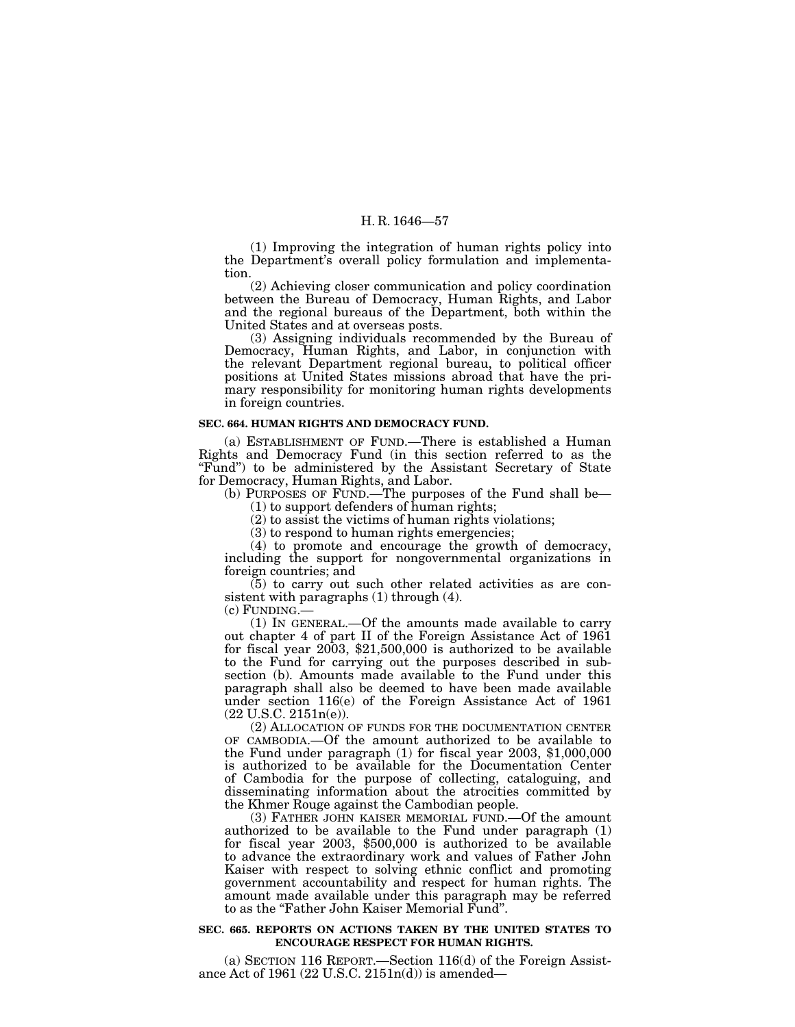(1) Improving the integration of human rights policy into the Department's overall policy formulation and implementation.

(2) Achieving closer communication and policy coordination between the Bureau of Democracy, Human Rights, and Labor and the regional bureaus of the Department, both within the United States and at overseas posts.

(3) Assigning individuals recommended by the Bureau of Democracy, Human Rights, and Labor, in conjunction with the relevant Department regional bureau, to political officer positions at United States missions abroad that have the primary responsibility for monitoring human rights developments in foreign countries.

#### **SEC. 664. HUMAN RIGHTS AND DEMOCRACY FUND.**

(a) ESTABLISHMENT OF FUND.—There is established a Human Rights and Democracy Fund (in this section referred to as the "Fund") to be administered by the Assistant Secretary of State for Democracy, Human Rights, and Labor.

(b) PURPOSES OF FUND.—The purposes of the Fund shall be— (1) to support defenders of human rights;

(2) to assist the victims of human rights violations;

(3) to respond to human rights emergencies;

(4) to promote and encourage the growth of democracy, including the support for nongovernmental organizations in foreign countries; and

 $(5)$  to carry out such other related activities as are consistent with paragraphs (1) through (4).

(c) FUNDING.—

(1) IN GENERAL.—Of the amounts made available to carry out chapter 4 of part II of the Foreign Assistance Act of 1961 for fiscal year 2003, \$21,500,000 is authorized to be available to the Fund for carrying out the purposes described in subsection (b). Amounts made available to the Fund under this paragraph shall also be deemed to have been made available under section 116(e) of the Foreign Assistance Act of 1961  $(22 \text{ U.S.C. } 2151n(e)).$ 

(2) ALLOCATION OF FUNDS FOR THE DOCUMENTATION CENTER OF CAMBODIA.—Of the amount authorized to be available to the Fund under paragraph (1) for fiscal year 2003, \$1,000,000 is authorized to be available for the Documentation Center of Cambodia for the purpose of collecting, cataloguing, and disseminating information about the atrocities committed by the Khmer Rouge against the Cambodian people.

(3) FATHER JOHN KAISER MEMORIAL FUND.—Of the amount authorized to be available to the Fund under paragraph (1) for fiscal year 2003, \$500,000 is authorized to be available to advance the extraordinary work and values of Father John Kaiser with respect to solving ethnic conflict and promoting government accountability and respect for human rights. The amount made available under this paragraph may be referred to as the ''Father John Kaiser Memorial Fund''.

## **SEC. 665. REPORTS ON ACTIONS TAKEN BY THE UNITED STATES TO ENCOURAGE RESPECT FOR HUMAN RIGHTS.**

(a) SECTION 116 REPORT.—Section 116(d) of the Foreign Assistance Act of 1961 (22 U.S.C. 2151n(d)) is amended—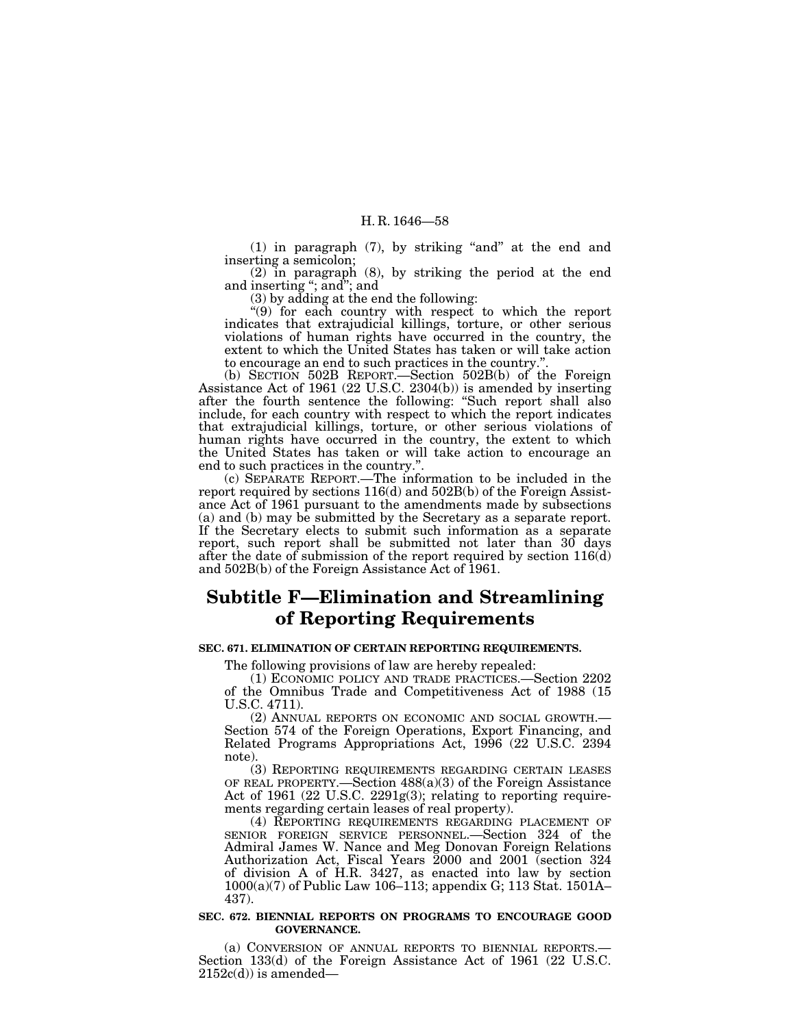$(1)$  in paragraph  $(7)$ , by striking "and" at the end and inserting a semicolon;

(2) in paragraph (8), by striking the period at the end and inserting ''; and''; and

(3) by adding at the end the following:

''(9) for each country with respect to which the report indicates that extrajudicial killings, torture, or other serious violations of human rights have occurred in the country, the extent to which the United States has taken or will take action to encourage an end to such practices in the country.".

to encourage an end to such practices in the country.''. (b) SECTION 502B REPORT.—Section 502B(b) of the Foreign Assistance Act of 1961 (22 U.S.C. 2304(b)) is amended by inserting after the fourth sentence the following: ''Such report shall also include, for each country with respect to which the report indicates that extrajudicial killings, torture, or other serious violations of human rights have occurred in the country, the extent to which the United States has taken or will take action to encourage an end to such practices in the country.". end to such practices in the country.''. (c) SEPARATE REPORT.—The information to be included in the

report required by sections 116(d) and 502B(b) of the Foreign Assistance Act of 1961 pursuant to the amendments made by subsections (a) and (b) may be submitted by the Secretary as a separate report. If the Secretary elects to submit such information as a separate report, such report shall be submitted not later than 30 days after the date of submission of the report required by section 116(d) and 502B(b) of the Foreign Assistance Act of 1961.

# **Subtitle F—Elimination and Streamlining of Reporting Requirements**

# **SEC. 671. ELIMINATION OF CERTAIN REPORTING REQUIREMENTS.**

The following provisions of law are hereby repealed:

(1) ECONOMIC POLICY AND TRADE PRACTICES.—Section 2202 of the Omnibus Trade and Competitiveness Act of 1988 (15 U.S.C. 4711).

(2) ANNUAL REPORTS ON ECONOMIC AND SOCIAL GROWTH.— Section 574 of the Foreign Operations, Export Financing, and Related Programs Appropriations Act, 1996 (22 U.S.C. 2394 note).

(3) REPORTING REQUIREMENTS REGARDING CERTAIN LEASES OF REAL PROPERTY.—Section 488(a)(3) of the Foreign Assistance Act of 1961 (22 U.S.C. 2291g(3); relating to reporting requirements regarding certain leases of real property).

(4) REPORTING REQUIREMENTS REGARDING PLACEMENT OF SENIOR FOREIGN SERVICE PERSONNEL.—Section 324 of the Admiral James W. Nance and Meg Donovan Foreign Relations Authorization Act, Fiscal Years 2000 and 2001 (section 324 of division A of H.R. 3427, as enacted into law by section 1000(a)(7) of Public Law 106–113; appendix G; 113 Stat. 1501A– 437).

#### **SEC. 672. BIENNIAL REPORTS ON PROGRAMS TO ENCOURAGE GOOD GOVERNANCE.**

(a) CONVERSION OF ANNUAL REPORTS TO BIENNIAL REPORTS.— Section 133(d) of the Foreign Assistance Act of 1961 (22 U.S.C.  $2152c(d)$ ) is amended—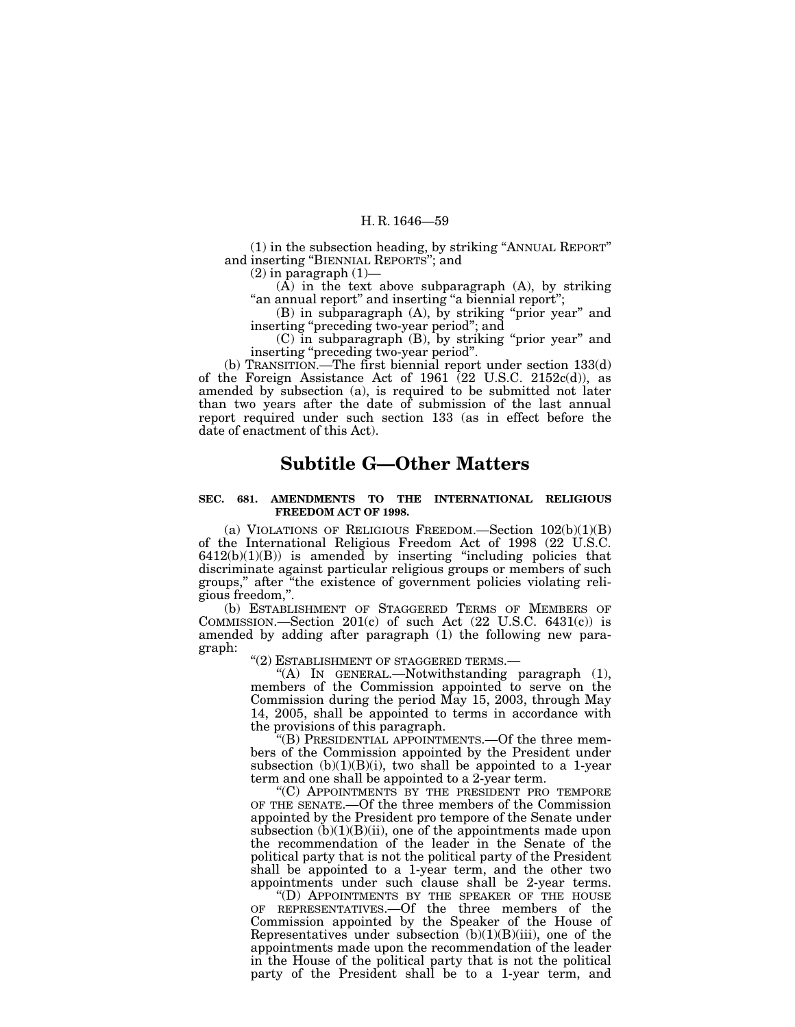(1) in the subsection heading, by striking ''ANNUAL REPORT'' and inserting ''BIENNIAL REPORTS''; and

 $(2)$  in paragraph  $(1)$ 

 $(A)$  in the text above subparagraph  $(A)$ , by striking ''an annual report'' and inserting ''a biennial report'';

(B) in subparagraph (A), by striking ''prior year'' and inserting "preceding two-year period"; and

(C) in subparagraph (B), by striking ''prior year'' and inserting ''preceding two-year period''.

(b) TRANSITION.—The first biennial report under section 133(d) of the Foreign Assistance Act of 1961  $(22 \text{ U.S.C. } 2152c(d))$ , as amended by subsection (a), is required to be submitted not later than two years after the date of submission of the last annual report required under such section 133 (as in effect before the date of enactment of this Act).

# **Subtitle G—Other Matters**

# **SEC. 681. AMENDMENTS TO THE INTERNATIONAL RELIGIOUS FREEDOM ACT OF 1998.**

(a) VIOLATIONS OF RELIGIOUS FREEDOM.—Section 102(b)(1)(B) of the International Religious Freedom Act of 1998 (22 U.S.C.  $6412(b)(1)(B)$ ) is amended by inserting "including policies that discriminate against particular religious groups or members of such groups,'' after ''the existence of government policies violating religious freedom,''.

(b) ESTABLISHMENT OF STAGGERED TERMS OF MEMBERS OF COMMISSION.—Section  $201(c)$  of such Act  $(22 \text{ U.S.C. } 6431(c))$  is amended by adding after paragraph (1) the following new paragraph:

''(2) ESTABLISHMENT OF STAGGERED TERMS.—

"(A) IN GENERAL.—Notwithstanding paragraph  $(1)$ , members of the Commission appointed to serve on the Commission during the period May 15, 2003, through May 14, 2005, shall be appointed to terms in accordance with the provisions of this paragraph.

''(B) PRESIDENTIAL APPOINTMENTS.—Of the three members of the Commission appointed by the President under subsection  $(b)(1)(B)(i)$ , two shall be appointed to a 1-year term and one shall be appointed to a 2-year term.

''(C) APPOINTMENTS BY THE PRESIDENT PRO TEMPORE OF THE SENATE.—Of the three members of the Commission appointed by the President pro tempore of the Senate under subsection  $(b)(1)(B)(ii)$ , one of the appointments made upon the recommendation of the leader in the Senate of the political party that is not the political party of the President shall be appointed to a 1-year term, and the other two appointments under such clause shall be 2-year terms. ''(D) APPOINTMENTS BY THE SPEAKER OF THE HOUSE

OF REPRESENTATIVES.—Of the three members of the Commission appointed by the Speaker of the House of Representatives under subsection  $(b)(1)(B)(iii)$ , one of the appointments made upon the recommendation of the leader in the House of the political party that is not the political party of the President shall be to a 1-year term, and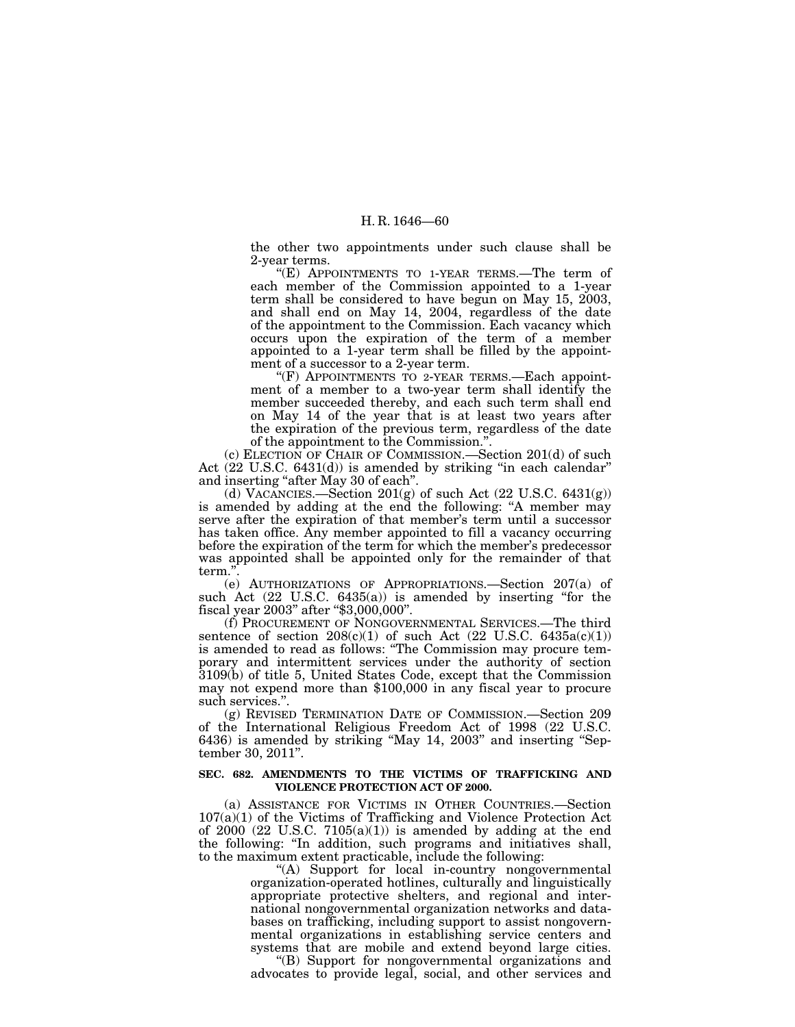the other two appointments under such clause shall be 2-year terms.

''(E) APPOINTMENTS TO 1-YEAR TERMS.—The term of each member of the Commission appointed to a 1-year term shall be considered to have begun on May 15, 2003, and shall end on May 14, 2004, regardless of the date of the appointment to the Commission. Each vacancy which occurs upon the expiration of the term of a member appointed to a 1-year term shall be filled by the appointment of a successor to a 2-year term.

"(F) APPOINTMENTS TO 2-YEAR TERMS.—Each appointment of a member to a two-year term shall identify the member succeeded thereby, and each such term shall end on May 14 of the year that is at least two years after the expiration of the previous term, regardless of the date of the appointment to the Commission.''.

(c) ELECTION OF CHAIR OF COMMISSION.—Section 201(d) of such Act (22 U.S.C. 6431(d)) is amended by striking "in each calendar" and inserting "after May 30 of each".

(d) VACANCIES.—Section  $201(g)$  of such Act (22 U.S.C. 6431(g)) is amended by adding at the end the following: ''A member may serve after the expiration of that member's term until a successor has taken office. Any member appointed to fill a vacancy occurring before the expiration of the term for which the member's predecessor was appointed shall be appointed only for the remainder of that term.''.

(e) AUTHORIZATIONS OF APPROPRIATIONS.—Section 207(a) of such Act (22 U.S.C. 6435(a)) is amended by inserting "for the fiscal year 2003" after "\$3,000,000".

(f) PROCUREMENT OF NONGOVERNMENTAL SERVICES.—The third sentence of section  $208(c)(1)$  of such Act (22 U.S.C. 6435a(c)(1)) is amended to read as follows: ''The Commission may procure temporary and intermittent services under the authority of section 3109(b) of title 5, United States Code, except that the Commission may not expend more than \$100,000 in any fiscal year to procure such services.''.

(g) REVISED TERMINATION DATE OF COMMISSION.—Section 209 of the International Religious Freedom Act of 1998 (22 U.S.C. 6436) is amended by striking ''May 14, 2003'' and inserting ''September 30, 2011''.

## **SEC. 682. AMENDMENTS TO THE VICTIMS OF TRAFFICKING AND VIOLENCE PROTECTION ACT OF 2000.**

(a) ASSISTANCE FOR VICTIMS IN OTHER COUNTRIES.—Section 107(a)(1) of the Victims of Trafficking and Violence Protection Act of  $2000$   $(22 \text{ U.S.C. } 7105(a)(1))$  is amended by adding at the end the following: ''In addition, such programs and initiatives shall, to the maximum extent practicable, include the following:

"(A) Support for local in-country nongovernmental organization-operated hotlines, culturally and linguistically appropriate protective shelters, and regional and international nongovernmental organization networks and databases on trafficking, including support to assist nongovernmental organizations in establishing service centers and systems that are mobile and extend beyond large cities.

''(B) Support for nongovernmental organizations and advocates to provide legal, social, and other services and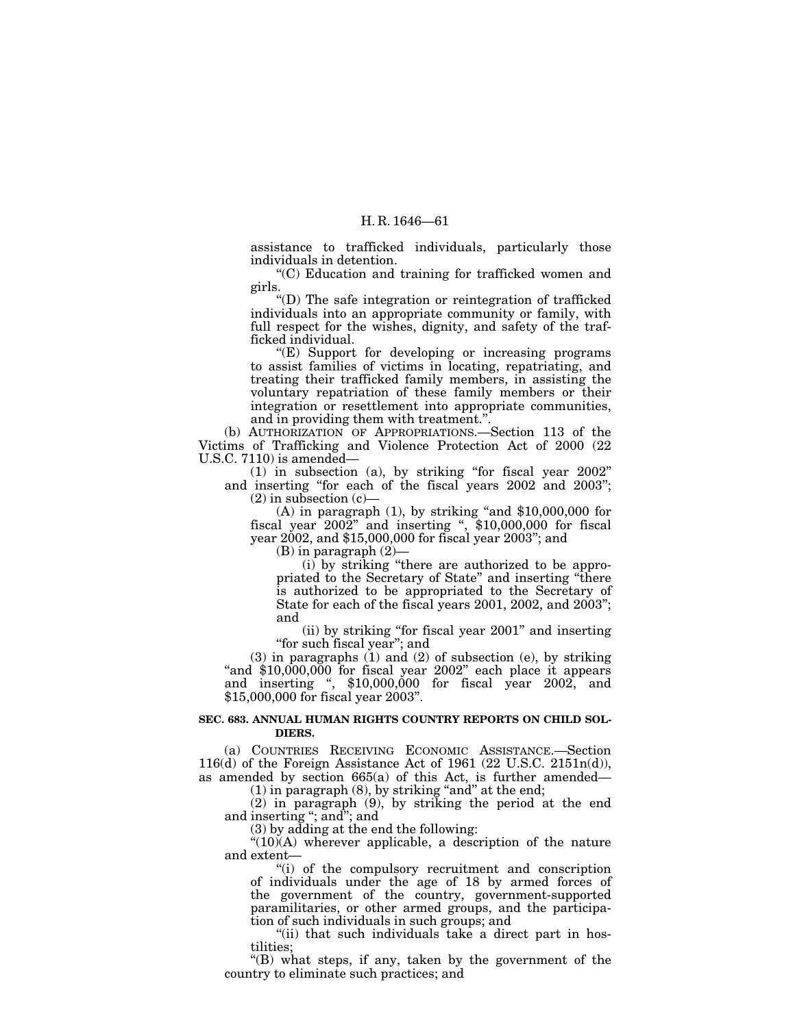assistance to trafficked individuals, particularly those individuals in detention.

''(C) Education and training for trafficked women and girls.

''(D) The safe integration or reintegration of trafficked individuals into an appropriate community or family, with full respect for the wishes, dignity, and safety of the trafficked individual.

 $E(E)$  Support for developing or increasing programs to assist families of victims in locating, repatriating, and treating their trafficked family members, in assisting the voluntary repatriation of these family members or their integration or resettlement into appropriate communities, and in providing them with treatment.''.

(b) AUTHORIZATION OF APPROPRIATIONS.—Section 113 of the Victims of Trafficking and Violence Protection Act of 2000 (22 U.S.C. 7110) is amended—

(1) in subsection (a), by striking ''for fiscal year 2002'' and inserting "for each of the fiscal years 2002 and 2003";  $(2)$  in subsection  $(c)$ –

(A) in paragraph  $(1)$ , by striking "and \$10,000,000 for fiscal year 2002" and inserting ", \$10,000,000 for fiscal year 2002, and \$15,000,000 for fiscal year 2003''; and

 $(B)$  in paragraph  $(2)$ —

(i) by striking ''there are authorized to be appropriated to the Secretary of State'' and inserting ''there is authorized to be appropriated to the Secretary of State for each of the fiscal years 2001, 2002, and 2003''; and

(ii) by striking ''for fiscal year 2001'' and inserting ''for such fiscal year''; and

(3) in paragraphs (1) and (2) of subsection (e), by striking "and \$10,000,000 for fiscal year 2002" each place it appears and inserting '', \$10,000,000 for fiscal year 2002, and \$15,000,000 for fiscal year 2003''.

# **SEC. 683. ANNUAL HUMAN RIGHTS COUNTRY REPORTS ON CHILD SOL-DIERS.**

(a) COUNTRIES RECEIVING ECONOMIC ASSISTANCE.—Section 116(d) of the Foreign Assistance Act of 1961 (22 U.S.C. 2151n(d)), as amended by section 665(a) of this Act, is further amended—

 $(1)$  in paragraph  $(8)$ , by striking "and" at the end; (2) in paragraph (9), by striking the period at the end

and inserting ''; and''; and

(3) by adding at the end the following:

" $(10)$  $(A)$  wherever applicable, a description of the nature and extent—

''(i) of the compulsory recruitment and conscription of individuals under the age of 18 by armed forces of the government of the country, government-supported paramilitaries, or other armed groups, and the participation of such individuals in such groups; and

"(ii) that such individuals take a direct part in hostilities;

''(B) what steps, if any, taken by the government of the country to eliminate such practices; and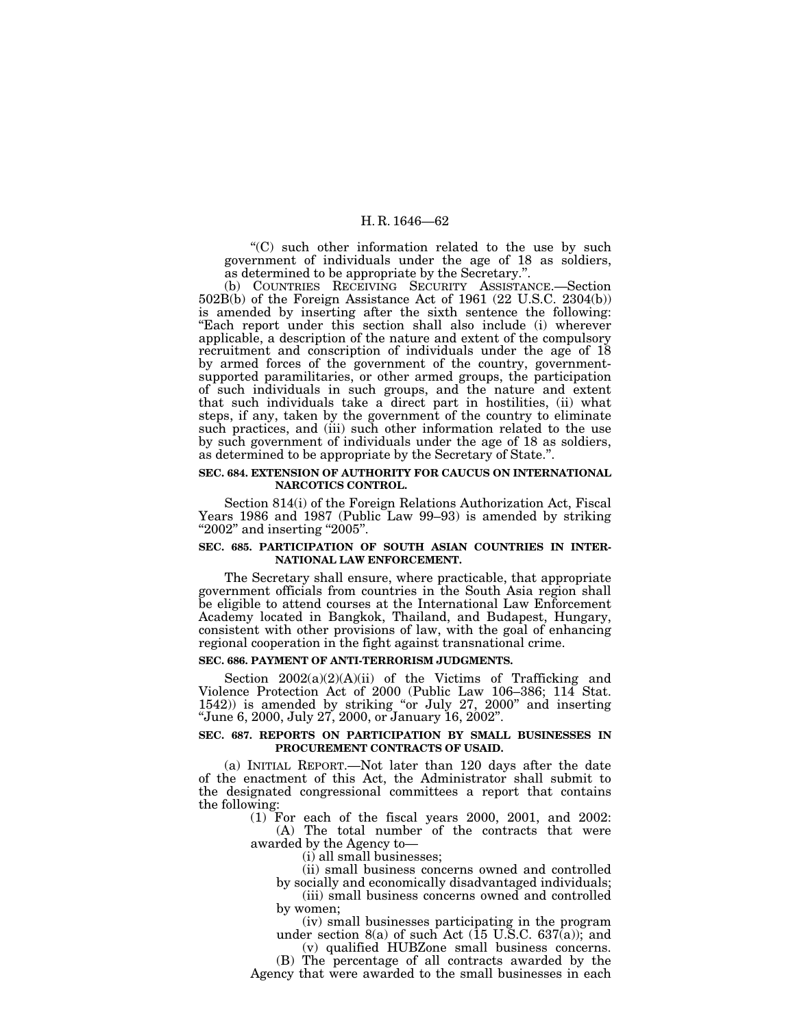"(C) such other information related to the use by such government of individuals under the age of 18 as soldiers, as determined to be appropriate by the Secretary.''.

(b) COUNTRIES RECEIVING SECURITY ASSISTANCE.—Section 502B(b) of the Foreign Assistance Act of 1961 (22 U.S.C. 2304(b)) is amended by inserting after the sixth sentence the following: ''Each report under this section shall also include (i) wherever applicable, a description of the nature and extent of the compulsory recruitment and conscription of individuals under the age of 18 by armed forces of the government of the country, governmentsupported paramilitaries, or other armed groups, the participation of such individuals in such groups, and the nature and extent that such individuals take a direct part in hostilities, (ii) what steps, if any, taken by the government of the country to eliminate such practices, and (iii) such other information related to the use by such government of individuals under the age of 18 as soldiers, as determined to be appropriate by the Secretary of State.''.

# **SEC. 684. EXTENSION OF AUTHORITY FOR CAUCUS ON INTERNATIONAL NARCOTICS CONTROL.**

Section 814(i) of the Foreign Relations Authorization Act, Fiscal Years 1986 and 1987 (Public Law 99–93) is amended by striking "2002" and inserting "2005".

# **SEC. 685. PARTICIPATION OF SOUTH ASIAN COUNTRIES IN INTER-NATIONAL LAW ENFORCEMENT.**

The Secretary shall ensure, where practicable, that appropriate government officials from countries in the South Asia region shall be eligible to attend courses at the International Law Enforcement Academy located in Bangkok, Thailand, and Budapest, Hungary, consistent with other provisions of law, with the goal of enhancing regional cooperation in the fight against transnational crime.

#### **SEC. 686. PAYMENT OF ANTI-TERRORISM JUDGMENTS.**

Section 2002(a)(2)(A)(ii) of the Victims of Trafficking and Violence Protection Act of 2000 (Public Law 106–386; 114 Stat. 1542)) is amended by striking "or July 27, 2000" and inserting ''June 6, 2000, July 27, 2000, or January 16, 2002''.

# **SEC. 687. REPORTS ON PARTICIPATION BY SMALL BUSINESSES IN PROCUREMENT CONTRACTS OF USAID.**

(a) INITIAL REPORT.—Not later than 120 days after the date of the enactment of this Act, the Administrator shall submit to the designated congressional committees a report that contains the following:

(1) For each of the fiscal years 2000, 2001, and 2002: (A) The total number of the contracts that were

awarded by the Agency to—

(i) all small businesses;

(ii) small business concerns owned and controlled by socially and economically disadvantaged individuals;

(iii) small business concerns owned and controlled by women;

(iv) small businesses participating in the program under section  $8(a)$  of such Act (15 U.S.C. 637(a)); and

(v) qualified HUBZone small business concerns.

(B) The percentage of all contracts awarded by the Agency that were awarded to the small businesses in each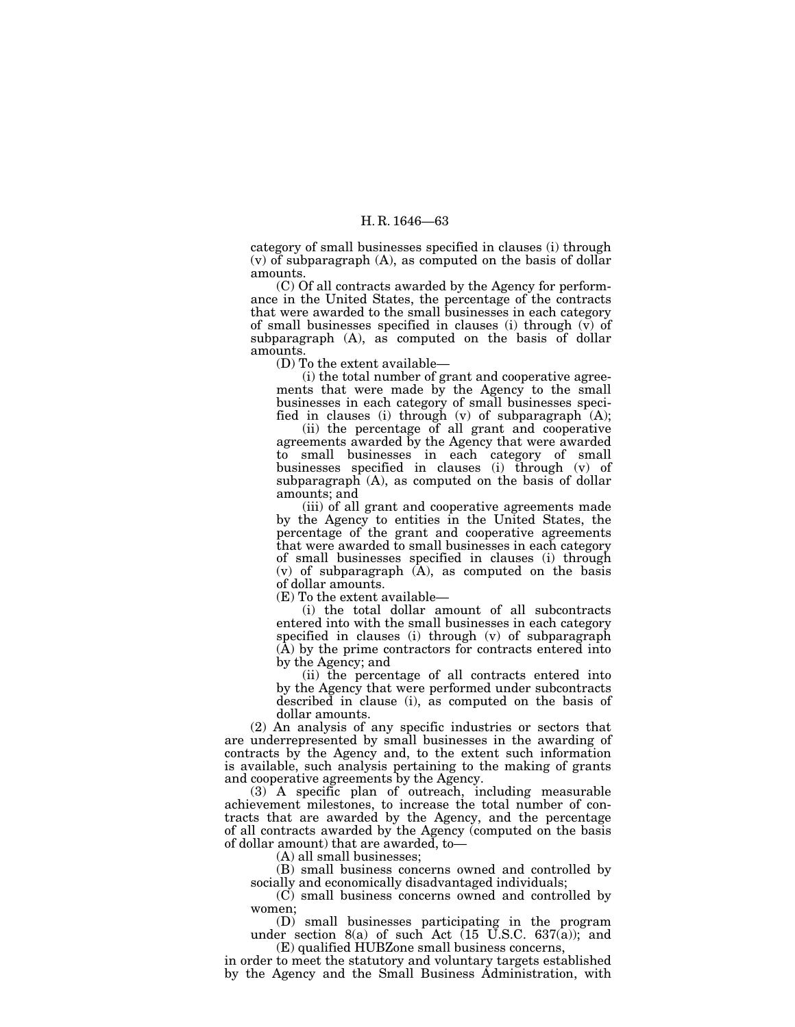category of small businesses specified in clauses (i) through (v) of subparagraph (A), as computed on the basis of dollar amounts.

(C) Of all contracts awarded by the Agency for performance in the United States, the percentage of the contracts that were awarded to the small businesses in each category of small businesses specified in clauses (i) through  $(v)$  of subparagraph (A), as computed on the basis of dollar amounts.

(D) To the extent available—

(i) the total number of grant and cooperative agreements that were made by the Agency to the small businesses in each category of small businesses specified in clauses (i) through (v) of subparagraph (A);

(ii) the percentage of all grant and cooperative agreements awarded by the Agency that were awarded to small businesses in each category of small businesses specified in clauses (i) through (v) of subparagraph (A), as computed on the basis of dollar amounts; and

(iii) of all grant and cooperative agreements made by the Agency to entities in the United States, the percentage of the grant and cooperative agreements that were awarded to small businesses in each category of small businesses specified in clauses (i) through  $(v)$  of subparagraph  $(A)$ , as computed on the basis of dollar amounts.<br>(E) To the extent available—

(i) the total dollar amount of all subcontracts entered into with the small businesses in each category specified in clauses (i) through (v) of subparagraph (A) by the prime contractors for contracts entered into by the Agency; and

(ii) the percentage of all contracts entered into by the Agency that were performed under subcontracts described in clause (i), as computed on the basis of dollar amounts.

(2) An analysis of any specific industries or sectors that are underrepresented by small businesses in the awarding of contracts by the Agency and, to the extent such information is available, such analysis pertaining to the making of grants and cooperative agreements by the Agency.

(3) A specific plan of outreach, including measurable achievement milestones, to increase the total number of contracts that are awarded by the Agency, and the percentage of all contracts awarded by the Agency (computed on the basis of dollar amount) that are awarded, to—

(A) all small businesses;

(B) small business concerns owned and controlled by socially and economically disadvantaged individuals;

(C) small business concerns owned and controlled by women;

(D) small businesses participating in the program under section  $8(a)$  of such Act (15 U.S.C. 637(a)); and (E) qualified HUBZone small business concerns,

in order to meet the statutory and voluntary targets established by the Agency and the Small Business Administration, with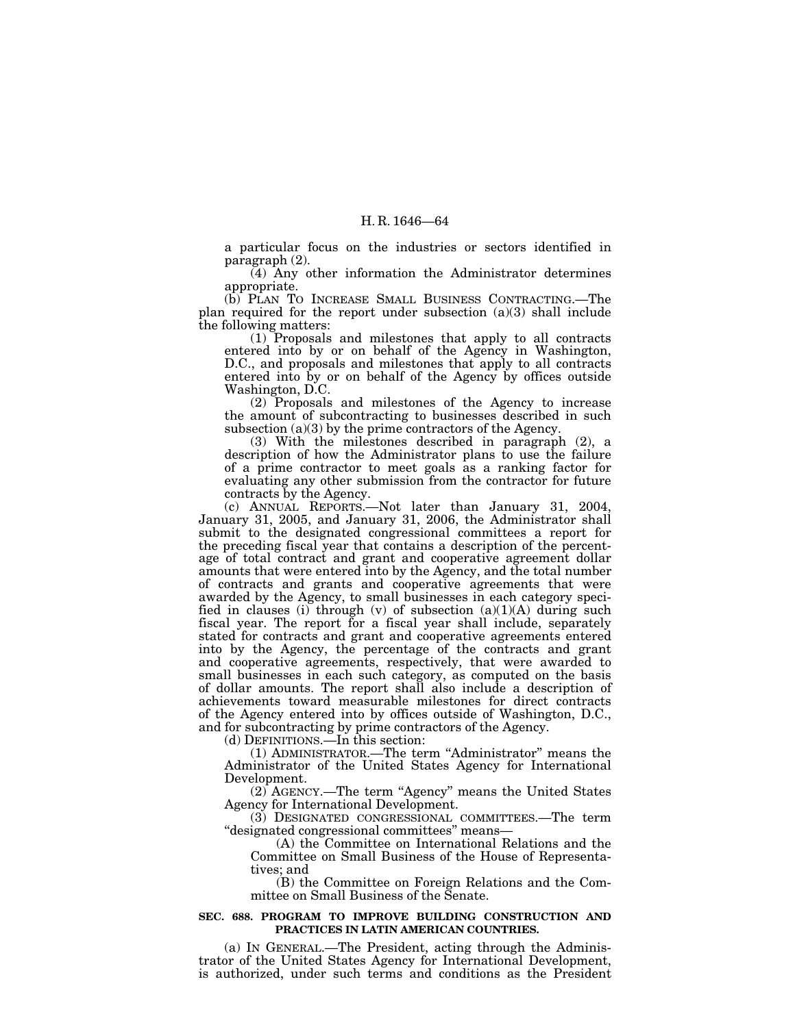a particular focus on the industries or sectors identified in paragraph (2).

(4) Any other information the Administrator determines appropriate.

(b) PLAN TO INCREASE SMALL BUSINESS CONTRACTING.—The plan required for the report under subsection (a)(3) shall include the following matters:

(1) Proposals and milestones that apply to all contracts entered into by or on behalf of the Agency in Washington, D.C., and proposals and milestones that apply to all contracts entered into by or on behalf of the Agency by offices outside Washington, D.C.

(2) Proposals and milestones of the Agency to increase the amount of subcontracting to businesses described in such subsection (a)(3) by the prime contractors of the Agency.

(3) With the milestones described in paragraph (2), a description of how the Administrator plans to use the failure of a prime contractor to meet goals as a ranking factor for evaluating any other submission from the contractor for future contracts by the Agency.

(c) ANNUAL REPORTS.—Not later than January 31, 2004, January 31, 2005, and January 31, 2006, the Administrator shall submit to the designated congressional committees a report for the preceding fiscal year that contains a description of the percentage of total contract and grant and cooperative agreement dollar amounts that were entered into by the Agency, and the total number of contracts and grants and cooperative agreements that were awarded by the Agency, to small businesses in each category specified in clauses (i) through (v) of subsection  $(a)(1)(A)$  during such fiscal year. The report for a fiscal year shall include, separately stated for contracts and grant and cooperative agreements entered into by the Agency, the percentage of the contracts and grant and cooperative agreements, respectively, that were awarded to small businesses in each such category, as computed on the basis of dollar amounts. The report shall also include a description of achievements toward measurable milestones for direct contracts of the Agency entered into by offices outside of Washington, D.C., and for subcontracting by prime contractors of the Agency.

(d) DEFINITIONS.—In this section:

(1) ADMINISTRATOR.—The term ''Administrator'' means the Administrator of the United States Agency for International Development.

(2) AGENCY.—The term ''Agency'' means the United States Agency for International Development.

(3) DESIGNATED CONGRESSIONAL COMMITTEES.—The term ''designated congressional committees'' means—

(A) the Committee on International Relations and the Committee on Small Business of the House of Representatives; and

(B) the Committee on Foreign Relations and the Committee on Small Business of the Senate.

#### **SEC. 688. PROGRAM TO IMPROVE BUILDING CONSTRUCTION AND PRACTICES IN LATIN AMERICAN COUNTRIES.**

(a) IN GENERAL.—The President, acting through the Administrator of the United States Agency for International Development, is authorized, under such terms and conditions as the President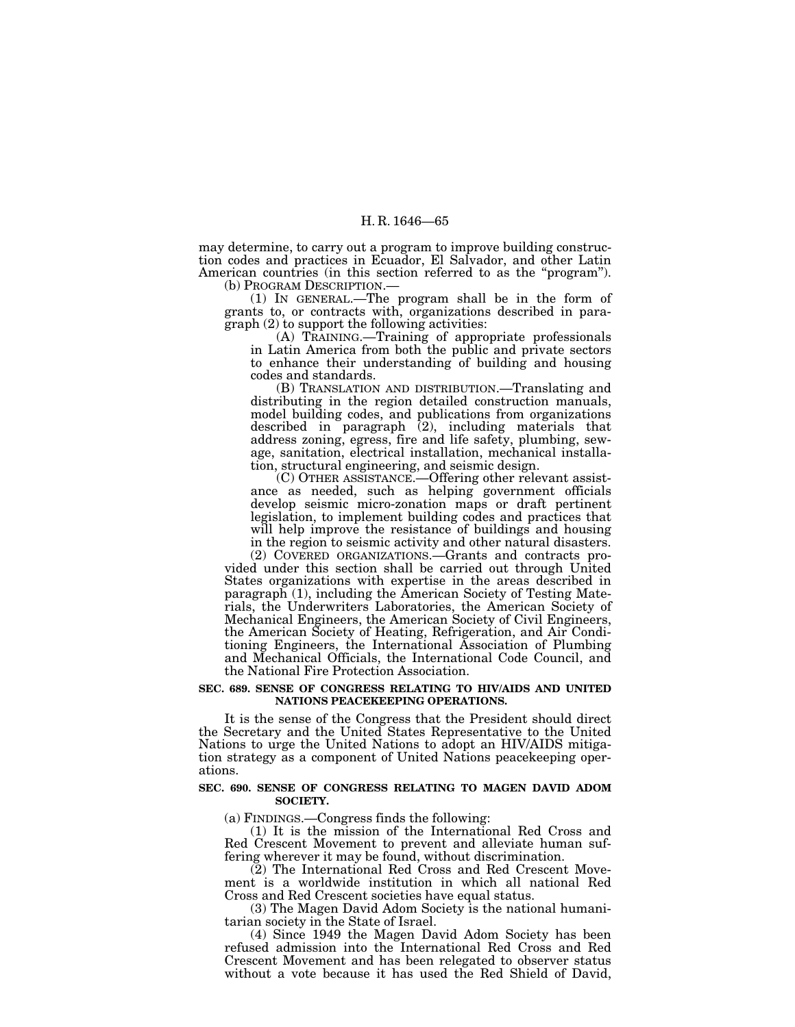may determine, to carry out a program to improve building construction codes and practices in Ecuador, El Salvador, and other Latin American countries (in this section referred to as the "program").<br>(b) PROGRAM DESCRIPTION.—

(1) IN GENERAL.—The program shall be in the form of grants to, or contracts with, organizations described in paragraph (2) to support the following activities:

(A) TRAINING.—Training of appropriate professionals in Latin America from both the public and private sectors to enhance their understanding of building and housing codes and standards.

(B) TRANSLATION AND DISTRIBUTION.—Translating and distributing in the region detailed construction manuals, model building codes, and publications from organizations described in paragraph (2), including materials that address zoning, egress, fire and life safety, plumbing, sewage, sanitation, electrical installation, mechanical installation, structural engineering, and seismic design.

(C) OTHER ASSISTANCE.—Offering other relevant assistance as needed, such as helping government officials develop seismic micro-zonation maps or draft pertinent legislation, to implement building codes and practices that will help improve the resistance of buildings and housing in the region to seismic activity and other natural disasters.

(2) COVERED ORGANIZATIONS.—Grants and contracts provided under this section shall be carried out through United States organizations with expertise in the areas described in paragraph (1), including the American Society of Testing Materials, the Underwriters Laboratories, the American Society of Mechanical Engineers, the American Society of Civil Engineers, the American Society of Heating, Refrigeration, and Air Conditioning Engineers, the International Association of Plumbing and Mechanical Officials, the International Code Council, and the National Fire Protection Association.

#### **SEC. 689. SENSE OF CONGRESS RELATING TO HIV/AIDS AND UNITED NATIONS PEACEKEEPING OPERATIONS.**

It is the sense of the Congress that the President should direct the Secretary and the United States Representative to the United Nations to urge the United Nations to adopt an HIV/AIDS mitigation strategy as a component of United Nations peacekeeping operations.

## **SEC. 690. SENSE OF CONGRESS RELATING TO MAGEN DAVID ADOM SOCIETY.**

(a) FINDINGS.—Congress finds the following:

(1) It is the mission of the International Red Cross and Red Crescent Movement to prevent and alleviate human suffering wherever it may be found, without discrimination.

(2) The International Red Cross and Red Crescent Movement is a worldwide institution in which all national Red Cross and Red Crescent societies have equal status.

(3) The Magen David Adom Society is the national humanitarian society in the State of Israel.

(4) Since 1949 the Magen David Adom Society has been refused admission into the International Red Cross and Red Crescent Movement and has been relegated to observer status without a vote because it has used the Red Shield of David,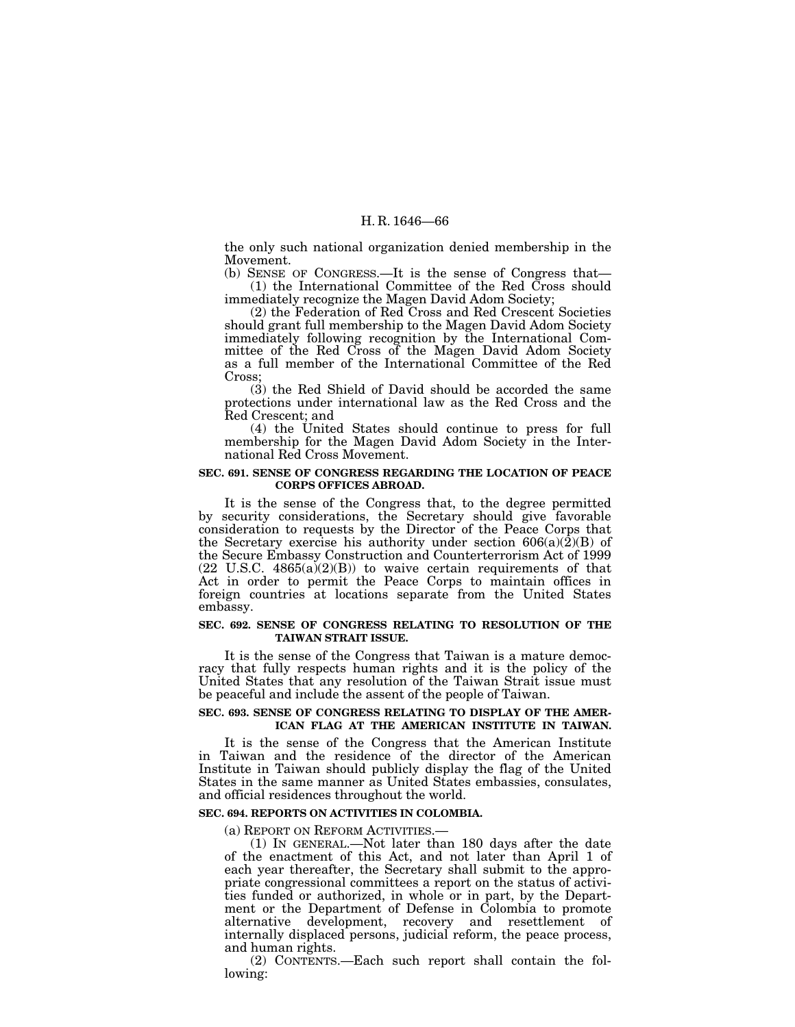the only such national organization denied membership in the Movement.

(b) SENSE OF CONGRESS.—It is the sense of Congress that— (1) the International Committee of the Red Cross should immediately recognize the Magen David Adom Society;

(2) the Federation of Red Cross and Red Crescent Societies should grant full membership to the Magen David Adom Society immediately following recognition by the International Committee of the Red Cross of the Magen David Adom Society as a full member of the International Committee of the Red Cross;

(3) the Red Shield of David should be accorded the same protections under international law as the Red Cross and the Red Crescent; and

(4) the United States should continue to press for full membership for the Magen David Adom Society in the International Red Cross Movement.

### **SEC. 691. SENSE OF CONGRESS REGARDING THE LOCATION OF PEACE CORPS OFFICES ABROAD.**

It is the sense of the Congress that, to the degree permitted by security considerations, the Secretary should give favorable consideration to requests by the Director of the Peace Corps that the Secretary exercise his authority under section  $606(a)(\hat{2})(B)$  of the Secure Embassy Construction and Counterterrorism Act of 1999  $(22 \text{ U.S.C. } 4865(a)(2)(B))$  to waive certain requirements of that Act in order to permit the Peace Corps to maintain offices in foreign countries at locations separate from the United States embassy.

#### **SEC. 692. SENSE OF CONGRESS RELATING TO RESOLUTION OF THE TAIWAN STRAIT ISSUE.**

It is the sense of the Congress that Taiwan is a mature democracy that fully respects human rights and it is the policy of the United States that any resolution of the Taiwan Strait issue must be peaceful and include the assent of the people of Taiwan.

## **SEC. 693. SENSE OF CONGRESS RELATING TO DISPLAY OF THE AMER-ICAN FLAG AT THE AMERICAN INSTITUTE IN TAIWAN.**

It is the sense of the Congress that the American Institute in Taiwan and the residence of the director of the American Institute in Taiwan should publicly display the flag of the United States in the same manner as United States embassies, consulates, and official residences throughout the world.

# **SEC. 694. REPORTS ON ACTIVITIES IN COLOMBIA.**

(a) REPORT ON REFORM ACTIVITIES.—

(1) IN GENERAL.—Not later than 180 days after the date of the enactment of this Act, and not later than April 1 of each year thereafter, the Secretary shall submit to the appropriate congressional committees a report on the status of activities funded or authorized, in whole or in part, by the Department or the Department of Defense in Colombia to promote alternative development, recovery and resettlement of internally displaced persons, judicial reform, the peace process, and human rights.

(2) CONTENTS.—Each such report shall contain the following: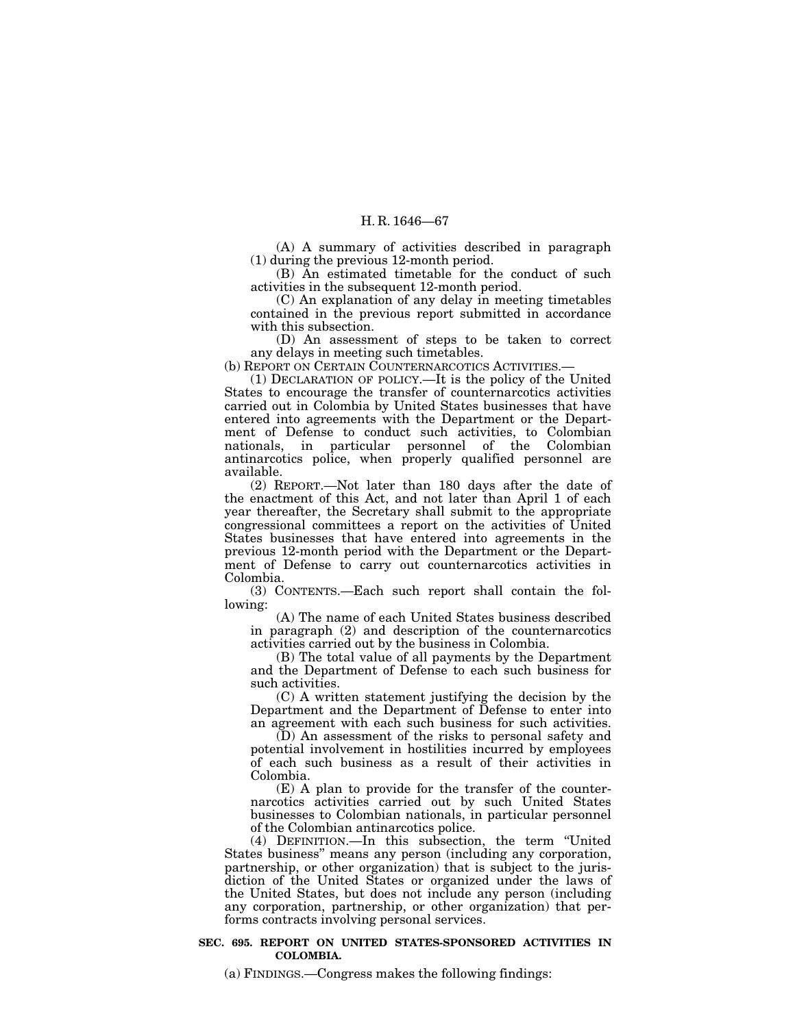(A) A summary of activities described in paragraph (1) during the previous 12-month period.

(B) An estimated timetable for the conduct of such activities in the subsequent 12-month period.

(C) An explanation of any delay in meeting timetables contained in the previous report submitted in accordance with this subsection.

(D) An assessment of steps to be taken to correct any delays in meeting such timetables.

(b) REPORT ON CERTAIN COUNTERNARCOTICS ACTIVITIES.—

(1) DECLARATION OF POLICY.—It is the policy of the United States to encourage the transfer of counternarcotics activities carried out in Colombia by United States businesses that have entered into agreements with the Department or the Department of Defense to conduct such activities, to Colombian nationals, in particular personnel of the Colombian antinarcotics police, when properly qualified personnel are available.

(2) REPORT.—Not later than 180 days after the date of the enactment of this Act, and not later than April 1 of each year thereafter, the Secretary shall submit to the appropriate congressional committees a report on the activities of United States businesses that have entered into agreements in the previous 12-month period with the Department or the Department of Defense to carry out counternarcotics activities in Colombia.

(3) CONTENTS.—Each such report shall contain the following:

(A) The name of each United States business described in paragraph (2) and description of the counternarcotics activities carried out by the business in Colombia.

(B) The total value of all payments by the Department and the Department of Defense to each such business for such activities.

(C) A written statement justifying the decision by the Department and the Department of Defense to enter into an agreement with each such business for such activities.

(D) An assessment of the risks to personal safety and potential involvement in hostilities incurred by employees of each such business as a result of their activities in Colombia.

(E) A plan to provide for the transfer of the counternarcotics activities carried out by such United States businesses to Colombian nationals, in particular personnel of the Colombian antinarcotics police.

(4) DEFINITION.—In this subsection, the term ''United States business'' means any person (including any corporation, partnership, or other organization) that is subject to the jurisdiction of the United States or organized under the laws of the United States, but does not include any person (including any corporation, partnership, or other organization) that performs contracts involving personal services.

### **SEC. 695. REPORT ON UNITED STATES-SPONSORED ACTIVITIES IN COLOMBIA.**

(a) FINDINGS.—Congress makes the following findings: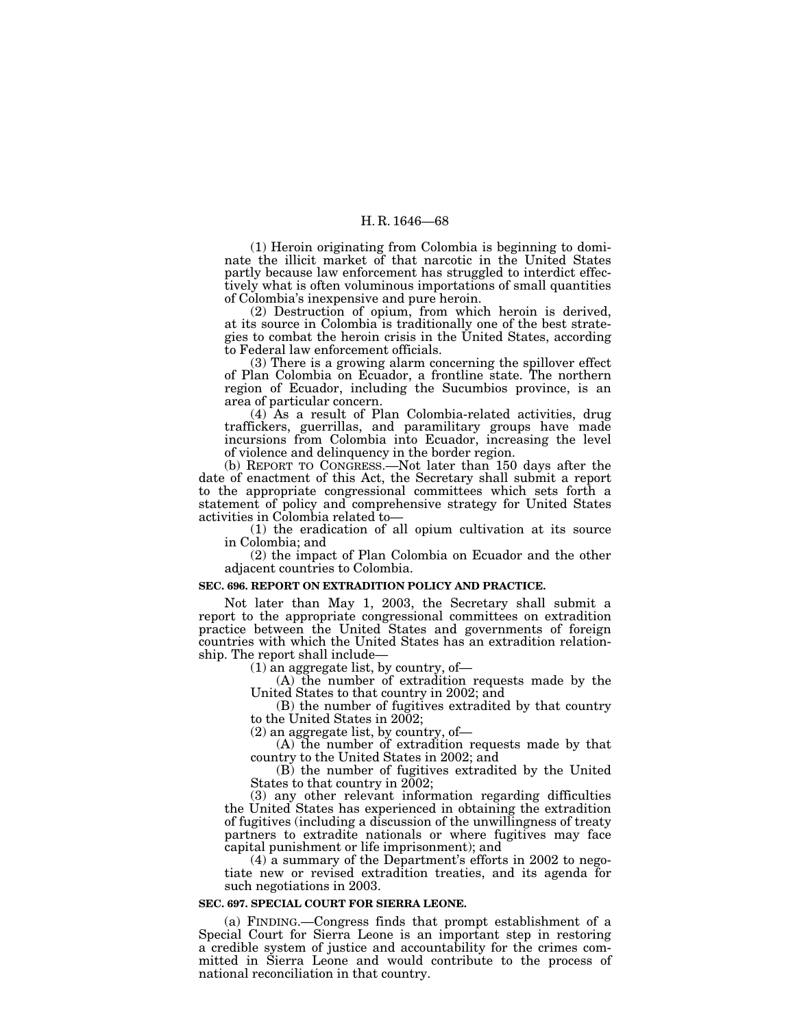(1) Heroin originating from Colombia is beginning to dominate the illicit market of that narcotic in the United States partly because law enforcement has struggled to interdict effectively what is often voluminous importations of small quantities of Colombia's inexpensive and pure heroin.

(2) Destruction of opium, from which heroin is derived, at its source in Colombia is traditionally one of the best strategies to combat the heroin crisis in the United States, according to Federal law enforcement officials.

(3) There is a growing alarm concerning the spillover effect of Plan Colombia on Ecuador, a frontline state. The northern region of Ecuador, including the Sucumbios province, is an area of particular concern.

(4) As a result of Plan Colombia-related activities, drug traffickers, guerrillas, and paramilitary groups have made incursions from Colombia into Ecuador, increasing the level of violence and delinquency in the border region.

(b) REPORT TO CONGRESS.—Not later than 150 days after the date of enactment of this Act, the Secretary shall submit a report to the appropriate congressional committees which sets forth a statement of policy and comprehensive strategy for United States

 $(1)$  the eradication of all opium cultivation at its source in Colombia; and

(2) the impact of Plan Colombia on Ecuador and the other adjacent countries to Colombia.

# **SEC. 696. REPORT ON EXTRADITION POLICY AND PRACTICE.**

Not later than May 1, 2003, the Secretary shall submit a report to the appropriate congressional committees on extradition practice between the United States and governments of foreign countries with which the United States has an extradition relation-

(1) an aggregate list, by country, of—<br>(A) the number of extradition requests made by the United States to that country in 2002; and

(B) the number of fugitives extradited by that country to the United States in 2002;

(2) an aggregate list, by country, of— (A) the number of extradition requests made by that country to the United States in 2002; and

(B) the number of fugitives extradited by the United States to that country in 2002;

(3) any other relevant information regarding difficulties the United States has experienced in obtaining the extradition of fugitives (including a discussion of the unwillingness of treaty partners to extradite nationals or where fugitives may face capital punishment or life imprisonment); and

(4) a summary of the Department's efforts in 2002 to negotiate new or revised extradition treaties, and its agenda for such negotiations in 2003.

#### **SEC. 697. SPECIAL COURT FOR SIERRA LEONE.**

(a) FINDING.—Congress finds that prompt establishment of a Special Court for Sierra Leone is an important step in restoring a credible system of justice and accountability for the crimes committed in Sierra Leone and would contribute to the process of national reconciliation in that country.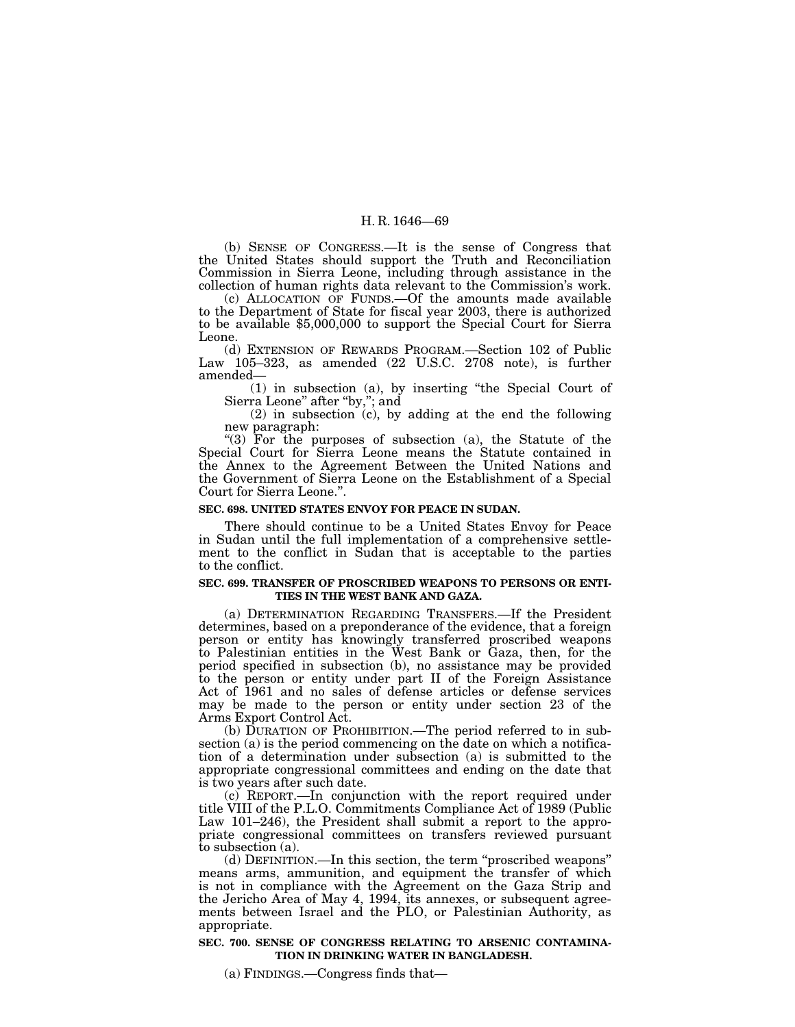(b) SENSE OF CONGRESS.—It is the sense of Congress that the United States should support the Truth and Reconciliation Commission in Sierra Leone, including through assistance in the collection of human rights data relevant to the Commission's work.

(c) ALLOCATION OF FUNDS.—Of the amounts made available to the Department of State for fiscal year 2003, there is authorized to be available \$5,000,000 to support the Special Court for Sierra Leone.

(d) EXTENSION OF REWARDS PROGRAM.—Section 102 of Public Law  $105-323$ , as amended  $(22 \text{ U.S.C. } 2708 \text{ note})$ , is further amended—

(1) in subsection (a), by inserting ''the Special Court of Sierra Leone'' after ''by,''; and

(2) in subsection (c), by adding at the end the following new paragraph:

"(3) For the purposes of subsection (a), the Statute of the Special Court for Sierra Leone means the Statute contained in the Annex to the Agreement Between the United Nations and the Government of Sierra Leone on the Establishment of a Special Court for Sierra Leone.''.

#### **SEC. 698. UNITED STATES ENVOY FOR PEACE IN SUDAN.**

There should continue to be a United States Envoy for Peace in Sudan until the full implementation of a comprehensive settlement to the conflict in Sudan that is acceptable to the parties to the conflict.

## **SEC. 699. TRANSFER OF PROSCRIBED WEAPONS TO PERSONS OR ENTI-TIES IN THE WEST BANK AND GAZA.**

(a) DETERMINATION REGARDING TRANSFERS.—If the President determines, based on a preponderance of the evidence, that a foreign person or entity has knowingly transferred proscribed weapons to Palestinian entities in the West Bank or Gaza, then, for the period specified in subsection (b), no assistance may be provided to the person or entity under part II of the Foreign Assistance Act of 1961 and no sales of defense articles or defense services may be made to the person or entity under section 23 of the Arms Export Control Act.

(b) DURATION OF PROHIBITION.—The period referred to in subsection (a) is the period commencing on the date on which a notification of a determination under subsection (a) is submitted to the appropriate congressional committees and ending on the date that is two years after such date.

(c) REPORT.—In conjunction with the report required under title VIII of the P.L.O. Commitments Compliance Act of 1989 (Public Law 101–246), the President shall submit a report to the appropriate congressional committees on transfers reviewed pursuant to subsection (a).

(d) DEFINITION.—In this section, the term ''proscribed weapons'' means arms, ammunition, and equipment the transfer of which is not in compliance with the Agreement on the Gaza Strip and the Jericho Area of May 4, 1994, its annexes, or subsequent agreements between Israel and the PLO, or Palestinian Authority, as appropriate.

## **SEC. 700. SENSE OF CONGRESS RELATING TO ARSENIC CONTAMINA-TION IN DRINKING WATER IN BANGLADESH.**

(a) FINDINGS.—Congress finds that—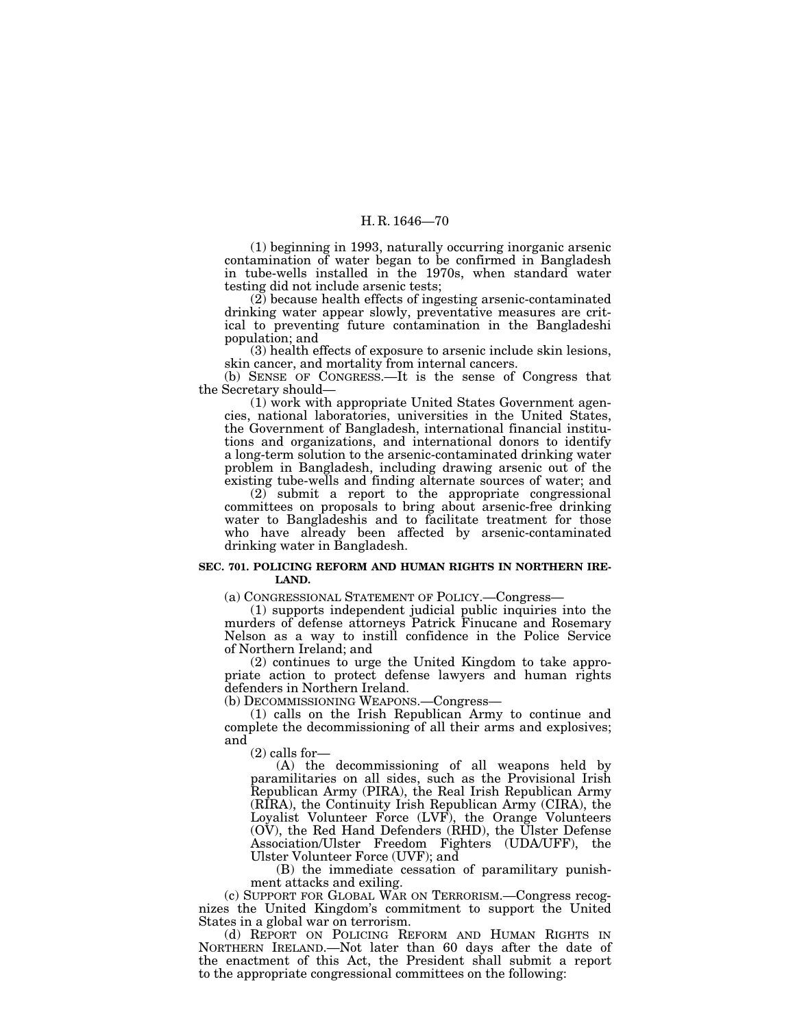(1) beginning in 1993, naturally occurring inorganic arsenic contamination of water began to be confirmed in Bangladesh in tube-wells installed in the 1970s, when standard water testing did not include arsenic tests;

(2) because health effects of ingesting arsenic-contaminated drinking water appear slowly, preventative measures are critical to preventing future contamination in the Bangladeshi population; and

(3) health effects of exposure to arsenic include skin lesions, skin cancer, and mortality from internal cancers.

(b) SENSE OF CONGRESS.—It is the sense of Congress that the Secretary should—

(1) work with appropriate United States Government agencies, national laboratories, universities in the United States, the Government of Bangladesh, international financial institutions and organizations, and international donors to identify a long-term solution to the arsenic-contaminated drinking water problem in Bangladesh, including drawing arsenic out of the existing tube-wells and finding alternate sources of water; and

(2) submit a report to the appropriate congressional committees on proposals to bring about arsenic-free drinking water to Bangladeshis and to facilitate treatment for those who have already been affected by arsenic-contaminated drinking water in Bangladesh.

## **SEC. 701. POLICING REFORM AND HUMAN RIGHTS IN NORTHERN IRE-LAND.**

(a) CONGRESSIONAL STATEMENT OF POLICY.—Congress—

(1) supports independent judicial public inquiries into the murders of defense attorneys Patrick Finucane and Rosemary Nelson as a way to instill confidence in the Police Service of Northern Ireland; and

(2) continues to urge the United Kingdom to take appropriate action to protect defense lawyers and human rights defenders in Northern Ireland.

(b) DECOMMISSIONING WEAPONS.—Congress—

(1) calls on the Irish Republican Army to continue and complete the decommissioning of all their arms and explosives; and

(2) calls for—

(A) the decommissioning of all weapons held by paramilitaries on all sides, such as the Provisional Irish Republican Army (PIRA), the Real Irish Republican Army (RIRA), the Continuity Irish Republican Army (CIRA), the Loyalist Volunteer Force (LVF), the Orange Volunteers (OV), the Red Hand Defenders (RHD), the Ulster Defense Association/Ulster Freedom Fighters (UDA/UFF), the Ulster Volunteer Force (UVF); and

(B) the immediate cessation of paramilitary punishment attacks and exiling.

(c) SUPPORT FOR GLOBAL WAR ON TERRORISM.—Congress recognizes the United Kingdom's commitment to support the United States in a global war on terrorism.

(d) REPORT ON POLICING REFORM AND HUMAN RIGHTS IN NORTHERN IRELAND.—Not later than 60 days after the date of the enactment of this Act, the President shall submit a report to the appropriate congressional committees on the following: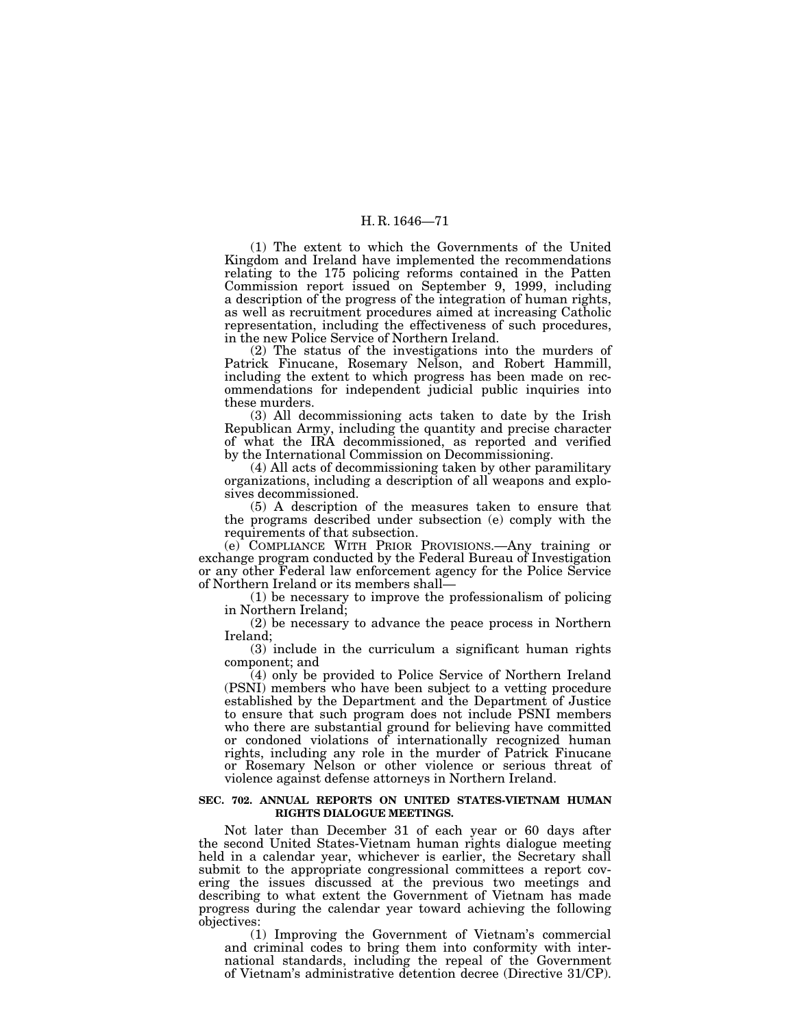(1) The extent to which the Governments of the United Kingdom and Ireland have implemented the recommendations relating to the 175 policing reforms contained in the Patten Commission report issued on September 9, 1999, including a description of the progress of the integration of human rights, as well as recruitment procedures aimed at increasing Catholic representation, including the effectiveness of such procedures, in the new Police Service of Northern Ireland.

(2) The status of the investigations into the murders of Patrick Finucane, Rosemary Nelson, and Robert Hammill, including the extent to which progress has been made on recommendations for independent judicial public inquiries into these murders.

(3) All decommissioning acts taken to date by the Irish Republican Army, including the quantity and precise character of what the IRA decommissioned, as reported and verified by the International Commission on Decommissioning.

(4) All acts of decommissioning taken by other paramilitary organizations, including a description of all weapons and explosives decommissioned.

(5) A description of the measures taken to ensure that the programs described under subsection (e) comply with the requirements of that subsection.

(e) COMPLIANCE WITH PRIOR PROVISIONS.—Any training or exchange program conducted by the Federal Bureau of Investigation or any other Federal law enforcement agency for the Police Service of Northern Ireland or its members shall—

(1) be necessary to improve the professionalism of policing in Northern Ireland;

(2) be necessary to advance the peace process in Northern Ireland;

(3) include in the curriculum a significant human rights component; and

(4) only be provided to Police Service of Northern Ireland (PSNI) members who have been subject to a vetting procedure established by the Department and the Department of Justice to ensure that such program does not include PSNI members who there are substantial ground for believing have committed or condoned violations of internationally recognized human rights, including any role in the murder of Patrick Finucane or Rosemary Nelson or other violence or serious threat of violence against defense attorneys in Northern Ireland.

#### **SEC. 702. ANNUAL REPORTS ON UNITED STATES-VIETNAM HUMAN RIGHTS DIALOGUE MEETINGS.**

Not later than December 31 of each year or 60 days after the second United States-Vietnam human rights dialogue meeting held in a calendar year, whichever is earlier, the Secretary shall submit to the appropriate congressional committees a report covering the issues discussed at the previous two meetings and describing to what extent the Government of Vietnam has made progress during the calendar year toward achieving the following objectives:

(1) Improving the Government of Vietnam's commercial and criminal codes to bring them into conformity with international standards, including the repeal of the Government of Vietnam's administrative detention decree (Directive 31/CP).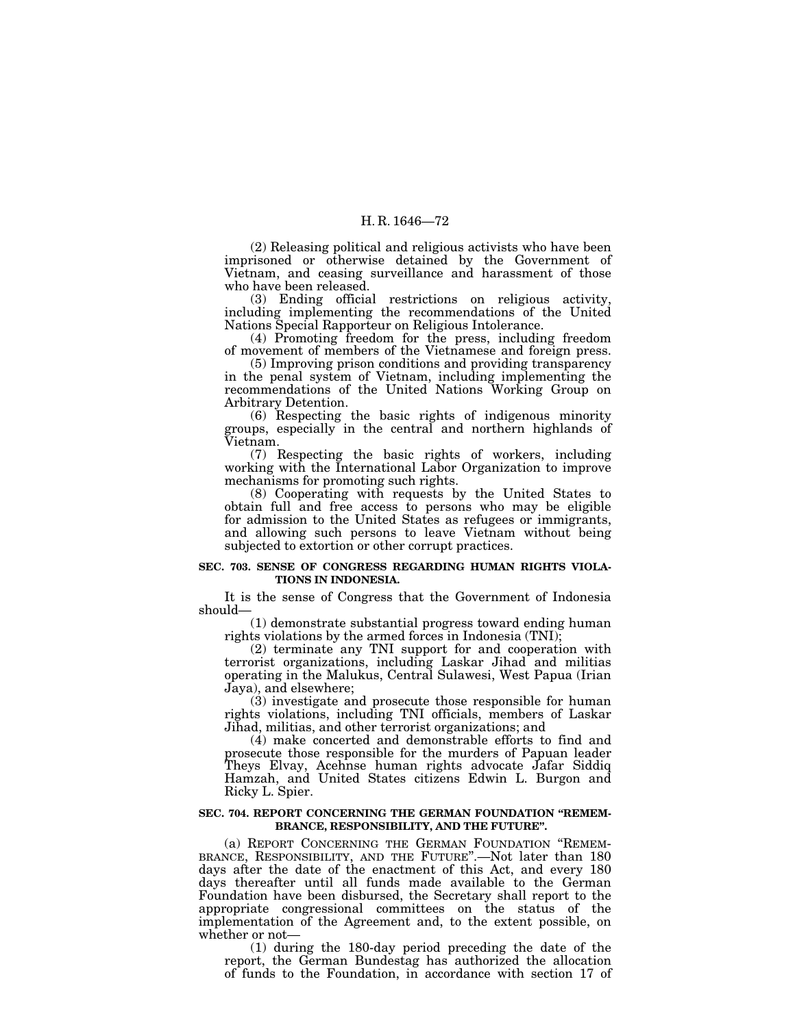(2) Releasing political and religious activists who have been imprisoned or otherwise detained by the Government of Vietnam, and ceasing surveillance and harassment of those who have been released.

(3) Ending official restrictions on religious activity, including implementing the recommendations of the United Nations Special Rapporteur on Religious Intolerance.

(4) Promoting freedom for the press, including freedom of movement of members of the Vietnamese and foreign press.

(5) Improving prison conditions and providing transparency in the penal system of Vietnam, including implementing the recommendations of the United Nations Working Group on Arbitrary Detention.

(6) Respecting the basic rights of indigenous minority groups, especially in the central and northern highlands of Vietnam.

(7) Respecting the basic rights of workers, including working with the International Labor Organization to improve mechanisms for promoting such rights.

(8) Cooperating with requests by the United States to obtain full and free access to persons who may be eligible for admission to the United States as refugees or immigrants, and allowing such persons to leave Vietnam without being subjected to extortion or other corrupt practices.

## **SEC. 703. SENSE OF CONGRESS REGARDING HUMAN RIGHTS VIOLA-TIONS IN INDONESIA.**

It is the sense of Congress that the Government of Indonesia should—

(1) demonstrate substantial progress toward ending human rights violations by the armed forces in Indonesia (TNI);

(2) terminate any TNI support for and cooperation with terrorist organizations, including Laskar Jihad and militias operating in the Malukus, Central Sulawesi, West Papua (Irian Jaya), and elsewhere;

(3) investigate and prosecute those responsible for human rights violations, including TNI officials, members of Laskar Jihad, militias, and other terrorist organizations; and

(4) make concerted and demonstrable efforts to find and prosecute those responsible for the murders of Papuan leader Theys Elvay, Acehnse human rights advocate Jafar Siddiq Hamzah, and United States citizens Edwin L. Burgon and Ricky L. Spier.

## **SEC. 704. REPORT CONCERNING THE GERMAN FOUNDATION ''REMEM-BRANCE, RESPONSIBILITY, AND THE FUTURE''.**

(a) REPORT CONCERNING THE GERMAN FOUNDATION ''REMEM-BRANCE, RESPONSIBILITY, AND THE FUTURE''.—Not later than 180 days after the date of the enactment of this Act, and every 180 days thereafter until all funds made available to the German Foundation have been disbursed, the Secretary shall report to the appropriate congressional committees on the status of the implementation of the Agreement and, to the extent possible, on whether or not—

(1) during the 180-day period preceding the date of the report, the German Bundestag has authorized the allocation of funds to the Foundation, in accordance with section 17 of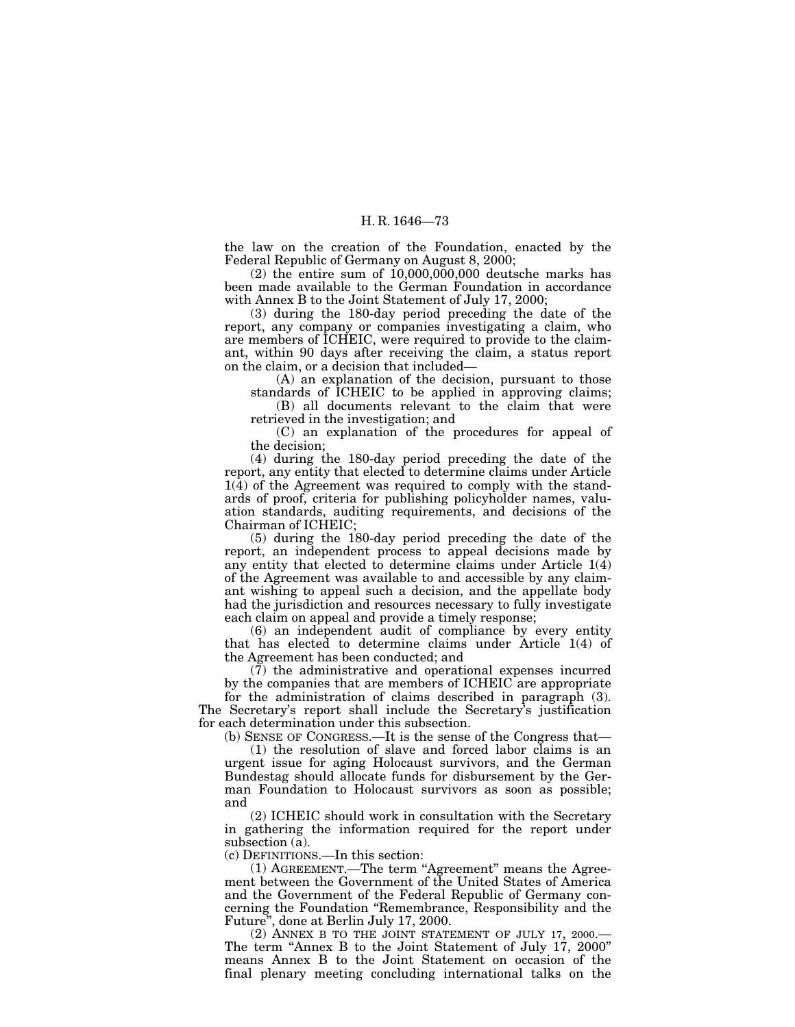the law on the creation of the Foundation, enacted by the Federal Republic of Germany on August 8, 2000;

 $(2)$  the entire sum of  $10,000,000,000$  deutsche marks has been made available to the German Foundation in accordance with Annex B to the Joint Statement of July 17, 2000;

(3) during the 180-day period preceding the date of the report, any company or companies investigating a claim, who are members of ICHEIC, were required to provide to the claimant, within 90 days after receiving the claim, a status report on the claim, or a decision that included—

(A) an explanation of the decision, pursuant to those standards of ICHEIC to be applied in approving claims;

(B) all documents relevant to the claim that were retrieved in the investigation; and

(C) an explanation of the procedures for appeal of the decision;

(4) during the 180-day period preceding the date of the report, any entity that elected to determine claims under Article  $1(4)$  of the Agreement was required to comply with the standards of proof, criteria for publishing policyholder names, valuation standards, auditing requirements, and decisions of the Chairman of ICHEIC;

(5) during the 180-day period preceding the date of the report, an independent process to appeal decisions made by any entity that elected to determine claims under Article  $1(4)$ of the Agreement was available to and accessible by any claimant wishing to appeal such a decision, and the appellate body had the jurisdiction and resources necessary to fully investigate each claim on appeal and provide a timely response;

(6) an independent audit of compliance by every entity that has elected to determine claims under Article 1(4) of the Agreement has been conducted; and

(7) the administrative and operational expenses incurred by the companies that are members of ICHEIC are appropriate for the administration of claims described in paragraph (3). The Secretary's report shall include the Secretary's justification for each determination under this subsection.

(b) SENSE OF CONGRESS.—It is the sense of the Congress that—

(1) the resolution of slave and forced labor claims is an urgent issue for aging Holocaust survivors, and the German Bundestag should allocate funds for disbursement by the German Foundation to Holocaust survivors as soon as possible; and

(2) ICHEIC should work in consultation with the Secretary in gathering the information required for the report under subsection (a).

(c) DEFINITIONS.—In this section:

(1) AGREEMENT.—The term ''Agreement'' means the Agreement between the Government of the United States of America and the Government of the Federal Republic of Germany concerning the Foundation ''Remembrance, Responsibility and the Future'', done at Berlin July 17, 2000.

(2) ANNEX B TO THE JOINT STATEMENT OF JULY 17, 2000.— The term "Annex B to the Joint Statement of July 17, 2000" means Annex B to the Joint Statement on occasion of the final plenary meeting concluding international talks on the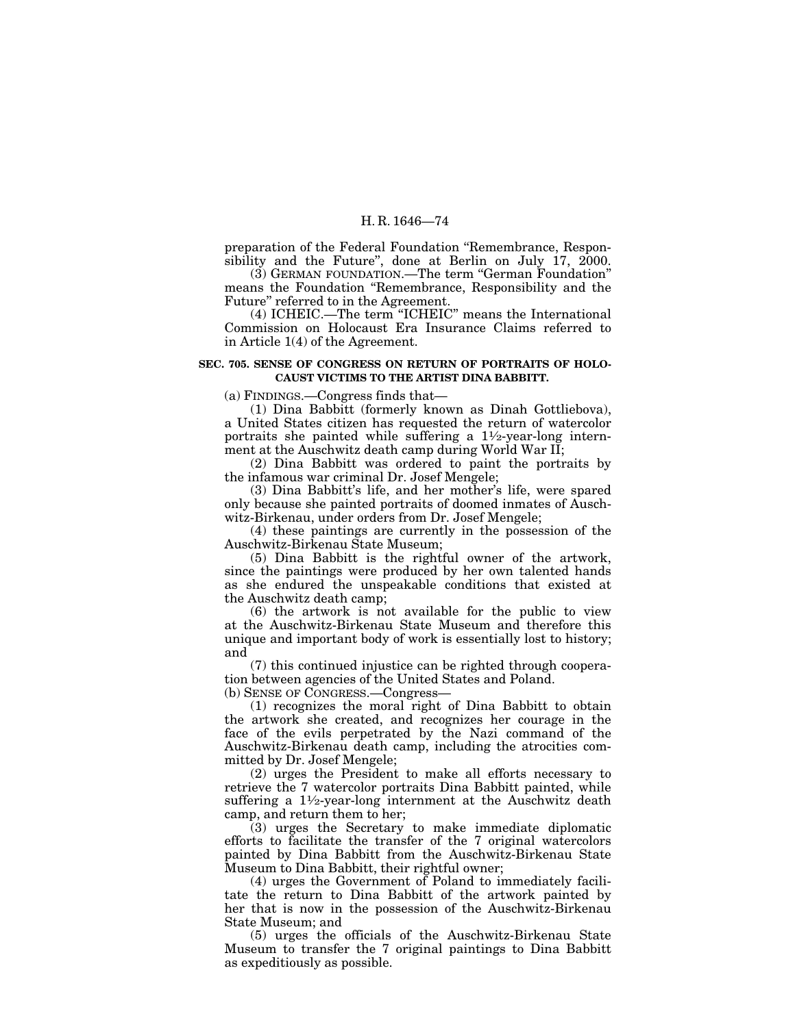preparation of the Federal Foundation ''Remembrance, Responsibility and the Future", done at Berlin on July 17, 2000.

(3) GERMAN FOUNDATION.—The term ''German Foundation'' means the Foundation ''Remembrance, Responsibility and the Future'' referred to in the Agreement.

(4) ICHEIC.—The term "ICHEIC" means the International Commission on Holocaust Era Insurance Claims referred to in Article 1(4) of the Agreement.

#### **SEC. 705. SENSE OF CONGRESS ON RETURN OF PORTRAITS OF HOLO-CAUST VICTIMS TO THE ARTIST DINA BABBITT.**

(a) FINDINGS.—Congress finds that—

(1) Dina Babbitt (formerly known as Dinah Gottliebova), a United States citizen has requested the return of watercolor portraits she painted while suffering a  $1\frac{1}{2}$ -year-long internment at the Auschwitz death camp during World War II;

(2) Dina Babbitt was ordered to paint the portraits by the infamous war criminal Dr. Josef Mengele;

(3) Dina Babbitt's life, and her mother's life, were spared only because she painted portraits of doomed inmates of Auschwitz-Birkenau, under orders from Dr. Josef Mengele;

(4) these paintings are currently in the possession of the Auschwitz-Birkenau State Museum;

(5) Dina Babbitt is the rightful owner of the artwork, since the paintings were produced by her own talented hands as she endured the unspeakable conditions that existed at the Auschwitz death camp;

(6) the artwork is not available for the public to view at the Auschwitz-Birkenau State Museum and therefore this unique and important body of work is essentially lost to history; and

(7) this continued injustice can be righted through cooperation between agencies of the United States and Poland.

(b) SENSE OF CONGRESS.—Congress—

(1) recognizes the moral right of Dina Babbitt to obtain the artwork she created, and recognizes her courage in the face of the evils perpetrated by the Nazi command of the Auschwitz-Birkenau death camp, including the atrocities committed by Dr. Josef Mengele;

(2) urges the President to make all efforts necessary to retrieve the 7 watercolor portraits Dina Babbitt painted, while suffering a  $1\frac{1}{2}$ -year-long internment at the Auschwitz death camp, and return them to her;

(3) urges the Secretary to make immediate diplomatic efforts to facilitate the transfer of the 7 original watercolors painted by Dina Babbitt from the Auschwitz-Birkenau State Museum to Dina Babbitt, their rightful owner;

(4) urges the Government of Poland to immediately facilitate the return to Dina Babbitt of the artwork painted by her that is now in the possession of the Auschwitz-Birkenau State Museum; and

(5) urges the officials of the Auschwitz-Birkenau State Museum to transfer the 7 original paintings to Dina Babbitt as expeditiously as possible.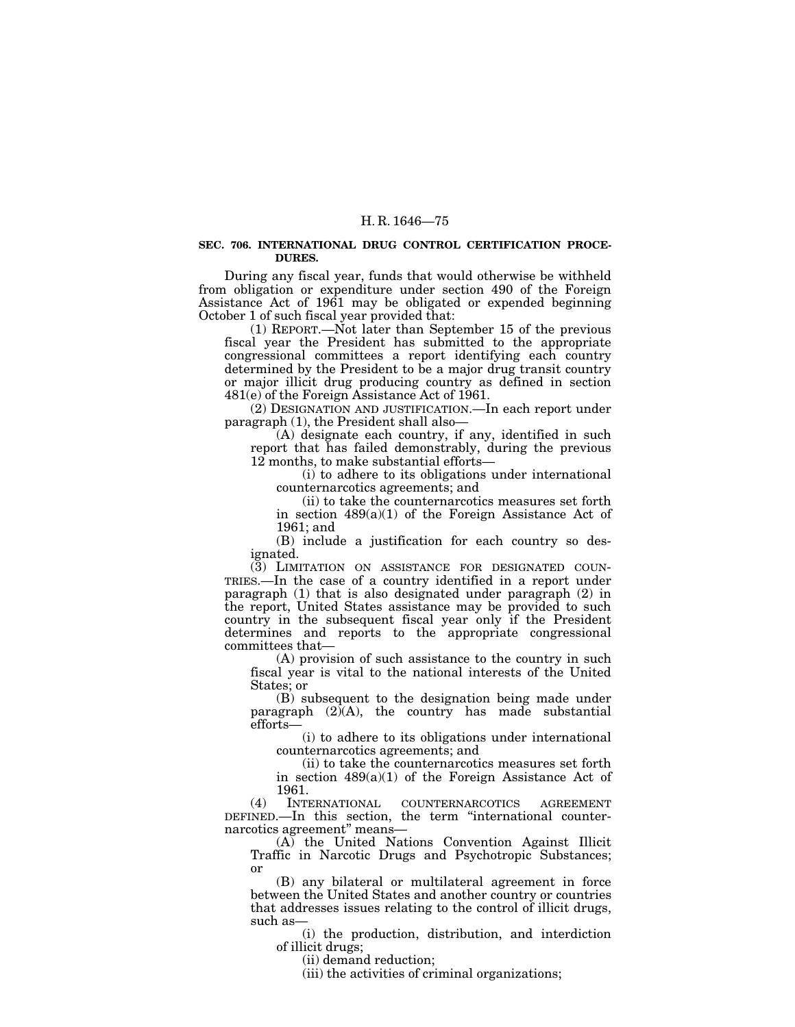#### **SEC. 706. INTERNATIONAL DRUG CONTROL CERTIFICATION PROCE-DURES.**

During any fiscal year, funds that would otherwise be withheld from obligation or expenditure under section 490 of the Foreign Assistance Act of 1961 may be obligated or expended beginning October 1 of such fiscal year provided that:

(1) REPORT.—Not later than September 15 of the previous fiscal year the President has submitted to the appropriate congressional committees a report identifying each country determined by the President to be a major drug transit country or major illicit drug producing country as defined in section 481(e) of the Foreign Assistance Act of 1961.

(2) DESIGNATION AND JUSTIFICATION.—In each report under paragraph (1), the President shall also—

(A) designate each country, if any, identified in such report that has failed demonstrably, during the previous 12 months, to make substantial efforts—

(i) to adhere to its obligations under international counternarcotics agreements; and

(ii) to take the counternarcotics measures set forth in section  $489(a)(1)$  of the Foreign Assistance Act of 1961; and

(B) include a justification for each country so designated.

(3) LIMITATION ON ASSISTANCE FOR DESIGNATED COUN-TRIES.—In the case of a country identified in a report under paragraph (1) that is also designated under paragraph (2) in the report, United States assistance may be provided to such country in the subsequent fiscal year only if the President determines and reports to the appropriate congressional committees that—

(A) provision of such assistance to the country in such fiscal year is vital to the national interests of the United States; or

(B) subsequent to the designation being made under paragraph  $(2)$  $(A)$ , the country has made substantial efforts—

(i) to adhere to its obligations under international counternarcotics agreements; and

(ii) to take the counternarcotics measures set forth in section  $489(a)(1)$  of the Foreign Assistance Act of 1961.

(4) INTERNATIONAL COUNTERNARCOTICS AGREEMENT DEFINED.—In this section, the term ''international counternarcotics agreement'' means—

(A) the United Nations Convention Against Illicit Traffic in Narcotic Drugs and Psychotropic Substances; or

(B) any bilateral or multilateral agreement in force between the United States and another country or countries that addresses issues relating to the control of illicit drugs, such as—

(i) the production, distribution, and interdiction of illicit drugs;

(ii) demand reduction;

(iii) the activities of criminal organizations;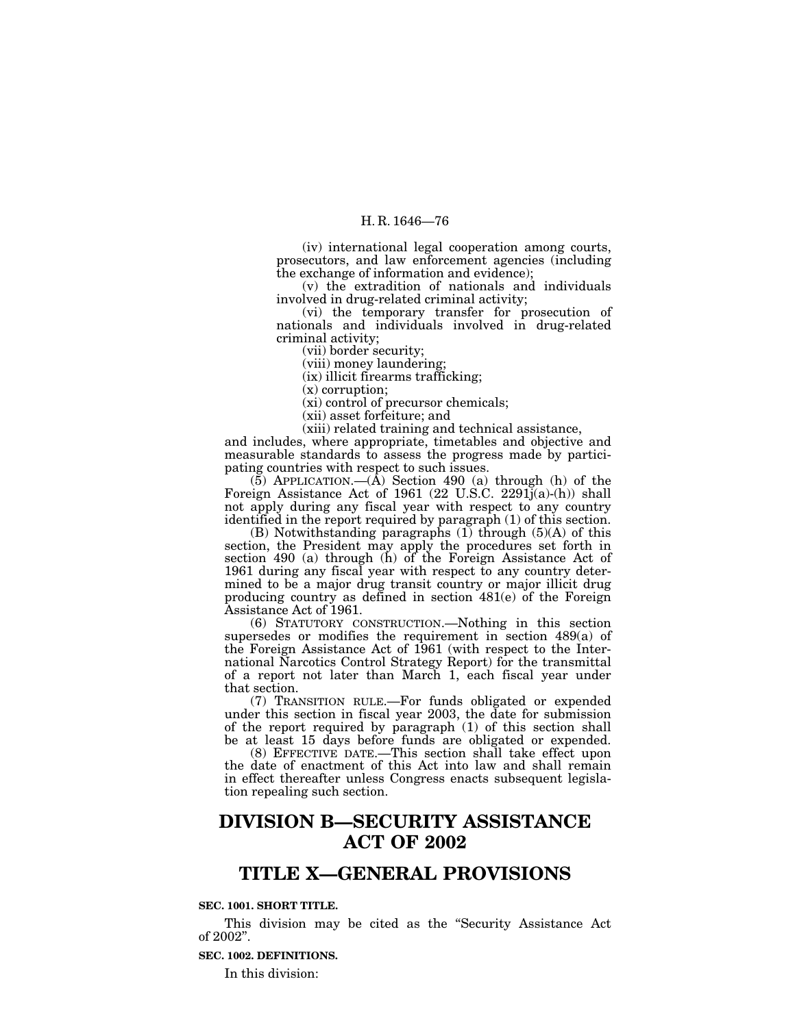(iv) international legal cooperation among courts, prosecutors, and law enforcement agencies (including the exchange of information and evidence);

(v) the extradition of nationals and individuals involved in drug-related criminal activity;

(vi) the temporary transfer for prosecution of nationals and individuals involved in drug-related criminal activity;

(vii) border security;

(viii) money laundering;

(ix) illicit firearms trafficking;

(x) corruption;

(xi) control of precursor chemicals;

(xii) asset forfeiture; and

(xiii) related training and technical assistance,

and includes, where appropriate, timetables and objective and measurable standards to assess the progress made by participating countries with respect to such issues.

 $(5)$  APPLICATION.— $(A)$  Section 490  $(a)$  through  $(h)$  of the Foreign Assistance Act of 1961 (22 U.S.C. 2291j(a)-(h)) shall not apply during any fiscal year with respect to any country identified in the report required by paragraph (1) of this section.

(B) Notwithstanding paragraphs  $(1)$  through  $(5)(A)$  of this section, the President may apply the procedures set forth in section 490 (a) through (h) of the Foreign Assistance Act of 1961 during any fiscal year with respect to any country determined to be a major drug transit country or major illicit drug producing country as defined in section 481(e) of the Foreign Assistance Act of 1961.

(6) STATUTORY CONSTRUCTION.—Nothing in this section supersedes or modifies the requirement in section 489(a) of the Foreign Assistance Act of 1961 (with respect to the International Narcotics Control Strategy Report) for the transmittal of a report not later than March 1, each fiscal year under that section.

(7) TRANSITION RULE.—For funds obligated or expended under this section in fiscal year 2003, the date for submission of the report required by paragraph (1) of this section shall be at least 15 days before funds are obligated or expended.

(8) EFFECTIVE DATE.—This section shall take effect upon the date of enactment of this Act into law and shall remain in effect thereafter unless Congress enacts subsequent legislation repealing such section.

# **DIVISION B—SECURITY ASSISTANCE ACT OF 2002**

## **TITLE X—GENERAL PROVISIONS**

## **SEC. 1001. SHORT TITLE.**

This division may be cited as the ''Security Assistance Act of 2002''.

#### **SEC. 1002. DEFINITIONS.**

In this division: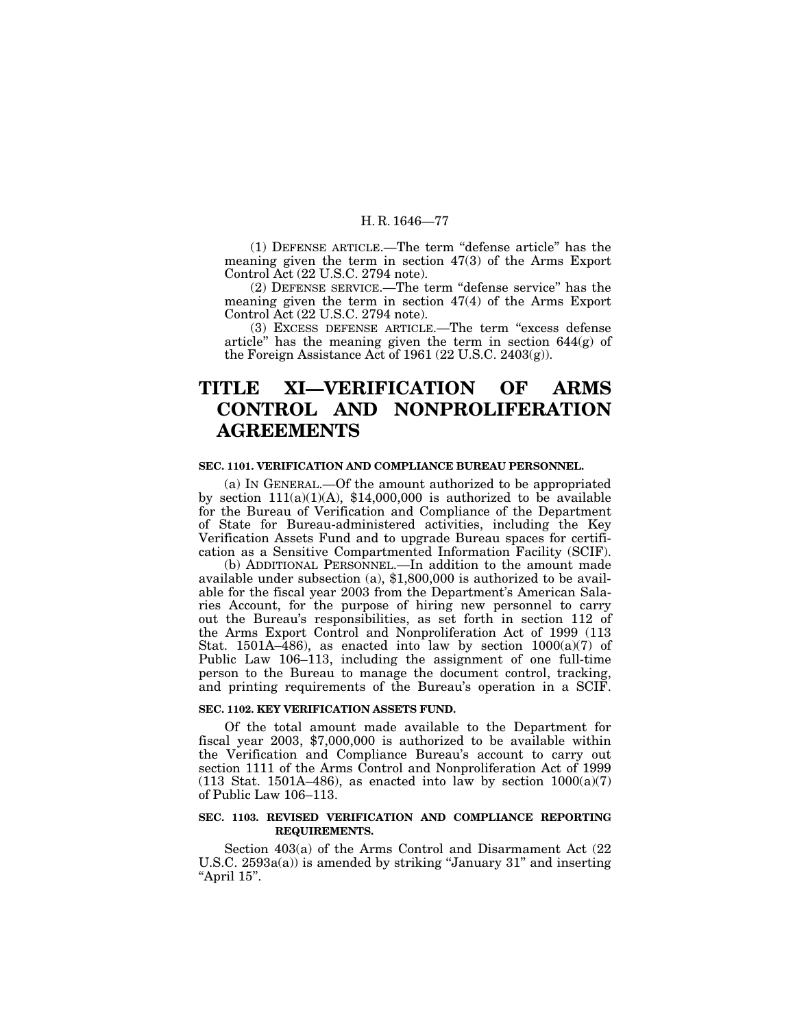(1) DEFENSE ARTICLE.—The term ''defense article'' has the meaning given the term in section 47(3) of the Arms Export Control Act (22 U.S.C. 2794 note).

(2) DEFENSE SERVICE.—The term ''defense service'' has the meaning given the term in section 47(4) of the Arms Export Control Act (22 U.S.C. 2794 note).

(3) EXCESS DEFENSE ARTICLE.—The term ''excess defense article'' has the meaning given the term in section 644(g) of the Foreign Assistance Act of 1961 (22 U.S.C. 2403(g)).

# **TITLE XI—VERIFICATION OF ARMS CONTROL AND NONPROLIFERATION AGREEMENTS**

#### **SEC. 1101. VERIFICATION AND COMPLIANCE BUREAU PERSONNEL.**

(a) IN GENERAL.—Of the amount authorized to be appropriated by section  $111(a)(1)(A)$ , \$14,000,000 is authorized to be available for the Bureau of Verification and Compliance of the Department of State for Bureau-administered activities, including the Key Verification Assets Fund and to upgrade Bureau spaces for certification as a Sensitive Compartmented Information Facility (SCIF).

(b) ADDITIONAL PERSONNEL.—In addition to the amount made available under subsection (a), \$1,800,000 is authorized to be available for the fiscal year 2003 from the Department's American Salaries Account, for the purpose of hiring new personnel to carry out the Bureau's responsibilities, as set forth in section 112 of the Arms Export Control and Nonproliferation Act of 1999 (113 Stat. 1501A–486), as enacted into law by section  $1000(a)(7)$  of Public Law 106–113, including the assignment of one full-time person to the Bureau to manage the document control, tracking, and printing requirements of the Bureau's operation in a SCIF.

#### **SEC. 1102. KEY VERIFICATION ASSETS FUND.**

Of the total amount made available to the Department for fiscal year 2003, \$7,000,000 is authorized to be available within the Verification and Compliance Bureau's account to carry out section 1111 of the Arms Control and Nonproliferation Act of 1999  $(113 \text{ Stat. } 1501A-486)$ , as enacted into law by section  $1000(a)(7)$ of Public Law 106–113.

## **SEC. 1103. REVISED VERIFICATION AND COMPLIANCE REPORTING REQUIREMENTS.**

Section 403(a) of the Arms Control and Disarmament Act (22 U.S.C. 2593a(a)) is amended by striking "January 31" and inserting "April 15".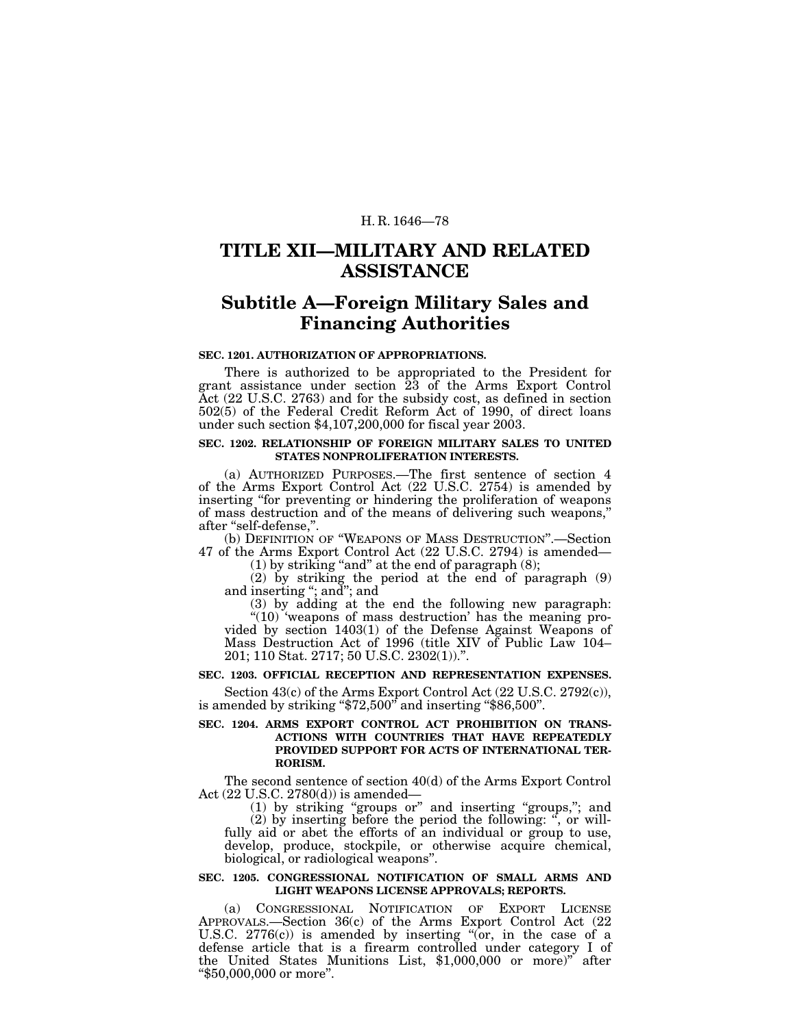## **TITLE XII—MILITARY AND RELATED ASSISTANCE**

# **Subtitle A—Foreign Military Sales and Financing Authorities**

#### **SEC. 1201. AUTHORIZATION OF APPROPRIATIONS.**

There is authorized to be appropriated to the President for grant assistance under section 23 of the Arms Export Control Act (22 U.S.C. 2763) and for the subsidy cost, as defined in section 502(5) of the Federal Credit Reform Act of 1990, of direct loans under such section \$4,107,200,000 for fiscal year 2003.

### **SEC. 1202. RELATIONSHIP OF FOREIGN MILITARY SALES TO UNITED STATES NONPROLIFERATION INTERESTS.**

(a) AUTHORIZED PURPOSES.—The first sentence of section 4 of the Arms Export Control Act (22 U.S.C. 2754) is amended by inserting "for preventing or hindering the proliferation of weapons of mass destruction and of the means of delivering such weapons,'' after ''self-defense,''.

(b) DEFINITION OF ''WEAPONS OF MASS DESTRUCTION''.—Section 47 of the Arms Export Control Act (22 U.S.C. 2794) is amended—

 $(1)$  by striking "and" at the end of paragraph  $(8)$ ;

(2) by striking the period at the end of paragraph (9) and inserting "; and"; and

(3) by adding at the end the following new paragraph: "(10) 'weapons of mass destruction' has the meaning pro-

vided by section 1403(1) of the Defense Against Weapons of Mass Destruction Act of 1996 (title XIV of Public Law 104– 201; 110 Stat. 2717; 50 U.S.C. 2302(1)).''.

## **SEC. 1203. OFFICIAL RECEPTION AND REPRESENTATION EXPENSES.**

Section 43(c) of the Arms Export Control Act (22 U.S.C. 2792(c)), is amended by striking ''\$72,500'' and inserting ''\$86,500''.

### **SEC. 1204. ARMS EXPORT CONTROL ACT PROHIBITION ON TRANS-ACTIONS WITH COUNTRIES THAT HAVE REPEATEDLY PROVIDED SUPPORT FOR ACTS OF INTERNATIONAL TER-RORISM.**

The second sentence of section 40(d) of the Arms Export Control Act (22 U.S.C. 2780(d)) is amended—

(1) by striking ''groups or'' and inserting ''groups,''; and (2) by inserting before the period the following: '', or willfully aid or abet the efforts of an individual or group to use, develop, produce, stockpile, or otherwise acquire chemical, biological, or radiological weapons''.

#### **SEC. 1205. CONGRESSIONAL NOTIFICATION OF SMALL ARMS AND LIGHT WEAPONS LICENSE APPROVALS; REPORTS.**

(a) CONGRESSIONAL NOTIFICATION OF EXPORT LICENSE APPROVALS.—Section 36(c) of the Arms Export Control Act (22 U.S.C.  $2776(c)$  is amended by inserting " $\acute{(or}$ , in the case of a defense article that is a firearm controlled under category I of the United States Munitions List, \$1,000,000 or more)" after "\$50,000,000 or more".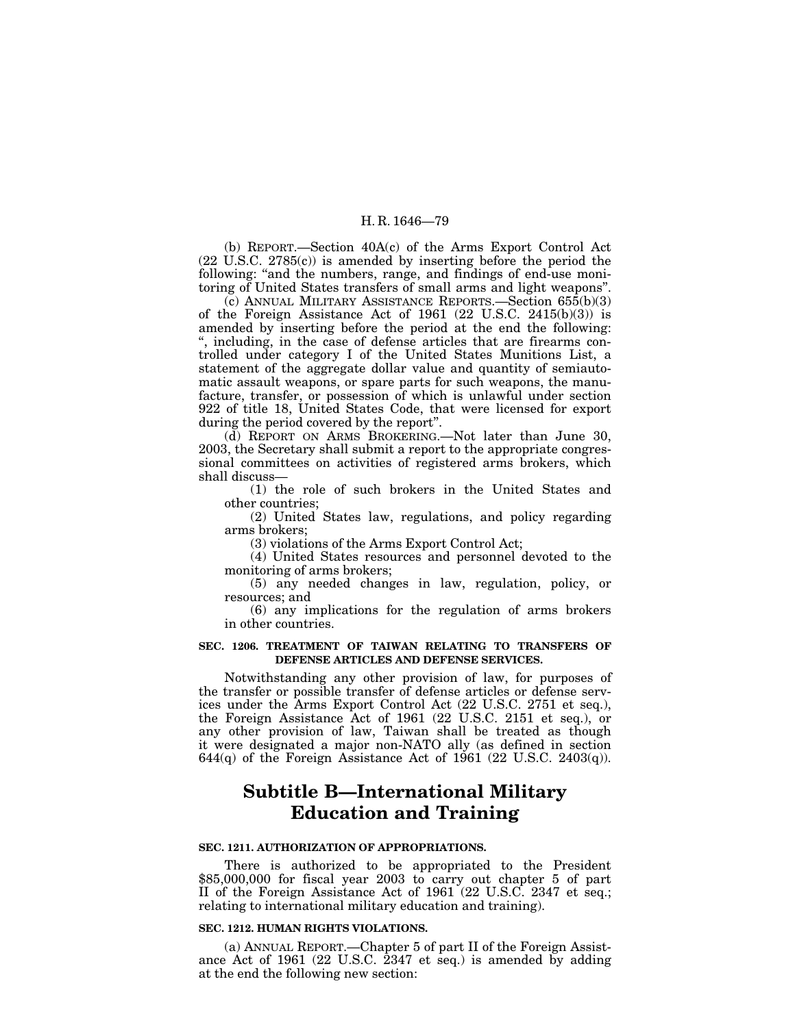(b) REPORT.—Section 40A(c) of the Arms Export Control Act (22 U.S.C. 2785(c)) is amended by inserting before the period the following: "and the numbers, range, and findings of end-use monitoring of United States transfers of small arms and light weapons''.

(c) ANNUAL MILITARY ASSISTANCE REPORTS.—Section 655(b)(3) of the Foreign Assistance Act of 1961 (22 U.S.C. 2415(b)(3)) is amended by inserting before the period at the end the following: '', including, in the case of defense articles that are firearms controlled under category I of the United States Munitions List, a statement of the aggregate dollar value and quantity of semiautomatic assault weapons, or spare parts for such weapons, the manufacture, transfer, or possession of which is unlawful under section 922 of title 18, United States Code, that were licensed for export during the period covered by the report''.

(d) REPORT ON ARMS BROKERING.—Not later than June 30, 2003, the Secretary shall submit a report to the appropriate congressional committees on activities of registered arms brokers, which shall discuss—

(1) the role of such brokers in the United States and other countries;

(2) United States law, regulations, and policy regarding arms brokers;

(3) violations of the Arms Export Control Act;

(4) United States resources and personnel devoted to the monitoring of arms brokers;

(5) any needed changes in law, regulation, policy, or resources; and

(6) any implications for the regulation of arms brokers in other countries.

#### **SEC. 1206. TREATMENT OF TAIWAN RELATING TO TRANSFERS OF DEFENSE ARTICLES AND DEFENSE SERVICES.**

Notwithstanding any other provision of law, for purposes of the transfer or possible transfer of defense articles or defense services under the Arms Export Control Act (22 U.S.C. 2751 et seq.), the Foreign Assistance Act of 1961 (22 U.S.C. 2151 et seq.), or any other provision of law, Taiwan shall be treated as though it were designated a major non-NATO ally (as defined in section 644 $(q)$  of the Foreign Assistance Act of 1961 (22 U.S.C. 2403 $(q)$ ).

# **Subtitle B—International Military Education and Training**

## **SEC. 1211. AUTHORIZATION OF APPROPRIATIONS.**

There is authorized to be appropriated to the President \$85,000,000 for fiscal year 2003 to carry out chapter 5 of part II of the Foreign Assistance Act of 1961 (22 U.S.C. 2347 et seq.; relating to international military education and training).

#### **SEC. 1212. HUMAN RIGHTS VIOLATIONS.**

(a) ANNUAL REPORT.—Chapter 5 of part II of the Foreign Assistance Act of 1961 (22 U.S.C. 2347 et seq.) is amended by adding at the end the following new section: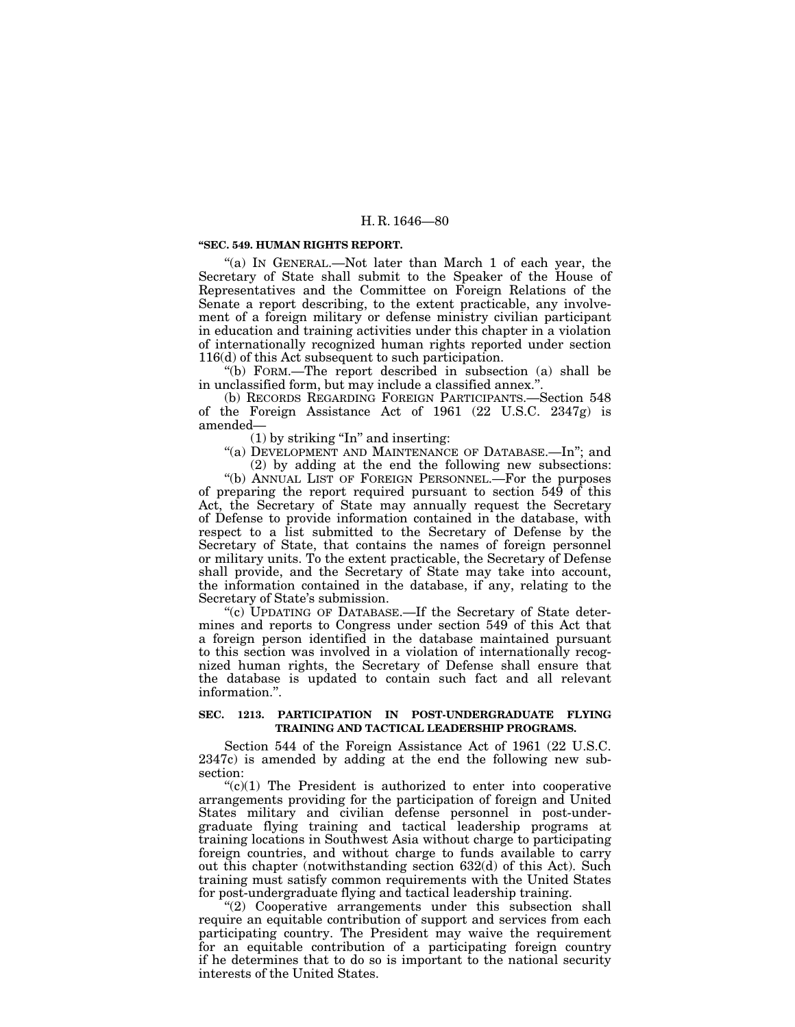#### **''SEC. 549. HUMAN RIGHTS REPORT.**

"(a) IN GENERAL.—Not later than March 1 of each year, the Secretary of State shall submit to the Speaker of the House of Representatives and the Committee on Foreign Relations of the Senate a report describing, to the extent practicable, any involvement of a foreign military or defense ministry civilian participant in education and training activities under this chapter in a violation of internationally recognized human rights reported under section 116(d) of this Act subsequent to such participation.

''(b) FORM.—The report described in subsection (a) shall be in unclassified form, but may include a classified annex.''.

(b) RECORDS REGARDING FOREIGN PARTICIPANTS.—Section 548 of the Foreign Assistance Act of 1961 (22 U.S.C. 2347g) is amended—

 $(1)$  by striking "In" and inserting:

"(a) DEVELOPMENT AND MAINTENANCE OF DATABASE.—In"; and

(2) by adding at the end the following new subsections: ''(b) ANNUAL LIST OF FOREIGN PERSONNEL.—For the purposes of preparing the report required pursuant to section 549 of this Act, the Secretary of State may annually request the Secretary of Defense to provide information contained in the database, with respect to a list submitted to the Secretary of Defense by the Secretary of State, that contains the names of foreign personnel or military units. To the extent practicable, the Secretary of Defense shall provide, and the Secretary of State may take into account, the information contained in the database, if any, relating to the Secretary of State's submission.

''(c) UPDATING OF DATABASE.—If the Secretary of State determines and reports to Congress under section 549 of this Act that a foreign person identified in the database maintained pursuant to this section was involved in a violation of internationally recognized human rights, the Secretary of Defense shall ensure that the database is updated to contain such fact and all relevant information.''.

### **SEC. 1213. PARTICIPATION IN POST-UNDERGRADUATE FLYING TRAINING AND TACTICAL LEADERSHIP PROGRAMS.**

Section 544 of the Foreign Assistance Act of 1961 (22 U.S.C. 2347c) is amended by adding at the end the following new subsection:

 $(c)(1)$  The President is authorized to enter into cooperative arrangements providing for the participation of foreign and United States military and civilian defense personnel in post-undergraduate flying training and tactical leadership programs at training locations in Southwest Asia without charge to participating foreign countries, and without charge to funds available to carry out this chapter (notwithstanding section 632(d) of this Act). Such training must satisfy common requirements with the United States for post-undergraduate flying and tactical leadership training.

"(2) Cooperative arrangements under this subsection shall require an equitable contribution of support and services from each participating country. The President may waive the requirement for an equitable contribution of a participating foreign country if he determines that to do so is important to the national security interests of the United States.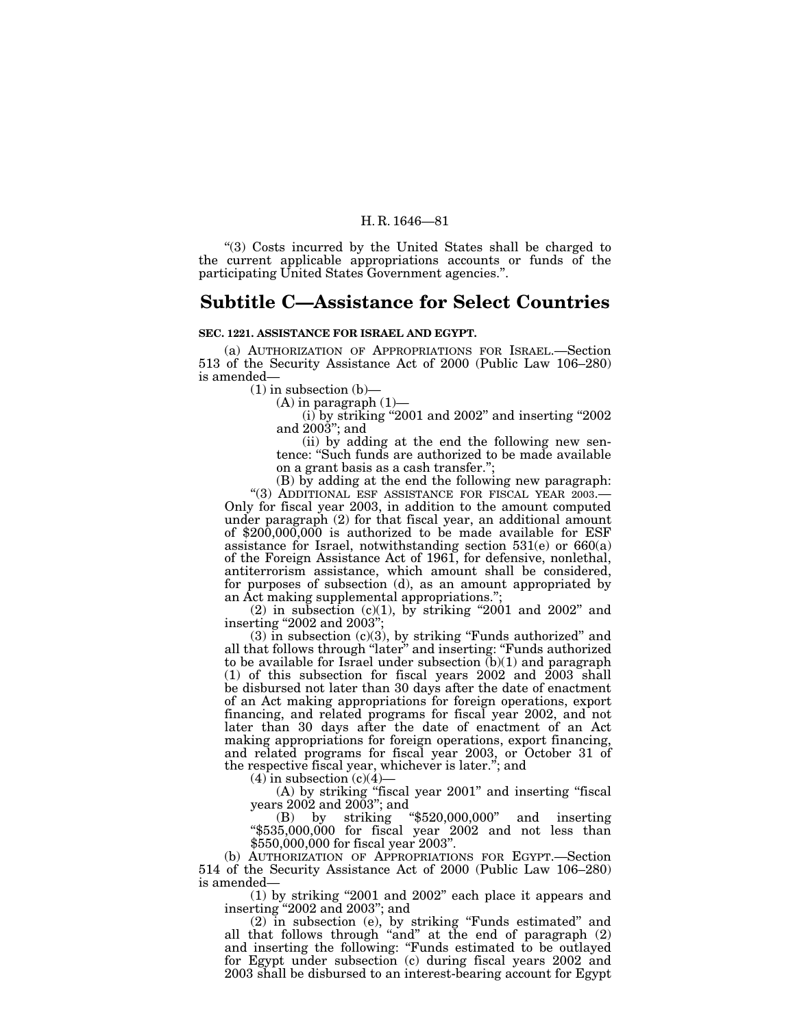''(3) Costs incurred by the United States shall be charged to the current applicable appropriations accounts or funds of the participating United States Government agencies.''.

## **Subtitle C—Assistance for Select Countries**

#### **SEC. 1221. ASSISTANCE FOR ISRAEL AND EGYPT.**

(a) AUTHORIZATION OF APPROPRIATIONS FOR ISRAEL.—Section 513 of the Security Assistance Act of 2000 (Public Law 106–280)

(1) in subsection (b)—<br>
(a) in paragraph (1)—<br>
(i) by striking "2001 and 2002" and inserting "2002" and 2003''; and

(ii) by adding at the end the following new sentence: ''Such funds are authorized to be made available on a grant basis as a cash transfer.";<br>(B) by adding at the end the following new paragraph:

(B) by adding at the end the following new paragraph: "(3) ADDITIONAL ESF ASSISTANCE FOR FISCAL YEAR 2003.— Only for fiscal year 2003, in addition to the amount computed under paragraph (2) for that fiscal year, an additional amount of \$200,000,000 is authorized to be made available for ESF assistance for Israel, notwithstanding section  $531(e)$  or  $660(a)$ of the Foreign Assistance Act of 1961, for defensive, nonlethal, antiterrorism assistance, which amount shall be considered, for purposes of subsection (d), as an amount appropriated by an Act making supplemental appropriations.'';

(2) in subsection (c)(1), by striking "2001 and 2002" and inserting "2002 and 2003"

 $(3)$  in subsection  $(c)(3)$ , by striking "Funds authorized" and all that follows through ''later'' and inserting: ''Funds authorized to be available for Israel under subsection (b)(1) and paragraph (1) of this subsection for fiscal years 2002 and 2003 shall be disbursed not later than 30 days after the date of enactment of an Act making appropriations for foreign operations, export financing, and related programs for fiscal year 2002, and not later than 30 days after the date of enactment of an Act making appropriations for foreign operations, export financing, and related programs for fiscal year 2003, or October 31 of the respective fiscal year, whichever is later.''; and

 $(4)$  in subsection  $(c)(4)$ —

(A) by striking ''fiscal year 2001'' and inserting ''fiscal years 2002 and 2003''; and

(B) by striking ''\$520,000,000'' and inserting " $$535,000,000$  for fiscal year  $2002$  and not less than \$550,000,000 for fiscal year 2003''.

(b) AUTHORIZATION OF APPROPRIATIONS FOR EGYPT.—Section 514 of the Security Assistance Act of 2000 (Public Law 106–280) is amended—

(1) by striking ''2001 and 2002'' each place it appears and inserting ''2002 and 2003''; and

(2) in subsection (e), by striking ''Funds estimated'' and all that follows through "and" at the end of paragraph (2) and inserting the following: "Funds estimated to be outlayed for Egypt under subsection (c) during fiscal years 2002 and 2003 shall be disbursed to an interest-bearing account for Egypt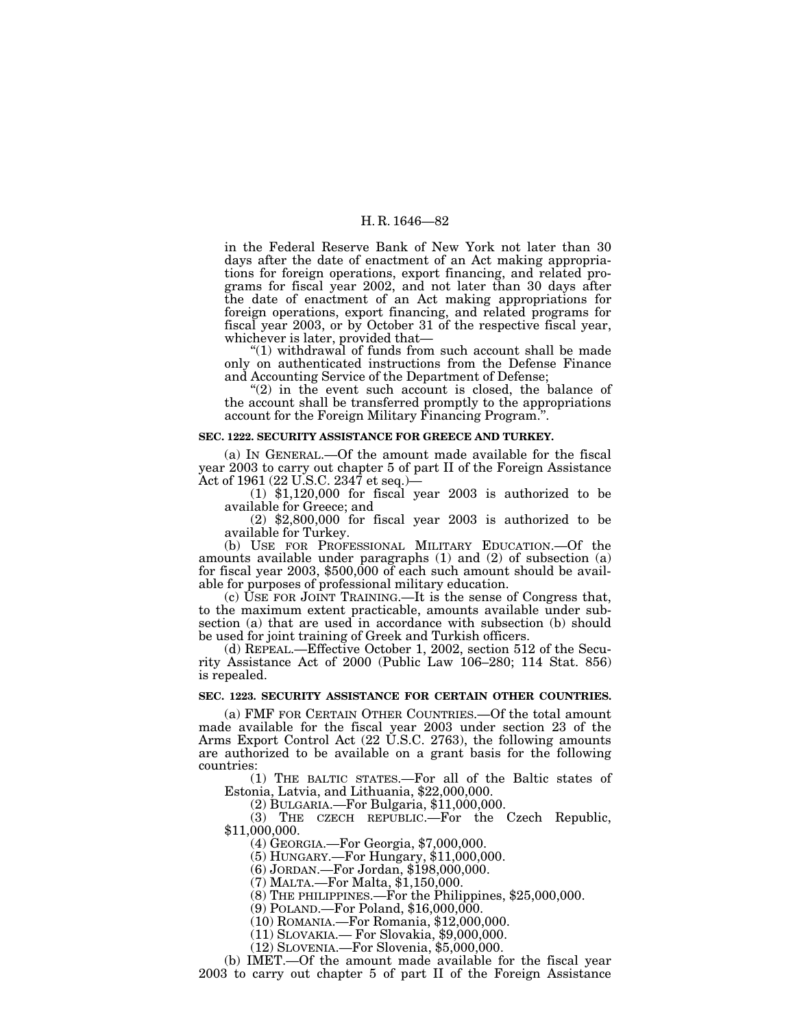in the Federal Reserve Bank of New York not later than 30 days after the date of enactment of an Act making appropriations for foreign operations, export financing, and related programs for fiscal year 2002, and not later than 30 days after the date of enactment of an Act making appropriations for foreign operations, export financing, and related programs for fiscal year 2003, or by October 31 of the respective fiscal year, whichever is later, provided that—

''(1) withdrawal of funds from such account shall be made only on authenticated instructions from the Defense Finance and Accounting Service of the Department of Defense;

" $(2)$  in the event such account is closed, the balance of the account shall be transferred promptly to the appropriations account for the Foreign Military Financing Program.''.

#### **SEC. 1222. SECURITY ASSISTANCE FOR GREECE AND TURKEY.**

(a) IN GENERAL.—Of the amount made available for the fiscal year 2003 to carry out chapter 5 of part II of the Foreign Assistance Act of 1961 (22 U.S.C. 2347 et seq.)—

(1) \$1,120,000 for fiscal year 2003 is authorized to be available for Greece; and

(2) \$2,800,000 for fiscal year 2003 is authorized to be available for Turkey.

(b) USE FOR PROFESSIONAL MILITARY EDUCATION.—Of the amounts available under paragraphs (1) and (2) of subsection (a) for fiscal year 2003, \$500,000 of each such amount should be available for purposes of professional military education.

(c) USE FOR JOINT TRAINING.—It is the sense of Congress that, to the maximum extent practicable, amounts available under subsection (a) that are used in accordance with subsection (b) should be used for joint training of Greek and Turkish officers.

(d) REPEAL.—Effective October 1, 2002, section 512 of the Security Assistance Act of 2000 (Public Law 106–280; 114 Stat. 856) is repealed.

#### **SEC. 1223. SECURITY ASSISTANCE FOR CERTAIN OTHER COUNTRIES.**

(a) FMF FOR CERTAIN OTHER COUNTRIES.—Of the total amount made available for the fiscal year 2003 under section 23 of the Arms Export Control Act (22 U.S.C. 2763), the following amounts are authorized to be available on a grant basis for the following countries:

(1) THE BALTIC STATES.—For all of the Baltic states of Estonia, Latvia, and Lithuania, \$22,000,000.

(2) BULGARIA.—For Bulgaria, \$11,000,000.

(3) THE CZECH REPUBLIC.—For the Czech Republic, \$11,000,000.

(4) GEORGIA.—For Georgia, \$7,000,000.

(5) HUNGARY.—For Hungary, \$11,000,000.

(6) JORDAN.—For Jordan, \$198,000,000.

(7) MALTA.—For Malta, \$1,150,000.

(8) THE PHILIPPINES.—For the Philippines, \$25,000,000.

(9) POLAND.—For Poland, \$16,000,000.

(10) ROMANIA.—For Romania, \$12,000,000.

(11) SLOVAKIA.— For Slovakia, \$9,000,000.

(12) SLOVENIA.—For Slovenia, \$5,000,000.

(b) IMET.—Of the amount made available for the fiscal year

2003 to carry out chapter 5 of part II of the Foreign Assistance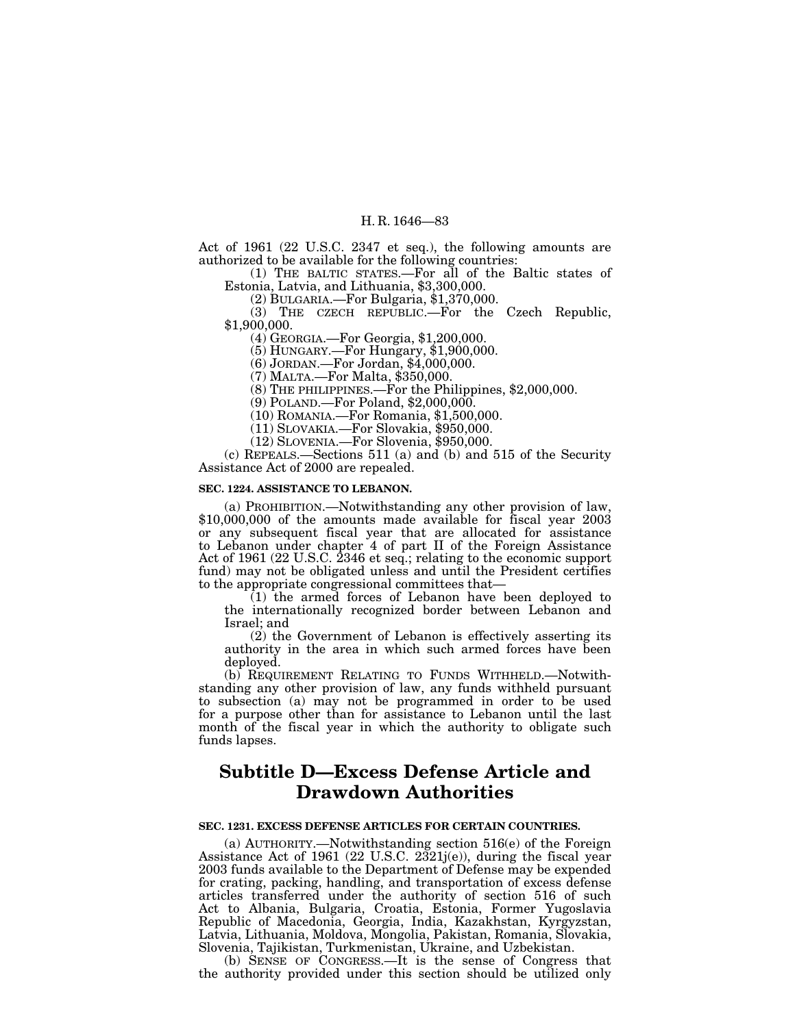Act of 1961 (22 U.S.C. 2347 et seq.), the following amounts are authorized to be available for the following countries:

(1) THE BALTIC STATES.—For all of the Baltic states of Estonia, Latvia, and Lithuania, \$3,300,000.

(2) BULGARIA.—For Bulgaria, \$1,370,000.

(3) THE CZECH REPUBLIC.—For the Czech Republic, \$1,900,000.

(4) GEORGIA.—For Georgia, \$1,200,000.

(5) HUNGARY.—For Hungary, \$1,900,000.

(6) JORDAN.—For Jordan, \$4,000,000.

(7) MALTA.—For Malta, \$350,000.

(8) THE PHILIPPINES.—For the Philippines, \$2,000,000.

(9) POLAND.—For Poland, \$2,000,000.

(10) ROMANIA.—For Romania, \$1,500,000.

(11) SLOVAKIA.—For Slovakia, \$950,000.

(12) SLOVENIA.—For Slovenia, \$950,000.

(c) REPEALS.—Sections 511 (a) and (b) and 515 of the Security Assistance Act of 2000 are repealed.

#### **SEC. 1224. ASSISTANCE TO LEBANON.**

(a) PROHIBITION.—Notwithstanding any other provision of law, \$10,000,000 of the amounts made available for fiscal year 2003 or any subsequent fiscal year that are allocated for assistance to Lebanon under chapter 4 of part II of the Foreign Assistance Act of 1961 (22 U.S.C. 2346 et seq.; relating to the economic support fund) may not be obligated unless and until the President certifies to the appropriate congressional committees that—

(1) the armed forces of Lebanon have been deployed to the internationally recognized border between Lebanon and Israel; and

(2) the Government of Lebanon is effectively asserting its authority in the area in which such armed forces have been deployed.

(b) REQUIREMENT RELATING TO FUNDS WITHHELD.—Notwithstanding any other provision of law, any funds withheld pursuant to subsection (a) may not be programmed in order to be used for a purpose other than for assistance to Lebanon until the last month of the fiscal year in which the authority to obligate such funds lapses.

# **Subtitle D—Excess Defense Article and Drawdown Authorities**

### **SEC. 1231. EXCESS DEFENSE ARTICLES FOR CERTAIN COUNTRIES.**

(a) AUTHORITY.—Notwithstanding section 516(e) of the Foreign Assistance Act of 1961 (22 U.S.C. 2321j(e)), during the fiscal year 2003 funds available to the Department of Defense may be expended for crating, packing, handling, and transportation of excess defense articles transferred under the authority of section 516 of such Act to Albania, Bulgaria, Croatia, Estonia, Former Yugoslavia Republic of Macedonia, Georgia, India, Kazakhstan, Kyrgyzstan, Latvia, Lithuania, Moldova, Mongolia, Pakistan, Romania, Slovakia, Slovenia, Tajikistan, Turkmenistan, Ukraine, and Uzbekistan.

(b) SENSE OF CONGRESS.—It is the sense of Congress that the authority provided under this section should be utilized only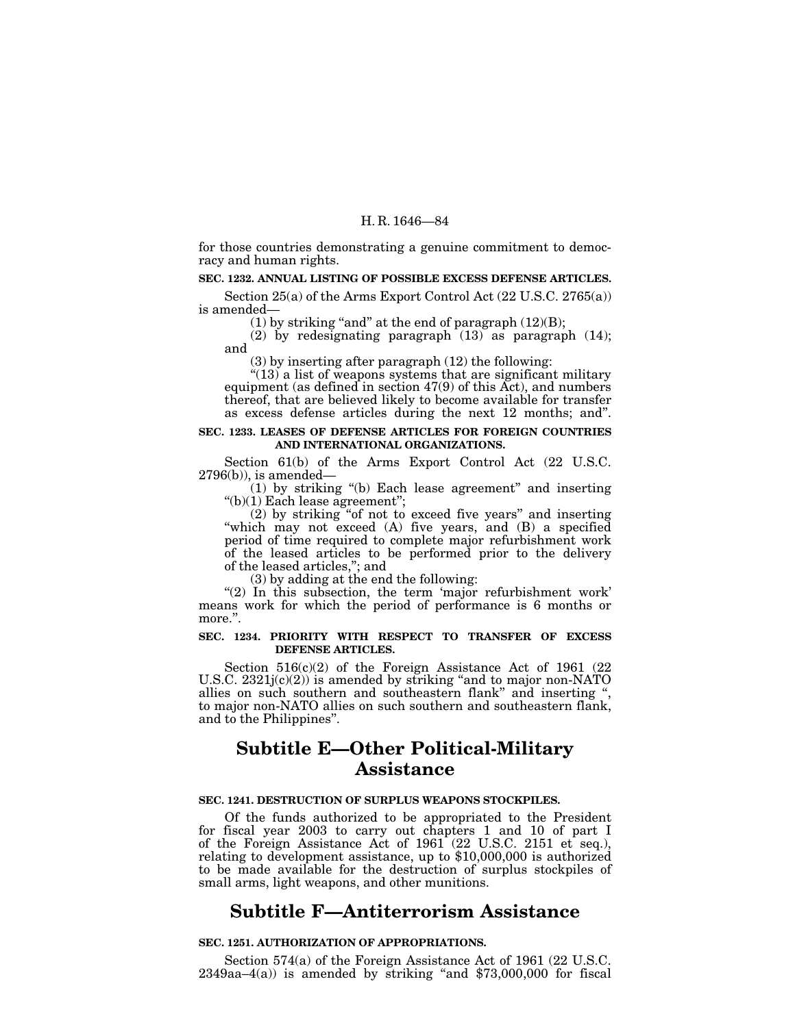for those countries demonstrating a genuine commitment to democracy and human rights.

## **SEC. 1232. ANNUAL LISTING OF POSSIBLE EXCESS DEFENSE ARTICLES.**

Section  $25(a)$  of the Arms Export Control Act  $(22 \text{ U.S.C. } 2765(a))$ is amended—

(1) by striking "and" at the end of paragraph  $(12)(B)$ ;

(2) by redesignating paragraph  $(13)$  as paragraph  $(14)$ ; and

(3) by inserting after paragraph (12) the following:

 $''(13)$  a list of weapons systems that are significant military equipment (as defined in section 47(9) of this Act), and numbers thereof, that are believed likely to become available for transfer as excess defense articles during the next 12 months; and''.

#### **SEC. 1233. LEASES OF DEFENSE ARTICLES FOR FOREIGN COUNTRIES AND INTERNATIONAL ORGANIZATIONS.**

Section 61(b) of the Arms Export Control Act (22 U.S.C. 2796(b)), is amended—

(1) by striking ''(b) Each lease agreement'' and inserting ''(b)(1) Each lease agreement'';

(2) by striking ''of not to exceed five years'' and inserting ''which may not exceed (A) five years, and (B) a specified period of time required to complete major refurbishment work of the leased articles to be performed prior to the delivery of the leased articles,''; and

(3) by adding at the end the following:

" $(2)$  In this subsection, the term 'major refurbishment work' means work for which the period of performance is 6 months or more.''.

## **SEC. 1234. PRIORITY WITH RESPECT TO TRANSFER OF EXCESS DEFENSE ARTICLES.**

Section  $516(c)(2)$  of the Foreign Assistance Act of 1961 (22) U.S.C. 2321j(c)(2)) is amended by striking "and to major non-NATO allies on such southern and southeastern flank'' and inserting '', to major non-NATO allies on such southern and southeastern flank, and to the Philippines''.

# **Subtitle E—Other Political-Military Assistance**

#### **SEC. 1241. DESTRUCTION OF SURPLUS WEAPONS STOCKPILES.**

Of the funds authorized to be appropriated to the President for fiscal year 2003 to carry out chapters 1 and 10 of part I of the Foreign Assistance Act of 1961 (22 U.S.C. 2151 et seq.), relating to development assistance, up to \$10,000,000 is authorized to be made available for the destruction of surplus stockpiles of small arms, light weapons, and other munitions.

## **Subtitle F—Antiterrorism Assistance**

## **SEC. 1251. AUTHORIZATION OF APPROPRIATIONS.**

Section 574(a) of the Foreign Assistance Act of 1961 (22 U.S.C.  $2349$ aa $-4(a)$ ) is amended by striking "and \$73,000,000 for fiscal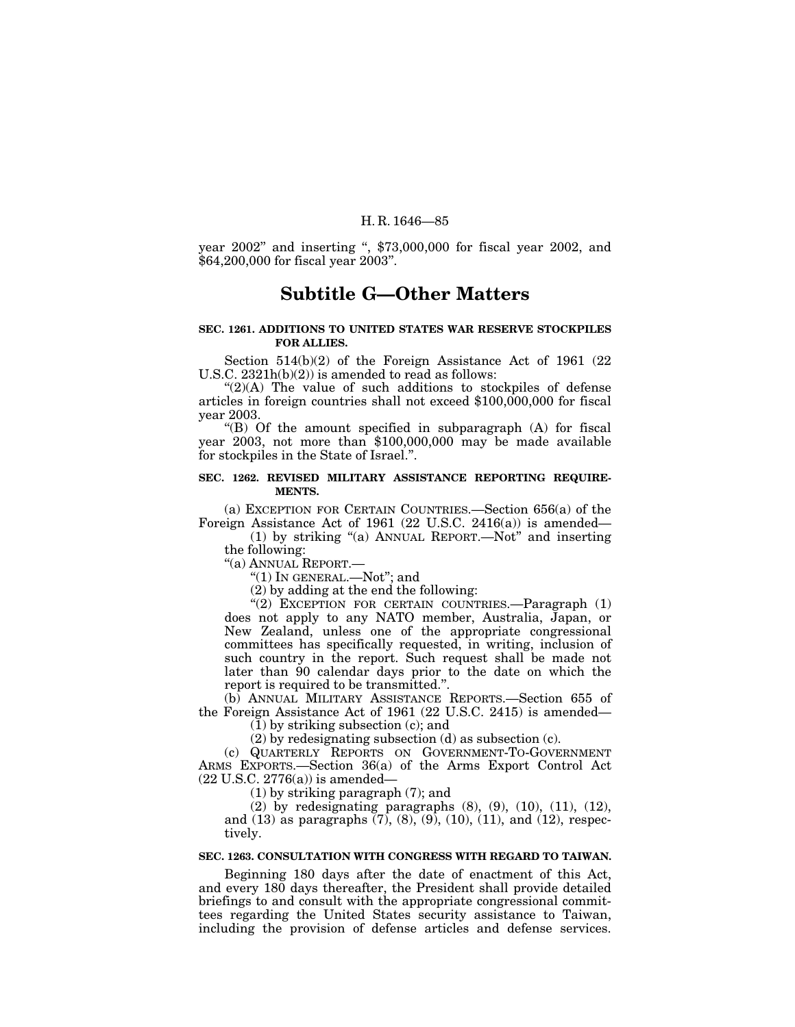year 2002'' and inserting '', \$73,000,000 for fiscal year 2002, and \$64,200,000 for fiscal year 2003''.

## **Subtitle G—Other Matters**

## **SEC. 1261. ADDITIONS TO UNITED STATES WAR RESERVE STOCKPILES FOR ALLIES.**

Section 514(b)(2) of the Foreign Assistance Act of 1961 (22 U.S.C. 2321h(b)(2)) is amended to read as follows:

" $(2)(A)$  The value of such additions to stockpiles of defense articles in foreign countries shall not exceed \$100,000,000 for fiscal year 2003.

" $(B)$  Of the amount specified in subparagraph  $(A)$  for fiscal year 2003, not more than \$100,000,000 may be made available for stockpiles in the State of Israel.''.

#### **SEC. 1262. REVISED MILITARY ASSISTANCE REPORTING REQUIRE-MENTS.**

(a) EXCEPTION FOR CERTAIN COUNTRIES.—Section 656(a) of the Foreign Assistance Act of 1961 (22 U.S.C. 2416(a)) is amended—

(1) by striking ''(a) ANNUAL REPORT.—Not'' and inserting the following:

''(a) ANNUAL REPORT.—

''(1) IN GENERAL.—Not''; and

(2) by adding at the end the following:

"(2) EXCEPTION FOR CERTAIN COUNTRIES.-Paragraph (1) does not apply to any NATO member, Australia, Japan, or New Zealand, unless one of the appropriate congressional committees has specifically requested, in writing, inclusion of such country in the report. Such request shall be made not later than 90 calendar days prior to the date on which the report is required to be transmitted.''.

(b) ANNUAL MILITARY ASSISTANCE REPORTS.—Section 655 of the Foreign Assistance Act of 1961 (22 U.S.C. 2415) is amended—

 $(1)$  by striking subsection  $(c)$ ; and

(2) by redesignating subsection (d) as subsection (c).

(c) QUARTERLY REPORTS ON GOVERNMENT-TO-GOVERNMENT ARMS EXPORTS.—Section 36(a) of the Arms Export Control Act (22 U.S.C. 2776(a)) is amended—

(1) by striking paragraph (7); and

(2) by redesignating paragraphs (8), (9), (10), (11), (12), and (13) as paragraphs (7), (8), (9), (10), (11), and (12), respectively.

## **SEC. 1263. CONSULTATION WITH CONGRESS WITH REGARD TO TAIWAN.**

Beginning 180 days after the date of enactment of this Act, and every 180 days thereafter, the President shall provide detailed briefings to and consult with the appropriate congressional committees regarding the United States security assistance to Taiwan, including the provision of defense articles and defense services.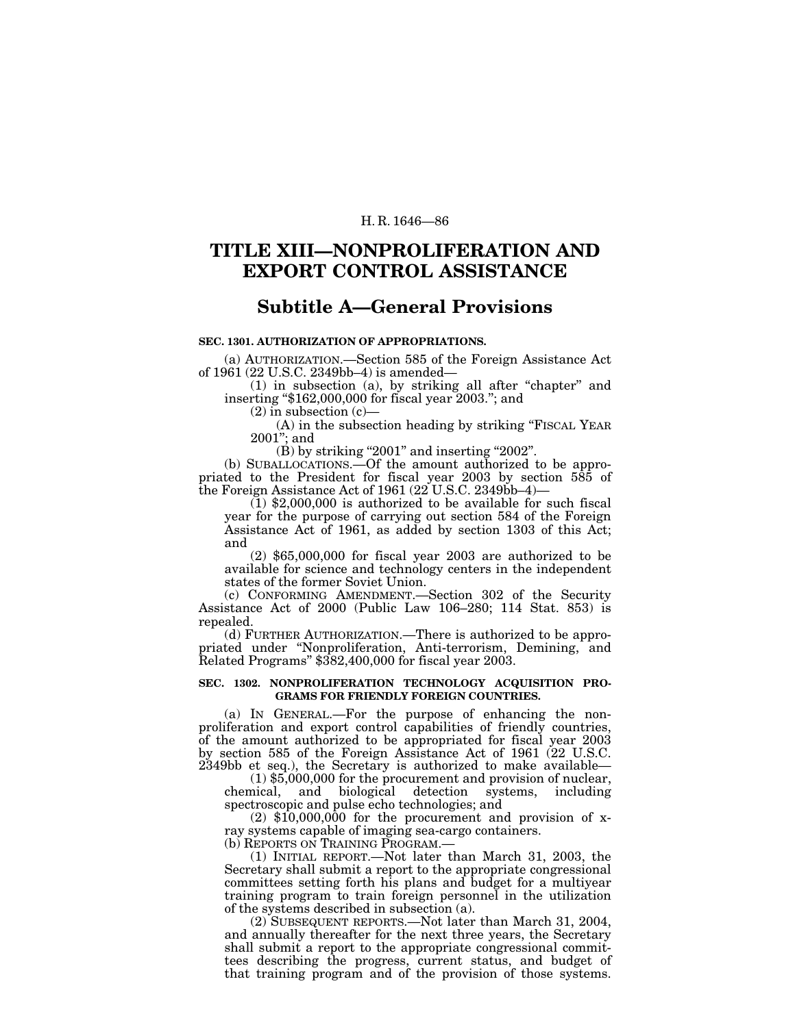## **TITLE XIII—NONPROLIFERATION AND EXPORT CONTROL ASSISTANCE**

## **Subtitle A—General Provisions**

## **SEC. 1301. AUTHORIZATION OF APPROPRIATIONS.**

(a) AUTHORIZATION.—Section 585 of the Foreign Assistance Act of 1961 (22 U.S.C. 2349bb–4) is amended—

 $(1)$  in subsection  $(a)$ , by striking all after "chapter" and inserting ''\$162,000,000 for fiscal year 2003.''; and

(2) in subsection (c)—

(A) in the subsection heading by striking "FISCAL YEAR 2001''; and

 $(B)$  by striking "2001" and inserting "2002".

(b) SUBALLOCATIONS.—Of the amount authorized to be appropriated to the President for fiscal year 2003 by section 585 of the Foreign Assistance Act of 1961 ( $22^{\circ}$ U.S.C. 2349bb–4)–

 $(1)$  \$2,000,000 is authorized to be available for such fiscal year for the purpose of carrying out section 584 of the Foreign Assistance Act of 1961, as added by section 1303 of this Act; and

(2) \$65,000,000 for fiscal year 2003 are authorized to be available for science and technology centers in the independent states of the former Soviet Union.

(c) CONFORMING AMENDMENT.—Section 302 of the Security Assistance Act of 2000 (Public Law 106–280; 114 Stat. 853) is repealed.

(d) FURTHER AUTHORIZATION.—There is authorized to be appropriated under "Nonproliferation, Anti-terrorism, Demining, and Related Programs'' \$382,400,000 for fiscal year 2003.

## **SEC. 1302. NONPROLIFERATION TECHNOLOGY ACQUISITION PRO-GRAMS FOR FRIENDLY FOREIGN COUNTRIES.**

(a) IN GENERAL.—For the purpose of enhancing the nonproliferation and export control capabilities of friendly countries, of the amount authorized to be appropriated for fiscal year 2003 by section 585 of the Foreign Assistance Act of 1961 (22 U.S.C. 2349bb et seq.), the Secretary is authorized to make available—

(1) \$5,000,000 for the procurement and provision of nuclear, chemical, and biological detection systems, including spectroscopic and pulse echo technologies; and

 $(2)$  \$10,000,000 for the procurement and provision of xray systems capable of imaging sea-cargo containers. (b) REPORTS ON TRAINING PROGRAM.—

(1) INITIAL REPORT.—Not later than March 31, 2003, the Secretary shall submit a report to the appropriate congressional committees setting forth his plans and budget for a multiyear training program to train foreign personnel in the utilization of the systems described in subsection (a).

(2) SUBSEQUENT REPORTS.—Not later than March 31, 2004, and annually thereafter for the next three years, the Secretary shall submit a report to the appropriate congressional committees describing the progress, current status, and budget of that training program and of the provision of those systems.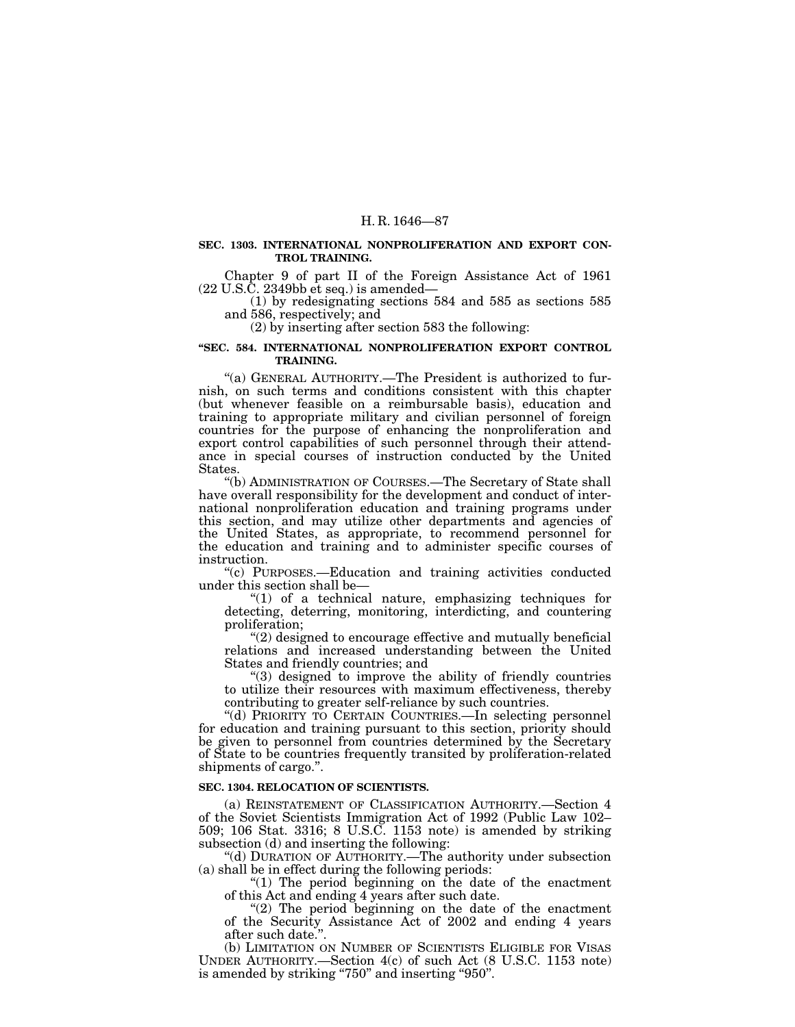#### **SEC. 1303. INTERNATIONAL NONPROLIFERATION AND EXPORT CON-TROL TRAINING.**

Chapter 9 of part II of the Foreign Assistance Act of 1961

 $(1)$  by redesignating sections 584 and 585 as sections 585 and 586, respectively; and

(2) by inserting after section 583 the following:

#### **''SEC. 584. INTERNATIONAL NONPROLIFERATION EXPORT CONTROL TRAINING.**

''(a) GENERAL AUTHORITY.—The President is authorized to furnish, on such terms and conditions consistent with this chapter (but whenever feasible on a reimbursable basis), education and training to appropriate military and civilian personnel of foreign countries for the purpose of enhancing the nonproliferation and export control capabilities of such personnel through their attendance in special courses of instruction conducted by the United States.

''(b) ADMINISTRATION OF COURSES.—The Secretary of State shall have overall responsibility for the development and conduct of international nonproliferation education and training programs under this section, and may utilize other departments and agencies of the United States, as appropriate, to recommend personnel for the education and training and to administer specific courses of instruction.

''(c) PURPOSES.—Education and training activities conducted under this section shall be—

 $(1)$  of a technical nature, emphasizing techniques for detecting, deterring, monitoring, interdicting, and countering proliferation;

 $(2)$  designed to encourage effective and mutually beneficial relations and increased understanding between the United States and friendly countries; and

''(3) designed to improve the ability of friendly countries to utilize their resources with maximum effectiveness, thereby contributing to greater self-reliance by such countries.

''(d) PRIORITY TO CERTAIN COUNTRIES.—In selecting personnel for education and training pursuant to this section, priority should be given to personnel from countries determined by the Secretary of State to be countries frequently transited by proliferation-related shipments of cargo.''.

#### **SEC. 1304. RELOCATION OF SCIENTISTS.**

(a) REINSTATEMENT OF CLASSIFICATION AUTHORITY.—Section 4 of the Soviet Scientists Immigration Act of 1992 (Public Law 102– 509; 106 Stat. 3316; 8 U.S.C. 1153 note) is amended by striking subsection (d) and inserting the following:

''(d) DURATION OF AUTHORITY.—The authority under subsection (a) shall be in effect during the following periods:

"(1) The period beginning on the date of the enactment of this Act and ending 4 years after such date.

" $(2)$  The period beginning on the date of the enactment of the Security Assistance Act of 2002 and ending 4 years after such date.''.

(b) LIMITATION ON NUMBER OF SCIENTISTS ELIGIBLE FOR VISAS UNDER AUTHORITY.—Section 4(c) of such Act (8 U.S.C. 1153 note) is amended by striking "750" and inserting "950".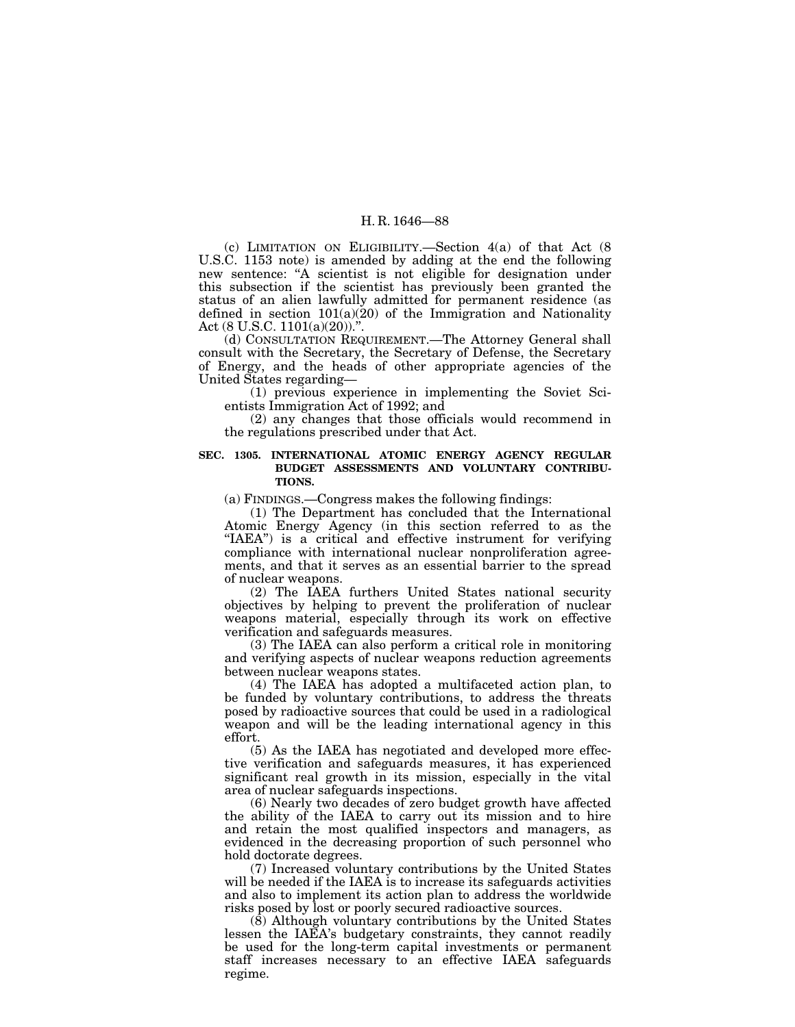(c) LIMITATION ON ELIGIBILITY.—Section 4(a) of that Act (8 U.S.C. 1153 note) is amended by adding at the end the following new sentence: ''A scientist is not eligible for designation under this subsection if the scientist has previously been granted the status of an alien lawfully admitted for permanent residence (as defined in section  $101(a)(20)$  of the Immigration and Nationality Act (8 U.S.C. 1101(a)(20))."

(d) CONSULTATION REQUIREMENT.—The Attorney General shall consult with the Secretary, the Secretary of Defense, the Secretary of Energy, and the heads of other appropriate agencies of the United States regarding—

(1) previous experience in implementing the Soviet Scientists Immigration Act of 1992; and

(2) any changes that those officials would recommend in the regulations prescribed under that Act.

### **SEC. 1305. INTERNATIONAL ATOMIC ENERGY AGENCY REGULAR BUDGET ASSESSMENTS AND VOLUNTARY CONTRIBU-TIONS.**

(a) FINDINGS.—Congress makes the following findings:

(1) The Department has concluded that the International Atomic Energy Agency (in this section referred to as the "IAEA") is a critical and effective instrument for verifying compliance with international nuclear nonproliferation agreements, and that it serves as an essential barrier to the spread of nuclear weapons.

(2) The IAEA furthers United States national security objectives by helping to prevent the proliferation of nuclear weapons material, especially through its work on effective verification and safeguards measures.

(3) The IAEA can also perform a critical role in monitoring and verifying aspects of nuclear weapons reduction agreements between nuclear weapons states.

(4) The IAEA has adopted a multifaceted action plan, to be funded by voluntary contributions, to address the threats posed by radioactive sources that could be used in a radiological weapon and will be the leading international agency in this effort.

(5) As the IAEA has negotiated and developed more effective verification and safeguards measures, it has experienced significant real growth in its mission, especially in the vital area of nuclear safeguards inspections.

(6) Nearly two decades of zero budget growth have affected the ability of the IAEA to carry out its mission and to hire and retain the most qualified inspectors and managers, as evidenced in the decreasing proportion of such personnel who hold doctorate degrees.

(7) Increased voluntary contributions by the United States will be needed if the IAEA is to increase its safeguards activities and also to implement its action plan to address the worldwide risks posed by lost or poorly secured radioactive sources.

(8) Although voluntary contributions by the United States lessen the IAEA's budgetary constraints, they cannot readily be used for the long-term capital investments or permanent staff increases necessary to an effective IAEA safeguards regime.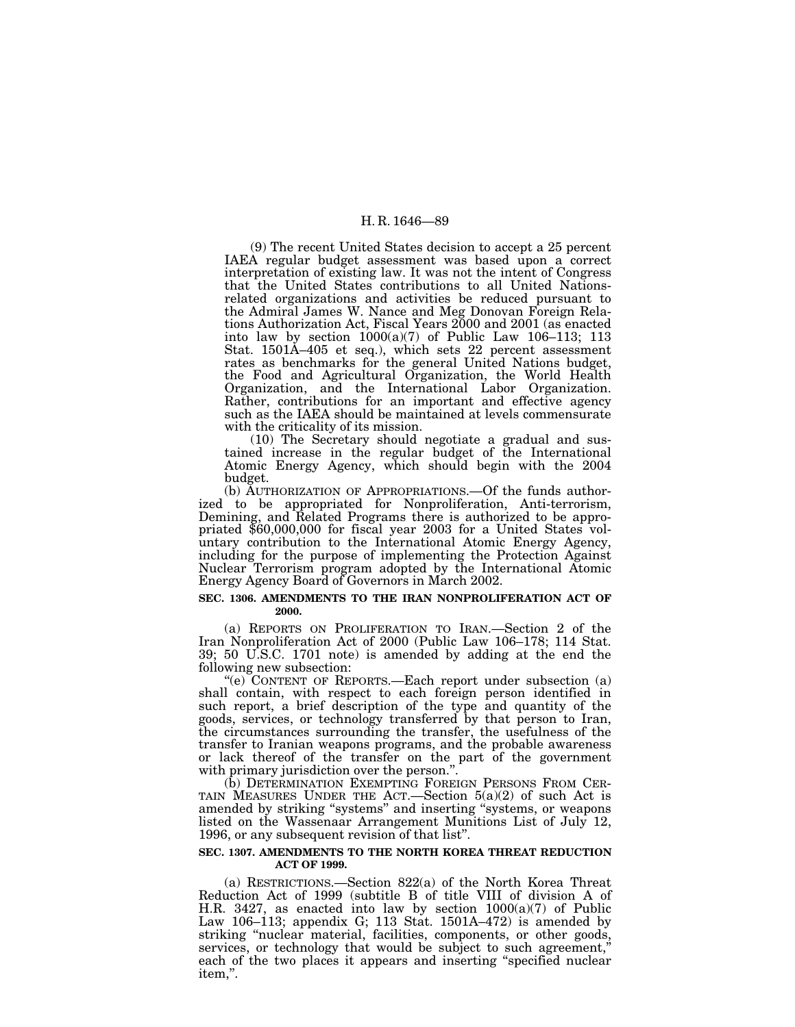(9) The recent United States decision to accept a 25 percent IAEA regular budget assessment was based upon a correct interpretation of existing law. It was not the intent of Congress that the United States contributions to all United Nationsrelated organizations and activities be reduced pursuant to the Admiral James W. Nance and Meg Donovan Foreign Relations Authorization Act, Fiscal Years 2000 and 2001 (as enacted into law by section  $1000(a)(7)$  of Public Law 106–113; 113 Stat. 1501A–405 et seq.), which sets 22 percent assessment rates as benchmarks for the general United Nations budget, the Food and Agricultural Organization, the World Health Organization, and the International Labor Organization. Rather, contributions for an important and effective agency such as the IAEA should be maintained at levels commensurate with the criticality of its mission.

(10) The Secretary should negotiate a gradual and sustained increase in the regular budget of the International Atomic Energy Agency, which should begin with the 2004 budget.

(b) AUTHORIZATION OF APPROPRIATIONS.—Of the funds authorized to be appropriated for Nonproliferation, Anti-terrorism, Demining, and Related Programs there is authorized to be appropriated \$60,000,000 for fiscal year 2003 for a United States voluntary contribution to the International Atomic Energy Agency, including for the purpose of implementing the Protection Against Nuclear Terrorism program adopted by the International Atomic Energy Agency Board of Governors in March 2002.

#### **SEC. 1306. AMENDMENTS TO THE IRAN NONPROLIFERATION ACT OF 2000.**

(a) REPORTS ON PROLIFERATION TO IRAN.—Section 2 of the Iran Nonproliferation Act of 2000 (Public Law 106–178; 114 Stat. 39; 50 U.S.C. 1701 note) is amended by adding at the end the

following new subsection:<br>"(e) CONTENT OF REPORTS.—Each report under subsection (a) shall contain, with respect to each foreign person identified in such report, a brief description of the type and quantity of the goods, services, or technology transferred by that person to Iran, the circumstances surrounding the transfer, the usefulness of the transfer to Iranian weapons programs, and the probable awareness or lack thereof of the transfer on the part of the government with primary jurisdiction over the person.".

(b) DETERMINATION EXEMPTING FOREIGN PERSONS FROM CER-TAIN MEASURES UNDER THE ACT.—Section 5(a)(2) of such Act is amended by striking ''systems'' and inserting ''systems, or weapons listed on the Wassenaar Arrangement Munitions List of July 12, 1996, or any subsequent revision of that list''.

#### **SEC. 1307. AMENDMENTS TO THE NORTH KOREA THREAT REDUCTION ACT OF 1999.**

(a) RESTRICTIONS.—Section 822(a) of the North Korea Threat Reduction Act of 1999 (subtitle B of title VIII of division A of H.R. 3427, as enacted into law by section 1000(a)(7) of Public Law 106–113; appendix G; 113 Stat. 1501A–472) is amended by striking "nuclear material, facilities, components, or other goods, services, or technology that would be subject to such agreement,'' each of the two places it appears and inserting ''specified nuclear item,''.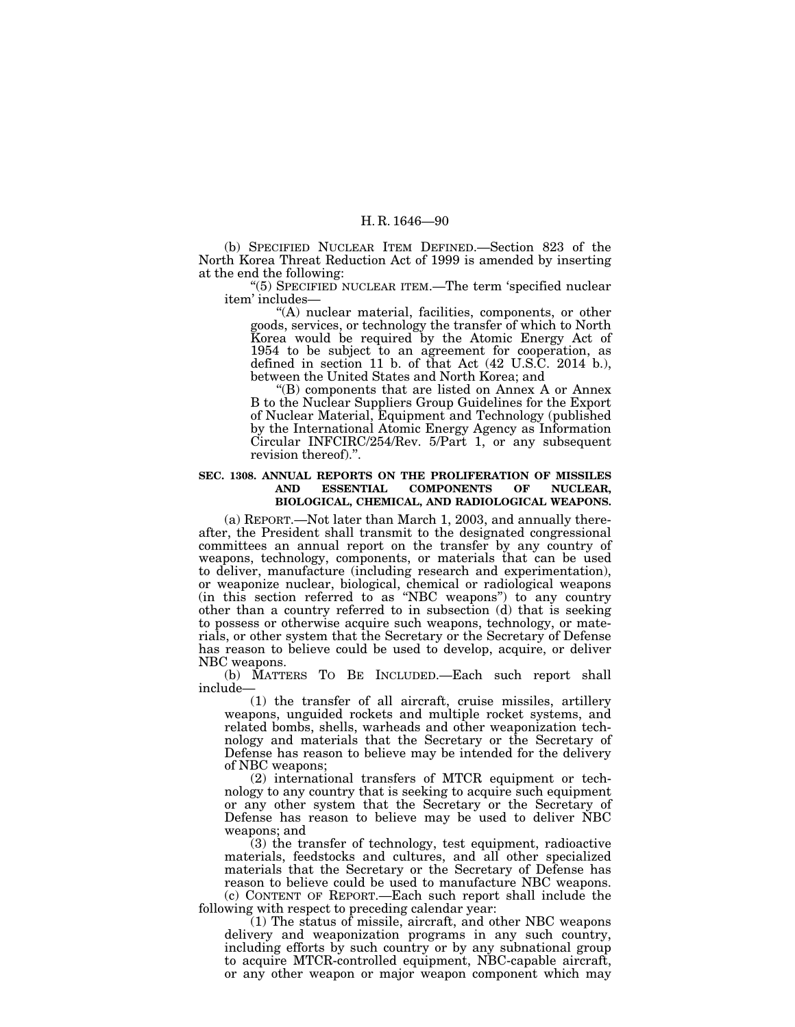(b) SPECIFIED NUCLEAR ITEM DEFINED.—Section 823 of the North Korea Threat Reduction Act of 1999 is amended by inserting at the end the following:

''(5) SPECIFIED NUCLEAR ITEM.—The term 'specified nuclear item' includes—

''(A) nuclear material, facilities, components, or other goods, services, or technology the transfer of which to North Korea would be required by the Atomic Energy Act of 1954 to be subject to an agreement for cooperation, as defined in section 11 b. of that Act (42 U.S.C. 2014 b.), between the United States and North Korea; and

''(B) components that are listed on Annex A or Annex B to the Nuclear Suppliers Group Guidelines for the Export of Nuclear Material, Equipment and Technology (published by the International Atomic Energy Agency as Information Circular INFCIRC/254/Rev. 5/Part 1, or any subsequent revision thereof).''.

### **SEC. 1308. ANNUAL REPORTS ON THE PROLIFERATION OF MISSILES AND ESSENTIAL COMPONENTS OF NUCLEAR, BIOLOGICAL, CHEMICAL, AND RADIOLOGICAL WEAPONS.**

(a) REPORT.—Not later than March 1, 2003, and annually thereafter, the President shall transmit to the designated congressional committees an annual report on the transfer by any country of weapons, technology, components, or materials that can be used to deliver, manufacture (including research and experimentation), or weaponize nuclear, biological, chemical or radiological weapons (in this section referred to as ''NBC weapons'') to any country other than a country referred to in subsection (d) that is seeking to possess or otherwise acquire such weapons, technology, or materials, or other system that the Secretary or the Secretary of Defense has reason to believe could be used to develop, acquire, or deliver NBC weapons.

(b) MATTERS TO BE INCLUDED.—Each such report shall include—

(1) the transfer of all aircraft, cruise missiles, artillery weapons, unguided rockets and multiple rocket systems, and related bombs, shells, warheads and other weaponization technology and materials that the Secretary or the Secretary of Defense has reason to believe may be intended for the delivery of NBC weapons;

(2) international transfers of MTCR equipment or technology to any country that is seeking to acquire such equipment or any other system that the Secretary or the Secretary of Defense has reason to believe may be used to deliver NBC weapons; and

(3) the transfer of technology, test equipment, radioactive materials, feedstocks and cultures, and all other specialized materials that the Secretary or the Secretary of Defense has reason to believe could be used to manufacture NBC weapons. (c) CONTENT OF REPORT.—Each such report shall include the following with respect to preceding calendar year:

 $(1)$  The status of missile, aircraft, and other NBC weapons delivery and weaponization programs in any such country, including efforts by such country or by any subnational group to acquire MTCR-controlled equipment, NBC-capable aircraft, or any other weapon or major weapon component which may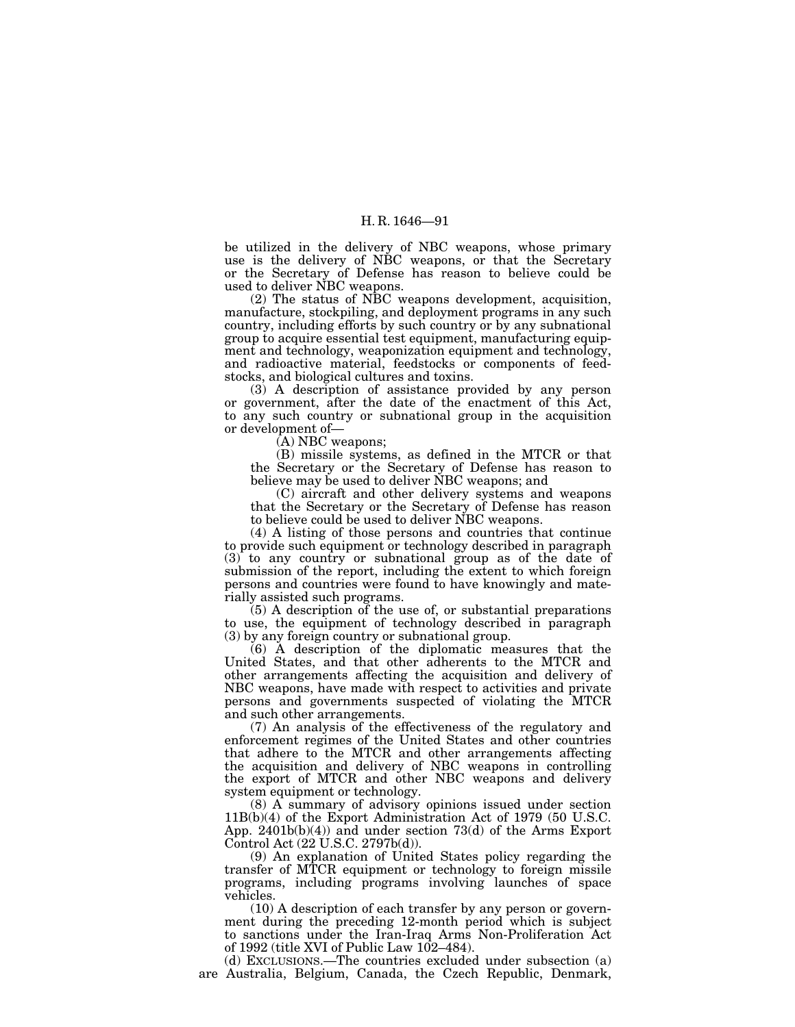be utilized in the delivery of NBC weapons, whose primary use is the delivery of NBC weapons, or that the Secretary or the Secretary of Defense has reason to believe could be used to deliver NBC weapons.

(2) The status of NBC weapons development, acquisition, manufacture, stockpiling, and deployment programs in any such country, including efforts by such country or by any subnational group to acquire essential test equipment, manufacturing equipment and technology, weaponization equipment and technology, and radioactive material, feedstocks or components of feedstocks, and biological cultures and toxins.

(3) A description of assistance provided by any person or government, after the date of the enactment of this Act, to any such country or subnational group in the acquisition or development of—

(A) NBC weapons;

(B) missile systems, as defined in the MTCR or that the Secretary or the Secretary of Defense has reason to believe may be used to deliver NBC weapons; and

(C) aircraft and other delivery systems and weapons that the Secretary or the Secretary of Defense has reason to believe could be used to deliver NBC weapons.

(4) A listing of those persons and countries that continue to provide such equipment or technology described in paragraph (3) to any country or subnational group as of the date of submission of the report, including the extent to which foreign persons and countries were found to have knowingly and materially assisted such programs.

(5) A description of the use of, or substantial preparations to use, the equipment of technology described in paragraph (3) by any foreign country or subnational group.

(6) A description of the diplomatic measures that the United States, and that other adherents to the MTCR and other arrangements affecting the acquisition and delivery of NBC weapons, have made with respect to activities and private persons and governments suspected of violating the MTCR and such other arrangements.

(7) An analysis of the effectiveness of the regulatory and enforcement regimes of the United States and other countries that adhere to the MTCR and other arrangements affecting the acquisition and delivery of NBC weapons in controlling the export of MTCR and other NBC weapons and delivery system equipment or technology.

(8) A summary of advisory opinions issued under section 11B(b)(4) of the Export Administration Act of 1979 (50 U.S.C. App. 2401b(b)(4)) and under section 73(d) of the Arms Export Control Act (22 U.S.C. 2797b(d)).

(9) An explanation of United States policy regarding the transfer of MTCR equipment or technology to foreign missile programs, including programs involving launches of space vehicles.

(10) A description of each transfer by any person or government during the preceding 12-month period which is subject to sanctions under the Iran-Iraq Arms Non-Proliferation Act of 1992 (title XVI of Public Law 102–484).

(d) EXCLUSIONS.—The countries excluded under subsection (a) are Australia, Belgium, Canada, the Czech Republic, Denmark,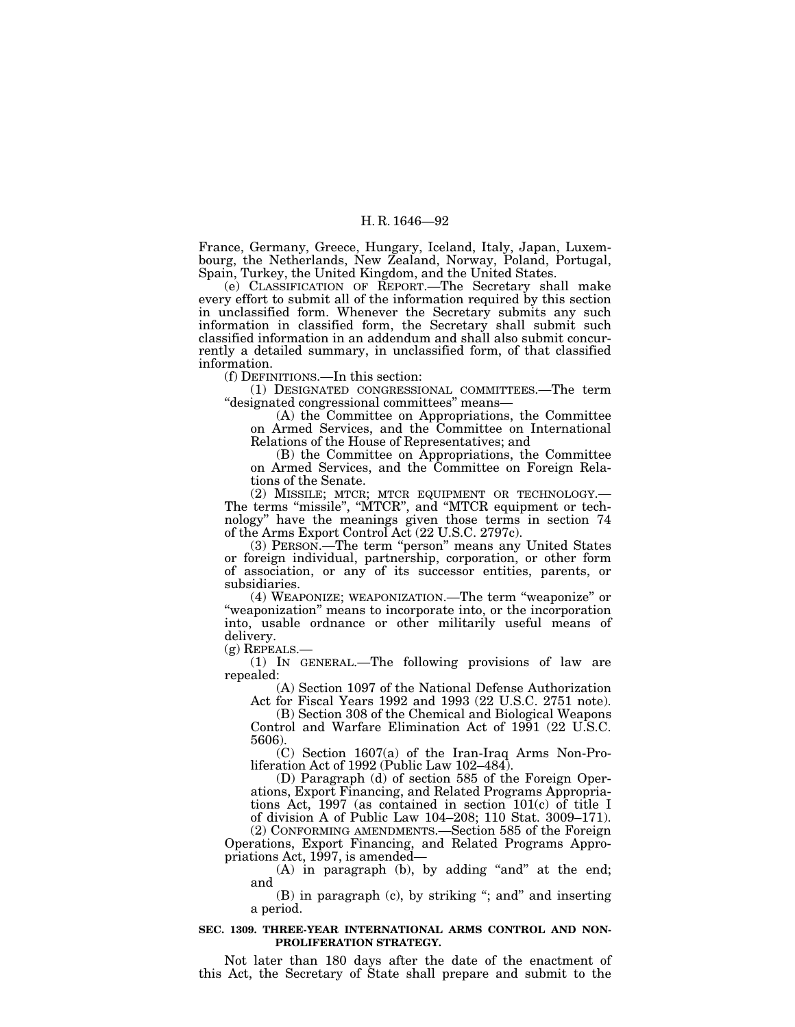France, Germany, Greece, Hungary, Iceland, Italy, Japan, Luxembourg, the Netherlands, New Zealand, Norway, Poland, Portugal, Spain, Turkey, the United Kingdom, and the United States.

(e) CLASSIFICATION OF REPORT.—The Secretary shall make every effort to submit all of the information required by this section in unclassified form. Whenever the Secretary submits any such information in classified form, the Secretary shall submit such classified information in an addendum and shall also submit concurrently a detailed summary, in unclassified form, of that classified information.

(f) DEFINITIONS.—In this section:

(1) DESIGNATED CONGRESSIONAL COMMITTEES.—The term ''designated congressional committees'' means—

(A) the Committee on Appropriations, the Committee on Armed Services, and the Committee on International Relations of the House of Representatives; and

(B) the Committee on Appropriations, the Committee on Armed Services, and the Committee on Foreign Relations of the Senate.

(2) MISSILE; MTCR; MTCR EQUIPMENT OR TECHNOLOGY.— The terms "missile", "MTCR", and "MTCR equipment or technology'' have the meanings given those terms in section 74 of the Arms Export Control Act (22 U.S.C. 2797c).

(3) PERSON.—The term ''person'' means any United States or foreign individual, partnership, corporation, or other form of association, or any of its successor entities, parents, or subsidiaries.

(4) WEAPONIZE; WEAPONIZATION.—The term ''weaponize'' or ''weaponization'' means to incorporate into, or the incorporation into, usable ordnance or other militarily useful means of delivery.

(g) REPEALS.—

(1) IN GENERAL.—The following provisions of law are repealed:

(A) Section 1097 of the National Defense Authorization Act for Fiscal Years 1992 and 1993 (22 U.S.C. 2751 note).

(B) Section 308 of the Chemical and Biological Weapons Control and Warfare Elimination Act of 1991 (22 U.S.C. 5606).

(C) Section 1607(a) of the Iran-Iraq Arms Non-Proliferation Act of 1992 (Public Law 102–484).

(D) Paragraph (d) of section 585 of the Foreign Operations, Export Financing, and Related Programs Appropriations Act, 1997 (as contained in section 101(c) of title I of division A of Public Law 104–208; 110 Stat. 3009–171).

(2) CONFORMING AMENDMENTS.—Section 585 of the Foreign Operations, Export Financing, and Related Programs Appropriations Act, 1997, is amended—

(A) in paragraph (b), by adding "and" at the end; and

(B) in paragraph (c), by striking ''; and'' and inserting a period.

#### **SEC. 1309. THREE-YEAR INTERNATIONAL ARMS CONTROL AND NON-PROLIFERATION STRATEGY.**

Not later than 180 days after the date of the enactment of this Act, the Secretary of State shall prepare and submit to the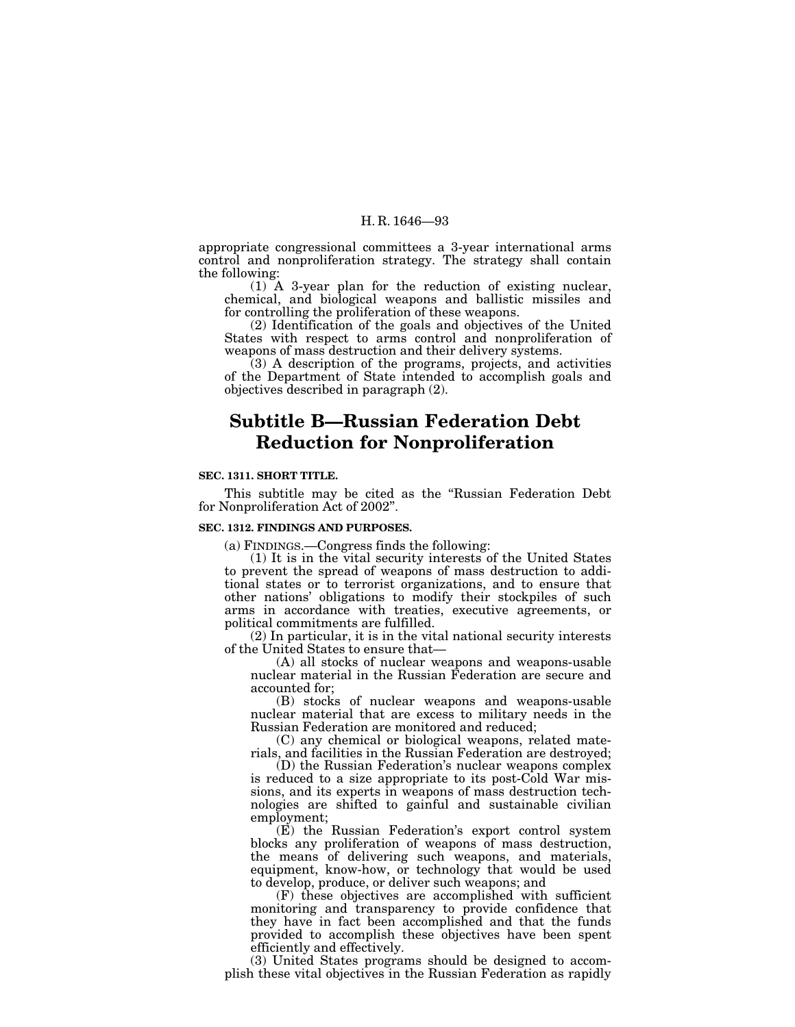appropriate congressional committees a 3-year international arms control and nonproliferation strategy. The strategy shall contain the following:

(1) A 3-year plan for the reduction of existing nuclear, chemical, and biological weapons and ballistic missiles and for controlling the proliferation of these weapons.

(2) Identification of the goals and objectives of the United States with respect to arms control and nonproliferation of weapons of mass destruction and their delivery systems.

(3) A description of the programs, projects, and activities of the Department of State intended to accomplish goals and objectives described in paragraph (2).

# **Subtitle B—Russian Federation Debt Reduction for Nonproliferation**

#### **SEC. 1311. SHORT TITLE.**

This subtitle may be cited as the ''Russian Federation Debt for Nonproliferation Act of 2002''.

#### **SEC. 1312. FINDINGS AND PURPOSES.**

(a) FINDINGS.—Congress finds the following:

(1) It is in the vital security interests of the United States to prevent the spread of weapons of mass destruction to additional states or to terrorist organizations, and to ensure that other nations' obligations to modify their stockpiles of such arms in accordance with treaties, executive agreements, or political commitments are fulfilled.

(2) In particular, it is in the vital national security interests of the United States to ensure that—

(A) all stocks of nuclear weapons and weapons-usable nuclear material in the Russian Federation are secure and accounted for;

(B) stocks of nuclear weapons and weapons-usable nuclear material that are excess to military needs in the Russian Federation are monitored and reduced;

(C) any chemical or biological weapons, related materials, and facilities in the Russian Federation are destroyed;

(D) the Russian Federation's nuclear weapons complex is reduced to a size appropriate to its post-Cold War missions, and its experts in weapons of mass destruction technologies are shifted to gainful and sustainable civilian employment;

(E) the Russian Federation's export control system blocks any proliferation of weapons of mass destruction, the means of delivering such weapons, and materials, equipment, know-how, or technology that would be used to develop, produce, or deliver such weapons; and

(F) these objectives are accomplished with sufficient monitoring and transparency to provide confidence that they have in fact been accomplished and that the funds provided to accomplish these objectives have been spent efficiently and effectively.

(3) United States programs should be designed to accomplish these vital objectives in the Russian Federation as rapidly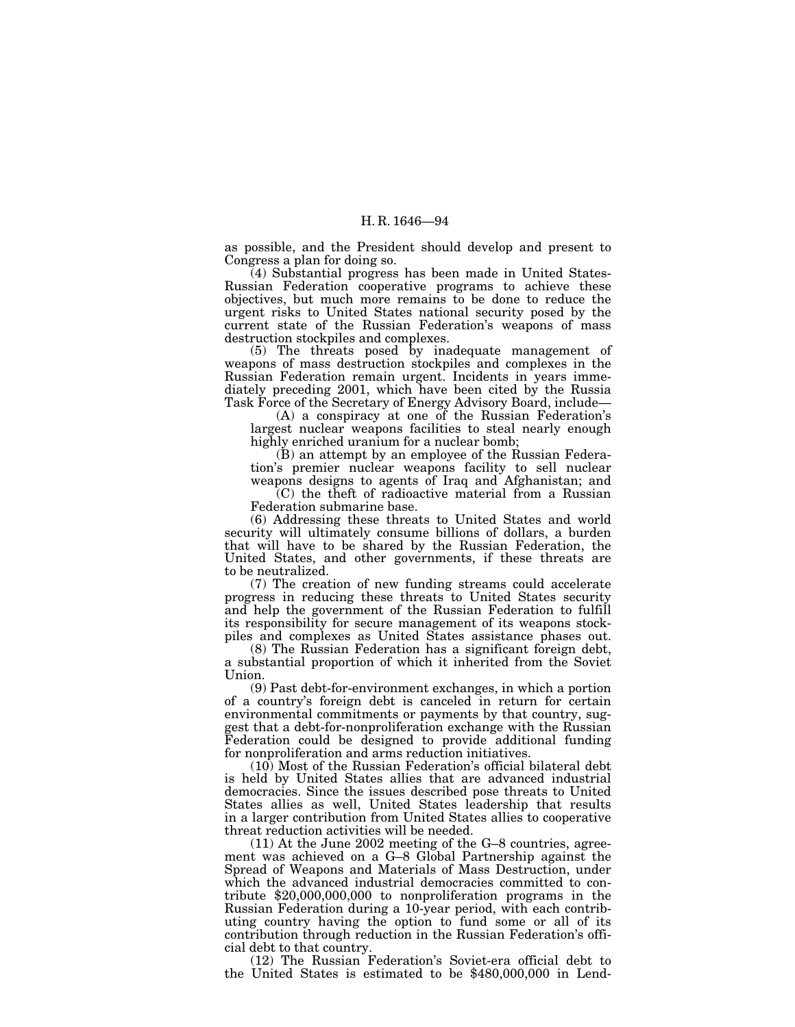as possible, and the President should develop and present to Congress a plan for doing so.

(4) Substantial progress has been made in United States-Russian Federation cooperative programs to achieve these objectives, but much more remains to be done to reduce the urgent risks to United States national security posed by the current state of the Russian Federation's weapons of mass destruction stockpiles and complexes.

(5) The threats posed by inadequate management of weapons of mass destruction stockpiles and complexes in the Russian Federation remain urgent. Incidents in years immediately preceding 2001, which have been cited by the Russia Task Force of the Secretary of Energy Advisory Board, include—

(A) a conspiracy at one of the Russian Federation's largest nuclear weapons facilities to steal nearly enough highly enriched uranium for a nuclear bomb;

(B) an attempt by an employee of the Russian Federation's premier nuclear weapons facility to sell nuclear weapons designs to agents of Iraq and Afghanistan; and

(C) the theft of radioactive material from a Russian Federation submarine base.

(6) Addressing these threats to United States and world security will ultimately consume billions of dollars, a burden that will have to be shared by the Russian Federation, the United States, and other governments, if these threats are to be neutralized.

(7) The creation of new funding streams could accelerate progress in reducing these threats to United States security and help the government of the Russian Federation to fulfill its responsibility for secure management of its weapons stockpiles and complexes as United States assistance phases out.

(8) The Russian Federation has a significant foreign debt, a substantial proportion of which it inherited from the Soviet Union.

(9) Past debt-for-environment exchanges, in which a portion of a country's foreign debt is canceled in return for certain environmental commitments or payments by that country, suggest that a debt-for-nonproliferation exchange with the Russian Federation could be designed to provide additional funding for nonproliferation and arms reduction initiatives.

(10) Most of the Russian Federation's official bilateral debt is held by United States allies that are advanced industrial democracies. Since the issues described pose threats to United States allies as well, United States leadership that results in a larger contribution from United States allies to cooperative threat reduction activities will be needed.

(11) At the June 2002 meeting of the G–8 countries, agreement was achieved on a G–8 Global Partnership against the Spread of Weapons and Materials of Mass Destruction, under which the advanced industrial democracies committed to contribute \$20,000,000,000 to nonproliferation programs in the Russian Federation during a 10-year period, with each contributing country having the option to fund some or all of its contribution through reduction in the Russian Federation's official debt to that country.

(12) The Russian Federation's Soviet-era official debt to the United States is estimated to be \$480,000,000 in Lend-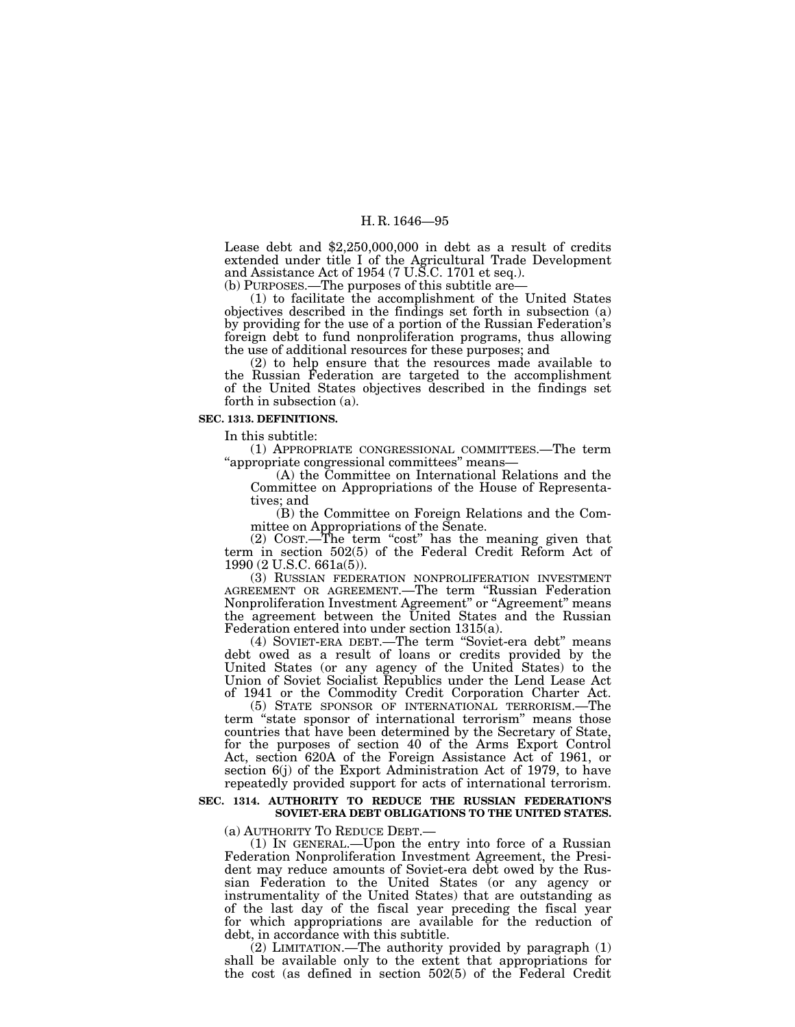Lease debt and \$2,250,000,000 in debt as a result of credits extended under title I of the Agricultural Trade Development and Assistance Act of 1954 (7 U.S.C. 1701 et seq.).

(b) PURPOSES.—The purposes of this subtitle are— (1) to facilitate the accomplishment of the United States objectives described in the findings set forth in subsection (a) by providing for the use of a portion of the Russian Federation's foreign debt to fund nonproliferation programs, thus allowing the use of additional resources for these purposes; and

(2) to help ensure that the resources made available to the Russian Federation are targeted to the accomplishment of the United States objectives described in the findings set forth in subsection (a).

## **SEC. 1313. DEFINITIONS.**

In this subtitle:

(1) APPROPRIATE CONGRESSIONAL COMMITTEES.—The term "appropriate congressional committees" means—<br>(A) the Committee on International Relations and the

Committee on Appropriations of the House of Representatives; and

(B) the Committee on Foreign Relations and the Committee on Appropriations of the Senate.

(2) COST.—The term "cost" has the meaning given that term in section 502(5) of the Federal Credit Reform Act of 1990 (2 U.S.C. 661a(5)).

(3) RUSSIAN FEDERATION NONPROLIFERATION INVESTMENT AGREEMENT OR AGREEMENT.—The term ''Russian Federation Nonproliferation Investment Agreement'' or ''Agreement'' means the agreement between the United States and the Russian Federation entered into under section 1315(a).

(4) SOVIET-ERA DEBT.—The term ''Soviet-era debt'' means debt owed as a result of loans or credits provided by the United States (or any agency of the United States) to the Union of Soviet Socialist Republics under the Lend Lease Act of 1941 or the Commodity Credit Corporation Charter Act.

(5) STATE SPONSOR OF INTERNATIONAL TERRORISM.—The term "state sponsor of international terrorism" means those countries that have been determined by the Secretary of State, for the purposes of section 40 of the Arms Export Control Act, section 620A of the Foreign Assistance Act of 1961, or section 6(j) of the Export Administration Act of 1979, to have repeatedly provided support for acts of international terrorism.

## **SEC. 1314. AUTHORITY TO REDUCE THE RUSSIAN FEDERATION'S SOVIET-ERA DEBT OBLIGATIONS TO THE UNITED STATES.**

(a) AUTHORITY TO REDUCE DEBT.— (1) IN GENERAL.—Upon the entry into force of a Russian Federation Nonproliferation Investment Agreement, the President may reduce amounts of Soviet-era debt owed by the Russian Federation to the United States (or any agency or instrumentality of the United States) that are outstanding as of the last day of the fiscal year preceding the fiscal year for which appropriations are available for the reduction of debt, in accordance with this subtitle.

(2) LIMITATION.—The authority provided by paragraph (1) shall be available only to the extent that appropriations for the cost (as defined in section 502(5) of the Federal Credit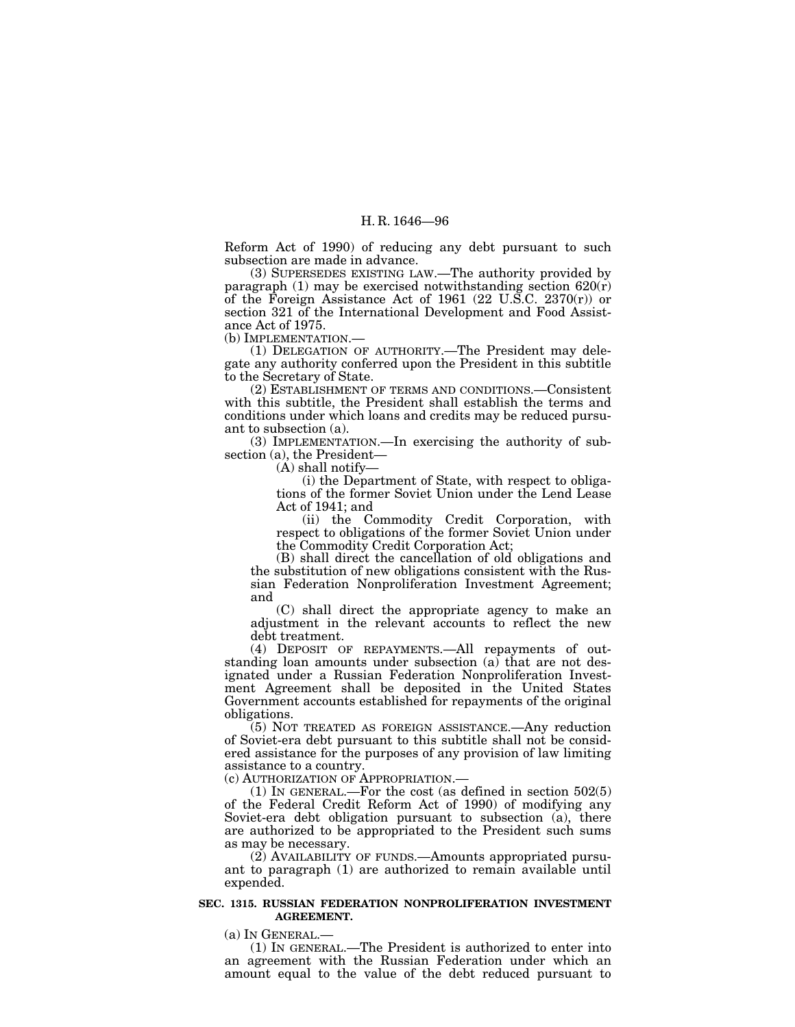Reform Act of 1990) of reducing any debt pursuant to such subsection are made in advance.

(3) SUPERSEDES EXISTING LAW.—The authority provided by paragraph (1) may be exercised notwithstanding section  $620(r)$ of the Foreign Assistance Act of 1961 (22 U.S.C. 2370 $(r)$ ) or section 321 of the International Development and Food Assistance Act of 1975.

(b) IMPLEMENTATION.—

(1) DELEGATION OF AUTHORITY.—The President may delegate any authority conferred upon the President in this subtitle to the Secretary of State.

(2) ESTABLISHMENT OF TERMS AND CONDITIONS.—Consistent with this subtitle, the President shall establish the terms and conditions under which loans and credits may be reduced pursuant to subsection (a).

(3) IMPLEMENTATION.—In exercising the authority of subsection (a), the President—

(A) shall notify—

(i) the Department of State, with respect to obligations of the former Soviet Union under the Lend Lease Act of 1941; and

(ii) the Commodity Credit Corporation, with respect to obligations of the former Soviet Union under the Commodity Credit Corporation Act;

(B) shall direct the cancellation of old obligations and the substitution of new obligations consistent with the Russian Federation Nonproliferation Investment Agreement; and

(C) shall direct the appropriate agency to make an adjustment in the relevant accounts to reflect the new debt treatment.

(4) DEPOSIT OF REPAYMENTS.—All repayments of outstanding loan amounts under subsection (a) that are not designated under a Russian Federation Nonproliferation Investment Agreement shall be deposited in the United States Government accounts established for repayments of the original obligations.

(5) NOT TREATED AS FOREIGN ASSISTANCE.—Any reduction of Soviet-era debt pursuant to this subtitle shall not be considered assistance for the purposes of any provision of law limiting assistance to a country.

(c) AUTHORIZATION OF APPROPRIATION.—

(1) IN GENERAL.—For the cost (as defined in section 502(5) of the Federal Credit Reform Act of 1990) of modifying any Soviet-era debt obligation pursuant to subsection (a), there are authorized to be appropriated to the President such sums as may be necessary.

(2) AVAILABILITY OF FUNDS.—Amounts appropriated pursuant to paragraph (1) are authorized to remain available until expended.

#### **SEC. 1315. RUSSIAN FEDERATION NONPROLIFERATION INVESTMENT AGREEMENT.**

(a) IN GENERAL.— (1) IN GENERAL.—The President is authorized to enter into an agreement with the Russian Federation under which an amount equal to the value of the debt reduced pursuant to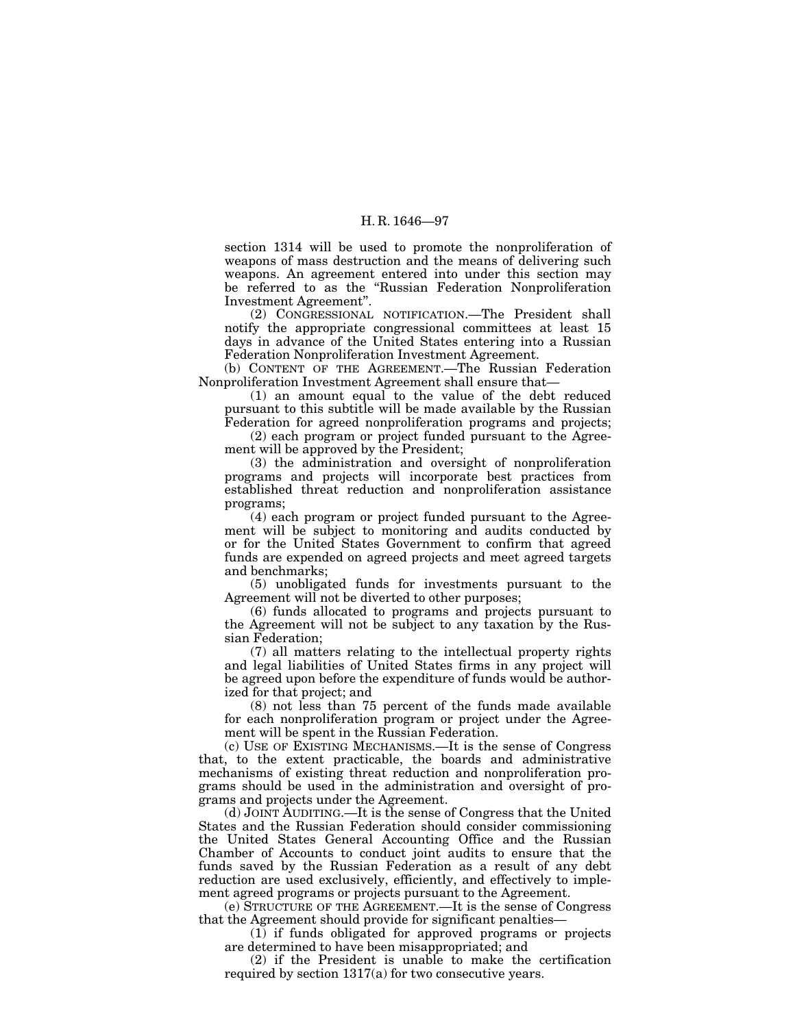section 1314 will be used to promote the nonproliferation of weapons of mass destruction and the means of delivering such weapons. An agreement entered into under this section may be referred to as the ''Russian Federation Nonproliferation Investment Agreement''.

(2) CONGRESSIONAL NOTIFICATION.—The President shall notify the appropriate congressional committees at least 15 days in advance of the United States entering into a Russian Federation Nonproliferation Investment Agreement.

(b) CONTENT OF THE AGREEMENT. The Russian Federation Nonproliferation Investment Agreement shall ensure that—

 $(1)$  an amount equal to the value of the debt reduced pursuant to this subtitle will be made available by the Russian Federation for agreed nonproliferation programs and projects;

(2) each program or project funded pursuant to the Agreement will be approved by the President;

(3) the administration and oversight of nonproliferation programs and projects will incorporate best practices from established threat reduction and nonproliferation assistance programs;

(4) each program or project funded pursuant to the Agreement will be subject to monitoring and audits conducted by or for the United States Government to confirm that agreed funds are expended on agreed projects and meet agreed targets and benchmarks;

(5) unobligated funds for investments pursuant to the Agreement will not be diverted to other purposes;

(6) funds allocated to programs and projects pursuant to the Agreement will not be subject to any taxation by the Russian Federation;

(7) all matters relating to the intellectual property rights and legal liabilities of United States firms in any project will be agreed upon before the expenditure of funds would be authorized for that project; and

(8) not less than 75 percent of the funds made available for each nonproliferation program or project under the Agreement will be spent in the Russian Federation.

(c) USE OF EXISTING MECHANISMS.—It is the sense of Congress that, to the extent practicable, the boards and administrative mechanisms of existing threat reduction and nonproliferation programs should be used in the administration and oversight of programs and projects under the Agreement.

(d) JOINT AUDITING.—It is the sense of Congress that the United States and the Russian Federation should consider commissioning the United States General Accounting Office and the Russian Chamber of Accounts to conduct joint audits to ensure that the funds saved by the Russian Federation as a result of any debt reduction are used exclusively, efficiently, and effectively to implement agreed programs or projects pursuant to the Agreement.

(e) STRUCTURE OF THE AGREEMENT.—It is the sense of Congress that the Agreement should provide for significant penalties—

(1) if funds obligated for approved programs or projects are determined to have been misappropriated; and

(2) if the President is unable to make the certification required by section 1317(a) for two consecutive years.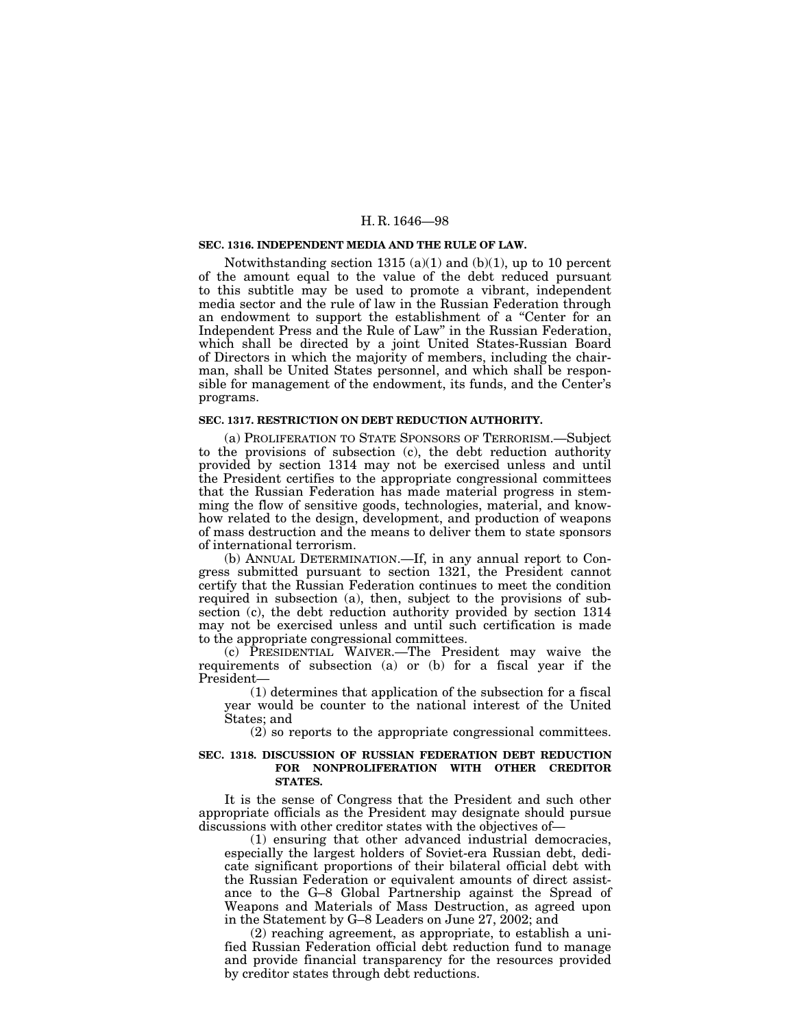### **SEC. 1316. INDEPENDENT MEDIA AND THE RULE OF LAW.**

Notwithstanding section 1315 (a)(1) and (b)(1), up to 10 percent of the amount equal to the value of the debt reduced pursuant to this subtitle may be used to promote a vibrant, independent media sector and the rule of law in the Russian Federation through an endowment to support the establishment of a ''Center for an Independent Press and the Rule of Law'' in the Russian Federation, which shall be directed by a joint United States-Russian Board of Directors in which the majority of members, including the chairman, shall be United States personnel, and which shall be responsible for management of the endowment, its funds, and the Center's programs.

#### **SEC. 1317. RESTRICTION ON DEBT REDUCTION AUTHORITY.**

(a) PROLIFERATION TO STATE SPONSORS OF TERRORISM.—Subject to the provisions of subsection (c), the debt reduction authority provided by section 1314 may not be exercised unless and until the President certifies to the appropriate congressional committees that the Russian Federation has made material progress in stemming the flow of sensitive goods, technologies, material, and knowhow related to the design, development, and production of weapons of mass destruction and the means to deliver them to state sponsors of international terrorism.

(b) ANNUAL DETERMINATION.—If, in any annual report to Congress submitted pursuant to section 1321, the President cannot certify that the Russian Federation continues to meet the condition required in subsection (a), then, subject to the provisions of subsection (c), the debt reduction authority provided by section 1314 may not be exercised unless and until such certification is made to the appropriate congressional committees.

(c) PRESIDENTIAL WAIVER.—The President may waive the requirements of subsection (a) or (b) for a fiscal year if the President—

(1) determines that application of the subsection for a fiscal year would be counter to the national interest of the United States; and

(2) so reports to the appropriate congressional committees.

### **SEC. 1318. DISCUSSION OF RUSSIAN FEDERATION DEBT REDUCTION FOR NONPROLIFERATION WITH OTHER CREDITOR STATES.**

It is the sense of Congress that the President and such other appropriate officials as the President may designate should pursue discussions with other creditor states with the objectives of—

(1) ensuring that other advanced industrial democracies, especially the largest holders of Soviet-era Russian debt, dedicate significant proportions of their bilateral official debt with the Russian Federation or equivalent amounts of direct assistance to the G–8 Global Partnership against the Spread of Weapons and Materials of Mass Destruction, as agreed upon in the Statement by G–8 Leaders on June 27, 2002; and

(2) reaching agreement, as appropriate, to establish a unified Russian Federation official debt reduction fund to manage and provide financial transparency for the resources provided by creditor states through debt reductions.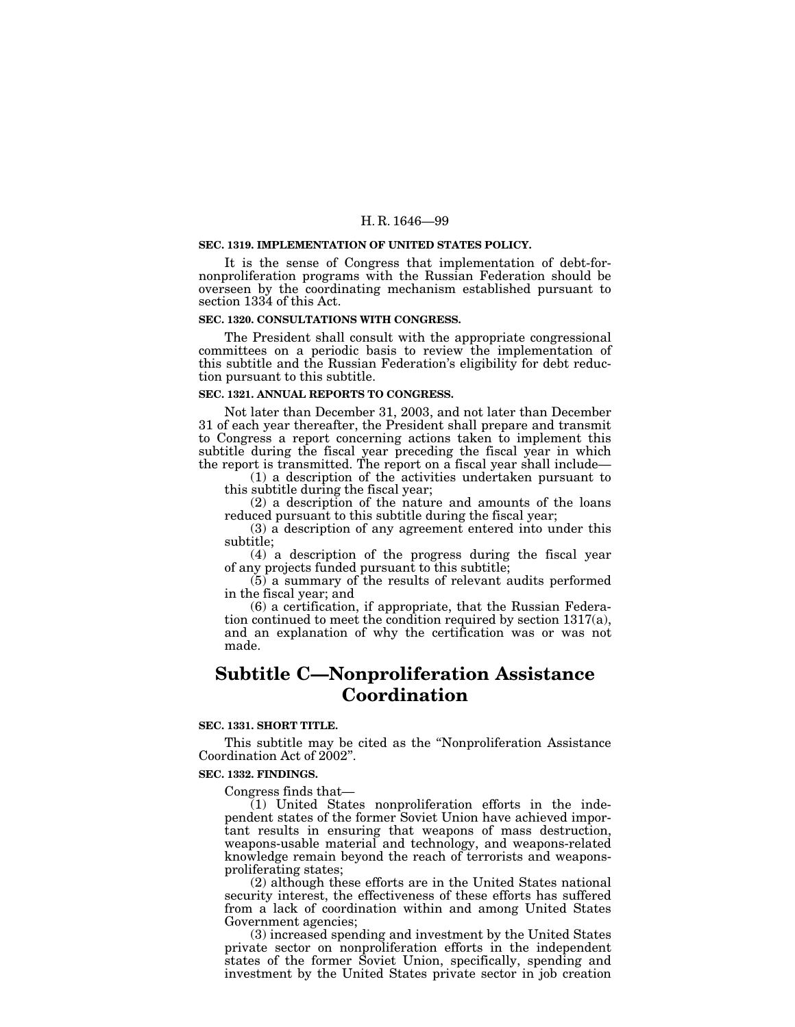#### **SEC. 1319. IMPLEMENTATION OF UNITED STATES POLICY.**

It is the sense of Congress that implementation of debt-fornonproliferation programs with the Russian Federation should be overseen by the coordinating mechanism established pursuant to section 1334 of this Act.

## **SEC. 1320. CONSULTATIONS WITH CONGRESS.**

The President shall consult with the appropriate congressional committees on a periodic basis to review the implementation of this subtitle and the Russian Federation's eligibility for debt reduction pursuant to this subtitle.

#### **SEC. 1321. ANNUAL REPORTS TO CONGRESS.**

Not later than December 31, 2003, and not later than December 31 of each year thereafter, the President shall prepare and transmit to Congress a report concerning actions taken to implement this subtitle during the fiscal year preceding the fiscal year in which the report is transmitted. The report on a fiscal year shall include—

(1) a description of the activities undertaken pursuant to this subtitle during the fiscal year;

(2) a description of the nature and amounts of the loans reduced pursuant to this subtitle during the fiscal year;

(3) a description of any agreement entered into under this subtitle;

(4) a description of the progress during the fiscal year of any projects funded pursuant to this subtitle;

(5) a summary of the results of relevant audits performed in the fiscal year; and

(6) a certification, if appropriate, that the Russian Federation continued to meet the condition required by section 1317(a), and an explanation of why the certification was or was not made.

## **Subtitle C—Nonproliferation Assistance Coordination**

## **SEC. 1331. SHORT TITLE.**

This subtitle may be cited as the ''Nonproliferation Assistance Coordination Act of 2002''.

#### **SEC. 1332. FINDINGS.**

Congress finds that—

 $(1)$  United States nonproliferation efforts in the independent states of the former Soviet Union have achieved important results in ensuring that weapons of mass destruction, weapons-usable material and technology, and weapons-related knowledge remain beyond the reach of terrorists and weaponsproliferating states;

(2) although these efforts are in the United States national security interest, the effectiveness of these efforts has suffered from a lack of coordination within and among United States Government agencies;

(3) increased spending and investment by the United States private sector on nonproliferation efforts in the independent states of the former Soviet Union, specifically, spending and investment by the United States private sector in job creation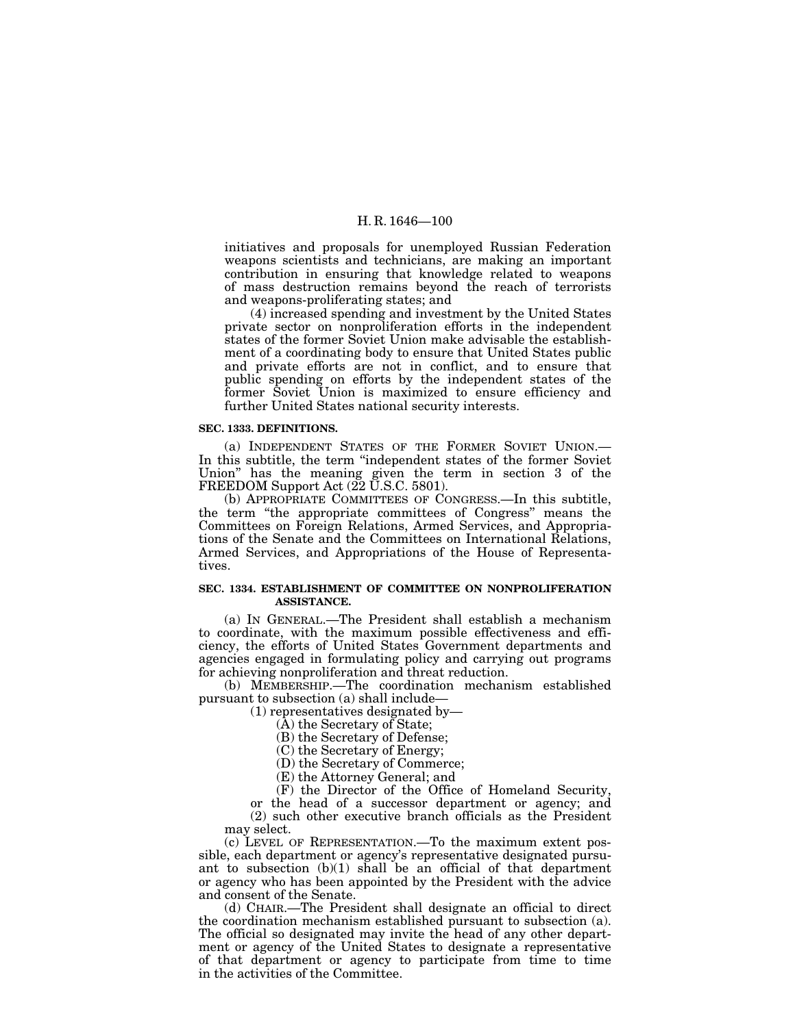initiatives and proposals for unemployed Russian Federation weapons scientists and technicians, are making an important contribution in ensuring that knowledge related to weapons of mass destruction remains beyond the reach of terrorists and weapons-proliferating states; and

(4) increased spending and investment by the United States private sector on nonproliferation efforts in the independent states of the former Soviet Union make advisable the establishment of a coordinating body to ensure that United States public and private efforts are not in conflict, and to ensure that public spending on efforts by the independent states of the former Soviet Union is maximized to ensure efficiency and further United States national security interests.

#### **SEC. 1333. DEFINITIONS.**

(a) INDEPENDENT STATES OF THE FORMER SOVIET UNION.— In this subtitle, the term ''independent states of the former Soviet Union'' has the meaning given the term in section 3 of the FREEDOM Support Act (22 U.S.C. 5801).

(b) APPROPRIATE COMMITTEES OF CONGRESS.—In this subtitle, the term ''the appropriate committees of Congress'' means the Committees on Foreign Relations, Armed Services, and Appropriations of the Senate and the Committees on International Relations, Armed Services, and Appropriations of the House of Representatives.

#### **SEC. 1334. ESTABLISHMENT OF COMMITTEE ON NONPROLIFERATION ASSISTANCE.**

(a) IN GENERAL.—The President shall establish a mechanism to coordinate, with the maximum possible effectiveness and efficiency, the efforts of United States Government departments and agencies engaged in formulating policy and carrying out programs for achieving nonproliferation and threat reduction.

(b) MEMBERSHIP.—The coordination mechanism established pursuant to subsection (a) shall include—

(1) representatives designated by—

- (A) the Secretary of State;
- (B) the Secretary of Defense;
- (C) the Secretary of Energy;
- (D) the Secretary of Commerce;
- (E) the Attorney General; and

(F) the Director of the Office of Homeland Security, or the head of a successor department or agency; and (2) such other executive branch officials as the President may select.

(c) LEVEL OF REPRESENTATION.—To the maximum extent possible, each department or agency's representative designated pursuant to subsection (b)(1) shall be an official of that department or agency who has been appointed by the President with the advice and consent of the Senate.

(d) CHAIR.—The President shall designate an official to direct the coordination mechanism established pursuant to subsection (a). The official so designated may invite the head of any other department or agency of the United States to designate a representative of that department or agency to participate from time to time in the activities of the Committee.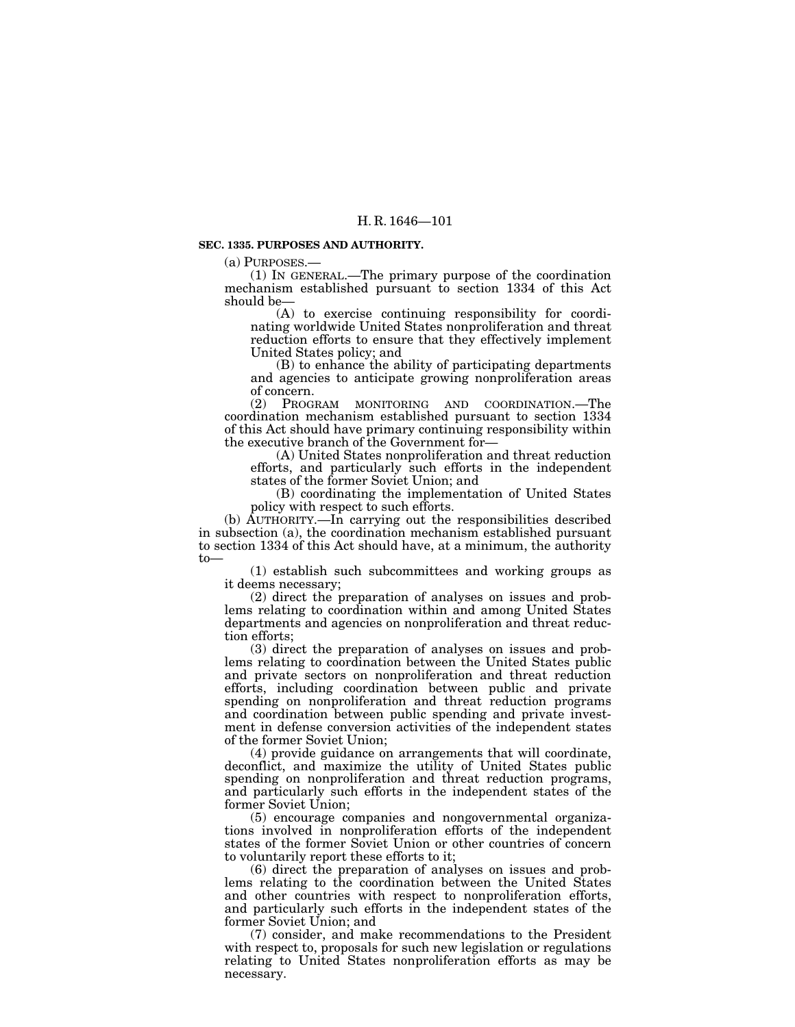#### **SEC. 1335. PURPOSES AND AUTHORITY.**

(a) PURPOSES.— (1) IN GENERAL.—The primary purpose of the coordination mechanism established pursuant to section 1334 of this Act should be—

(A) to exercise continuing responsibility for coordinating worldwide United States nonproliferation and threat reduction efforts to ensure that they effectively implement United States policy; and

(B) to enhance the ability of participating departments and agencies to anticipate growing nonproliferation areas of concern.<br>(2) Prog

PROGRAM MONITORING AND COORDINATION.—The coordination mechanism established pursuant to section 1334 of this Act should have primary continuing responsibility within

(A) United States nonproliferation and threat reduction efforts, and particularly such efforts in the independent states of the former Soviet Union; and

(B) coordinating the implementation of United States policy with respect to such efforts.

(b) AUTHORITY.—In carrying out the responsibilities described in subsection (a), the coordination mechanism established pursuant to section 1334 of this Act should have, at a minimum, the authority to—

(1) establish such subcommittees and working groups as it deems necessary;

(2) direct the preparation of analyses on issues and problems relating to coordination within and among United States departments and agencies on nonproliferation and threat reduction efforts;

(3) direct the preparation of analyses on issues and problems relating to coordination between the United States public and private sectors on nonproliferation and threat reduction efforts, including coordination between public and private spending on nonproliferation and threat reduction programs and coordination between public spending and private investment in defense conversion activities of the independent states of the former Soviet Union;

(4) provide guidance on arrangements that will coordinate, deconflict, and maximize the utility of United States public spending on nonproliferation and threat reduction programs, and particularly such efforts in the independent states of the former Soviet Union;

(5) encourage companies and nongovernmental organizations involved in nonproliferation efforts of the independent states of the former Soviet Union or other countries of concern to voluntarily report these efforts to it;

(6) direct the preparation of analyses on issues and problems relating to the coordination between the United States and other countries with respect to nonproliferation efforts, and particularly such efforts in the independent states of the former Soviet Union; and

(7) consider, and make recommendations to the President with respect to, proposals for such new legislation or regulations relating to United States nonproliferation efforts as may be necessary.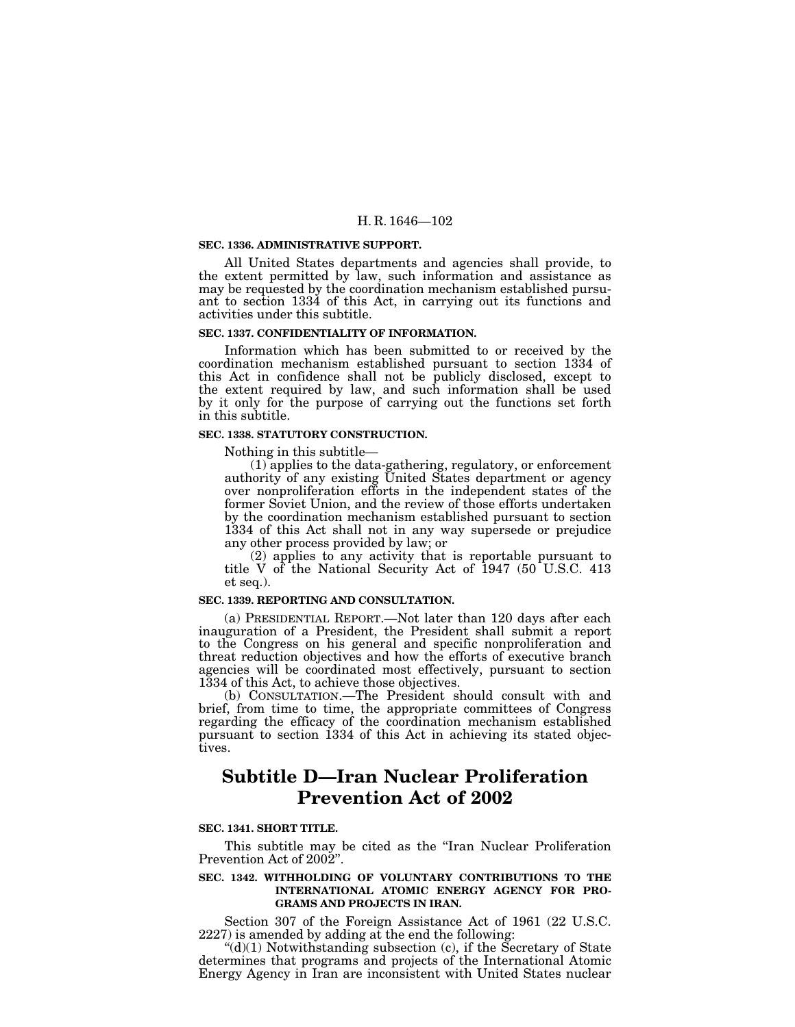#### **SEC. 1336. ADMINISTRATIVE SUPPORT.**

All United States departments and agencies shall provide, to the extent permitted by law, such information and assistance as may be requested by the coordination mechanism established pursuant to section 1334 of this Act, in carrying out its functions and activities under this subtitle.

#### **SEC. 1337. CONFIDENTIALITY OF INFORMATION.**

Information which has been submitted to or received by the coordination mechanism established pursuant to section 1334 of this Act in confidence shall not be publicly disclosed, except to the extent required by law, and such information shall be used by it only for the purpose of carrying out the functions set forth in this subtitle.

#### **SEC. 1338. STATUTORY CONSTRUCTION.**

Nothing in this subtitle— (1) applies to the data-gathering, regulatory, or enforcement authority of any existing United States department or agency over nonproliferation efforts in the independent states of the former Soviet Union, and the review of those efforts undertaken by the coordination mechanism established pursuant to section 1334 of this Act shall not in any way supersede or prejudice any other process provided by law; or

(2) applies to any activity that is reportable pursuant to title V of the National Security Act of 1947 (50 U.S.C. 413 et seq.).

### **SEC. 1339. REPORTING AND CONSULTATION.**

(a) PRESIDENTIAL REPORT.—Not later than 120 days after each inauguration of a President, the President shall submit a report to the Congress on his general and specific nonproliferation and threat reduction objectives and how the efforts of executive branch agencies will be coordinated most effectively, pursuant to section 1334 of this Act, to achieve those objectives.

(b) CONSULTATION.—The President should consult with and brief, from time to time, the appropriate committees of Congress regarding the efficacy of the coordination mechanism established pursuant to section 1334 of this Act in achieving its stated objectives.

# **Subtitle D—Iran Nuclear Proliferation Prevention Act of 2002**

## **SEC. 1341. SHORT TITLE.**

This subtitle may be cited as the ''Iran Nuclear Proliferation Prevention Act of 2002''.

#### **SEC. 1342. WITHHOLDING OF VOLUNTARY CONTRIBUTIONS TO THE INTERNATIONAL ATOMIC ENERGY AGENCY FOR PRO-GRAMS AND PROJECTS IN IRAN.**

Section 307 of the Foreign Assistance Act of 1961 (22 U.S.C. 2227) is amended by adding at the end the following:

" $(d)(1)$  Notwithstanding subsection  $(c)$ , if the Secretary of State determines that programs and projects of the International Atomic Energy Agency in Iran are inconsistent with United States nuclear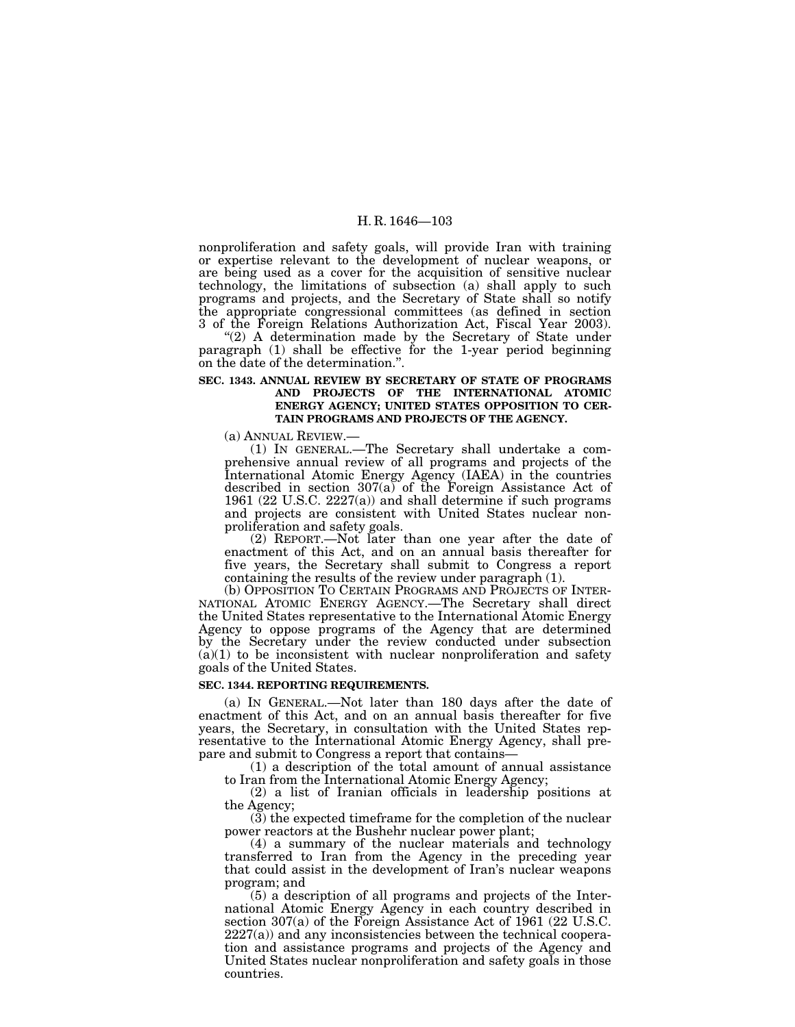nonproliferation and safety goals, will provide Iran with training or expertise relevant to the development of nuclear weapons, or are being used as a cover for the acquisition of sensitive nuclear technology, the limitations of subsection (a) shall apply to such programs and projects, and the Secretary of State shall so notify the appropriate congressional committees (as defined in section

3 of the Foreign Relations Authorization Act, Fiscal Year 2003). ''(2) A determination made by the Secretary of State under paragraph (1) shall be effective for the 1-year period beginning on the date of the determination.''.

## **SEC. 1343. ANNUAL REVIEW BY SECRETARY OF STATE OF PROGRAMS AND PROJECTS OF THE INTERNATIONAL ATOMIC ENERGY AGENCY; UNITED STATES OPPOSITION TO CER-TAIN PROGRAMS AND PROJECTS OF THE AGENCY.**

(a) ANNUAL REVIEW.— (1) IN GENERAL.—The Secretary shall undertake a comprehensive annual review of all programs and projects of the International Atomic Energy Agency (IAEA) in the countries described in section  $307(a)$  of the Foreign Assistance Act of 1961 (22 U.S.C. 2227(a)) and shall determine if such programs and projects are consistent with United States nuclear nonproliferation and safety goals.

(2) REPORT.—Not later than one year after the date of enactment of this Act, and on an annual basis thereafter for five years, the Secretary shall submit to Congress a report containing the results of the review under paragraph (1).

(b) OPPOSITION TO CERTAIN PROGRAMS AND PROJECTS OF INTER- NATIONAL ATOMIC ENERGY AGENCY.—The Secretary shall direct the United States representative to the International Atomic Energy Agency to oppose programs of the Agency that are determined by the Secretary under the review conducted under subsection  $(a)(1)$  to be inconsistent with nuclear nonproliferation and safety goals of the United States.

#### **SEC. 1344. REPORTING REQUIREMENTS.**

(a) IN GENERAL.—Not later than 180 days after the date of enactment of this Act, and on an annual basis thereafter for five years, the Secretary, in consultation with the United States representative to the International Atomic Energy Agency, shall pre-<br>pare and submit to Congress a report that contains—

 $(1)$  a description of the total amount of annual assistance to Iran from the International Atomic Energy Agency;

(2) a list of Iranian officials in leadership positions at the Agency;

(3) the expected timeframe for the completion of the nuclear power reactors at the Bushehr nuclear power plant;

(4) a summary of the nuclear materials and technology transferred to Iran from the Agency in the preceding year that could assist in the development of Iran's nuclear weapons program; and

(5) a description of all programs and projects of the International Atomic Energy Agency in each country described in section 307(a) of the Foreign Assistance Act of 1961 (22 U.S.C.  $2227(a)$ ) and any inconsistencies between the technical cooperation and assistance programs and projects of the Agency and United States nuclear nonproliferation and safety goals in those countries.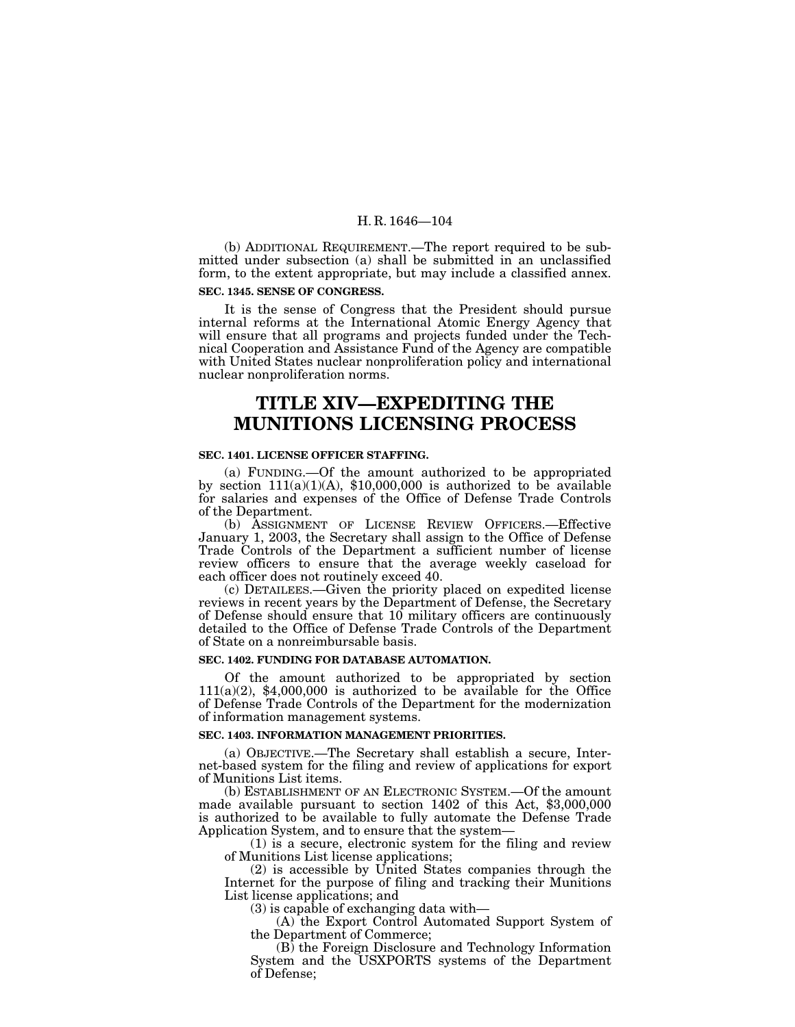(b) ADDITIONAL REQUIREMENT.—The report required to be submitted under subsection (a) shall be submitted in an unclassified form, to the extent appropriate, but may include a classified annex.

#### **SEC. 1345. SENSE OF CONGRESS.**

It is the sense of Congress that the President should pursue internal reforms at the International Atomic Energy Agency that will ensure that all programs and projects funded under the Technical Cooperation and Assistance Fund of the Agency are compatible with United States nuclear nonproliferation policy and international nuclear nonproliferation norms.

# **TITLE XIV—EXPEDITING THE MUNITIONS LICENSING PROCESS**

#### **SEC. 1401. LICENSE OFFICER STAFFING.**

(a) FUNDING.—Of the amount authorized to be appropriated by section 111(a)(1)(A), \$10,000,000 is authorized to be available for salaries and expenses of the Office of Defense Trade Controls of the Department.

(b) ASSIGNMENT OF LICENSE REVIEW OFFICERS.—Effective January 1, 2003, the Secretary shall assign to the Office of Defense Trade Controls of the Department a sufficient number of license review officers to ensure that the average weekly caseload for each officer does not routinely exceed 40.

(c) DETAILEES.—Given the priority placed on expedited license reviews in recent years by the Department of Defense, the Secretary of Defense should ensure that 10 military officers are continuously detailed to the Office of Defense Trade Controls of the Department of State on a nonreimbursable basis.

#### **SEC. 1402. FUNDING FOR DATABASE AUTOMATION.**

Of the amount authorized to be appropriated by section  $111(a)(2)$ , \$4,000,000 is authorized to be available for the Office of Defense Trade Controls of the Department for the modernization of information management systems.

## **SEC. 1403. INFORMATION MANAGEMENT PRIORITIES.**

(a) OBJECTIVE.—The Secretary shall establish a secure, Internet-based system for the filing and review of applications for export of Munitions List items.

(b) ESTABLISHMENT OF AN ELECTRONIC SYSTEM.—Of the amount made available pursuant to section 1402 of this Act, \$3,000,000 is authorized to be available to fully automate the Defense Trade Application System, and to ensure that the system—

(1) is a secure, electronic system for the filing and review of Munitions List license applications;

(2) is accessible by United States companies through the Internet for the purpose of filing and tracking their Munitions List license applications; and

(3) is capable of exchanging data with—

(A) the Export Control Automated Support System of the Department of Commerce;

(B) the Foreign Disclosure and Technology Information System and the USXPORTS systems of the Department of Defense;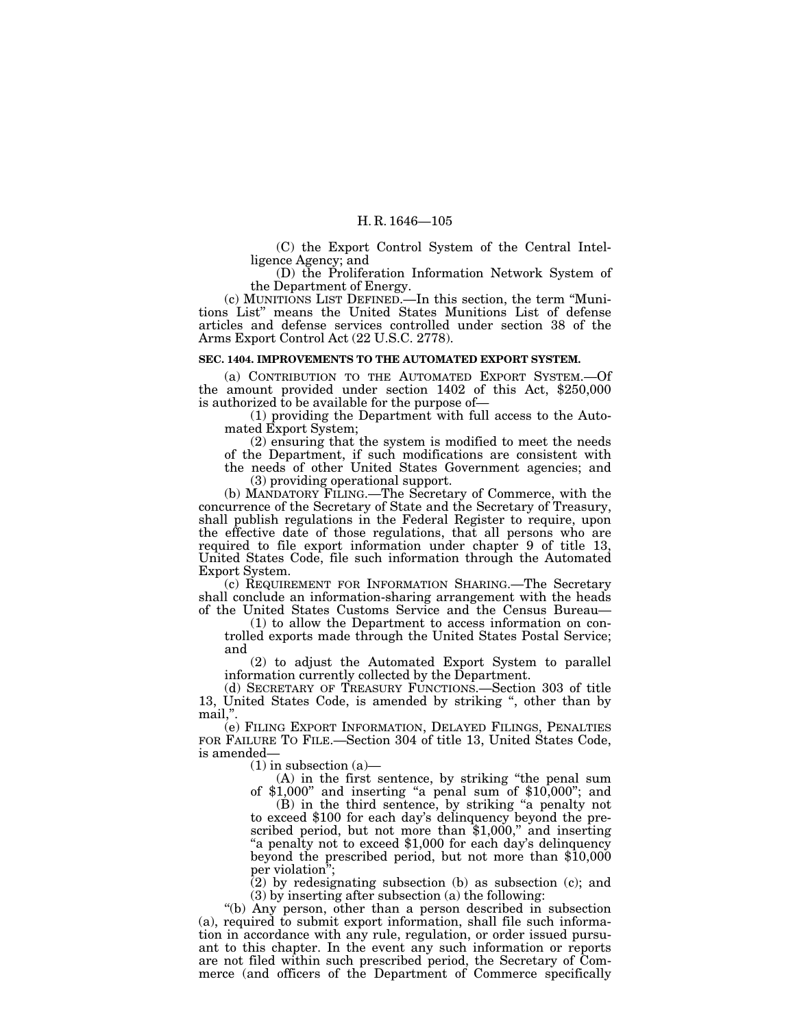(C) the Export Control System of the Central Intelligence Agency; and

(D) the Proliferation Information Network System of the Department of Energy.

(c) MUNITIONS LIST DEFINED.—In this section, the term ''Munitions List'' means the United States Munitions List of defense articles and defense services controlled under section 38 of the Arms Export Control Act (22 U.S.C. 2778).

#### **SEC. 1404. IMPROVEMENTS TO THE AUTOMATED EXPORT SYSTEM.**

(a) CONTRIBUTION TO THE AUTOMATED EXPORT SYSTEM.—Of the amount provided under section 1402 of this Act, \$250,000 is authorized to be available for the purpose of—

(1) providing the Department with full access to the Automated Export System;

(2) ensuring that the system is modified to meet the needs of the Department, if such modifications are consistent with the needs of other United States Government agencies; and

(3) providing operational support.

(b) MANDATORY FILING.—The Secretary of Commerce, with the concurrence of the Secretary of State and the Secretary of Treasury, shall publish regulations in the Federal Register to require, upon the effective date of those regulations, that all persons who are required to file export information under chapter 9 of title 13, United States Code, file such information through the Automated Export System.

(c) REQUIREMENT FOR INFORMATION SHARING.—The Secretary shall conclude an information-sharing arrangement with the heads of the United States Customs Service and the Census Bureau—

(1) to allow the Department to access information on controlled exports made through the United States Postal Service; and

(2) to adjust the Automated Export System to parallel information currently collected by the Department.

(d) SECRETARY OF TREASURY FUNCTIONS.—Section 303 of title 13, United States Code, is amended by striking '', other than by mail,''.

(e) FILING EXPORT INFORMATION, DELAYED FILINGS, PENALTIES FOR FAILURE TO FILE.—Section 304 of title 13, United States Code, is amended—

 $(1)$  in subsection  $(a)$ 

(A) in the first sentence, by striking ''the penal sum of  $$1,000"$  and inserting "a penal sum of  $$10,000"$ ; and

(B) in the third sentence, by striking ''a penalty not to exceed \$100 for each day's delinquency beyond the prescribed period, but not more than  $$1,000$ ," and inserting "a penalty not to exceed \$1,000 for each day's delinquency beyond the prescribed period, but not more than \$10,000 per violation'';

 $(2)$  by redesignating subsection (b) as subsection (c); and (3) by inserting after subsection (a) the following:

''(b) Any person, other than a person described in subsection (a), required to submit export information, shall file such information in accordance with any rule, regulation, or order issued pursuant to this chapter. In the event any such information or reports are not filed within such prescribed period, the Secretary of Commerce (and officers of the Department of Commerce specifically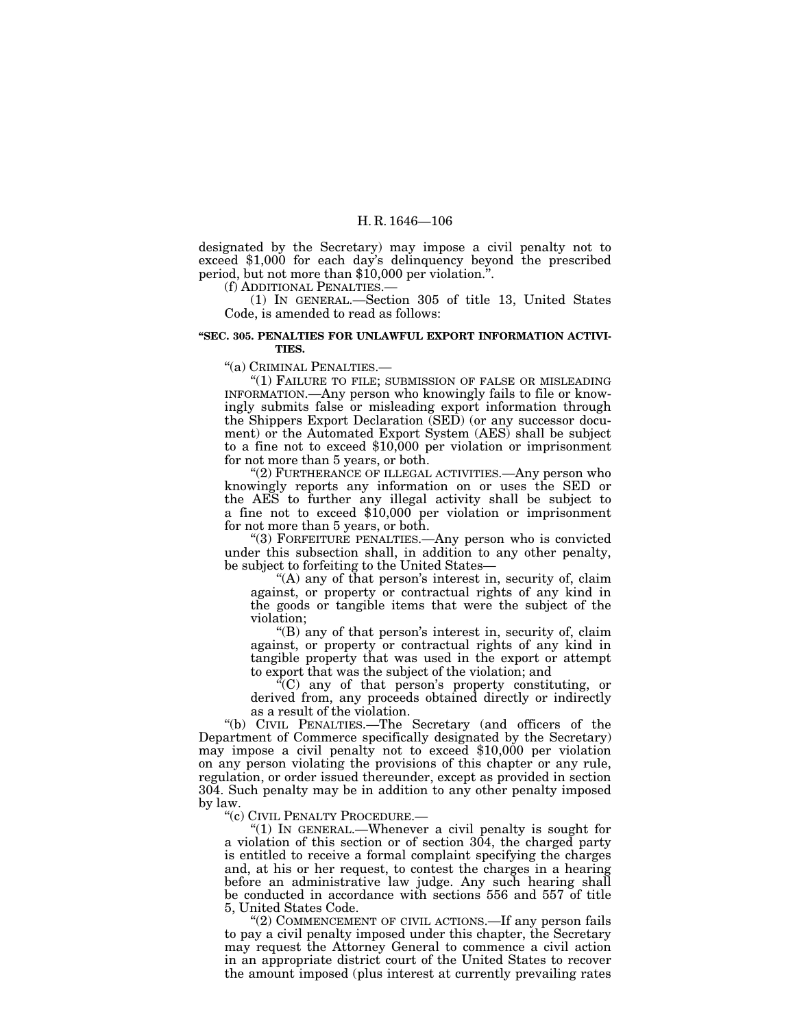designated by the Secretary) may impose a civil penalty not to exceed \$1,000 for each day's delinquency beyond the prescribed period, but not more than \$10,000 per violation.''.

(f) ADDITIONAL PENALTIES.—

(1) IN GENERAL.—Section 305 of title 13, United States Code, is amended to read as follows:

#### **''SEC. 305. PENALTIES FOR UNLAWFUL EXPORT INFORMATION ACTIVI-TIES.**

''(a) CRIMINAL PENALTIES.—

''(1) FAILURE TO FILE; SUBMISSION OF FALSE OR MISLEADING INFORMATION.—Any person who knowingly fails to file or knowingly submits false or misleading export information through the Shippers Export Declaration (SED) (or any successor document) or the Automated Export System (AES) shall be subject to a fine not to exceed \$10,000 per violation or imprisonment for not more than 5 years, or both.

"(2) FURTHERANCE OF ILLEGAL ACTIVITIES.—Any person who knowingly reports any information on or uses the SED or the AES to further any illegal activity shall be subject to a fine not to exceed \$10,000 per violation or imprisonment for not more than 5 years, or both.

''(3) FORFEITURE PENALTIES.—Any person who is convicted under this subsection shall, in addition to any other penalty, be subject to forfeiting to the United States—

"(A) any of that person's interest in, security of, claim against, or property or contractual rights of any kind in the goods or tangible items that were the subject of the violation;

''(B) any of that person's interest in, security of, claim against, or property or contractual rights of any kind in tangible property that was used in the export or attempt to export that was the subject of the violation; and

 $\mathcal{F}(C)$  any of that person's property constituting, or derived from, any proceeds obtained directly or indirectly as a result of the violation.

''(b) CIVIL PENALTIES.—The Secretary (and officers of the Department of Commerce specifically designated by the Secretary) may impose a civil penalty not to exceed \$10,000 per violation on any person violating the provisions of this chapter or any rule, regulation, or order issued thereunder, except as provided in section 304. Such penalty may be in addition to any other penalty imposed by law.

''(c) CIVIL PENALTY PROCEDURE.—

''(1) IN GENERAL.—Whenever a civil penalty is sought for a violation of this section or of section 304, the charged party is entitled to receive a formal complaint specifying the charges and, at his or her request, to contest the charges in a hearing before an administrative law judge. Any such hearing shall be conducted in accordance with sections 556 and 557 of title 5, United States Code.

"(2) COMMENCEMENT OF CIVIL ACTIONS.—If any person fails to pay a civil penalty imposed under this chapter, the Secretary may request the Attorney General to commence a civil action in an appropriate district court of the United States to recover the amount imposed (plus interest at currently prevailing rates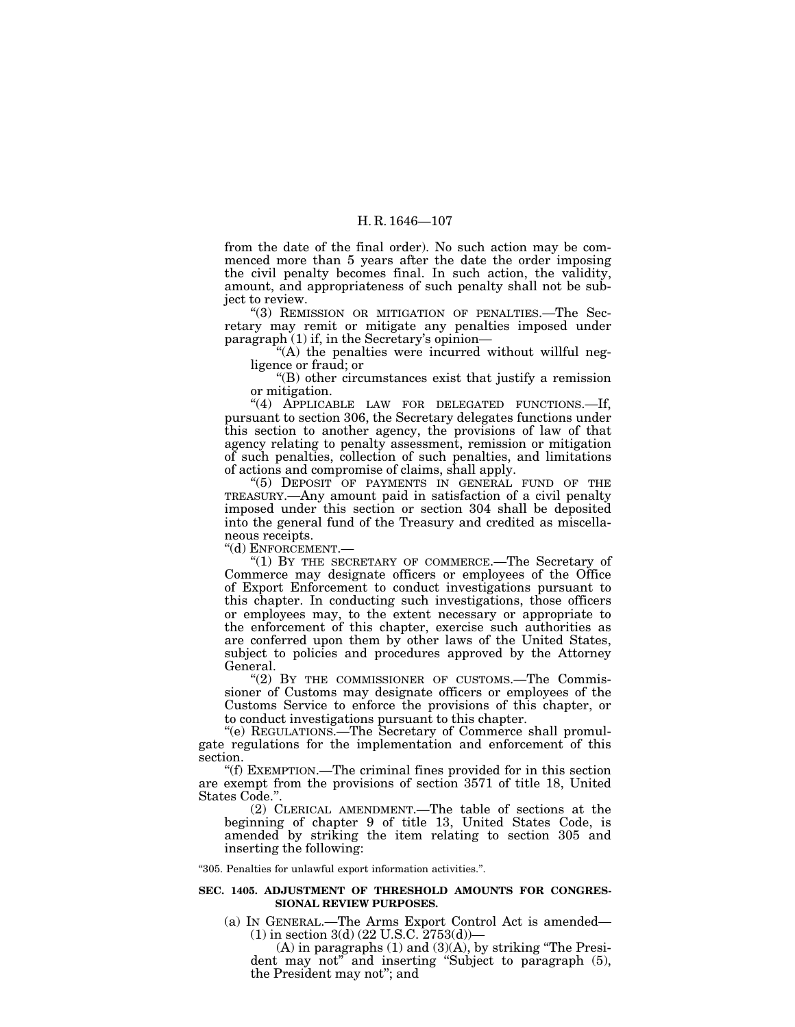from the date of the final order). No such action may be commenced more than 5 years after the date the order imposing the civil penalty becomes final. In such action, the validity, amount, and appropriateness of such penalty shall not be subject to review.

''(3) REMISSION OR MITIGATION OF PENALTIES.—The Secretary may remit or mitigate any penalties imposed under paragraph (1) if, in the Secretary's opinion—

 $(A)$  the penalties were incurred without willful negligence or fraud; or

''(B) other circumstances exist that justify a remission or mitigation.

"(4) APPLICABLE LAW FOR DELEGATED FUNCTIONS.-If, pursuant to section 306, the Secretary delegates functions under this section to another agency, the provisions of law of that agency relating to penalty assessment, remission or mitigation of such penalties, collection of such penalties, and limitations of actions and compromise of claims, shall apply.

''(5) DEPOSIT OF PAYMENTS IN GENERAL FUND OF THE TREASURY.—Any amount paid in satisfaction of a civil penalty imposed under this section or section 304 shall be deposited into the general fund of the Treasury and credited as miscellaneous receipts.

''(d) ENFORCEMENT.—

"(1) BY THE SECRETARY OF COMMERCE.—The Secretary of Commerce may designate officers or employees of the Office of Export Enforcement to conduct investigations pursuant to this chapter. In conducting such investigations, those officers or employees may, to the extent necessary or appropriate to the enforcement of this chapter, exercise such authorities as are conferred upon them by other laws of the United States, subject to policies and procedures approved by the Attorney General.

"(2) BY THE COMMISSIONER OF CUSTOMS.—The Commissioner of Customs may designate officers or employees of the Customs Service to enforce the provisions of this chapter, or to conduct investigations pursuant to this chapter.

''(e) REGULATIONS.—The Secretary of Commerce shall promulgate regulations for the implementation and enforcement of this

section.<br>
"(f) EXEMPTION.—The criminal fines provided for in this section are exempt from the provisions of section 3571 of title 18, United

 $(2)$  CLERICAL AMENDMENT.—The table of sections at the beginning of chapter 9 of title 13, United States Code, is amended by striking the item relating to section 305 and inserting the following:

''305. Penalties for unlawful export information activities.''.

#### **SEC. 1405. ADJUSTMENT OF THRESHOLD AMOUNTS FOR CONGRES-SIONAL REVIEW PURPOSES.**

(a) IN GENERAL.—The Arms Export Control Act is amended— (1) in section 3(d) (22 U.S.C. 2753(d))—

 $(A)$  in paragraphs  $(1)$  and  $(3)(A)$ , by striking "The President may not" and inserting "Subject to paragraph  $(5)$ , the President may not''; and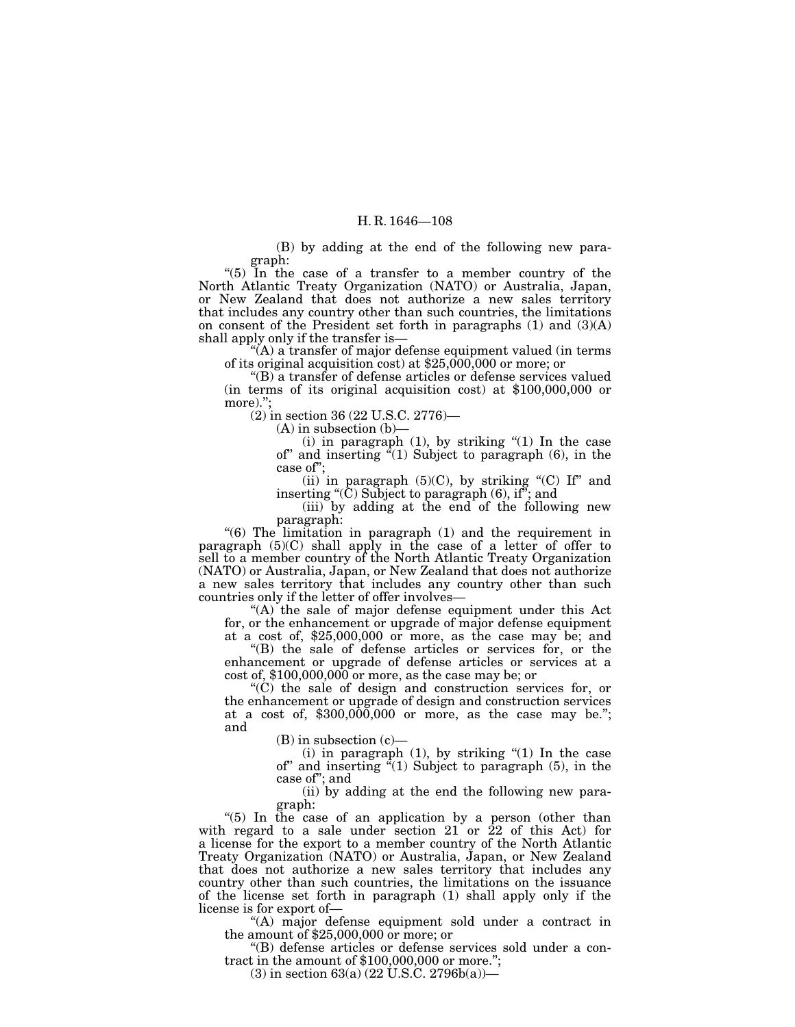(B) by adding at the end of the following new paragraph:

''(5) In the case of a transfer to a member country of the North Atlantic Treaty Organization (NATO) or Australia, Japan, or New Zealand that does not authorize a new sales territory that includes any country other than such countries, the limitations on consent of the President set forth in paragraphs  $(1)$  and  $(3)(A)$ shall apply only if the transfer is—

 $f(A)$  a transfer of major defense equipment valued (in terms) of its original acquisition cost) at \$25,000,000 or more; or

''(B) a transfer of defense articles or defense services valued (in terms of its original acquisition cost) at \$100,000,000 or more).":

(2) in section 36 (22 U.S.C. 2776)—

 $(A)$  in subsection  $(b)$ –

(i) in paragraph  $(1)$ , by striking " $(1)$  In the case of" and inserting  $\epsilon^2(1)$  Subject to paragraph (6), in the case of'';

(ii) in paragraph  $(5)(C)$ , by striking " $(C)$  If" and inserting ''(C) Subject to paragraph (6), if''; and

(iii) by adding at the end of the following new paragraph:

''(6) The limitation in paragraph (1) and the requirement in paragraph  $(5)(C)$  shall apply in the case of a letter of offer to sell to a member country of the North Atlantic Treaty Organization (NATO) or Australia, Japan, or New Zealand that does not authorize a new sales territory that includes any country other than such countries only if the letter of offer involves—

 $f(A)$  the sale of major defense equipment under this Act for, or the enhancement or upgrade of major defense equipment

at a cost of, \$25,000,000 or more, as the case may be; and ''(B) the sale of defense articles or services for, or the enhancement or upgrade of defense articles or services at a cost of,  $$100,000,000$  or more, as the case may be; or "(C) the sale of design and construction services for, or

the enhancement or upgrade of design and construction services at a cost of,  $$300,000,000$  or more, as the case may be."; and

(B) in subsection (c)—<br>(i) in paragraph (1), by striking "(1) In the case of'' and inserting ''(1) Subject to paragraph (5), in the case of''; and

(ii) by adding at the end the following new para-

"(5) In the case of an application by a person (other than with regard to a sale under section  $21$  or  $22$  of this Act) for a license for the export to a member country of the North Atlantic Treaty Organization (NATO) or Australia, Japan, or New Zealand that does not authorize a new sales territory that includes any country other than such countries, the limitations on the issuance of the license set forth in paragraph (1) shall apply only if the license is for export of—

''(A) major defense equipment sold under a contract in the amount of \$25,000,000 or more; or

''(B) defense articles or defense services sold under a contract in the amount of \$100,000,000 or more.'';

 $(3)$  in section 63(a) (22 U.S.C. 2796b(a))—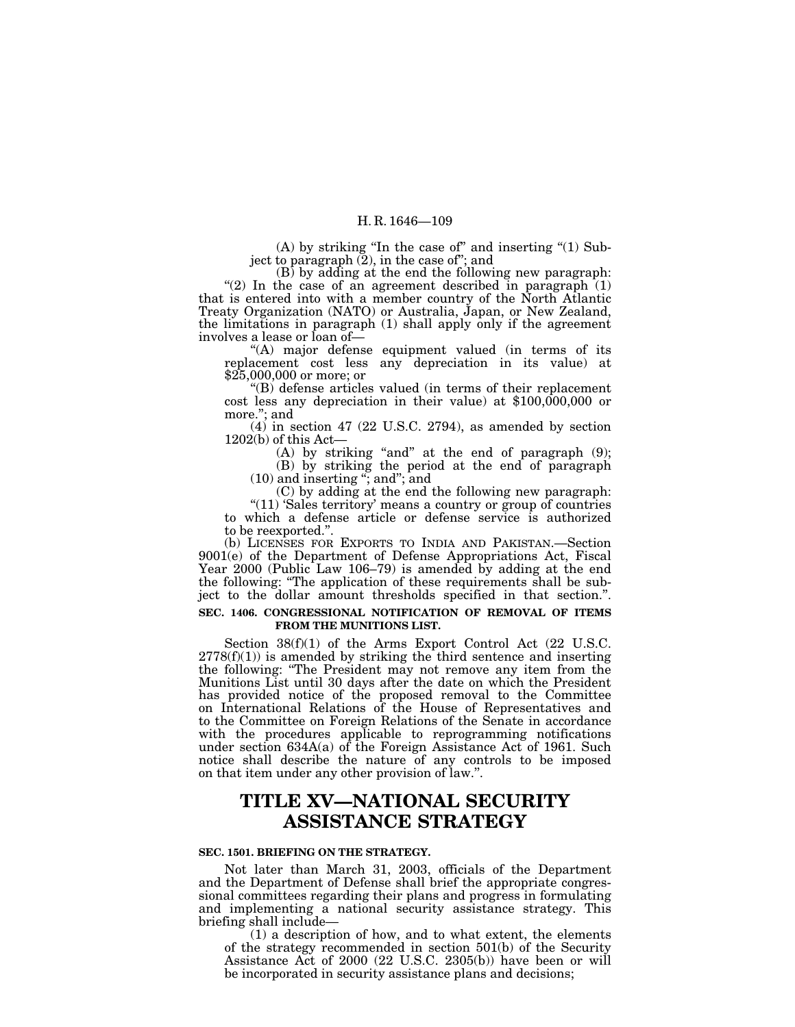(A) by striking ''In the case of'' and inserting ''(1) Subject to paragraph  $(2)$ , in the case of"; and

(B) by adding at the end the following new paragraph: "(2) In the case of an agreement described in paragraph  $(1)$ that is entered into with a member country of the North Atlantic Treaty Organization (NATO) or Australia, Japan, or New Zealand, the limitations in paragraph (1) shall apply only if the agreement involves a lease or loan of—<br>"(A) major defense equipment valued (in terms of its

replacement cost less any depreciation in its value) at  $$25,000,000$  or more; or

\$25,000,000 or more; or ''(B) defense articles valued (in terms of their replacement cost less any depreciation in their value) at \$100,000,000 or more.''; and

(4) in section 47 (22 U.S.C. 2794), as amended by section  $1202(b)$  of this Act— 1202(b) of this Act—<br>(A) by striking "and" at the end of paragraph (9);

(B) by striking the period at the end of paragraph (10) and inserting ''; and''; and

(C) by adding at the end the following new paragraph: "(11) 'Sales territory' means a country or group of countries to which a defense article or defense service is authorized to be reexported.''.

(b) LICENSES FOR EXPORTS TO INDIA AND PAKISTAN.—Section 9001(e) of the Department of Defense Appropriations Act, Fiscal Year 2000 (Public Law 106–79) is amended by adding at the end the following: ''The application of these requirements shall be subject to the dollar amount thresholds specified in that section.''.

#### **SEC. 1406. CONGRESSIONAL NOTIFICATION OF REMOVAL OF ITEMS FROM THE MUNITIONS LIST.**

Section 38(f)(1) of the Arms Export Control Act (22 U.S.C.  $2778(f)(1)$ ) is amended by striking the third sentence and inserting the following: ''The President may not remove any item from the Munitions List until 30 days after the date on which the President has provided notice of the proposed removal to the Committee on International Relations of the House of Representatives and to the Committee on Foreign Relations of the Senate in accordance with the procedures applicable to reprogramming notifications under section 634A(a) of the Foreign Assistance Act of 1961. Such notice shall describe the nature of any controls to be imposed on that item under any other provision of law.''.

# **TITLE XV—NATIONAL SECURITY ASSISTANCE STRATEGY**

#### **SEC. 1501. BRIEFING ON THE STRATEGY.**

Not later than March 31, 2003, officials of the Department and the Department of Defense shall brief the appropriate congressional committees regarding their plans and progress in formulating and implementing a national security assistance strategy. This briefing shall include—

(1) a description of how, and to what extent, the elements of the strategy recommended in section 501(b) of the Security Assistance Act of 2000 (22 U.S.C. 2305(b)) have been or will be incorporated in security assistance plans and decisions;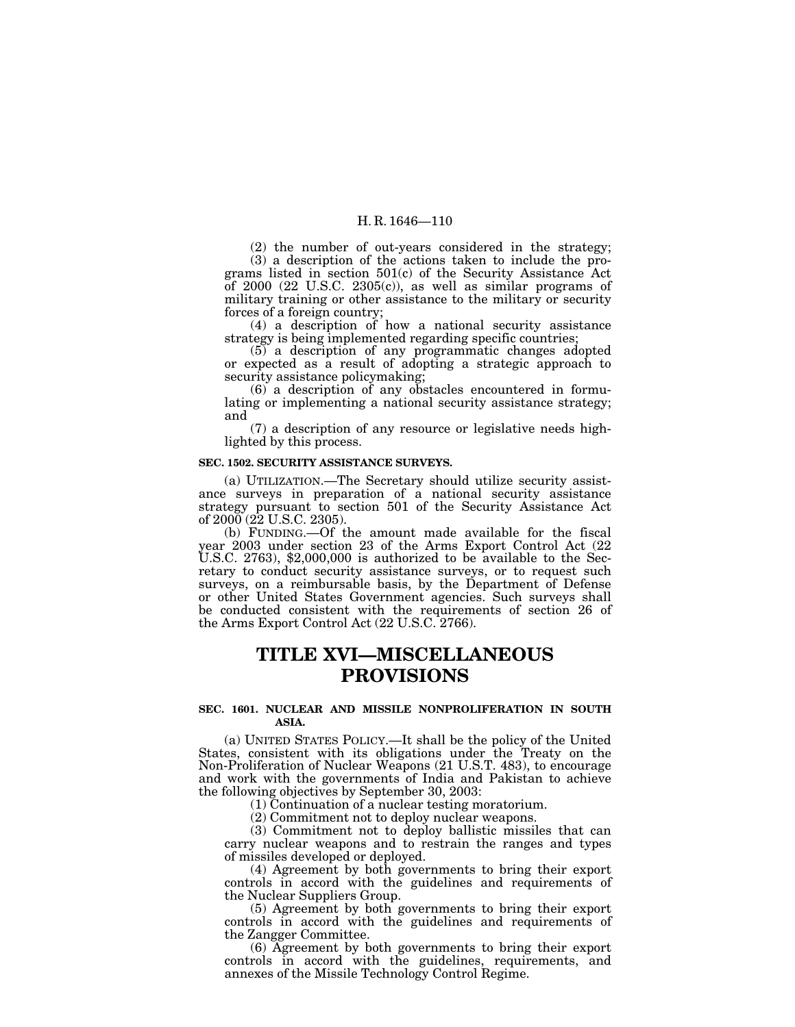(2) the number of out-years considered in the strategy; (3) a description of the actions taken to include the programs listed in section 501(c) of the Security Assistance Act of 2000 (22 U.S.C. 2305(c)), as well as similar programs of military training or other assistance to the military or security forces of a foreign country;

(4) a description of how a national security assistance strategy is being implemented regarding specific countries;

(5) a description of any programmatic changes adopted or expected as a result of adopting a strategic approach to security assistance policymaking;

(6) a description of any obstacles encountered in formulating or implementing a national security assistance strategy; and

(7) a description of any resource or legislative needs highlighted by this process.

#### **SEC. 1502. SECURITY ASSISTANCE SURVEYS.**

(a) UTILIZATION.—The Secretary should utilize security assistance surveys in preparation of a national security assistance strategy pursuant to section 501 of the Security Assistance Act of  $2000(22 \text{ U.S.C. } 2305)$ .

(b) FUNDING.—Of the amount made available for the fiscal year 2003 under section 23 of the Arms Export Control Act (22 U.S.C. 2763), \$2,000,000 is authorized to be available to the Secretary to conduct security assistance surveys, or to request such surveys, on a reimbursable basis, by the Department of Defense or other United States Government agencies. Such surveys shall be conducted consistent with the requirements of section 26 of the Arms Export Control Act (22 U.S.C. 2766).

## **TITLE XVI—MISCELLANEOUS PROVISIONS**

#### **SEC. 1601. NUCLEAR AND MISSILE NONPROLIFERATION IN SOUTH ASIA.**

(a) UNITED STATES POLICY.—It shall be the policy of the United States, consistent with its obligations under the Treaty on the Non-Proliferation of Nuclear Weapons (21 U.S.T. 483), to encourage and work with the governments of India and Pakistan to achieve the following objectives by September 30, 2003:

(1) Continuation of a nuclear testing moratorium.

(2) Commitment not to deploy nuclear weapons.

(3) Commitment not to deploy ballistic missiles that can carry nuclear weapons and to restrain the ranges and types of missiles developed or deployed.

(4) Agreement by both governments to bring their export controls in accord with the guidelines and requirements of the Nuclear Suppliers Group.

(5) Agreement by both governments to bring their export controls in accord with the guidelines and requirements of the Zangger Committee.

(6) Agreement by both governments to bring their export controls in accord with the guidelines, requirements, and annexes of the Missile Technology Control Regime.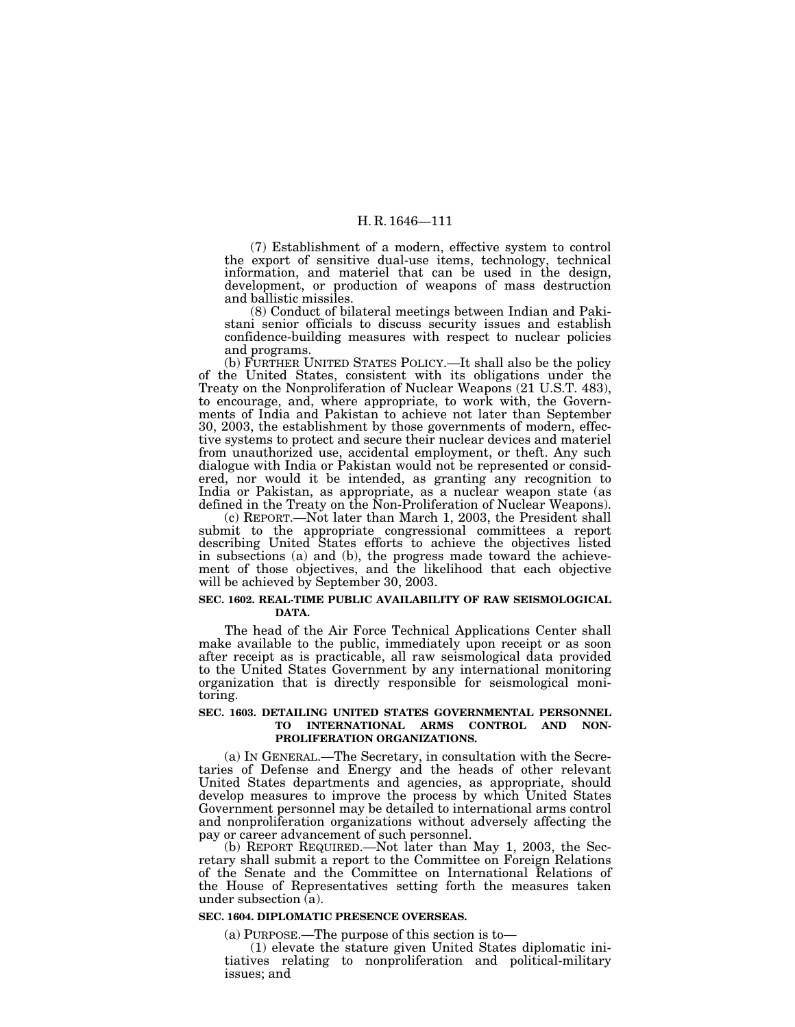(7) Establishment of a modern, effective system to control the export of sensitive dual-use items, technology, technical information, and materiel that can be used in the design, development, or production of weapons of mass destruction and ballistic missiles.

(8) Conduct of bilateral meetings between Indian and Pakistani senior officials to discuss security issues and establish confidence-building measures with respect to nuclear policies and programs.

(b) FURTHER UNITED STATES POLICY.—It shall also be the policy of the United States, consistent with its obligations under the Treaty on the Nonproliferation of Nuclear Weapons (21 U.S.T. 483), to encourage, and, where appropriate, to work with, the Governments of India and Pakistan to achieve not later than September 30, 2003, the establishment by those governments of modern, effective systems to protect and secure their nuclear devices and materiel from unauthorized use, accidental employment, or theft. Any such dialogue with India or Pakistan would not be represented or considered, nor would it be intended, as granting any recognition to India or Pakistan, as appropriate, as a nuclear weapon state (as defined in the Treaty on the Non-Proliferation of Nuclear Weapons).

(c) REPORT.—Not later than March 1, 2003, the President shall submit to the appropriate congressional committees a report describing United States efforts to achieve the objectives listed in subsections (a) and (b), the progress made toward the achievement of those objectives, and the likelihood that each objective will be achieved by September 30, 2003.

#### **SEC. 1602. REAL-TIME PUBLIC AVAILABILITY OF RAW SEISMOLOGICAL DATA.**

The head of the Air Force Technical Applications Center shall make available to the public, immediately upon receipt or as soon after receipt as is practicable, all raw seismological data provided to the United States Government by any international monitoring organization that is directly responsible for seismological monitoring.

#### **SEC. 1603. DETAILING UNITED STATES GOVERNMENTAL PERSONNEL TO INTERNATIONAL ARMS CONTROL AND NON-PROLIFERATION ORGANIZATIONS.**

(a) IN GENERAL.—The Secretary, in consultation with the Secretaries of Defense and Energy and the heads of other relevant United States departments and agencies, as appropriate, should develop measures to improve the process by which United States Government personnel may be detailed to international arms control and nonproliferation organizations without adversely affecting the pay or career advancement of such personnel.

(b) REPORT REQUIRED.—Not later than May 1, 2003, the Secretary shall submit a report to the Committee on Foreign Relations of the Senate and the Committee on International Relations of the House of Representatives setting forth the measures taken under subsection (a).

#### **SEC. 1604. DIPLOMATIC PRESENCE OVERSEAS.**

(a) PURPOSE.—The purpose of this section is to— (1) elevate the stature given United States diplomatic initiatives relating to nonproliferation and political-military issues; and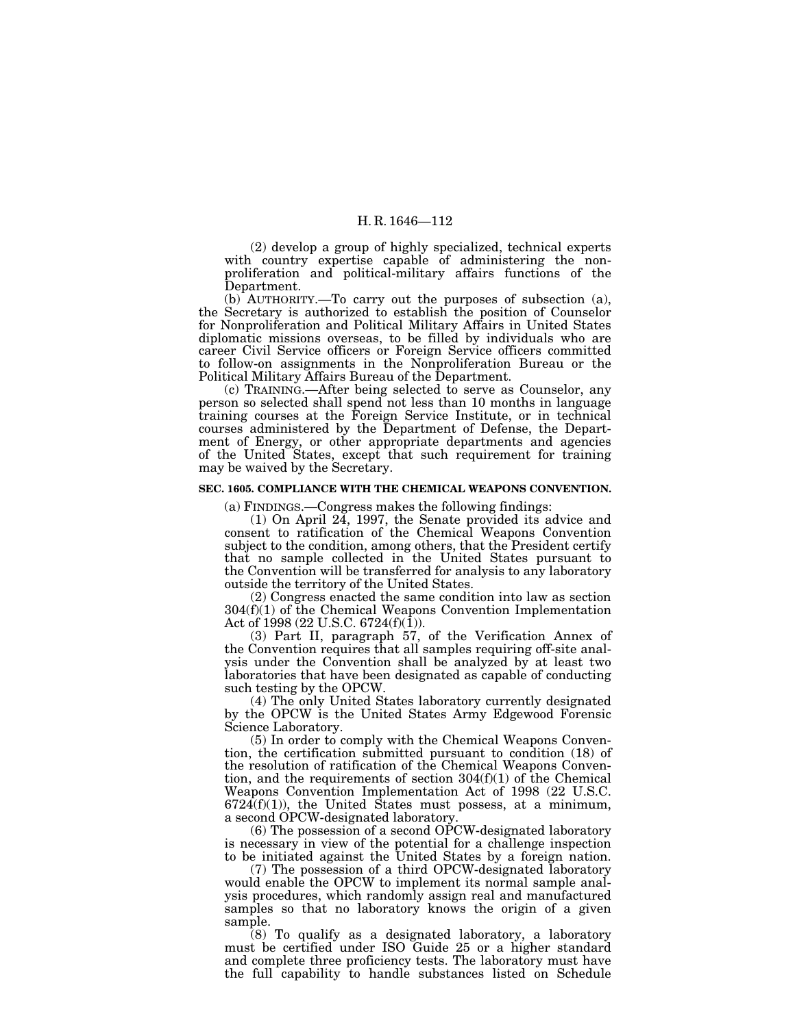(2) develop a group of highly specialized, technical experts with country expertise capable of administering the nonproliferation and political-military affairs functions of the Department.

(b) AUTHORITY.—To carry out the purposes of subsection (a), the Secretary is authorized to establish the position of Counselor for Nonproliferation and Political Military Affairs in United States diplomatic missions overseas, to be filled by individuals who are career Civil Service officers or Foreign Service officers committed to follow-on assignments in the Nonproliferation Bureau or the Political Military Affairs Bureau of the Department.

(c) TRAINING.—After being selected to serve as Counselor, any person so selected shall spend not less than 10 months in language training courses at the Foreign Service Institute, or in technical courses administered by the Department of Defense, the Department of Energy, or other appropriate departments and agencies of the United States, except that such requirement for training may be waived by the Secretary.

#### **SEC. 1605. COMPLIANCE WITH THE CHEMICAL WEAPONS CONVENTION.**

(a) FINDINGS.—Congress makes the following findings:

(1) On April 24, 1997, the Senate provided its advice and consent to ratification of the Chemical Weapons Convention subject to the condition, among others, that the President certify that no sample collected in the United States pursuant to the Convention will be transferred for analysis to any laboratory outside the territory of the United States.

(2) Congress enacted the same condition into law as section 304(f)(1) of the Chemical Weapons Convention Implementation Act of 1998 (22 U.S.C. 6724(f)(1)).

(3) Part II, paragraph 57, of the Verification Annex of the Convention requires that all samples requiring off-site analysis under the Convention shall be analyzed by at least two laboratories that have been designated as capable of conducting such testing by the OPCW.

(4) The only United States laboratory currently designated by the OPCW is the United States Army Edgewood Forensic Science Laboratory.

(5) In order to comply with the Chemical Weapons Convention, the certification submitted pursuant to condition (18) of the resolution of ratification of the Chemical Weapons Convention, and the requirements of section  $304(f)(1)$  of the Chemical Weapons Convention Implementation Act of 1998 (22 U.S.C.  $6724(f)(1)$ , the United States must possess, at a minimum, a second OPCW-designated laboratory.

(6) The possession of a second OPCW-designated laboratory is necessary in view of the potential for a challenge inspection to be initiated against the United States by a foreign nation.

(7) The possession of a third OPCW-designated laboratory would enable the OPCW to implement its normal sample analysis procedures, which randomly assign real and manufactured samples so that no laboratory knows the origin of a given sample.

(8) To qualify as a designated laboratory, a laboratory must be certified under ISO Guide 25 or a higher standard and complete three proficiency tests. The laboratory must have the full capability to handle substances listed on Schedule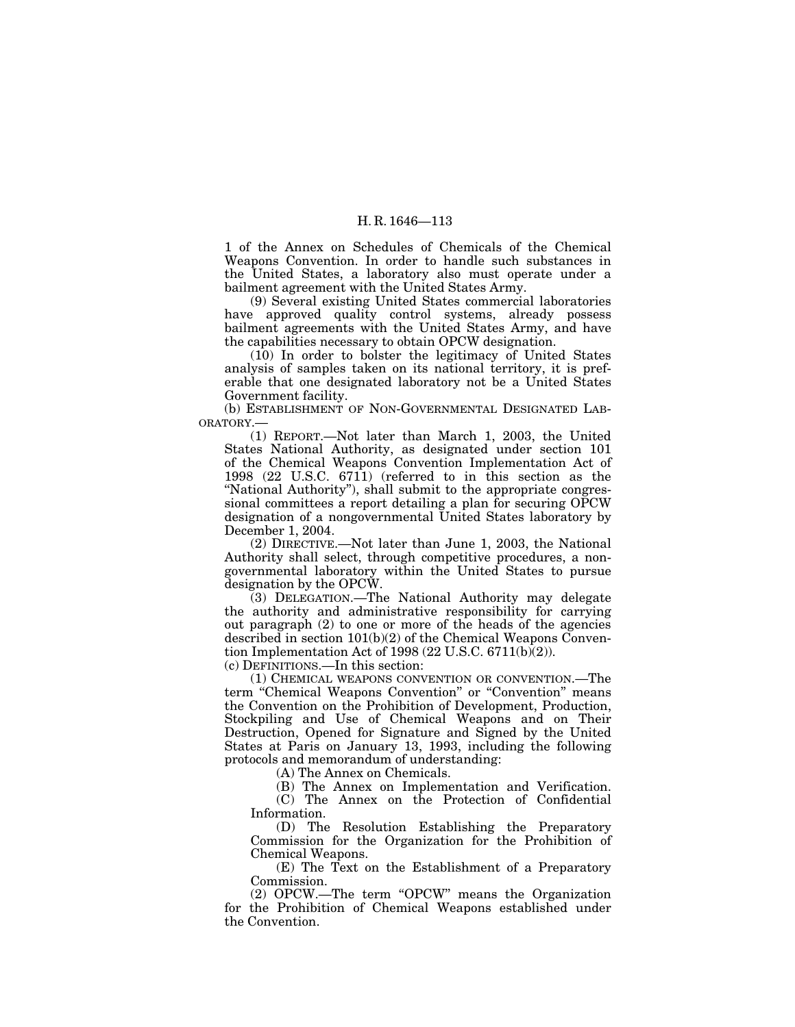1 of the Annex on Schedules of Chemicals of the Chemical Weapons Convention. In order to handle such substances in the United States, a laboratory also must operate under a bailment agreement with the United States Army.

(9) Several existing United States commercial laboratories have approved quality control systems, already possess bailment agreements with the United States Army, and have the capabilities necessary to obtain OPCW designation.

(10) In order to bolster the legitimacy of United States analysis of samples taken on its national territory, it is preferable that one designated laboratory not be a United States Government facility.

(b) ESTABLISHMENT OF NON-GOVERNMENTAL DESIGNATED LAB-ORATORY.—

(1) REPORT.—Not later than March 1, 2003, the United States National Authority, as designated under section 101 of the Chemical Weapons Convention Implementation Act of 1998 (22 U.S.C. 6711) (referred to in this section as the "National Authority"), shall submit to the appropriate congressional committees a report detailing a plan for securing OPCW designation of a nongovernmental United States laboratory by December 1, 2004.

(2) DIRECTIVE.—Not later than June 1, 2003, the National Authority shall select, through competitive procedures, a nongovernmental laboratory within the United States to pursue designation by the OPCW.

(3) DELEGATION.—The National Authority may delegate the authority and administrative responsibility for carrying out paragraph (2) to one or more of the heads of the agencies described in section 101(b)(2) of the Chemical Weapons Convention Implementation Act of 1998 (22 U.S.C. 6711(b)(2)).

(c) DEFINITIONS.—In this section:

(1) CHEMICAL WEAPONS CONVENTION OR CONVENTION.—The term "Chemical Weapons Convention" or "Convention" means the Convention on the Prohibition of Development, Production, Stockpiling and Use of Chemical Weapons and on Their Destruction, Opened for Signature and Signed by the United States at Paris on January 13, 1993, including the following protocols and memorandum of understanding:

(A) The Annex on Chemicals.

(B) The Annex on Implementation and Verification.

(C) The Annex on the Protection of Confidential Information.

(D) The Resolution Establishing the Preparatory Commission for the Organization for the Prohibition of Chemical Weapons.

(E) The Text on the Establishment of a Preparatory Commission.

(2) OPCW.—The term ''OPCW'' means the Organization for the Prohibition of Chemical Weapons established under the Convention.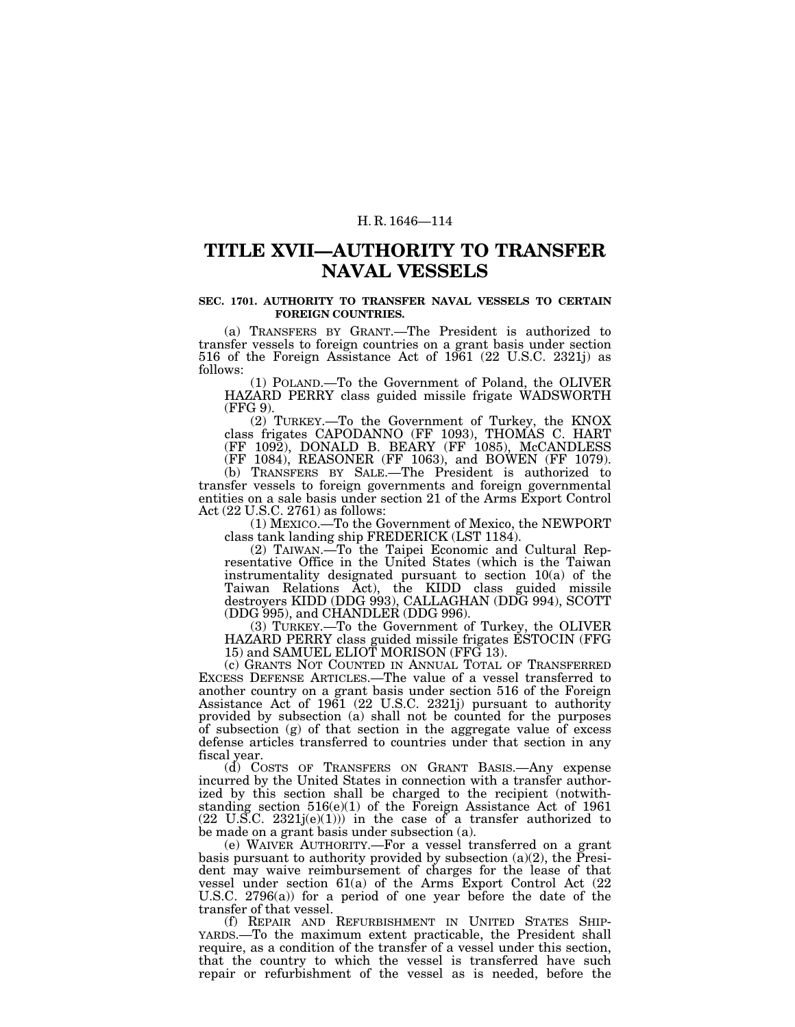## **TITLE XVII—AUTHORITY TO TRANSFER NAVAL VESSELS**

#### **SEC. 1701. AUTHORITY TO TRANSFER NAVAL VESSELS TO CERTAIN FOREIGN COUNTRIES.**

(a) TRANSFERS BY GRANT.—The President is authorized to transfer vessels to foreign countries on a grant basis under section 516 of the Foreign Assistance Act of 1961 (22 U.S.C. 2321j) as follows:

(1) POLAND.—To the Government of Poland, the OLIVER HAZARD PERRY class guided missile frigate WADSWORTH (FFG 9).

(2) TURKEY.—To the Government of Turkey, the KNOX class frigates CAPODANNO (FF 1093), THOMAS C. HART (FF 1092), DONALD B. BEARY (FF 1085), McCANDLESS (FF 1084), REASONER (FF 1063), and BOWEN (FF 1079).

(b) TRANSFERS BY SALE.—The President is authorized to transfer vessels to foreign governments and foreign governmental entities on a sale basis under section 21 of the Arms Export Control Act (22 U.S.C. 2761) as follows:

(1) MEXICO.—To the Government of Mexico, the NEWPORT class tank landing ship FREDERICK (LST 1184).

(2) TAIWAN.—To the Taipei Economic and Cultural Representative Office in the United States (which is the Taiwan instrumentality designated pursuant to section 10(a) of the Taiwan Relations Act), the KIDD class guided missile destroyers KIDD (DDG 993), CALLAGHAN (DDG 994), SCOTT (DDG 995), and CHANDLER (DDG 996).

(3) TURKEY.—To the Government of Turkey, the OLIVER HAZARD PERRY class guided missile frigates ESTOCIN (FFG 15) and SAMUEL ELIOT MORISON (FFG 13).

(c) GRANTS NOT COUNTED IN ANNUAL TOTAL OF TRANSFERRED EXCESS DEFENSE ARTICLES.—The value of a vessel transferred to another country on a grant basis under section 516 of the Foreign Assistance Act of 1961 (22 U.S.C. 2321j) pursuant to authority provided by subsection (a) shall not be counted for the purposes of subsection  $(g)$  of that section in the aggregate value of excess defense articles transferred to countries under that section in any fiscal year.

(d) COSTS OF TRANSFERS ON GRANT BASIS.—Any expense incurred by the United States in connection with a transfer authorized by this section shall be charged to the recipient (notwithstanding section 516(e)(1) of the Foreign Assistance Act of 1961  $(22 \text{ U.S.C. } 2321j(e)(1)))$  in the case of a transfer authorized to be made on a grant basis under subsection (a).

(e) WAIVER AUTHORITY.—For a vessel transferred on a grant basis pursuant to authority provided by subsection (a)(2), the President may waive reimbursement of charges for the lease of that vessel under section 61(a) of the Arms Export Control Act (22 U.S.C. 2796(a)) for a period of one year before the date of the transfer of that vessel.<br>
(f) REPAIR AND REFURBISHMENT IN UNITED STATES SHIP-

YARDS.—To the maximum extent practicable, the President shall require, as a condition of the transfer of a vessel under this section, that the country to which the vessel is transferred have such repair or refurbishment of the vessel as is needed, before the